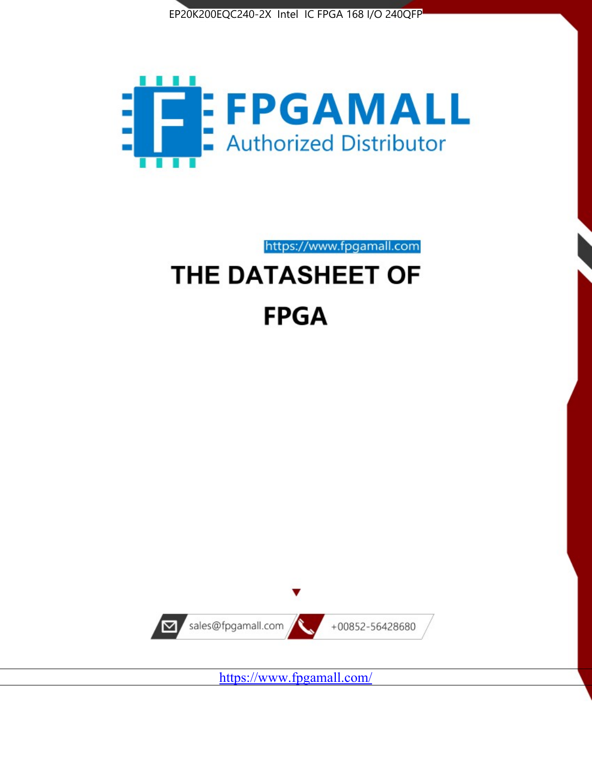



https://www.fpgamall.com

# THE DATASHEET OF **FPGA**



<https://www.fpgamall.com/>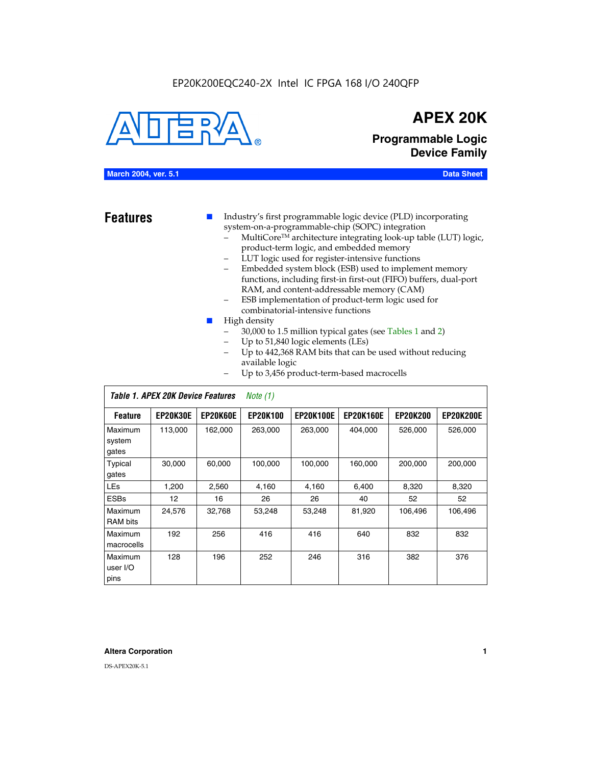#### EP20K200EQC240-2X Intel IC FPGA 168 I/O 240QFP



## **APEX 20K**

**Programmable Logic Device Family**

#### **March 2004, ver. 5.1 Data Sheet**

**Features ■** Industry's first programmable logic device (PLD) incorporating system-on-a-programmable-chip (SOPC) integration

- MultiCore™ architecture integrating look-up table (LUT) logic, product-term logic, and embedded memory
- LUT logic used for register-intensive functions
- Embedded system block (ESB) used to implement memory functions, including first-in first-out (FIFO) buffers, dual-port RAM, and content-addressable memory (CAM)
- ESB implementation of product-term logic used for combinatorial-intensive functions
- High density
	- 30,000 to 1.5 million typical gates (see Tables 1 and 2)
	- Up to 51,840 logic elements (LEs)
	- Up to 442,368 RAM bits that can be used without reducing available logic
	- Up to 3,456 product-term-based macrocells

|                             | Table 1. APEX 20K Device Features<br>Note $(1)$ |                 |                 |                  |                  |                 |                  |  |  |  |
|-----------------------------|-------------------------------------------------|-----------------|-----------------|------------------|------------------|-----------------|------------------|--|--|--|
| <b>Feature</b>              | <b>EP20K30E</b>                                 | <b>EP20K60E</b> | <b>EP20K100</b> | <b>EP20K100E</b> | <b>EP20K160E</b> | <b>EP20K200</b> | <b>EP20K200E</b> |  |  |  |
| Maximum<br>system<br>gates  | 113,000                                         | 162,000         | 263.000         | 263,000          | 404.000          | 526,000         | 526,000          |  |  |  |
| Typical<br>gates            | 30,000                                          | 60,000          | 100,000         | 100,000          | 160,000          | 200,000         | 200,000          |  |  |  |
| <b>LEs</b>                  | 1,200                                           | 2,560           | 4,160           | 4,160            | 6.400            | 8,320           | 8,320            |  |  |  |
| <b>ESBs</b>                 | 12                                              | 16              | 26              | 26               | 40               | 52              | 52               |  |  |  |
| Maximum<br><b>RAM</b> bits  | 24,576                                          | 32,768          | 53,248          | 53,248           | 81,920           | 106,496         | 106,496          |  |  |  |
| Maximum<br>macrocells       | 192                                             | 256             | 416             | 416              | 640              | 832             | 832              |  |  |  |
| Maximum<br>user I/O<br>pins | 128                                             | 196             | 252             | 246              | 316              | 382             | 376              |  |  |  |

#### **Altera Corporation 1**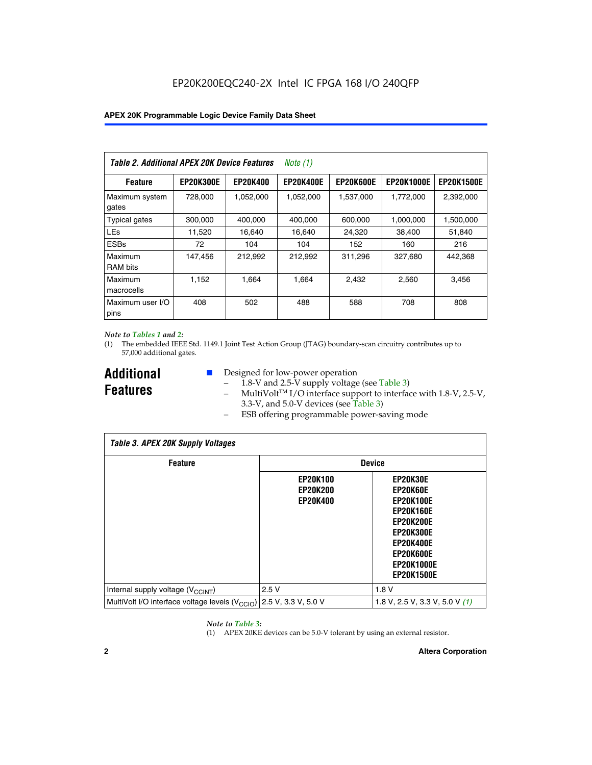| Table 2. Additional APEX 20K Device Features |                  |                 | Note $(1)$       |                  |                   |                   |
|----------------------------------------------|------------------|-----------------|------------------|------------------|-------------------|-------------------|
| <b>Feature</b>                               | <b>EP20K300E</b> | <b>EP20K400</b> | <b>EP20K400E</b> | <b>EP20K600E</b> | <b>EP20K1000E</b> | <b>EP20K1500E</b> |
| Maximum system<br>gates                      | 728,000          | 1,052,000       | 1,052,000        | 1,537,000        | 1,772,000         | 2,392,000         |
| <b>Typical gates</b>                         | 300,000          | 400,000         | 400,000          | 600,000          | 1,000,000         | 1,500,000         |
| <b>LEs</b>                                   | 11,520           | 16.640          | 16.640           | 24,320           | 38,400            | 51,840            |
| <b>ESBs</b>                                  | 72               | 104             | 104              | 152              | 160               | 216               |
| Maximum<br><b>RAM bits</b>                   | 147,456          | 212,992         | 212,992          | 311,296          | 327,680           | 442.368           |
| Maximum<br>macrocells                        | 1,152            | 1,664           | 1,664            | 2.432            | 2,560             | 3,456             |
| Maximum user I/O<br>pins                     | 408              | 502             | 488              | 588              | 708               | 808               |

#### *Note to Tables 1 and 2:*

(1) The embedded IEEE Std. 1149.1 Joint Test Action Group (JTAG) boundary-scan circuitry contributes up to 57,000 additional gates.

**Additional Features**

- Designed for low-power operation
	- 1.8-V and 2.5-V supply voltage (see Table 3)
	- $-$  MultiVolt<sup>TM</sup> I/O interface support to interface with 1.8-V, 2.5-V, 3.3-V, and 5.0-V devices (see Table 3)
	- ESB offering programmable power-saving mode

| <b>Table 3. APEX 20K Supply Voltages</b>                                       |                                                       |                                                                                                                                                                          |  |  |  |  |  |  |
|--------------------------------------------------------------------------------|-------------------------------------------------------|--------------------------------------------------------------------------------------------------------------------------------------------------------------------------|--|--|--|--|--|--|
| <b>Feature</b>                                                                 | <b>Device</b>                                         |                                                                                                                                                                          |  |  |  |  |  |  |
|                                                                                | <b>EP20K100</b><br><b>EP20K200</b><br><b>EP20K400</b> | EP20K30E<br>EP20K60E<br><b>EP20K100E</b><br><b>EP20K160E</b><br>EP20K200E<br><b>EP20K300E</b><br><b>EP20K400E</b><br>EP20K600E<br><b>EP20K1000E</b><br><b>EP20K1500E</b> |  |  |  |  |  |  |
| Internal supply voltage (V <sub>CCINT</sub> )                                  | 2.5V                                                  | 1.8V                                                                                                                                                                     |  |  |  |  |  |  |
| MultiVolt I/O interface voltage levels $(V_{\text{CCIO}})$ 2.5 V, 3.3 V, 5.0 V |                                                       | 1.8 V, 2.5 V, 3.3 V, 5.0 V $(1)$                                                                                                                                         |  |  |  |  |  |  |

#### *Note to Table 3:*

(1) APEX 20KE devices can be 5.0-V tolerant by using an external resistor.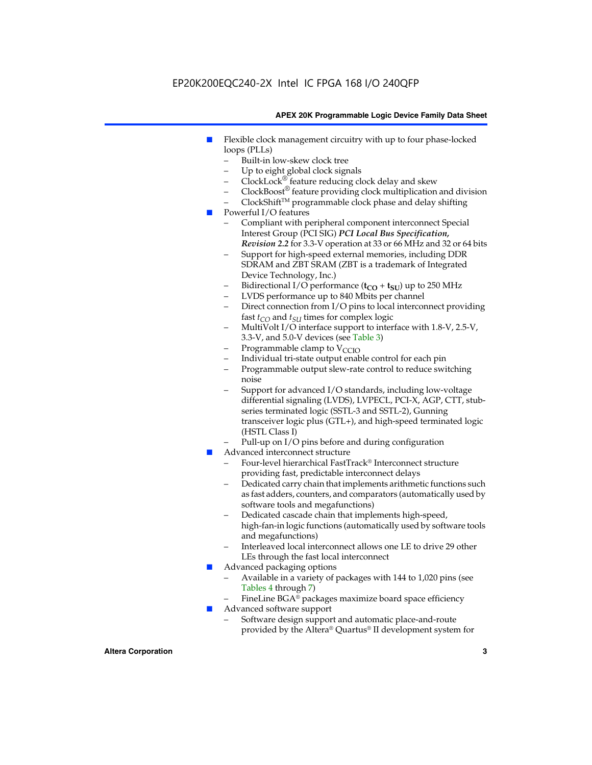### EP20K200EQC240-2X Intel IC FPGA 168 I/O 240QFP

#### **APEX 20K Programmable Logic Device Family Data Sheet**

- Flexible clock management circuitry with up to four phase-locked loops (PLLs)
	- Built-in low-skew clock tree
	- Up to eight global clock signals
	- $ClockLock^{\circledR}$  feature reducing clock delay and skew
	- $ClockBoost^{\circledR}$  feature providing clock multiplication and division
	- ClockShiftTM programmable clock phase and delay shifting
- Powerful I/O features
	- Compliant with peripheral component interconnect Special Interest Group (PCI SIG) *PCI Local Bus Specification, Revision 2.2* for 3.3-V operation at 33 or 66 MHz and 32 or 64 bits
	- Support for high-speed external memories, including DDR SDRAM and ZBT SRAM (ZBT is a trademark of Integrated Device Technology, Inc.)
	- Bidirectional I/O performance  $(t_{CO} + t_{SU})$  up to 250 MHz
	- LVDS performance up to 840 Mbits per channel
	- Direct connection from I/O pins to local interconnect providing fast  $t_{CO}$  and  $t_{SU}$  times for complex logic
	- MultiVolt I/O interface support to interface with 1.8-V, 2.5-V, 3.3-V, and 5.0-V devices (see Table 3)
	- Programmable clamp to  $V_{\text{C}CD}$
	- Individual tri-state output enable control for each pin
	- Programmable output slew-rate control to reduce switching noise
	- Support for advanced I/O standards, including low-voltage differential signaling (LVDS), LVPECL, PCI-X, AGP, CTT, stubseries terminated logic (SSTL-3 and SSTL-2), Gunning transceiver logic plus (GTL+), and high-speed terminated logic (HSTL Class I)
	- Pull-up on I/O pins before and during configuration
- Advanced interconnect structure
	- Four-level hierarchical FastTrack® Interconnect structure providing fast, predictable interconnect delays
	- Dedicated carry chain that implements arithmetic functions such as fast adders, counters, and comparators (automatically used by software tools and megafunctions)
	- Dedicated cascade chain that implements high-speed, high-fan-in logic functions (automatically used by software tools and megafunctions)
	- Interleaved local interconnect allows one LE to drive 29 other LEs through the fast local interconnect
- Advanced packaging options
	- Available in a variety of packages with 144 to 1,020 pins (see Tables 4 through 7)
	- FineLine BGA® packages maximize board space efficiency
- Advanced software support
	- Software design support and automatic place-and-route provided by the Altera® Quartus® II development system for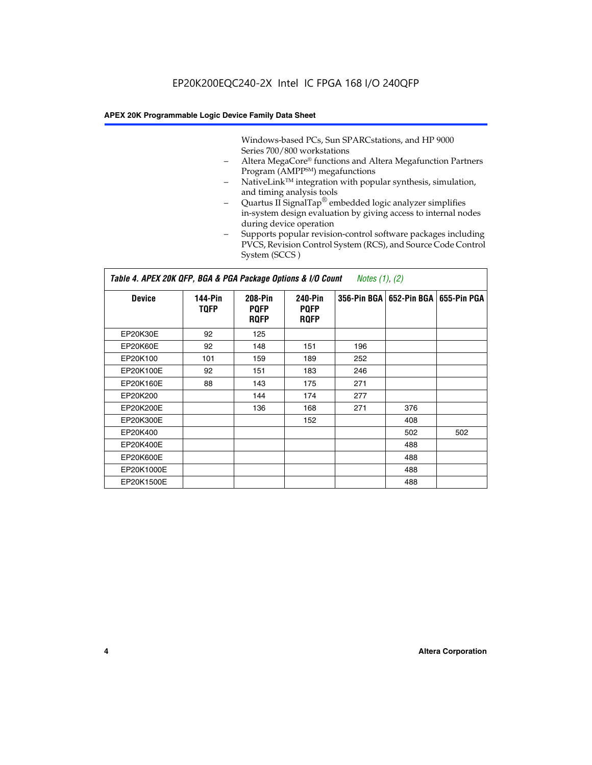Windows-based PCs, Sun SPARCstations, and HP 9000 Series 700/800 workstations

- Altera MegaCore® functions and Altera Megafunction Partners Program (AMPP<sup>SM</sup>) megafunctions
- NativeLink™ integration with popular synthesis, simulation, and timing analysis tools
- Quartus II SignalTap® embedded logic analyzer simplifies in-system design evaluation by giving access to internal nodes during device operation
- Supports popular revision-control software packages including PVCS, Revision Control System (RCS), and Source Code Control System (SCCS )

#### *Table 4. APEX 20K QFP, BGA & PGA Package Options & I/O Count Notes (1), (2)*

| <b>Device</b>   | 144-Pin<br><b>TQFP</b> | 208-Pin<br><b>PQFP</b><br><b>ROFP</b> | 240-Pin<br><b>PQFP</b><br><b>ROFP</b> |     | 356-Pin BGA   652-Pin BGA | 655-Pin PGA |
|-----------------|------------------------|---------------------------------------|---------------------------------------|-----|---------------------------|-------------|
| EP20K30E        | 92                     | 125                                   |                                       |     |                           |             |
| <b>EP20K60E</b> | 92                     | 148                                   | 151                                   | 196 |                           |             |
| EP20K100        | 101                    | 159                                   | 189                                   | 252 |                           |             |
| EP20K100E       | 92                     | 151                                   | 183                                   | 246 |                           |             |
| EP20K160E       | 88                     | 143                                   | 175                                   | 271 |                           |             |
| EP20K200        |                        | 144                                   | 174                                   | 277 |                           |             |
| EP20K200E       |                        | 136                                   | 168                                   | 271 | 376                       |             |
| EP20K300E       |                        |                                       | 152                                   |     | 408                       |             |
| EP20K400        |                        |                                       |                                       |     | 502                       | 502         |
| EP20K400E       |                        |                                       |                                       |     | 488                       |             |
| EP20K600E       |                        |                                       |                                       |     | 488                       |             |
| EP20K1000E      |                        |                                       |                                       |     | 488                       |             |
| EP20K1500E      |                        |                                       |                                       |     | 488                       |             |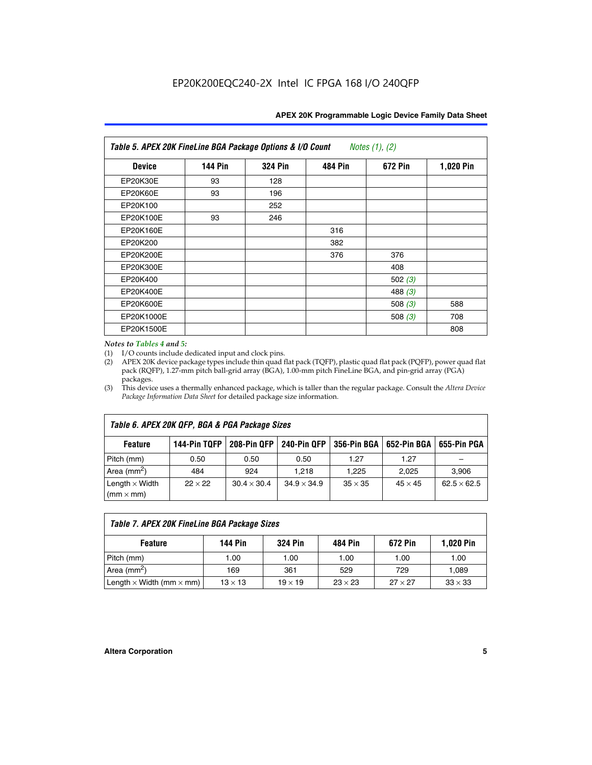| Table 5. APEX 20K FineLine BGA Package Options & I/O Count<br>Notes $(1)$ , $(2)$ |                |                |                |           |           |  |  |  |
|-----------------------------------------------------------------------------------|----------------|----------------|----------------|-----------|-----------|--|--|--|
| <b>Device</b>                                                                     | <b>144 Pin</b> | <b>324 Pin</b> | <b>484 Pin</b> | 672 Pin   | 1,020 Pin |  |  |  |
| EP20K30E                                                                          | 93             | 128            |                |           |           |  |  |  |
| <b>EP20K60E</b>                                                                   | 93             | 196            |                |           |           |  |  |  |
| EP20K100                                                                          |                | 252            |                |           |           |  |  |  |
| EP20K100E                                                                         | 93             | 246            |                |           |           |  |  |  |
| EP20K160E                                                                         |                |                | 316            |           |           |  |  |  |
| EP20K200                                                                          |                |                | 382            |           |           |  |  |  |
| EP20K200E                                                                         |                |                | 376            | 376       |           |  |  |  |
| EP20K300E                                                                         |                |                |                | 408       |           |  |  |  |
| EP20K400                                                                          |                |                |                | 502 $(3)$ |           |  |  |  |
| EP20K400E                                                                         |                |                |                | 488 $(3)$ |           |  |  |  |
| EP20K600E                                                                         |                |                |                | 508 $(3)$ | 588       |  |  |  |
| EP20K1000E                                                                        |                |                |                | 508 $(3)$ | 708       |  |  |  |
| EP20K1500E                                                                        |                |                |                |           | 808       |  |  |  |

#### *Notes to Tables 4 and 5:*

 $\Gamma$ 

(1) I/O counts include dedicated input and clock pins.

(2) APEX 20K device package types include thin quad flat pack (TQFP), plastic quad flat pack (PQFP), power quad flat pack (RQFP), 1.27-mm pitch ball-grid array (BGA), 1.00-mm pitch FineLine BGA, and pin-grid array (PGA) packages.

(3) This device uses a thermally enhanced package, which is taller than the regular package. Consult the *Altera Device Package Information Data Sheet* for detailed package size information.

| Table 6. APEX 20K QFP, BGA & PGA Package Sizes                                                                  |                |                    |                    |                |                |                    |  |  |  |
|-----------------------------------------------------------------------------------------------------------------|----------------|--------------------|--------------------|----------------|----------------|--------------------|--|--|--|
| 144-Pin TQFP<br>208-Pin OFP<br><b>240-Pin OFP</b><br>356-Pin BGA   652-Pin BGA<br>655-Pin PGA<br><b>Feature</b> |                |                    |                    |                |                |                    |  |  |  |
| Pitch (mm)                                                                                                      | 0.50           | 0.50               | 0.50               | 1.27           | 1.27           |                    |  |  |  |
| Area $(mm^2)$                                                                                                   | 484            | 924                | 1.218              | 1.225          | 2.025          | 3,906              |  |  |  |
| Length $\times$ Width<br>$(mm \times mm)$                                                                       | $22 \times 22$ | $30.4 \times 30.4$ | $34.9 \times 34.9$ | $35 \times 35$ | $45 \times 45$ | $62.5 \times 62.5$ |  |  |  |

| Table 7. APEX 20K FineLine BGA Package Sizes                                          |                |                |                |                |                |  |  |  |
|---------------------------------------------------------------------------------------|----------------|----------------|----------------|----------------|----------------|--|--|--|
| 1,020 Pin<br><b>144 Pin</b><br><b>324 Pin</b><br>672 Pin<br>484 Pin<br><b>Feature</b> |                |                |                |                |                |  |  |  |
| Pitch (mm)                                                                            | 1.00           | 1.00           | 1.00           | 1.00           | 1.00           |  |  |  |
| Area ( $mm2$ )                                                                        | 169            | 361            | 529            | 729            | 1,089          |  |  |  |
| Length $\times$ Width (mm $\times$ mm)                                                | $13 \times 13$ | $19 \times 19$ | $23 \times 23$ | $27 \times 27$ | $33 \times 33$ |  |  |  |

٦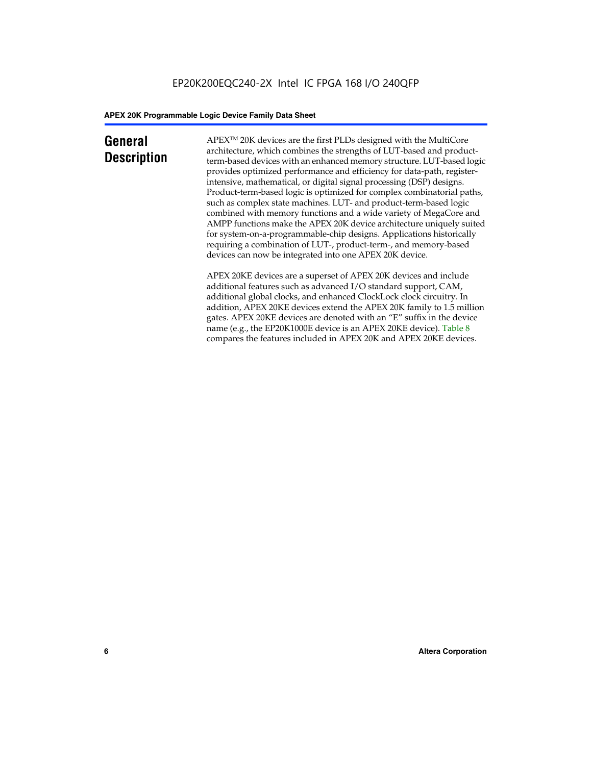### **General Description**

APEXTM 20K devices are the first PLDs designed with the MultiCore architecture, which combines the strengths of LUT-based and productterm-based devices with an enhanced memory structure. LUT-based logic provides optimized performance and efficiency for data-path, registerintensive, mathematical, or digital signal processing (DSP) designs. Product-term-based logic is optimized for complex combinatorial paths, such as complex state machines. LUT- and product-term-based logic combined with memory functions and a wide variety of MegaCore and AMPP functions make the APEX 20K device architecture uniquely suited for system-on-a-programmable-chip designs. Applications historically requiring a combination of LUT-, product-term-, and memory-based devices can now be integrated into one APEX 20K device.

APEX 20KE devices are a superset of APEX 20K devices and include additional features such as advanced I/O standard support, CAM, additional global clocks, and enhanced ClockLock clock circuitry. In addition, APEX 20KE devices extend the APEX 20K family to 1.5 million gates. APEX 20KE devices are denoted with an "E" suffix in the device name (e.g., the EP20K1000E device is an APEX 20KE device). Table 8 compares the features included in APEX 20K and APEX 20KE devices.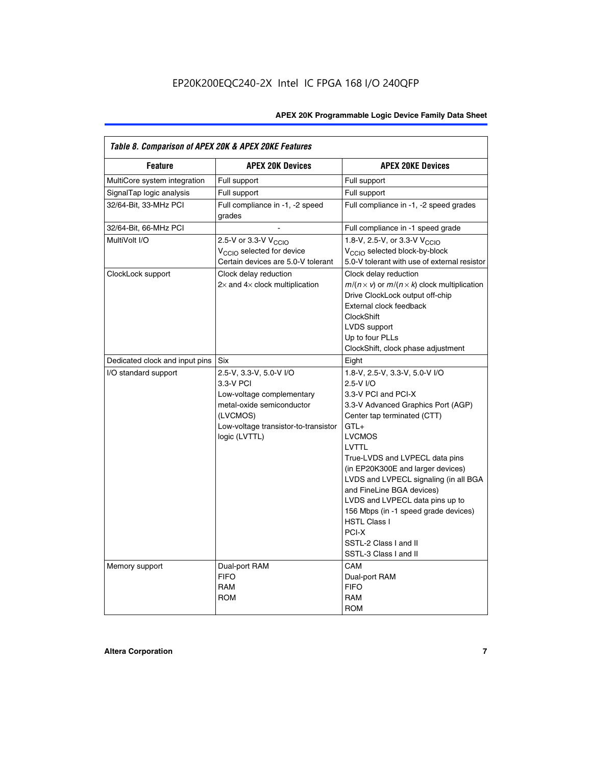| Table 8. Comparison of APEX 20K & APEX 20KE Features |                                                                                                                                                                     |                                                                                                                                                                                                                                                                                                                                                                                                                                                                                       |  |  |  |  |  |
|------------------------------------------------------|---------------------------------------------------------------------------------------------------------------------------------------------------------------------|---------------------------------------------------------------------------------------------------------------------------------------------------------------------------------------------------------------------------------------------------------------------------------------------------------------------------------------------------------------------------------------------------------------------------------------------------------------------------------------|--|--|--|--|--|
| <b>Feature</b>                                       | <b>APEX 20K Devices</b>                                                                                                                                             | <b>APEX 20KE Devices</b>                                                                                                                                                                                                                                                                                                                                                                                                                                                              |  |  |  |  |  |
| MultiCore system integration                         | Full support                                                                                                                                                        | Full support                                                                                                                                                                                                                                                                                                                                                                                                                                                                          |  |  |  |  |  |
| SignalTap logic analysis                             | Full support                                                                                                                                                        | Full support                                                                                                                                                                                                                                                                                                                                                                                                                                                                          |  |  |  |  |  |
| 32/64-Bit, 33-MHz PCI                                | Full compliance in -1, -2 speed<br>grades                                                                                                                           | Full compliance in -1, -2 speed grades                                                                                                                                                                                                                                                                                                                                                                                                                                                |  |  |  |  |  |
| 32/64-Bit, 66-MHz PCI                                |                                                                                                                                                                     | Full compliance in -1 speed grade                                                                                                                                                                                                                                                                                                                                                                                                                                                     |  |  |  |  |  |
| MultiVolt I/O                                        | 2.5-V or 3.3-V V <sub>CCIO</sub><br>V <sub>CCIO</sub> selected for device<br>Certain devices are 5.0-V tolerant                                                     | 1.8-V, 2.5-V, or 3.3-V V <sub>CCIO</sub><br>V <sub>CCIO</sub> selected block-by-block<br>5.0-V tolerant with use of external resistor                                                                                                                                                                                                                                                                                                                                                 |  |  |  |  |  |
| ClockLock support                                    | Clock delay reduction<br>$2\times$ and $4\times$ clock multiplication                                                                                               | Clock delay reduction<br>$m/(n \times v)$ or $m/(n \times k)$ clock multiplication<br>Drive ClockLock output off-chip<br>External clock feedback<br><b>ClockShift</b><br>LVDS support<br>Up to four PLLs<br>ClockShift, clock phase adjustment                                                                                                                                                                                                                                        |  |  |  |  |  |
| Dedicated clock and input pins                       | <b>Six</b>                                                                                                                                                          | Eight                                                                                                                                                                                                                                                                                                                                                                                                                                                                                 |  |  |  |  |  |
| I/O standard support                                 | 2.5-V, 3.3-V, 5.0-V I/O<br>3.3-V PCI<br>Low-voltage complementary<br>metal-oxide semiconductor<br>(LVCMOS)<br>Low-voltage transistor-to-transistor<br>logic (LVTTL) | 1.8-V, 2.5-V, 3.3-V, 5.0-V I/O<br>2.5-V I/O<br>3.3-V PCI and PCI-X<br>3.3-V Advanced Graphics Port (AGP)<br>Center tap terminated (CTT)<br>$GTL+$<br><b>LVCMOS</b><br>LVTTL<br>True-LVDS and LVPECL data pins<br>(in EP20K300E and larger devices)<br>LVDS and LVPECL signaling (in all BGA<br>and FineLine BGA devices)<br>LVDS and LVPECL data pins up to<br>156 Mbps (in -1 speed grade devices)<br><b>HSTL Class I</b><br>PCI-X<br>SSTL-2 Class I and II<br>SSTL-3 Class I and II |  |  |  |  |  |
| Memory support                                       | Dual-port RAM<br><b>FIFO</b><br><b>RAM</b><br><b>ROM</b>                                                                                                            | CAM<br>Dual-port RAM<br><b>FIFO</b><br>RAM<br><b>ROM</b>                                                                                                                                                                                                                                                                                                                                                                                                                              |  |  |  |  |  |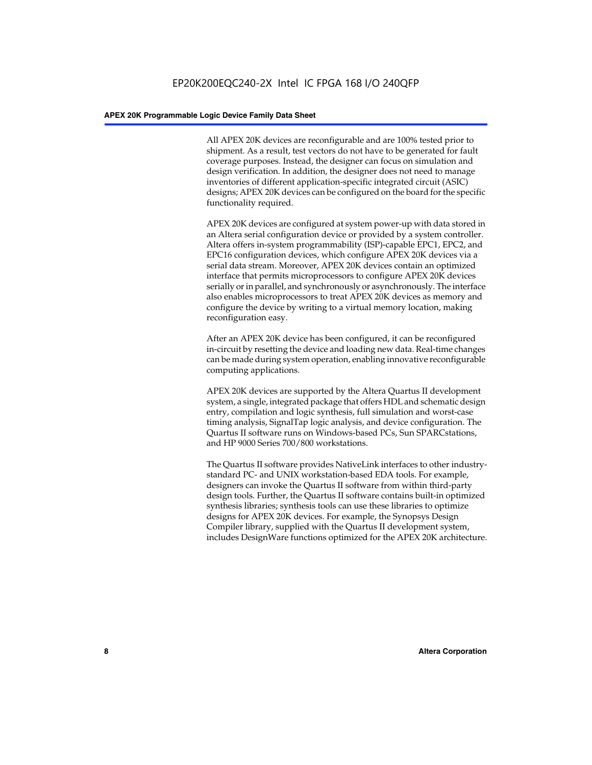All APEX 20K devices are reconfigurable and are 100% tested prior to shipment. As a result, test vectors do not have to be generated for fault coverage purposes. Instead, the designer can focus on simulation and design verification. In addition, the designer does not need to manage inventories of different application-specific integrated circuit (ASIC) designs; APEX 20K devices can be configured on the board for the specific functionality required.

APEX 20K devices are configured at system power-up with data stored in an Altera serial configuration device or provided by a system controller. Altera offers in-system programmability (ISP)-capable EPC1, EPC2, and EPC16 configuration devices, which configure APEX 20K devices via a serial data stream. Moreover, APEX 20K devices contain an optimized interface that permits microprocessors to configure APEX 20K devices serially or in parallel, and synchronously or asynchronously. The interface also enables microprocessors to treat APEX 20K devices as memory and configure the device by writing to a virtual memory location, making reconfiguration easy.

After an APEX 20K device has been configured, it can be reconfigured in-circuit by resetting the device and loading new data. Real-time changes can be made during system operation, enabling innovative reconfigurable computing applications.

APEX 20K devices are supported by the Altera Quartus II development system, a single, integrated package that offers HDL and schematic design entry, compilation and logic synthesis, full simulation and worst-case timing analysis, SignalTap logic analysis, and device configuration. The Quartus II software runs on Windows-based PCs, Sun SPARCstations, and HP 9000 Series 700/800 workstations.

The Quartus II software provides NativeLink interfaces to other industrystandard PC- and UNIX workstation-based EDA tools. For example, designers can invoke the Quartus II software from within third-party design tools. Further, the Quartus II software contains built-in optimized synthesis libraries; synthesis tools can use these libraries to optimize designs for APEX 20K devices. For example, the Synopsys Design Compiler library, supplied with the Quartus II development system, includes DesignWare functions optimized for the APEX 20K architecture.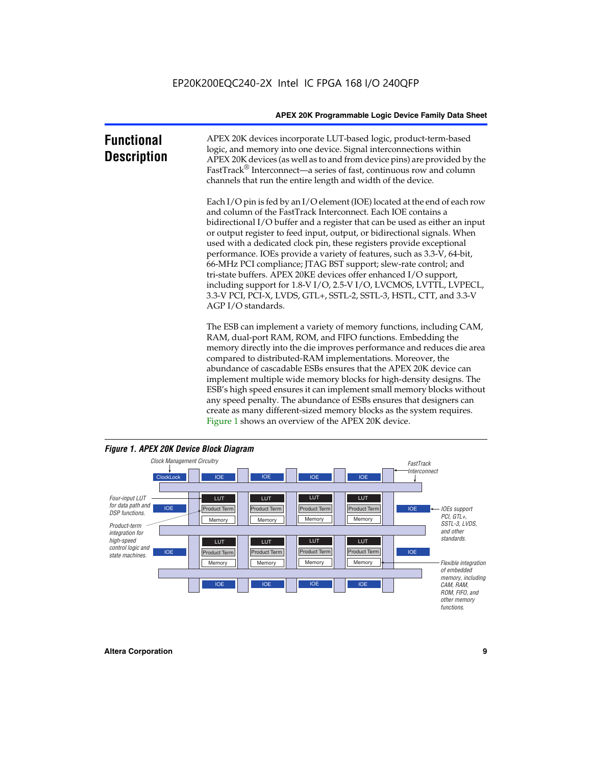| <b>Functional</b><br><b>Description</b> | APEX 20K devices incorporate LUT-based logic, product-term-based<br>logic, and memory into one device. Signal interconnections within<br>APEX 20K devices (as well as to and from device pins) are provided by the<br>FastTrack <sup>®</sup> Interconnect—a series of fast, continuous row and column<br>channels that run the entire length and width of the device.                                                                                                                                                                                                                                                                                                                                                                                              |
|-----------------------------------------|--------------------------------------------------------------------------------------------------------------------------------------------------------------------------------------------------------------------------------------------------------------------------------------------------------------------------------------------------------------------------------------------------------------------------------------------------------------------------------------------------------------------------------------------------------------------------------------------------------------------------------------------------------------------------------------------------------------------------------------------------------------------|
|                                         | Each I/O pin is fed by an I/O element (IOE) located at the end of each row<br>and column of the FastTrack Interconnect. Each IOE contains a<br>bidirectional I/O buffer and a register that can be used as either an input<br>or output register to feed input, output, or bidirectional signals. When<br>used with a dedicated clock pin, these registers provide exceptional<br>performance. IOEs provide a variety of features, such as 3.3-V, 64-bit,<br>66-MHz PCI compliance; JTAG BST support; slew-rate control; and<br>tri-state buffers. APEX 20KE devices offer enhanced I/O support,<br>including support for 1.8-V I/O, 2.5-V I/O, LVCMOS, LVTTL, LVPECL,<br>3.3-V PCI, PCI-X, LVDS, GTL+, SSTL-2, SSTL-3, HSTL, CTT, and 3.3-V<br>AGP I/O standards. |
|                                         | The ESB can implement a variety of memory functions, including CAM,<br>RAM, dual-port RAM, ROM, and FIFO functions. Embedding the<br>memory directly into the die improves performance and reduces die area<br>compared to distributed-RAM implementations. Moreover, the<br>abundance of cascadable ESBs ensures that the APEX 20K device can<br>implement multiple wide memory blocks for high-density designs. The<br>ESB's high speed ensures it can implement small memory blocks without<br>any speed penalty. The abundance of ESBs ensures that designers can                                                                                                                                                                                              |



create as many different-sized memory blocks as the system requires.

Figure 1 shows an overview of the APEX 20K device.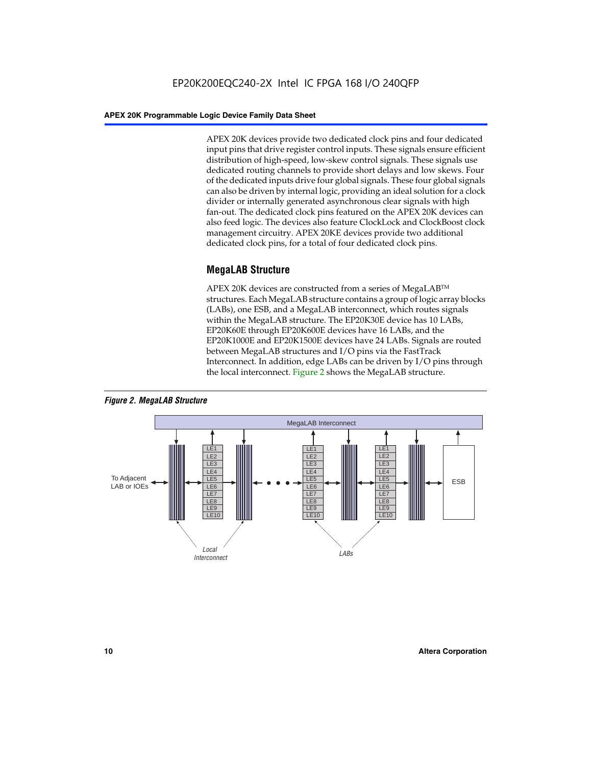APEX 20K devices provide two dedicated clock pins and four dedicated input pins that drive register control inputs. These signals ensure efficient distribution of high-speed, low-skew control signals. These signals use dedicated routing channels to provide short delays and low skews. Four of the dedicated inputs drive four global signals. These four global signals can also be driven by internal logic, providing an ideal solution for a clock divider or internally generated asynchronous clear signals with high fan-out. The dedicated clock pins featured on the APEX 20K devices can also feed logic. The devices also feature ClockLock and ClockBoost clock management circuitry. APEX 20KE devices provide two additional dedicated clock pins, for a total of four dedicated clock pins.

#### **MegaLAB Structure**

APEX 20K devices are constructed from a series of MegaLAB<sup>™</sup> structures. Each MegaLAB structure contains a group of logic array blocks (LABs), one ESB, and a MegaLAB interconnect, which routes signals within the MegaLAB structure. The EP20K30E device has 10 LABs, EP20K60E through EP20K600E devices have 16 LABs, and the EP20K1000E and EP20K1500E devices have 24 LABs. Signals are routed between MegaLAB structures and I/O pins via the FastTrack Interconnect. In addition, edge LABs can be driven by I/O pins through the local interconnect. Figure 2 shows the MegaLAB structure.



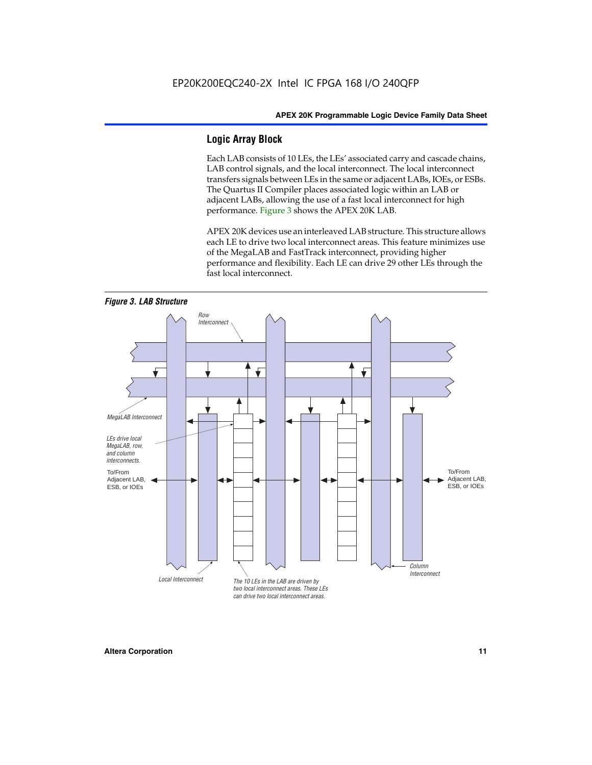#### **Logic Array Block**

Each LAB consists of 10 LEs, the LEs' associated carry and cascade chains, LAB control signals, and the local interconnect. The local interconnect transfers signals between LEs in the same or adjacent LABs, IOEs, or ESBs. The Quartus II Compiler places associated logic within an LAB or adjacent LABs, allowing the use of a fast local interconnect for high performance. Figure 3 shows the APEX 20K LAB.

APEX 20K devices use an interleaved LAB structure. This structure allows each LE to drive two local interconnect areas. This feature minimizes use of the MegaLAB and FastTrack interconnect, providing higher performance and flexibility. Each LE can drive 29 other LEs through the fast local interconnect.

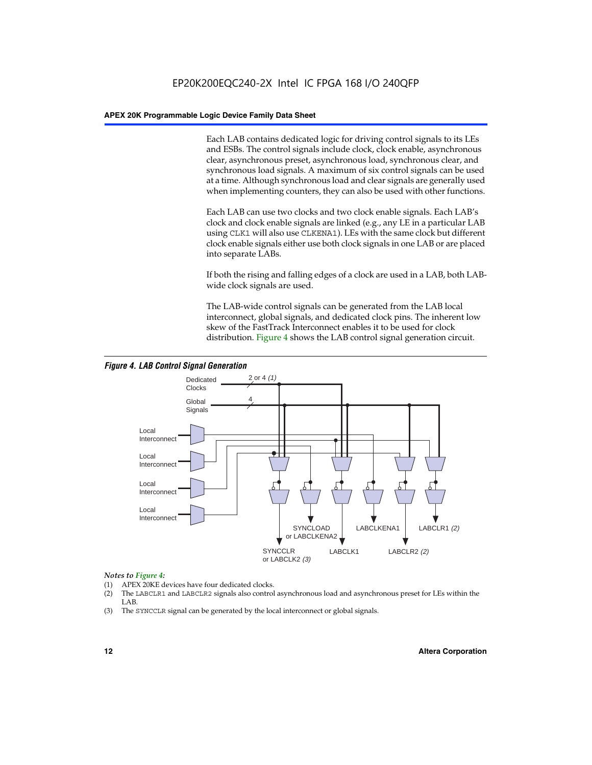Each LAB contains dedicated logic for driving control signals to its LEs and ESBs. The control signals include clock, clock enable, asynchronous clear, asynchronous preset, asynchronous load, synchronous clear, and synchronous load signals. A maximum of six control signals can be used at a time. Although synchronous load and clear signals are generally used when implementing counters, they can also be used with other functions.

Each LAB can use two clocks and two clock enable signals. Each LAB's clock and clock enable signals are linked (e.g., any LE in a particular LAB using CLK1 will also use CLKENA1). LEs with the same clock but different clock enable signals either use both clock signals in one LAB or are placed into separate LABs.

If both the rising and falling edges of a clock are used in a LAB, both LABwide clock signals are used.

The LAB-wide control signals can be generated from the LAB local interconnect, global signals, and dedicated clock pins. The inherent low skew of the FastTrack Interconnect enables it to be used for clock distribution. Figure 4 shows the LAB control signal generation circuit.



#### *Figure 4. LAB Control Signal Generation*

#### *Notes to Figure 4:*

- (1) APEX 20KE devices have four dedicated clocks.
- (2) The LABCLR1 and LABCLR2 signals also control asynchronous load and asynchronous preset for LEs within the LAB.
- (3) The SYNCCLR signal can be generated by the local interconnect or global signals.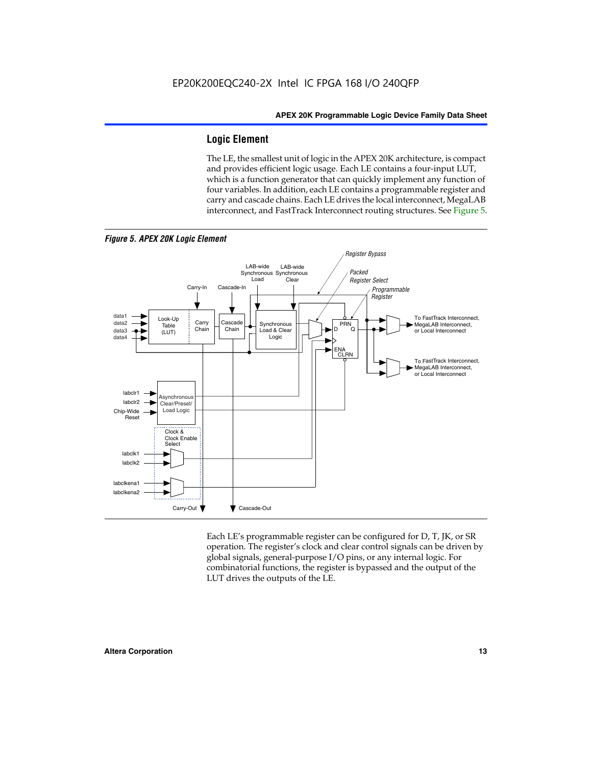#### **Logic Element**

The LE, the smallest unit of logic in the APEX 20K architecture, is compact and provides efficient logic usage. Each LE contains a four-input LUT, which is a function generator that can quickly implement any function of four variables. In addition, each LE contains a programmable register and carry and cascade chains. Each LE drives the local interconnect, MegaLAB interconnect, and FastTrack Interconnect routing structures. See Figure 5.



*Figure 5. APEX 20K Logic Element*

Each LE's programmable register can be configured for D, T, JK, or SR operation. The register's clock and clear control signals can be driven by global signals, general-purpose I/O pins, or any internal logic. For combinatorial functions, the register is bypassed and the output of the LUT drives the outputs of the LE.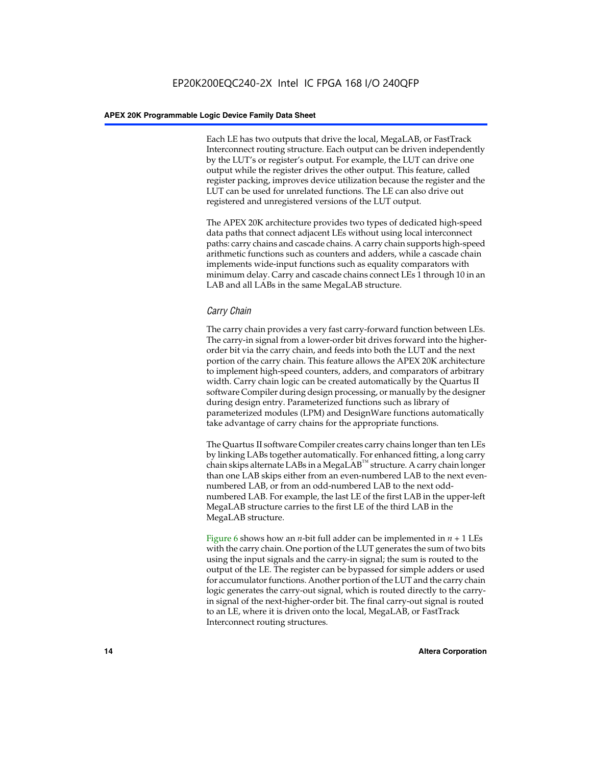Each LE has two outputs that drive the local, MegaLAB, or FastTrack Interconnect routing structure. Each output can be driven independently by the LUT's or register's output. For example, the LUT can drive one output while the register drives the other output. This feature, called register packing, improves device utilization because the register and the LUT can be used for unrelated functions. The LE can also drive out registered and unregistered versions of the LUT output.

The APEX 20K architecture provides two types of dedicated high-speed data paths that connect adjacent LEs without using local interconnect paths: carry chains and cascade chains. A carry chain supports high-speed arithmetic functions such as counters and adders, while a cascade chain implements wide-input functions such as equality comparators with minimum delay. Carry and cascade chains connect LEs 1 through 10 in an LAB and all LABs in the same MegaLAB structure.

#### *Carry Chain*

The carry chain provides a very fast carry-forward function between LEs. The carry-in signal from a lower-order bit drives forward into the higherorder bit via the carry chain, and feeds into both the LUT and the next portion of the carry chain. This feature allows the APEX 20K architecture to implement high-speed counters, adders, and comparators of arbitrary width. Carry chain logic can be created automatically by the Quartus II software Compiler during design processing, or manually by the designer during design entry. Parameterized functions such as library of parameterized modules (LPM) and DesignWare functions automatically take advantage of carry chains for the appropriate functions.

The Quartus II software Compiler creates carry chains longer than ten LEs by linking LABs together automatically. For enhanced fitting, a long carry chain skips alternate LABs in a MegaLAB<sup>™</sup> structure. A carry chain longer than one LAB skips either from an even-numbered LAB to the next evennumbered LAB, or from an odd-numbered LAB to the next oddnumbered LAB. For example, the last LE of the first LAB in the upper-left MegaLAB structure carries to the first LE of the third LAB in the MegaLAB structure.

Figure 6 shows how an *n*-bit full adder can be implemented in *n* + 1 LEs with the carry chain. One portion of the LUT generates the sum of two bits using the input signals and the carry-in signal; the sum is routed to the output of the LE. The register can be bypassed for simple adders or used for accumulator functions. Another portion of the LUT and the carry chain logic generates the carry-out signal, which is routed directly to the carryin signal of the next-higher-order bit. The final carry-out signal is routed to an LE, where it is driven onto the local, MegaLAB, or FastTrack Interconnect routing structures.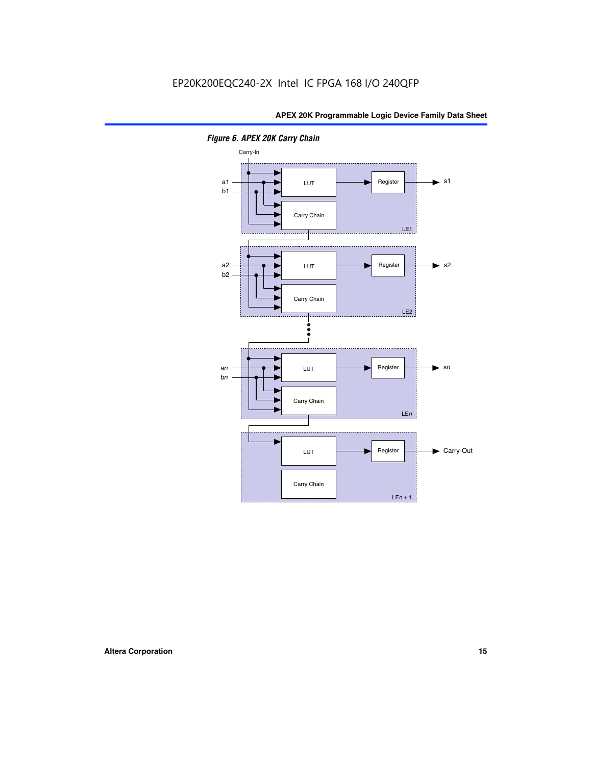

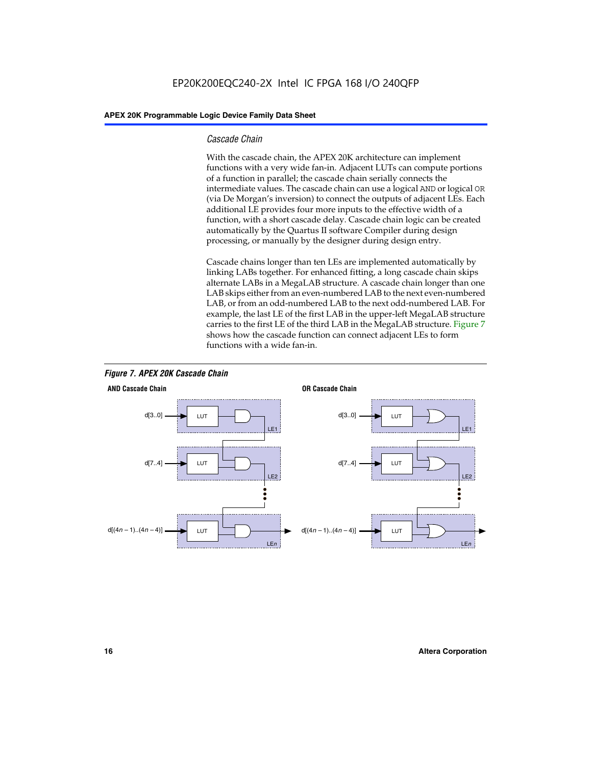#### *Cascade Chain*

With the cascade chain, the APEX 20K architecture can implement functions with a very wide fan-in. Adjacent LUTs can compute portions of a function in parallel; the cascade chain serially connects the intermediate values. The cascade chain can use a logical AND or logical OR (via De Morgan's inversion) to connect the outputs of adjacent LEs. Each additional LE provides four more inputs to the effective width of a function, with a short cascade delay. Cascade chain logic can be created automatically by the Quartus II software Compiler during design processing, or manually by the designer during design entry.

Cascade chains longer than ten LEs are implemented automatically by linking LABs together. For enhanced fitting, a long cascade chain skips alternate LABs in a MegaLAB structure. A cascade chain longer than one LAB skips either from an even-numbered LAB to the next even-numbered LAB, or from an odd-numbered LAB to the next odd-numbered LAB. For example, the last LE of the first LAB in the upper-left MegaLAB structure carries to the first LE of the third LAB in the MegaLAB structure. Figure 7 shows how the cascade function can connect adjacent LEs to form functions with a wide fan-in.



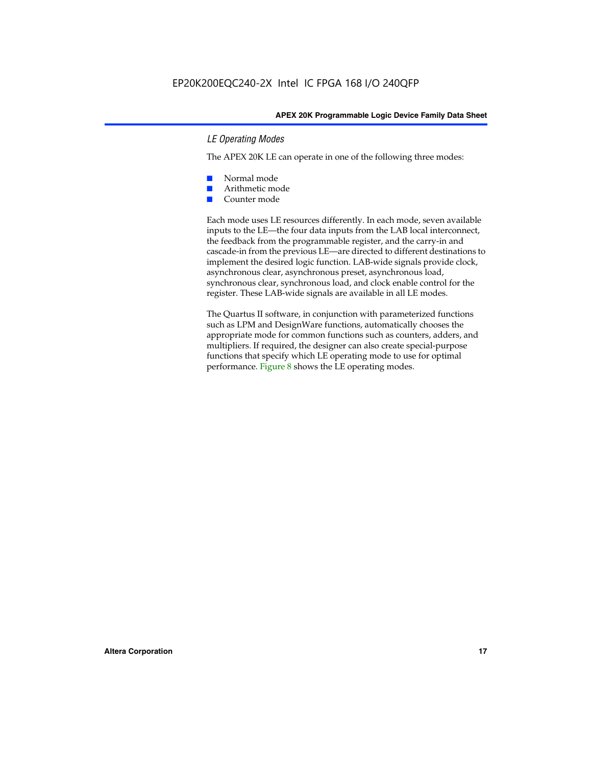#### *LE Operating Modes*

The APEX 20K LE can operate in one of the following three modes:

- Normal mode
- Arithmetic mode
- Counter mode

Each mode uses LE resources differently. In each mode, seven available inputs to the LE—the four data inputs from the LAB local interconnect, the feedback from the programmable register, and the carry-in and cascade-in from the previous LE—are directed to different destinations to implement the desired logic function. LAB-wide signals provide clock, asynchronous clear, asynchronous preset, asynchronous load, synchronous clear, synchronous load, and clock enable control for the register. These LAB-wide signals are available in all LE modes.

The Quartus II software, in conjunction with parameterized functions such as LPM and DesignWare functions, automatically chooses the appropriate mode for common functions such as counters, adders, and multipliers. If required, the designer can also create special-purpose functions that specify which LE operating mode to use for optimal performance. Figure 8 shows the LE operating modes.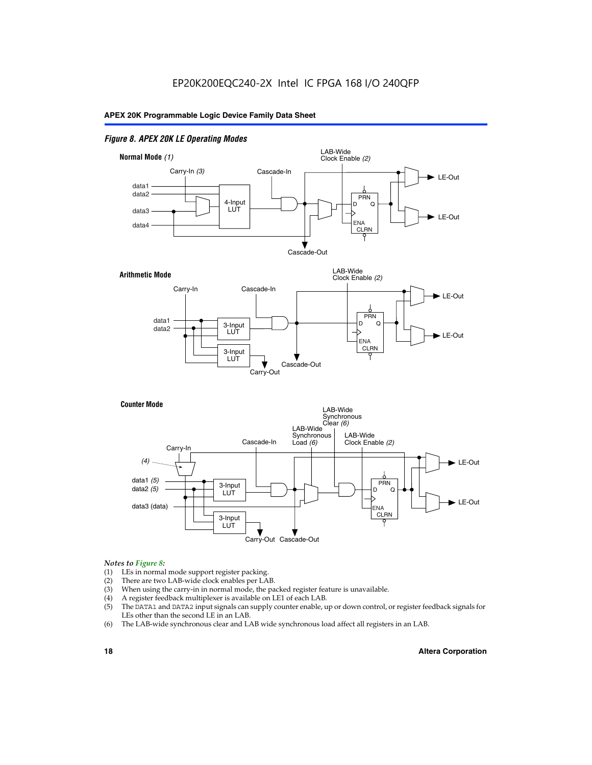#### *Figure 8. APEX 20K LE Operating Modes*



#### *Notes to Figure 8:*

- (1) LEs in normal mode support register packing.
- (2) There are two LAB-wide clock enables per LAB.
- (3) When using the carry-in in normal mode, the packed register feature is unavailable.
- (4) A register feedback multiplexer is available on LE1 of each LAB.
- (5) The DATA1 and DATA2 input signals can supply counter enable, up or down control, or register feedback signals for LEs other than the second LE in an LAB.
- (6) The LAB-wide synchronous clear and LAB wide synchronous load affect all registers in an LAB.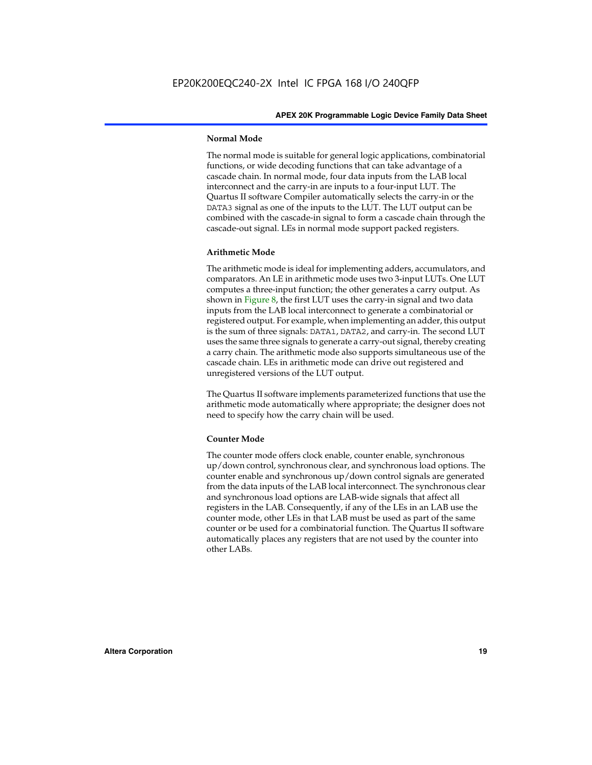#### **Normal Mode**

The normal mode is suitable for general logic applications, combinatorial functions, or wide decoding functions that can take advantage of a cascade chain. In normal mode, four data inputs from the LAB local interconnect and the carry-in are inputs to a four-input LUT. The Quartus II software Compiler automatically selects the carry-in or the DATA3 signal as one of the inputs to the LUT. The LUT output can be combined with the cascade-in signal to form a cascade chain through the cascade-out signal. LEs in normal mode support packed registers.

#### **Arithmetic Mode**

The arithmetic mode is ideal for implementing adders, accumulators, and comparators. An LE in arithmetic mode uses two 3-input LUTs. One LUT computes a three-input function; the other generates a carry output. As shown in Figure 8, the first LUT uses the carry-in signal and two data inputs from the LAB local interconnect to generate a combinatorial or registered output. For example, when implementing an adder, this output is the sum of three signals: DATA1, DATA2, and carry-in. The second LUT uses the same three signals to generate a carry-out signal, thereby creating a carry chain. The arithmetic mode also supports simultaneous use of the cascade chain. LEs in arithmetic mode can drive out registered and unregistered versions of the LUT output.

The Quartus II software implements parameterized functions that use the arithmetic mode automatically where appropriate; the designer does not need to specify how the carry chain will be used.

#### **Counter Mode**

The counter mode offers clock enable, counter enable, synchronous up/down control, synchronous clear, and synchronous load options. The counter enable and synchronous up/down control signals are generated from the data inputs of the LAB local interconnect. The synchronous clear and synchronous load options are LAB-wide signals that affect all registers in the LAB. Consequently, if any of the LEs in an LAB use the counter mode, other LEs in that LAB must be used as part of the same counter or be used for a combinatorial function. The Quartus II software automatically places any registers that are not used by the counter into other LABs.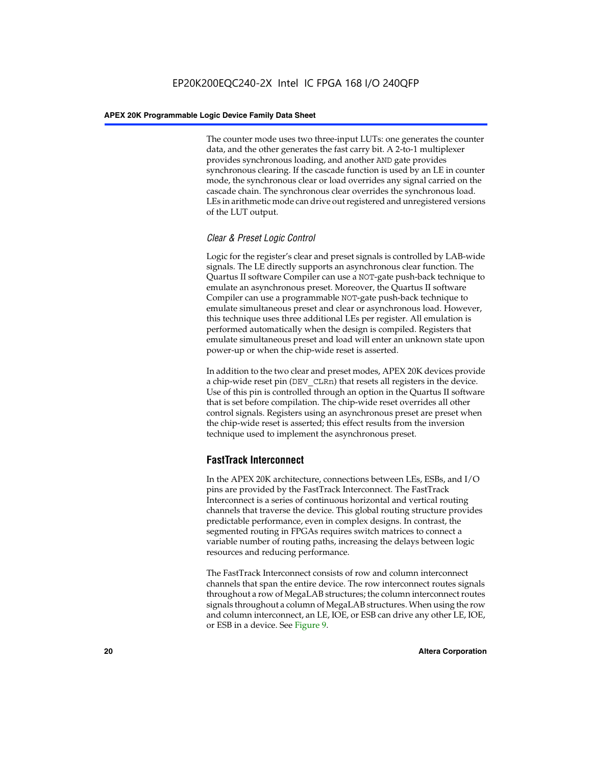The counter mode uses two three-input LUTs: one generates the counter data, and the other generates the fast carry bit. A 2-to-1 multiplexer provides synchronous loading, and another AND gate provides synchronous clearing. If the cascade function is used by an LE in counter mode, the synchronous clear or load overrides any signal carried on the cascade chain. The synchronous clear overrides the synchronous load. LEs in arithmetic mode can drive out registered and unregistered versions of the LUT output.

#### *Clear & Preset Logic Control*

Logic for the register's clear and preset signals is controlled by LAB-wide signals. The LE directly supports an asynchronous clear function. The Quartus II software Compiler can use a NOT-gate push-back technique to emulate an asynchronous preset. Moreover, the Quartus II software Compiler can use a programmable NOT-gate push-back technique to emulate simultaneous preset and clear or asynchronous load. However, this technique uses three additional LEs per register. All emulation is performed automatically when the design is compiled. Registers that emulate simultaneous preset and load will enter an unknown state upon power-up or when the chip-wide reset is asserted.

In addition to the two clear and preset modes, APEX 20K devices provide a chip-wide reset pin (DEV\_CLRn) that resets all registers in the device. Use of this pin is controlled through an option in the Quartus II software that is set before compilation. The chip-wide reset overrides all other control signals. Registers using an asynchronous preset are preset when the chip-wide reset is asserted; this effect results from the inversion technique used to implement the asynchronous preset.

#### **FastTrack Interconnect**

In the APEX 20K architecture, connections between LEs, ESBs, and I/O pins are provided by the FastTrack Interconnect. The FastTrack Interconnect is a series of continuous horizontal and vertical routing channels that traverse the device. This global routing structure provides predictable performance, even in complex designs. In contrast, the segmented routing in FPGAs requires switch matrices to connect a variable number of routing paths, increasing the delays between logic resources and reducing performance.

The FastTrack Interconnect consists of row and column interconnect channels that span the entire device. The row interconnect routes signals throughout a row of MegaLAB structures; the column interconnect routes signals throughout a column of MegaLAB structures. When using the row and column interconnect, an LE, IOE, or ESB can drive any other LE, IOE, or ESB in a device. See Figure 9.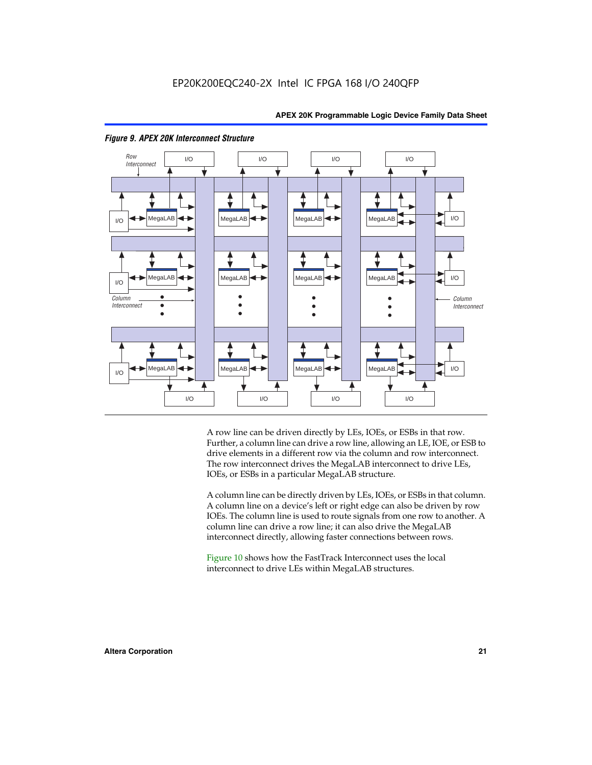



#### *Figure 9. APEX 20K Interconnect Structure*

A row line can be driven directly by LEs, IOEs, or ESBs in that row. Further, a column line can drive a row line, allowing an LE, IOE, or ESB to drive elements in a different row via the column and row interconnect. The row interconnect drives the MegaLAB interconnect to drive LEs, IOEs, or ESBs in a particular MegaLAB structure.

A column line can be directly driven by LEs, IOEs, or ESBs in that column. A column line on a device's left or right edge can also be driven by row IOEs. The column line is used to route signals from one row to another. A column line can drive a row line; it can also drive the MegaLAB interconnect directly, allowing faster connections between rows.

Figure 10 shows how the FastTrack Interconnect uses the local interconnect to drive LEs within MegaLAB structures.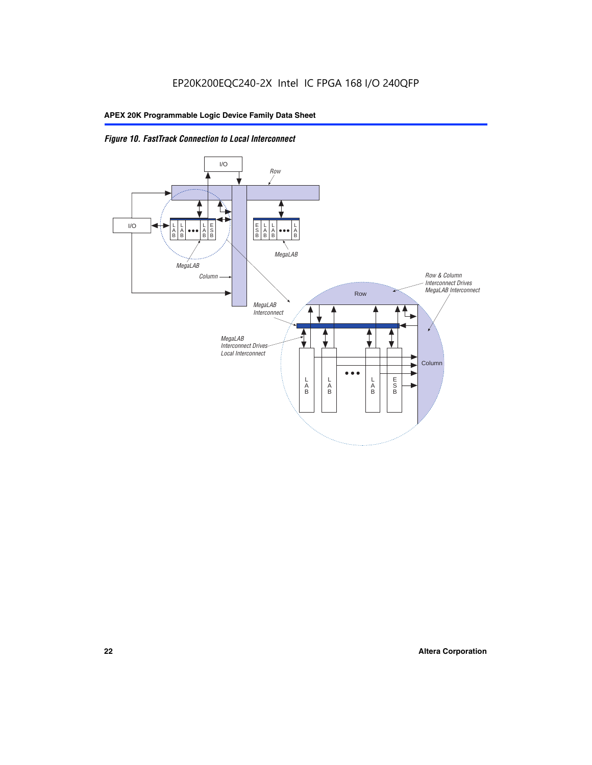

*Figure 10. FastTrack Connection to Local Interconnect*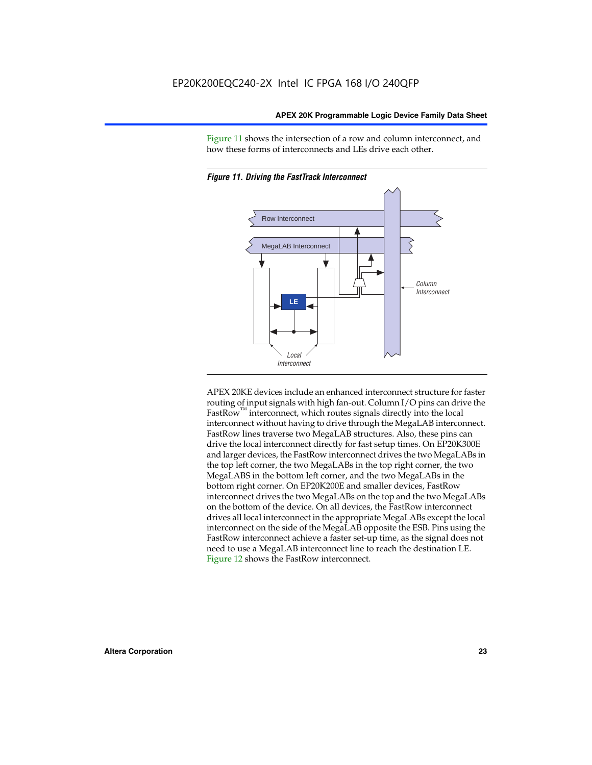Figure 11 shows the intersection of a row and column interconnect, and how these forms of interconnects and LEs drive each other.



*Figure 11. Driving the FastTrack Interconnect*

APEX 20KE devices include an enhanced interconnect structure for faster routing of input signals with high fan-out. Column I/O pins can drive the FastRow<sup>™</sup> interconnect, which routes signals directly into the local interconnect without having to drive through the MegaLAB interconnect. FastRow lines traverse two MegaLAB structures. Also, these pins can drive the local interconnect directly for fast setup times. On EP20K300E and larger devices, the FastRow interconnect drives the two MegaLABs in the top left corner, the two MegaLABs in the top right corner, the two MegaLABS in the bottom left corner, and the two MegaLABs in the bottom right corner. On EP20K200E and smaller devices, FastRow interconnect drives the two MegaLABs on the top and the two MegaLABs on the bottom of the device. On all devices, the FastRow interconnect drives all local interconnect in the appropriate MegaLABs except the local interconnect on the side of the MegaLAB opposite the ESB. Pins using the FastRow interconnect achieve a faster set-up time, as the signal does not need to use a MegaLAB interconnect line to reach the destination LE. Figure 12 shows the FastRow interconnect.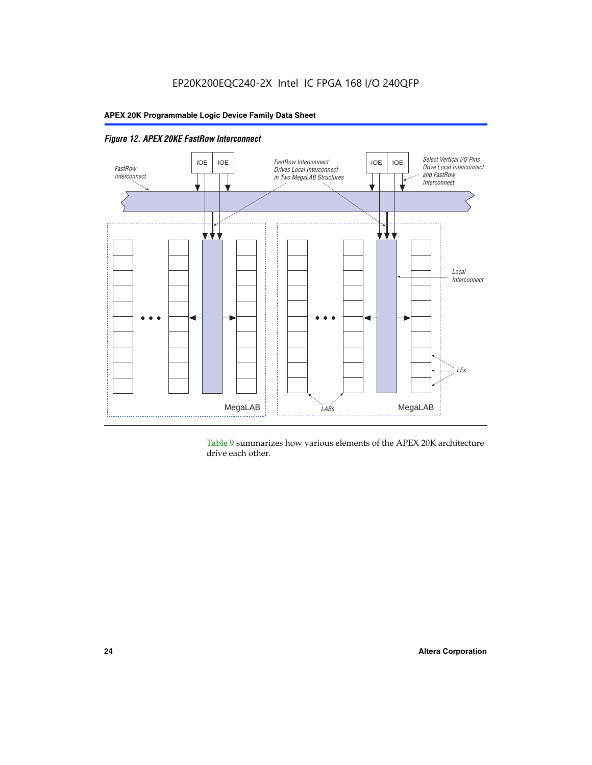

*Figure 12. APEX 20KE FastRow Interconnect*

Table 9 summarizes how various elements of the APEX 20K architecture drive each other.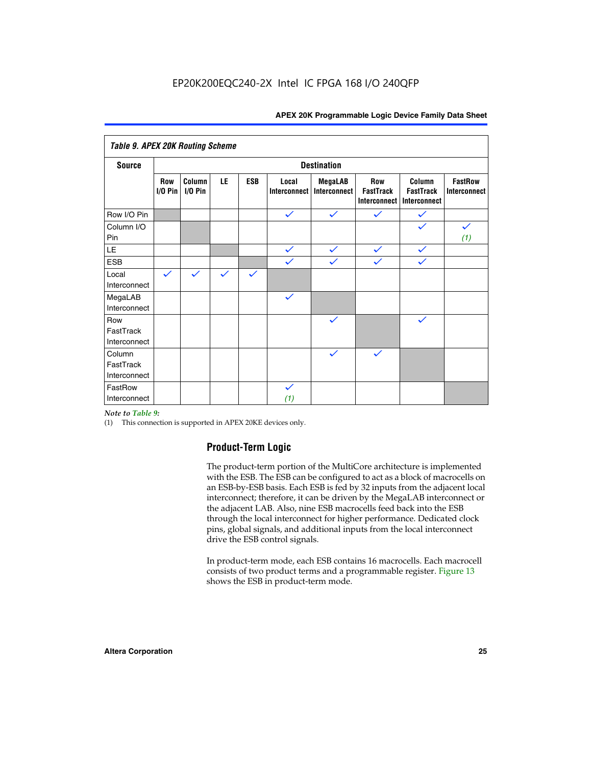| <b>Table 9. APEX 20K Routing Scheme</b> |                  |                   |              |              |                              |                                |                                                |                                            |                                |  |  |
|-----------------------------------------|------------------|-------------------|--------------|--------------|------------------------------|--------------------------------|------------------------------------------------|--------------------------------------------|--------------------------------|--|--|
| <b>Source</b>                           |                  |                   |              |              |                              | <b>Destination</b>             |                                                |                                            |                                |  |  |
|                                         | Row<br>$1/0$ Pin | Column<br>I/O Pin | LE           | <b>ESB</b>   | Local<br><b>Interconnect</b> | <b>MegaLAB</b><br>Interconnect | Row<br><b>FastTrack</b><br><b>Interconnect</b> | Column<br><b>FastTrack</b><br>Interconnect | <b>FastRow</b><br>Interconnect |  |  |
| Row I/O Pin                             |                  |                   |              |              | $\checkmark$                 | $\checkmark$                   | $\checkmark$                                   | $\checkmark$                               |                                |  |  |
| Column I/O<br>Pin                       |                  |                   |              |              |                              |                                |                                                | $\checkmark$                               | $\checkmark$<br>(1)            |  |  |
| LE                                      |                  |                   |              |              | $\checkmark$                 | $\checkmark$                   | $\checkmark$                                   | $\checkmark$                               |                                |  |  |
| <b>ESB</b>                              |                  |                   |              |              | $\checkmark$                 | $\checkmark$                   | $\checkmark$                                   | $\checkmark$                               |                                |  |  |
| Local<br>Interconnect                   | $\checkmark$     | $\checkmark$      | $\checkmark$ | $\checkmark$ |                              |                                |                                                |                                            |                                |  |  |
| MegaLAB<br>Interconnect                 |                  |                   |              |              | $\checkmark$                 |                                |                                                |                                            |                                |  |  |
| Row<br>FastTrack<br>Interconnect        |                  |                   |              |              |                              | $\checkmark$                   |                                                | $\checkmark$                               |                                |  |  |
| Column<br>FastTrack<br>Interconnect     |                  |                   |              |              |                              | $\checkmark$                   | $\checkmark$                                   |                                            |                                |  |  |
| FastRow<br>Interconnect                 |                  |                   |              |              | $\checkmark$<br>(1)          |                                |                                                |                                            |                                |  |  |

#### *Note to Table 9:*

(1) This connection is supported in APEX 20KE devices only.

### **Product-Term Logic**

The product-term portion of the MultiCore architecture is implemented with the ESB. The ESB can be configured to act as a block of macrocells on an ESB-by-ESB basis. Each ESB is fed by 32 inputs from the adjacent local interconnect; therefore, it can be driven by the MegaLAB interconnect or the adjacent LAB. Also, nine ESB macrocells feed back into the ESB through the local interconnect for higher performance. Dedicated clock pins, global signals, and additional inputs from the local interconnect drive the ESB control signals.

In product-term mode, each ESB contains 16 macrocells. Each macrocell consists of two product terms and a programmable register. Figure 13 shows the ESB in product-term mode.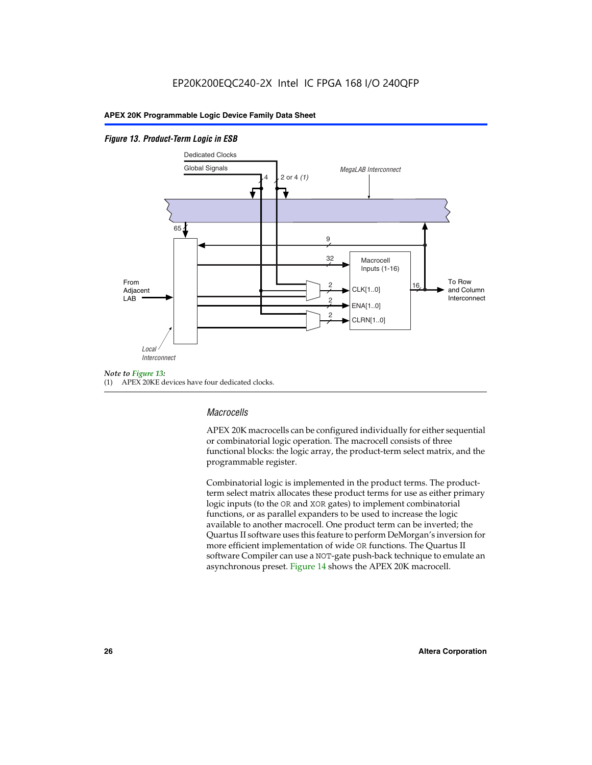#### *Figure 13. Product-Term Logic in ESB*



(1) APEX 20KE devices have four dedicated clocks.

#### *Macrocells*

APEX 20K macrocells can be configured individually for either sequential or combinatorial logic operation. The macrocell consists of three functional blocks: the logic array, the product-term select matrix, and the programmable register.

Combinatorial logic is implemented in the product terms. The productterm select matrix allocates these product terms for use as either primary logic inputs (to the OR and XOR gates) to implement combinatorial functions, or as parallel expanders to be used to increase the logic available to another macrocell. One product term can be inverted; the Quartus II software uses this feature to perform DeMorgan's inversion for more efficient implementation of wide OR functions. The Quartus II software Compiler can use a NOT-gate push-back technique to emulate an asynchronous preset. Figure 14 shows the APEX 20K macrocell.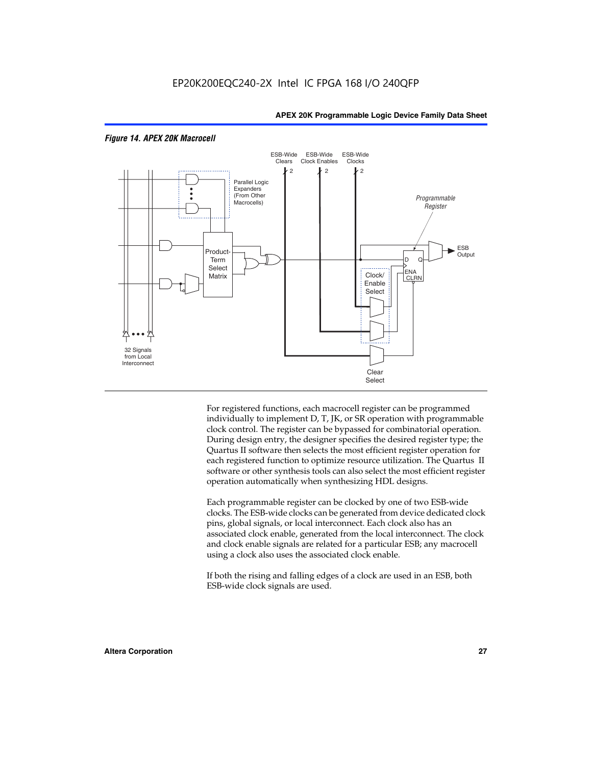

#### *Figure 14. APEX 20K Macrocell*

For registered functions, each macrocell register can be programmed individually to implement D, T, JK, or SR operation with programmable clock control. The register can be bypassed for combinatorial operation. During design entry, the designer specifies the desired register type; the Quartus II software then selects the most efficient register operation for each registered function to optimize resource utilization. The Quartus II software or other synthesis tools can also select the most efficient register operation automatically when synthesizing HDL designs.

Each programmable register can be clocked by one of two ESB-wide clocks. The ESB-wide clocks can be generated from device dedicated clock pins, global signals, or local interconnect. Each clock also has an associated clock enable, generated from the local interconnect. The clock and clock enable signals are related for a particular ESB; any macrocell using a clock also uses the associated clock enable.

If both the rising and falling edges of a clock are used in an ESB, both ESB-wide clock signals are used.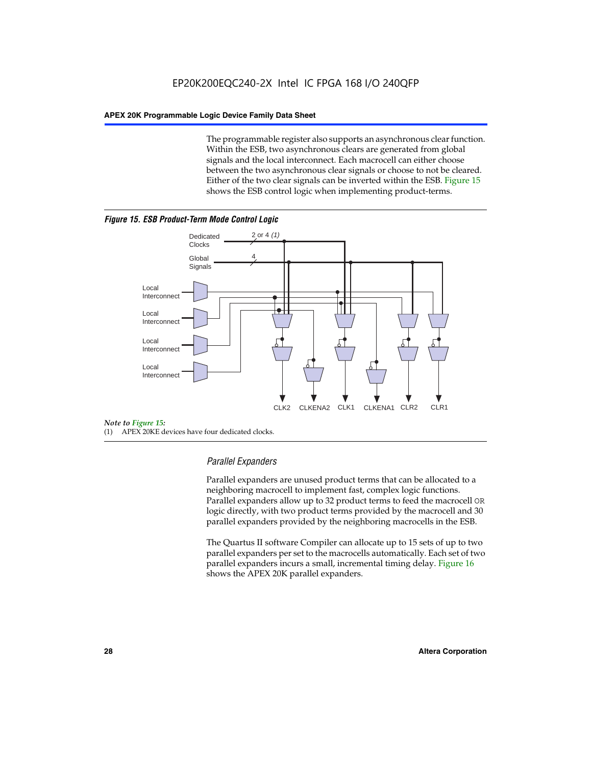The programmable register also supports an asynchronous clear function. Within the ESB, two asynchronous clears are generated from global signals and the local interconnect. Each macrocell can either choose between the two asynchronous clear signals or choose to not be cleared. Either of the two clear signals can be inverted within the ESB. Figure 15 shows the ESB control logic when implementing product-terms.





(1) APEX 20KE devices have four dedicated clocks.

#### *Parallel Expanders*

Parallel expanders are unused product terms that can be allocated to a neighboring macrocell to implement fast, complex logic functions. Parallel expanders allow up to 32 product terms to feed the macrocell OR logic directly, with two product terms provided by the macrocell and 30 parallel expanders provided by the neighboring macrocells in the ESB.

The Quartus II software Compiler can allocate up to 15 sets of up to two parallel expanders per set to the macrocells automatically. Each set of two parallel expanders incurs a small, incremental timing delay. Figure 16 shows the APEX 20K parallel expanders.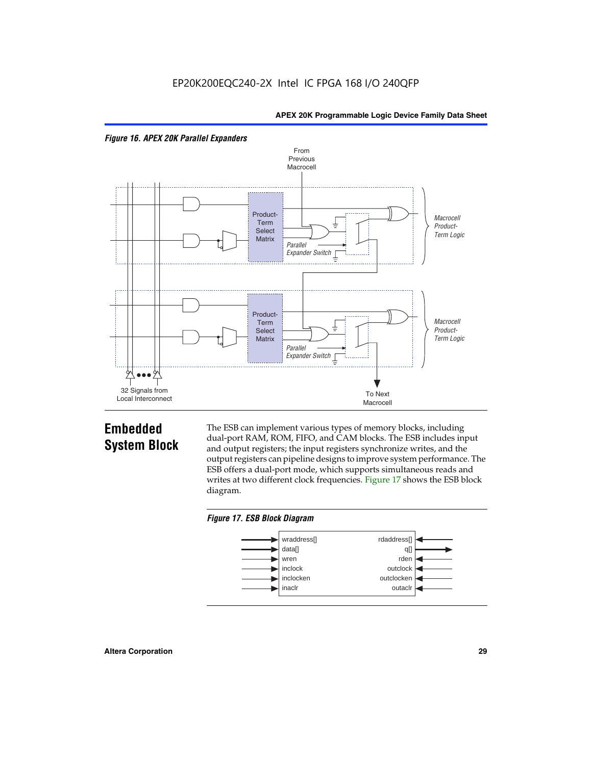



## **Embedded System Block**

The ESB can implement various types of memory blocks, including dual-port RAM, ROM, FIFO, and CAM blocks. The ESB includes input and output registers; the input registers synchronize writes, and the output registers can pipeline designs to improve system performance. The ESB offers a dual-port mode, which supports simultaneous reads and writes at two different clock frequencies. Figure 17 shows the ESB block diagram.



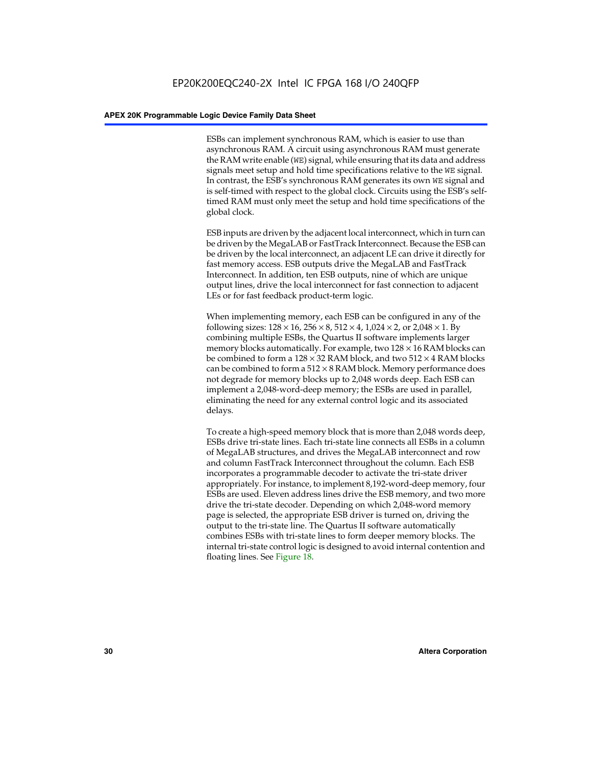ESBs can implement synchronous RAM, which is easier to use than asynchronous RAM. A circuit using asynchronous RAM must generate the RAM write enable (WE) signal, while ensuring that its data and address signals meet setup and hold time specifications relative to the WE signal. In contrast, the ESB's synchronous RAM generates its own WE signal and is self-timed with respect to the global clock. Circuits using the ESB's selftimed RAM must only meet the setup and hold time specifications of the global clock.

ESB inputs are driven by the adjacent local interconnect, which in turn can be driven by the MegaLAB or FastTrack Interconnect. Because the ESB can be driven by the local interconnect, an adjacent LE can drive it directly for fast memory access. ESB outputs drive the MegaLAB and FastTrack Interconnect. In addition, ten ESB outputs, nine of which are unique output lines, drive the local interconnect for fast connection to adjacent LEs or for fast feedback product-term logic.

When implementing memory, each ESB can be configured in any of the following sizes:  $128 \times 16$ ,  $256 \times 8$ ,  $512 \times 4$ ,  $1,024 \times 2$ , or  $2,048 \times 1$ . By combining multiple ESBs, the Quartus II software implements larger memory blocks automatically. For example, two  $128 \times 16$  RAM blocks can be combined to form a  $128 \times 32$  RAM block, and two  $512 \times 4$  RAM blocks can be combined to form a  $512 \times 8$  RAM block. Memory performance does not degrade for memory blocks up to 2,048 words deep. Each ESB can implement a 2,048-word-deep memory; the ESBs are used in parallel, eliminating the need for any external control logic and its associated delays.

To create a high-speed memory block that is more than 2,048 words deep, ESBs drive tri-state lines. Each tri-state line connects all ESBs in a column of MegaLAB structures, and drives the MegaLAB interconnect and row and column FastTrack Interconnect throughout the column. Each ESB incorporates a programmable decoder to activate the tri-state driver appropriately. For instance, to implement 8,192-word-deep memory, four ESBs are used. Eleven address lines drive the ESB memory, and two more drive the tri-state decoder. Depending on which 2,048-word memory page is selected, the appropriate ESB driver is turned on, driving the output to the tri-state line. The Quartus II software automatically combines ESBs with tri-state lines to form deeper memory blocks. The internal tri-state control logic is designed to avoid internal contention and floating lines. See Figure 18.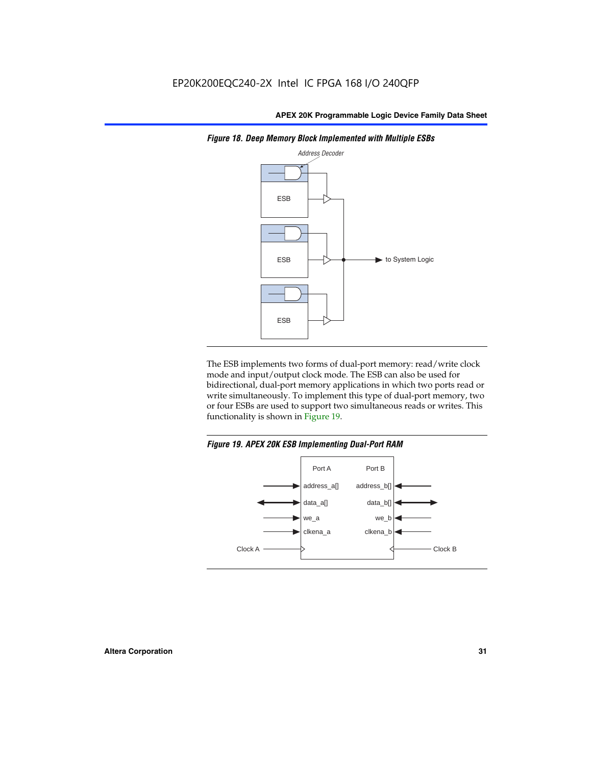

*Figure 18. Deep Memory Block Implemented with Multiple ESBs*

The ESB implements two forms of dual-port memory: read/write clock mode and input/output clock mode. The ESB can also be used for bidirectional, dual-port memory applications in which two ports read or write simultaneously. To implement this type of dual-port memory, two or four ESBs are used to support two simultaneous reads or writes. This functionality is shown in Figure 19.

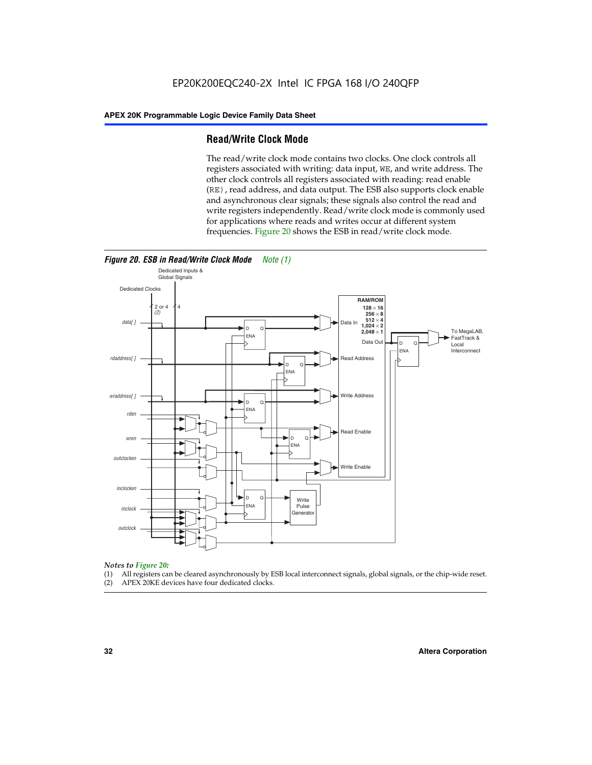#### **Read/Write Clock Mode**

The read/write clock mode contains two clocks. One clock controls all registers associated with writing: data input, WE, and write address. The other clock controls all registers associated with reading: read enable (RE), read address, and data output. The ESB also supports clock enable and asynchronous clear signals; these signals also control the read and write registers independently. Read/write clock mode is commonly used for applications where reads and writes occur at different system frequencies. Figure 20 shows the ESB in read/write clock mode.



## *Notes to Figure 20:*

- (1) All registers can be cleared asynchronously by ESB local interconnect signals, global signals, or the chip-wide reset.
- (2) APEX 20KE devices have four dedicated clocks.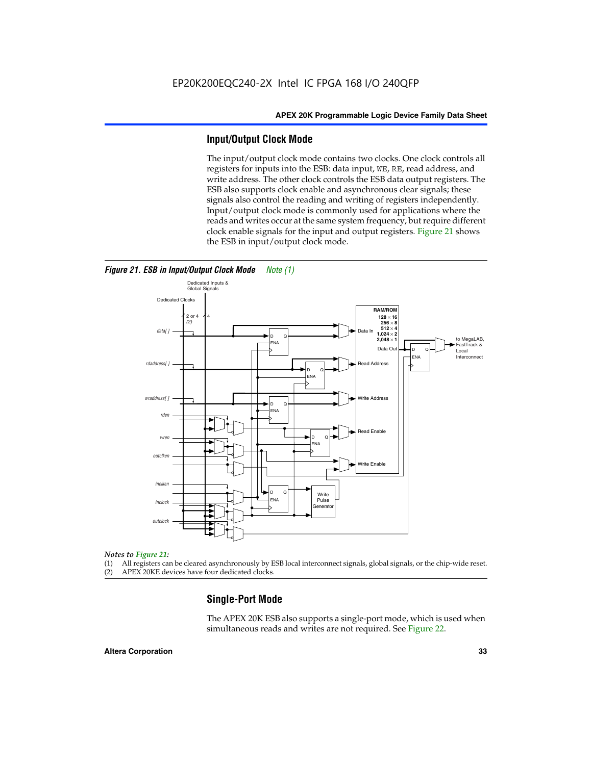#### **Input/Output Clock Mode**

The input/output clock mode contains two clocks. One clock controls all registers for inputs into the ESB: data input, WE, RE, read address, and write address. The other clock controls the ESB data output registers. The ESB also supports clock enable and asynchronous clear signals; these signals also control the reading and writing of registers independently. Input/output clock mode is commonly used for applications where the reads and writes occur at the same system frequency, but require different clock enable signals for the input and output registers. Figure 21 shows the ESB in input/output clock mode.



#### *Figure 21. ESB in Input/Output Clock Mode Note (1)*

#### *Notes to Figure 21:*

(1) All registers can be cleared asynchronously by ESB local interconnect signals, global signals, or the chip-wide reset.

(2) APEX 20KE devices have four dedicated clocks.

#### **Single-Port Mode**

The APEX 20K ESB also supports a single-port mode, which is used when simultaneous reads and writes are not required. See Figure 22.

#### **Altera Corporation 33**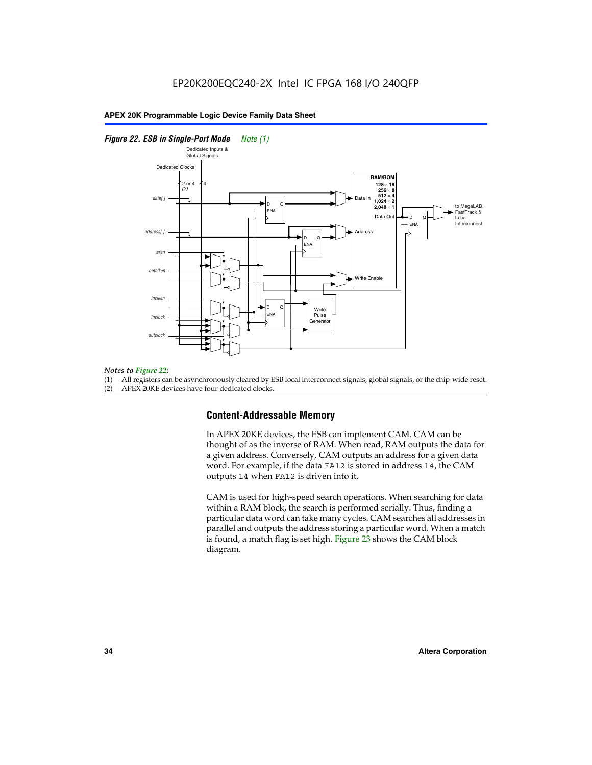#### *Figure 22. ESB in Single-Port Mode Note (1)*



#### *Notes to Figure 22:*

(1) All registers can be asynchronously cleared by ESB local interconnect signals, global signals, or the chip-wide reset.

#### (2) APEX 20KE devices have four dedicated clocks.

#### **Content-Addressable Memory**

In APEX 20KE devices, the ESB can implement CAM. CAM can be thought of as the inverse of RAM. When read, RAM outputs the data for a given address. Conversely, CAM outputs an address for a given data word. For example, if the data FA12 is stored in address 14, the CAM outputs 14 when FA12 is driven into it.

CAM is used for high-speed search operations. When searching for data within a RAM block, the search is performed serially. Thus, finding a particular data word can take many cycles. CAM searches all addresses in parallel and outputs the address storing a particular word. When a match is found, a match flag is set high. Figure 23 shows the CAM block diagram.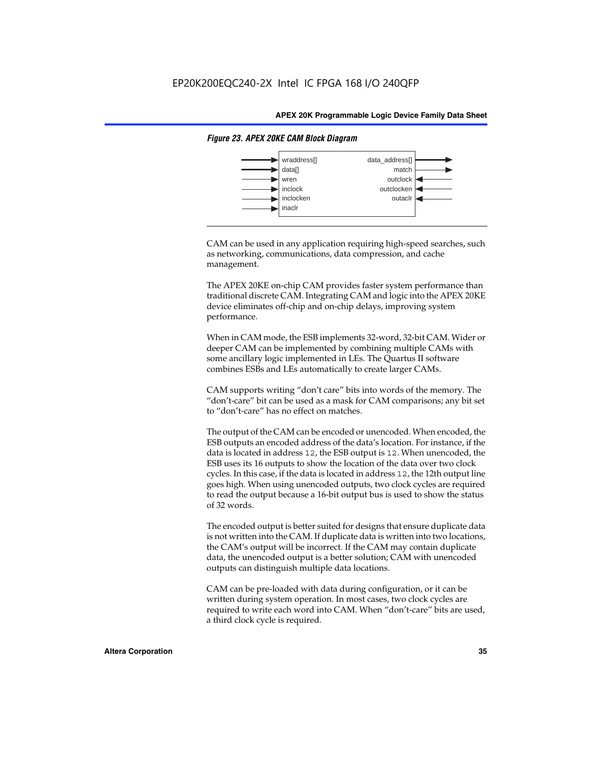

#### *Figure 23. APEX 20KE CAM Block Diagram*

CAM can be used in any application requiring high-speed searches, such as networking, communications, data compression, and cache management.

The APEX 20KE on-chip CAM provides faster system performance than traditional discrete CAM. Integrating CAM and logic into the APEX 20KE device eliminates off-chip and on-chip delays, improving system performance.

When in CAM mode, the ESB implements 32-word, 32-bit CAM. Wider or deeper CAM can be implemented by combining multiple CAMs with some ancillary logic implemented in LEs. The Quartus II software combines ESBs and LEs automatically to create larger CAMs.

CAM supports writing "don't care" bits into words of the memory. The "don't-care" bit can be used as a mask for CAM comparisons; any bit set to "don't-care" has no effect on matches.

The output of the CAM can be encoded or unencoded. When encoded, the ESB outputs an encoded address of the data's location. For instance, if the data is located in address 12, the ESB output is 12. When unencoded, the ESB uses its 16 outputs to show the location of the data over two clock cycles. In this case, if the data is located in address 12, the 12th output line goes high. When using unencoded outputs, two clock cycles are required to read the output because a 16-bit output bus is used to show the status of 32 words.

The encoded output is better suited for designs that ensure duplicate data is not written into the CAM. If duplicate data is written into two locations, the CAM's output will be incorrect. If the CAM may contain duplicate data, the unencoded output is a better solution; CAM with unencoded outputs can distinguish multiple data locations.

CAM can be pre-loaded with data during configuration, or it can be written during system operation. In most cases, two clock cycles are required to write each word into CAM. When "don't-care" bits are used, a third clock cycle is required.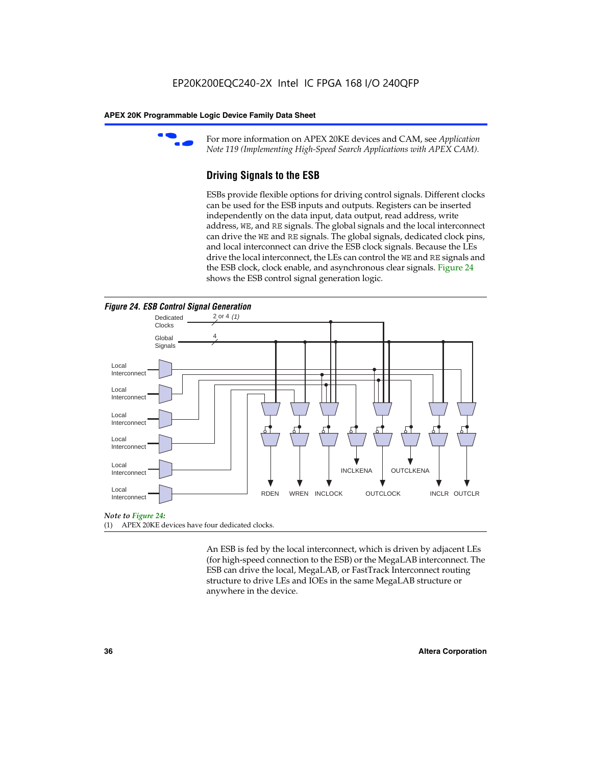

For more information on APEX 20KE devices and CAM, see *Application Note 119 (Implementing High-Speed Search Applications with APEX CAM).*

# **Driving Signals to the ESB**

ESBs provide flexible options for driving control signals. Different clocks can be used for the ESB inputs and outputs. Registers can be inserted independently on the data input, data output, read address, write address, WE, and RE signals. The global signals and the local interconnect can drive the WE and RE signals. The global signals, dedicated clock pins, and local interconnect can drive the ESB clock signals. Because the LEs drive the local interconnect, the LEs can control the WE and RE signals and the ESB clock, clock enable, and asynchronous clear signals. Figure 24 shows the ESB control signal generation logic.





### *Note to Figure 24:*

(1) APEX 20KE devices have four dedicated clocks.

An ESB is fed by the local interconnect, which is driven by adjacent LEs (for high-speed connection to the ESB) or the MegaLAB interconnect. The ESB can drive the local, MegaLAB, or FastTrack Interconnect routing structure to drive LEs and IOEs in the same MegaLAB structure or anywhere in the device.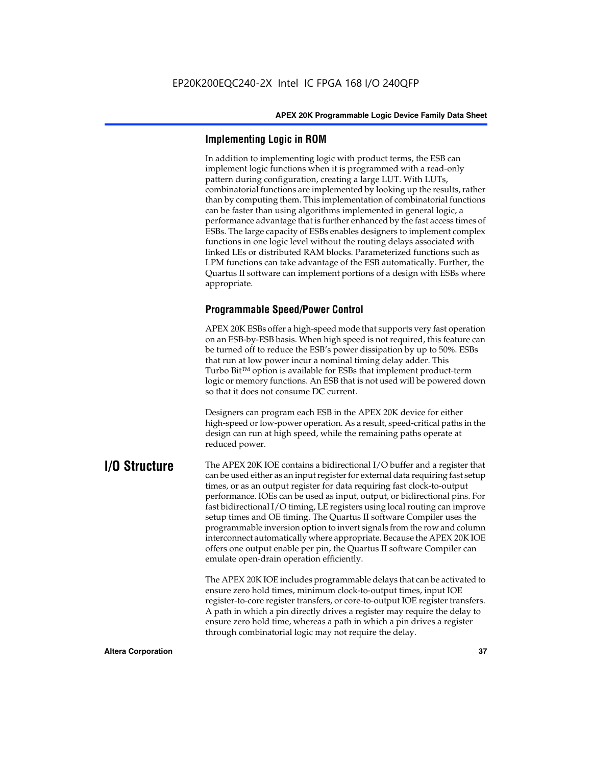# **Implementing Logic in ROM**

In addition to implementing logic with product terms, the ESB can implement logic functions when it is programmed with a read-only pattern during configuration, creating a large LUT. With LUTs, combinatorial functions are implemented by looking up the results, rather than by computing them. This implementation of combinatorial functions can be faster than using algorithms implemented in general logic, a performance advantage that is further enhanced by the fast access times of ESBs. The large capacity of ESBs enables designers to implement complex functions in one logic level without the routing delays associated with linked LEs or distributed RAM blocks. Parameterized functions such as LPM functions can take advantage of the ESB automatically. Further, the Quartus II software can implement portions of a design with ESBs where appropriate.

# **Programmable Speed/Power Control**

APEX 20K ESBs offer a high-speed mode that supports very fast operation on an ESB-by-ESB basis. When high speed is not required, this feature can be turned off to reduce the ESB's power dissipation by up to 50%. ESBs that run at low power incur a nominal timing delay adder. This Turbo  $Bit^{TM}$  option is available for ESBs that implement product-term logic or memory functions. An ESB that is not used will be powered down so that it does not consume DC current.

Designers can program each ESB in the APEX 20K device for either high-speed or low-power operation. As a result, speed-critical paths in the design can run at high speed, while the remaining paths operate at reduced power.

**I/O Structure** The APEX 20K IOE contains a bidirectional I/O buffer and a register that can be used either as an input register for external data requiring fast setup times, or as an output register for data requiring fast clock-to-output performance. IOEs can be used as input, output, or bidirectional pins. For fast bidirectional I/O timing, LE registers using local routing can improve setup times and OE timing. The Quartus II software Compiler uses the programmable inversion option to invert signals from the row and column interconnect automatically where appropriate. Because the APEX 20K IOE offers one output enable per pin, the Quartus II software Compiler can emulate open-drain operation efficiently.

> The APEX 20K IOE includes programmable delays that can be activated to ensure zero hold times, minimum clock-to-output times, input IOE register-to-core register transfers, or core-to-output IOE register transfers. A path in which a pin directly drives a register may require the delay to ensure zero hold time, whereas a path in which a pin drives a register through combinatorial logic may not require the delay.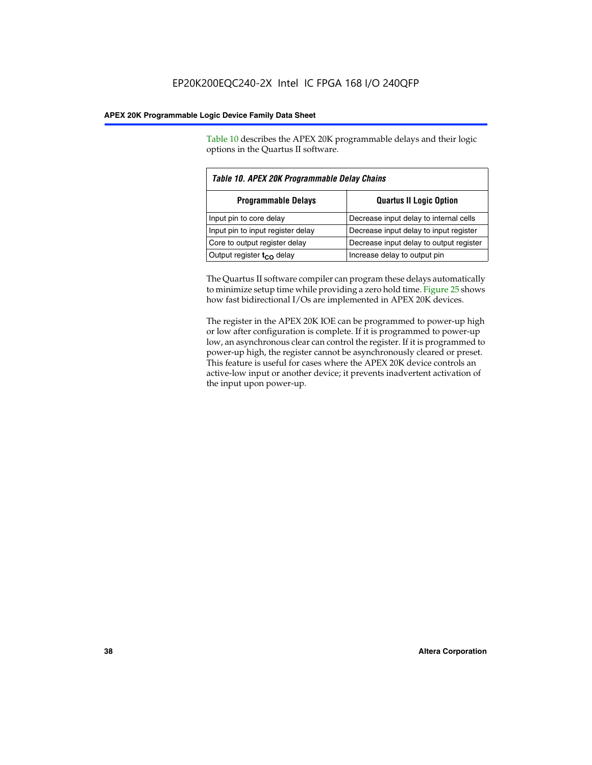Table 10 describes the APEX 20K programmable delays and their logic options in the Quartus II software.

| Table 10. APEX 20K Programmable Delay Chains |                                         |  |  |
|----------------------------------------------|-----------------------------------------|--|--|
| <b>Programmable Delays</b>                   | <b>Quartus II Logic Option</b>          |  |  |
| Input pin to core delay                      | Decrease input delay to internal cells  |  |  |
| Input pin to input register delay            | Decrease input delay to input register  |  |  |
| Core to output register delay                | Decrease input delay to output register |  |  |
| Output register $t_{\rm CO}$ delay           | Increase delay to output pin            |  |  |

The Quartus II software compiler can program these delays automatically to minimize setup time while providing a zero hold time. Figure 25 shows how fast bidirectional I/Os are implemented in APEX 20K devices.

The register in the APEX 20K IOE can be programmed to power-up high or low after configuration is complete. If it is programmed to power-up low, an asynchronous clear can control the register. If it is programmed to power-up high, the register cannot be asynchronously cleared or preset. This feature is useful for cases where the APEX 20K device controls an active-low input or another device; it prevents inadvertent activation of the input upon power-up.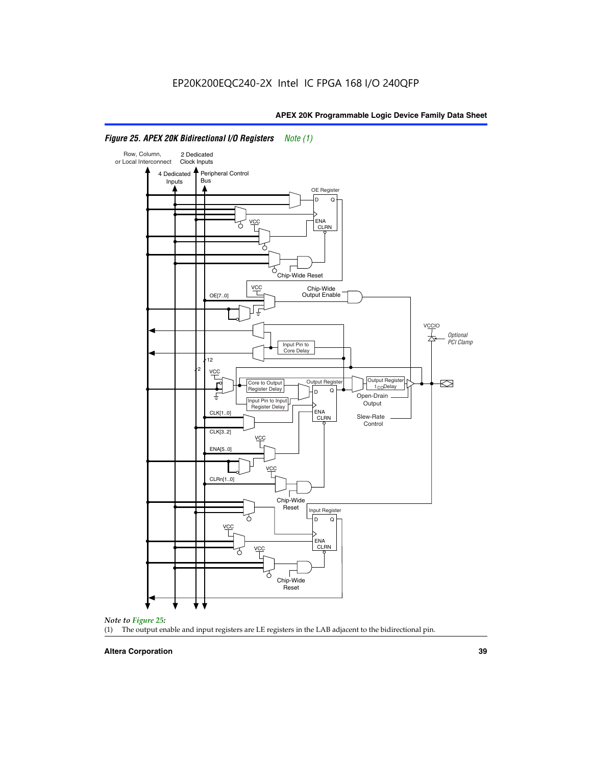

# *Figure 25. APEX 20K Bidirectional I/O Registers Note (1)*



### **Altera Corporation 39**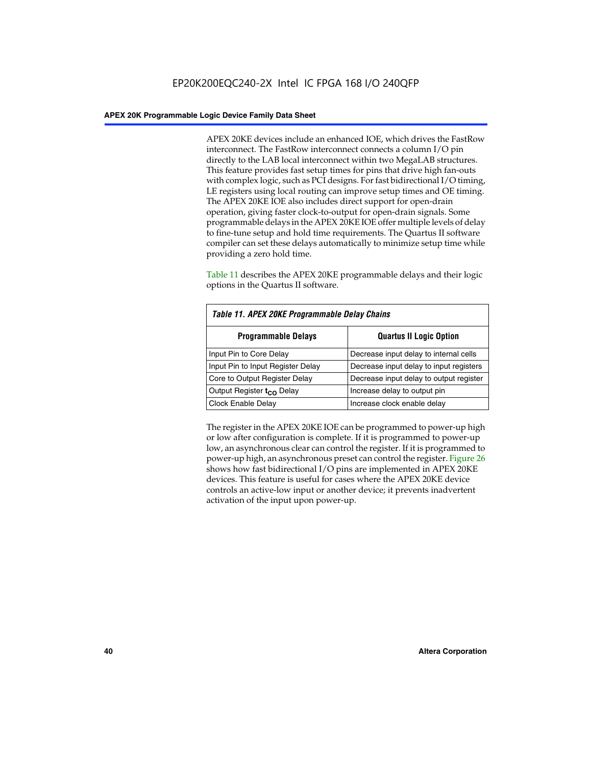APEX 20KE devices include an enhanced IOE, which drives the FastRow interconnect. The FastRow interconnect connects a column I/O pin directly to the LAB local interconnect within two MegaLAB structures. This feature provides fast setup times for pins that drive high fan-outs with complex logic, such as PCI designs. For fast bidirectional I/O timing, LE registers using local routing can improve setup times and OE timing. The APEX 20KE IOE also includes direct support for open-drain operation, giving faster clock-to-output for open-drain signals. Some programmable delays in the APEX 20KE IOE offer multiple levels of delay to fine-tune setup and hold time requirements. The Quartus II software compiler can set these delays automatically to minimize setup time while providing a zero hold time.

Table 11 describes the APEX 20KE programmable delays and their logic options in the Quartus II software.

| Table 11. APEX 20KE Programmable Delay Chains |                                         |  |  |  |
|-----------------------------------------------|-----------------------------------------|--|--|--|
| <b>Programmable Delays</b>                    | <b>Quartus II Logic Option</b>          |  |  |  |
| Input Pin to Core Delay                       | Decrease input delay to internal cells  |  |  |  |
| Input Pin to Input Register Delay             | Decrease input delay to input registers |  |  |  |
| Core to Output Register Delay                 | Decrease input delay to output register |  |  |  |
| Output Register t <sub>CO</sub> Delay         | Increase delay to output pin            |  |  |  |
| <b>Clock Enable Delay</b>                     | Increase clock enable delay             |  |  |  |

The register in the APEX 20KE IOE can be programmed to power-up high or low after configuration is complete. If it is programmed to power-up low, an asynchronous clear can control the register. If it is programmed to power-up high, an asynchronous preset can control the register. Figure 26 shows how fast bidirectional I/O pins are implemented in APEX 20KE devices. This feature is useful for cases where the APEX 20KE device controls an active-low input or another device; it prevents inadvertent activation of the input upon power-up.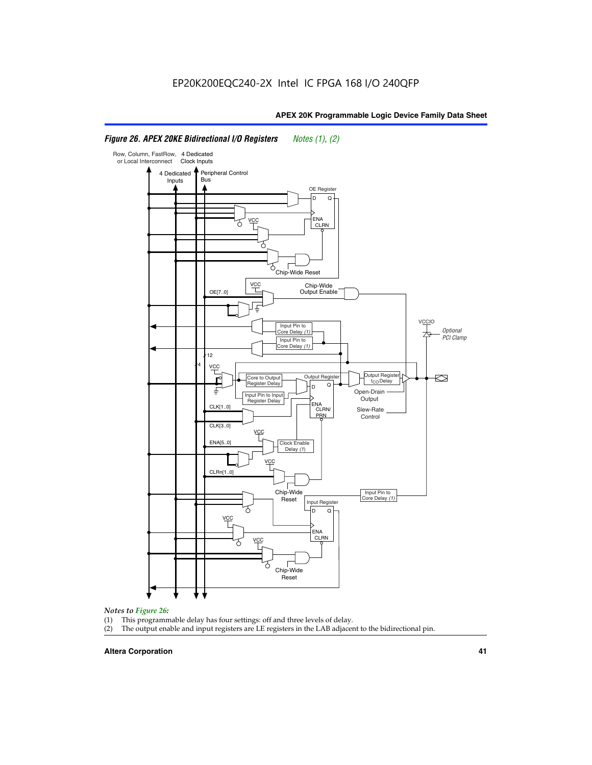### Row, Column, FastRow, 4 Dedicated or Local Interconnect Clock Inputs Peripheral Control 4 Dedicated **Bus** Inputs OE Register D Q ENA VCC CLRN 7 Chip-Wide Reset YCC Chip-Wide Output Enable OE[7..0] VC Input Pin to **Optional** Core Delay (1) PCI Clamp Input Pin to Core Delay (1) 12 4 **VCC** Output Register **Output Registe**  $\approx$ Core to Output | Output Hegister | Durbut Tropieding | Contput Tropieding | Durbut Tropieding | Output Tropied<br>Register Delay | Durbut Tropieding | Contput Tropieding | Contput Tropieding | O t<sub>CO</sub>Delay  $D$  Q ŧ Open-Drain Input Pin to Input **Output** Register Delay ENA CLK[1..0] CLRN/ Slew-Rate PR<sub>N</sub> Control CLK[3..0] VCC ENA[5..0] Clock Enable Delay (1) VCC CLRn[1..0] Chip-Wide Input Pin to Core Delay (1) Reset Input Register D Q VCC .<br>ENA CLRN **VCC** Chip-Wide Reset

# *Figure 26. APEX 20KE Bidirectional I/O Registers Notes (1), (2)*

### *Notes to Figure 26:*

- (1) This programmable delay has four settings: off and three levels of delay.<br>(2) The output enable and input registers are LE registers in the LAB adjacer
- The output enable and input registers are LE registers in the LAB adjacent to the bidirectional pin.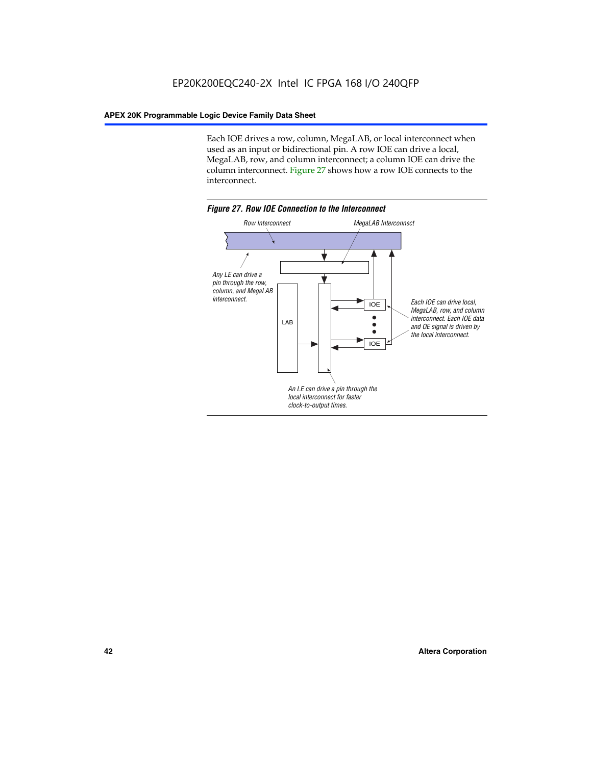Each IOE drives a row, column, MegaLAB, or local interconnect when used as an input or bidirectional pin. A row IOE can drive a local, MegaLAB, row, and column interconnect; a column IOE can drive the column interconnect. Figure 27 shows how a row IOE connects to the interconnect.

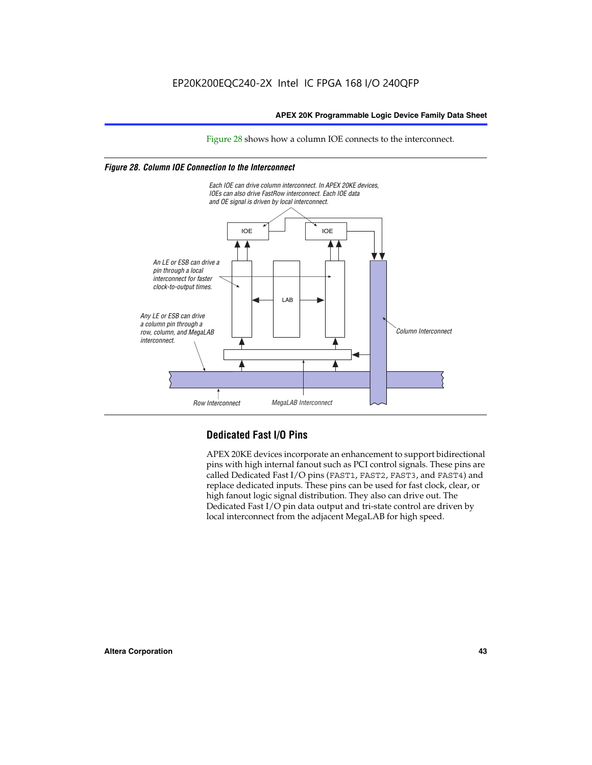Figure 28 shows how a column IOE connects to the interconnect.

# *Figure 28. Column IOE Connection to the Interconnect*



# **Dedicated Fast I/O Pins**

APEX 20KE devices incorporate an enhancement to support bidirectional pins with high internal fanout such as PCI control signals. These pins are called Dedicated Fast I/O pins (FAST1, FAST2, FAST3, and FAST4) and replace dedicated inputs. These pins can be used for fast clock, clear, or high fanout logic signal distribution. They also can drive out. The Dedicated Fast I/O pin data output and tri-state control are driven by local interconnect from the adjacent MegaLAB for high speed.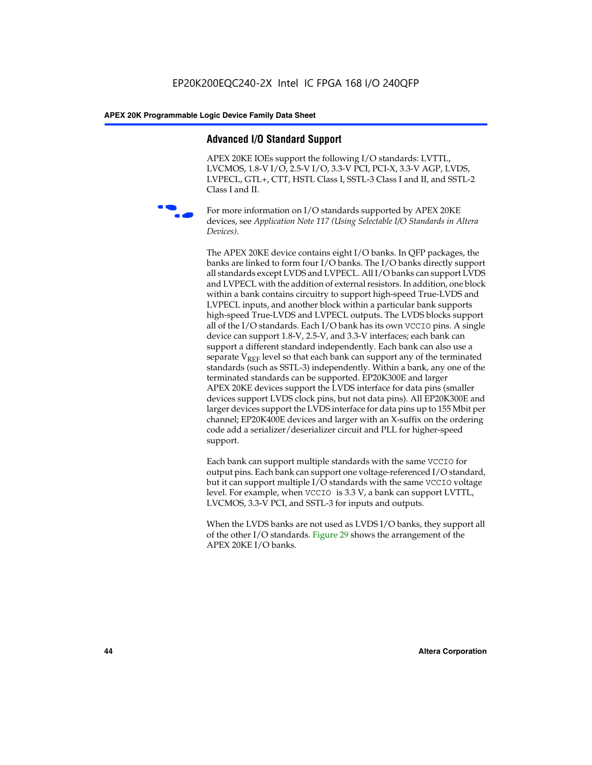# **Advanced I/O Standard Support**

APEX 20KE IOEs support the following I/O standards: LVTTL, LVCMOS, 1.8-V I/O, 2.5-V I/O, 3.3-V PCI, PCI-X, 3.3-V AGP, LVDS, LVPECL, GTL+, CTT, HSTL Class I, SSTL-3 Class I and II, and SSTL-2 Class I and II.



For more information on I/O standards supported by APEX 20KE devices, see *Application Note 117 (Using Selectable I/O Standards in Altera Devices)*.

The APEX 20KE device contains eight I/O banks. In QFP packages, the banks are linked to form four I/O banks. The I/O banks directly support all standards except LVDS and LVPECL. All I/O banks can support LVDS and LVPECL with the addition of external resistors. In addition, one block within a bank contains circuitry to support high-speed True-LVDS and LVPECL inputs, and another block within a particular bank supports high-speed True-LVDS and LVPECL outputs. The LVDS blocks support all of the I/O standards. Each I/O bank has its own VCCIO pins. A single device can support 1.8-V, 2.5-V, and 3.3-V interfaces; each bank can support a different standard independently. Each bank can also use a separate  $V_{\text{REF}}$  level so that each bank can support any of the terminated standards (such as SSTL-3) independently. Within a bank, any one of the terminated standards can be supported. EP20K300E and larger APEX 20KE devices support the LVDS interface for data pins (smaller devices support LVDS clock pins, but not data pins). All EP20K300E and larger devices support the LVDS interface for data pins up to 155 Mbit per channel; EP20K400E devices and larger with an X-suffix on the ordering code add a serializer/deserializer circuit and PLL for higher-speed support.

Each bank can support multiple standards with the same VCCIO for output pins. Each bank can support one voltage-referenced I/O standard, but it can support multiple I/O standards with the same VCCIO voltage level. For example, when VCCIO is 3.3 V, a bank can support LVTTL, LVCMOS, 3.3-V PCI, and SSTL-3 for inputs and outputs.

When the LVDS banks are not used as LVDS I/O banks, they support all of the other I/O standards. Figure 29 shows the arrangement of the APEX 20KE I/O banks.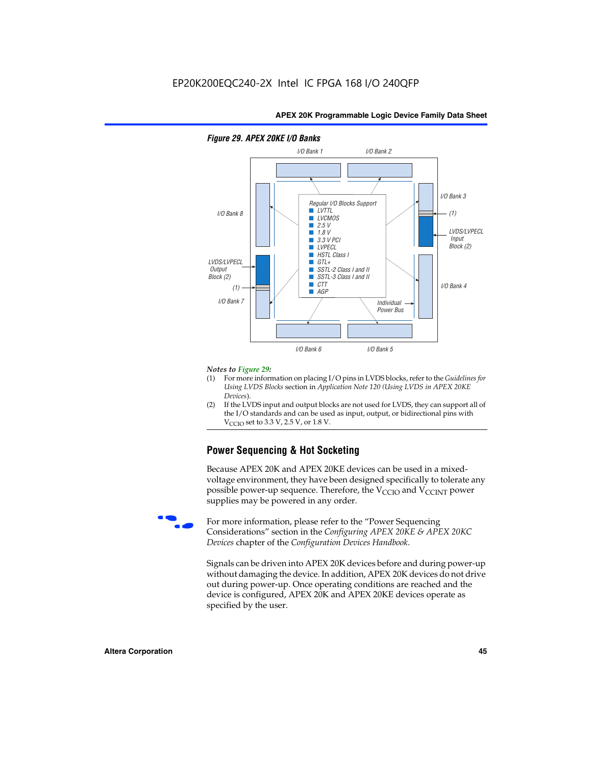

# *Figure 29. APEX 20KE I/O Banks*

### *Notes to Figure 29:*

- (1) For more information on placing I/O pins in LVDS blocks, refer to the *Guidelines for Using LVDS Blocks* section in *Application Note 120 (Using LVDS in APEX 20KE Devices*).
- (2) If the LVDS input and output blocks are not used for LVDS, they can support all of the I/O standards and can be used as input, output, or bidirectional pins with  $V_{\text{C} \cap \text{O}}$  set to 3.3 V, 2.5 V, or 1.8 V.

# **Power Sequencing & Hot Socketing**

Because APEX 20K and APEX 20KE devices can be used in a mixedvoltage environment, they have been designed specifically to tolerate any possible power-up sequence. Therefore, the  $V_{\text{CCIO}}$  and  $V_{\text{CCINT}}$  power supplies may be powered in any order.

For more information, please refer to the "Power Sequencing Considerations" section in the *Configuring APEX 20KE & APEX 20KC Devices* chapter of the *Configuration Devices Handbook*.

Signals can be driven into APEX 20K devices before and during power-up without damaging the device. In addition, APEX 20K devices do not drive out during power-up. Once operating conditions are reached and the device is configured, APEX 20K and APEX 20KE devices operate as specified by the user.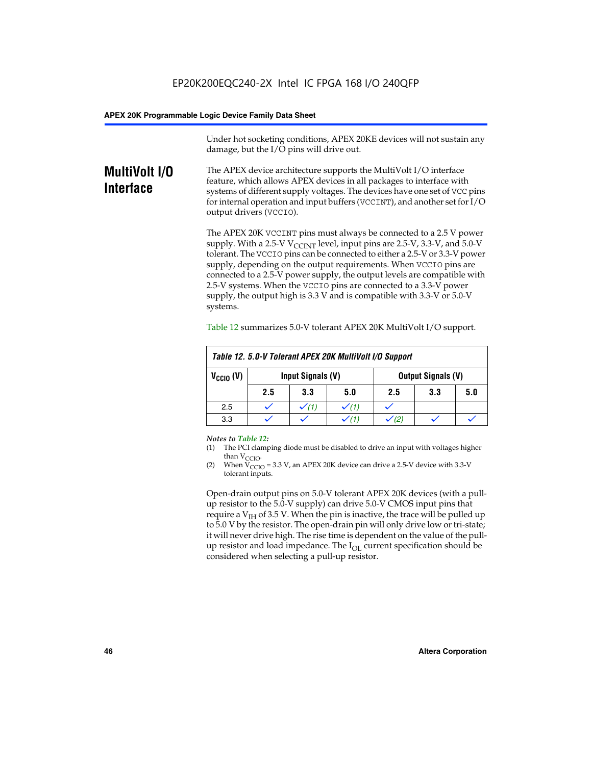Under hot socketing conditions, APEX 20KE devices will not sustain any damage, but the I/O pins will drive out.

# **MultiVolt I/O Interface**

The APEX device architecture supports the MultiVolt I/O interface feature, which allows APEX devices in all packages to interface with systems of different supply voltages. The devices have one set of VCC pins for internal operation and input buffers (VCCINT), and another set for I/O output drivers (VCCIO).

The APEX 20K VCCINT pins must always be connected to a 2.5 V power supply. With a 2.5-V  $V_{\text{CCMT}}$  level, input pins are 2.5-V, 3.3-V, and 5.0-V tolerant. The VCCIO pins can be connected to either a 2.5-V or 3.3-V power supply, depending on the output requirements. When VCCIO pins are connected to a 2.5-V power supply, the output levels are compatible with 2.5-V systems. When the VCCIO pins are connected to a 3.3-V power supply, the output high is 3.3 V and is compatible with 3.3-V or 5.0-V systems.

|                      | Table 12. 5.0-V Tolerant APEX 20K MultiVolt I/O Support |                                                |     |     |     |     |
|----------------------|---------------------------------------------------------|------------------------------------------------|-----|-----|-----|-----|
| $V_{\text{CCIO}}(V)$ |                                                         | Input Signals (V)<br><b>Output Signals (V)</b> |     |     |     |     |
|                      | 2.5                                                     | 3.3                                            | 5.0 | 2.5 | 3.3 | 5.0 |
| 2.5                  |                                                         | $\checkmark$ (1)                               |     |     |     |     |
| 3.3                  |                                                         |                                                |     |     |     |     |

Table 12 summarizes 5.0-V tolerant APEX 20K MultiVolt I/O support.

### *Notes to Table 12:*

- (1) The PCI clamping diode must be disabled to drive an input with voltages higher than  $V_{CCIO}$ .
- (2) When  $V_{CCIO} = 3.3 V$ , an APEX 20K device can drive a 2.5-V device with 3.3-V tolerant inputs.

Open-drain output pins on 5.0-V tolerant APEX 20K devices (with a pullup resistor to the 5.0-V supply) can drive 5.0-V CMOS input pins that require a  $V_{IH}$  of 3.5 V. When the pin is inactive, the trace will be pulled up to 5.0 V by the resistor. The open-drain pin will only drive low or tri-state; it will never drive high. The rise time is dependent on the value of the pullup resistor and load impedance. The  $I_{OI}$  current specification should be considered when selecting a pull-up resistor.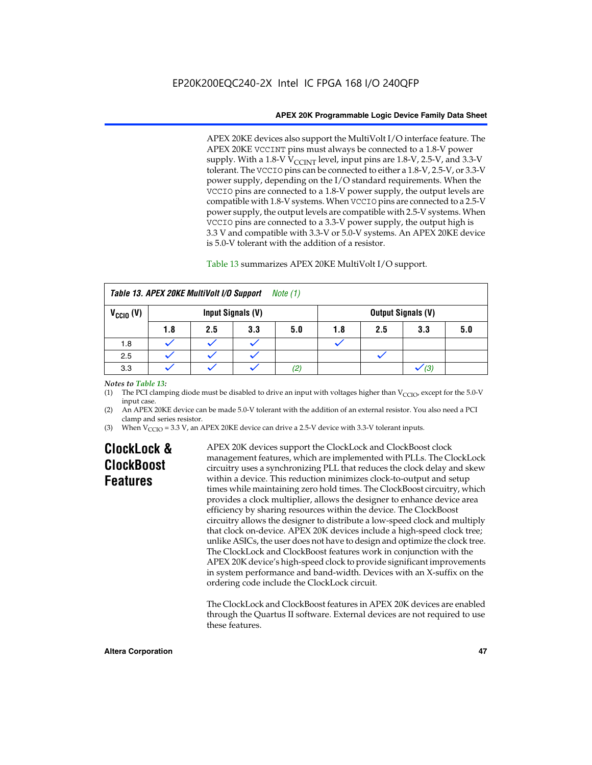APEX 20KE devices also support the MultiVolt I/O interface feature. The APEX 20KE VCCINT pins must always be connected to a 1.8-V power supply. With a 1.8-V  $V_{\text{CCINT}}$  level, input pins are 1.8-V, 2.5-V, and 3.3-V tolerant. The VCCIO pins can be connected to either a 1.8-V, 2.5-V, or 3.3-V power supply, depending on the I/O standard requirements. When the VCCIO pins are connected to a 1.8-V power supply, the output levels are compatible with 1.8-V systems. When VCCIO pins are connected to a 2.5-V power supply, the output levels are compatible with 2.5-V systems. When VCCIO pins are connected to a 3.3-V power supply, the output high is 3.3 V and compatible with 3.3-V or 5.0-V systems. An APEX 20KE device is 5.0-V tolerant with the addition of a resistor.

# Table 13 summarizes APEX 20KE MultiVolt I/O support.

| Table 13. APEX 20KE MultiVolt I/O Support<br>Note (1)                  |     |     |     |     |     |     |     |     |
|------------------------------------------------------------------------|-----|-----|-----|-----|-----|-----|-----|-----|
| $V_{\text{CCIO}}(V)$<br>Input Signals (V)<br><b>Output Signals (V)</b> |     |     |     |     |     |     |     |     |
|                                                                        | 1.8 | 2.5 | 3.3 | 5.0 | 1.8 | 2.5 | 3.3 | 5.0 |
| 1.8                                                                    |     |     |     |     |     |     |     |     |
| 2.5                                                                    |     |     |     |     |     |     |     |     |
| 3.3                                                                    |     |     |     | (2) |     |     | (3) |     |

## *Notes to Table 13:*

(1) The PCI clamping diode must be disabled to drive an input with voltages higher than  $V_{CCIO}$ , except for the 5.0-V input case.

(2) An APEX 20KE device can be made 5.0-V tolerant with the addition of an external resistor. You also need a PCI clamp and series resistor.

(3) When  $V_{\text{CCIO}} = 3.3$  V, an APEX 20KE device can drive a 2.5-V device with 3.3-V tolerant inputs.

# **ClockLock & ClockBoost Features**

APEX 20K devices support the ClockLock and ClockBoost clock management features, which are implemented with PLLs. The ClockLock circuitry uses a synchronizing PLL that reduces the clock delay and skew within a device. This reduction minimizes clock-to-output and setup times while maintaining zero hold times. The ClockBoost circuitry, which provides a clock multiplier, allows the designer to enhance device area efficiency by sharing resources within the device. The ClockBoost circuitry allows the designer to distribute a low-speed clock and multiply that clock on-device. APEX 20K devices include a high-speed clock tree; unlike ASICs, the user does not have to design and optimize the clock tree. The ClockLock and ClockBoost features work in conjunction with the APEX 20K device's high-speed clock to provide significant improvements in system performance and band-width. Devices with an X-suffix on the ordering code include the ClockLock circuit.

The ClockLock and ClockBoost features in APEX 20K devices are enabled through the Quartus II software. External devices are not required to use these features.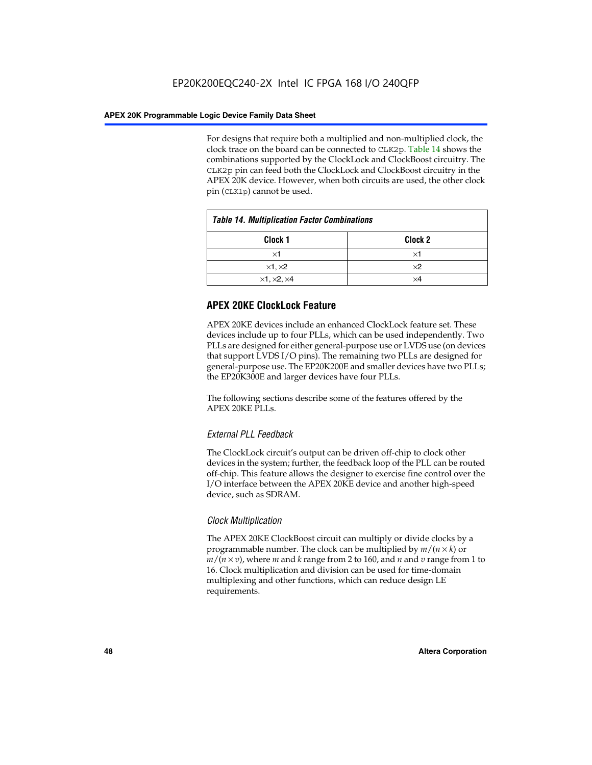For designs that require both a multiplied and non-multiplied clock, the clock trace on the board can be connected to CLK2p. Table 14 shows the combinations supported by the ClockLock and ClockBoost circuitry. The CLK2p pin can feed both the ClockLock and ClockBoost circuitry in the APEX 20K device. However, when both circuits are used, the other clock pin (CLK1p) cannot be used.

| <b>Table 14. Multiplication Factor Combinations</b> |                    |  |
|-----------------------------------------------------|--------------------|--|
| Clock <sub>1</sub>                                  | Clock <sub>2</sub> |  |
| $\times$ 1                                          | ×1                 |  |
| $\times$ 1, $\times$ 2                              | $\times 2$         |  |
| $\times$ 1, $\times$ 2, $\times$ 4                  | ×4                 |  |

# **APEX 20KE ClockLock Feature**

APEX 20KE devices include an enhanced ClockLock feature set. These devices include up to four PLLs, which can be used independently. Two PLLs are designed for either general-purpose use or LVDS use (on devices that support LVDS I/O pins). The remaining two PLLs are designed for general-purpose use. The EP20K200E and smaller devices have two PLLs; the EP20K300E and larger devices have four PLLs.

The following sections describe some of the features offered by the APEX 20KE PLLs.

# *External PLL Feedback*

The ClockLock circuit's output can be driven off-chip to clock other devices in the system; further, the feedback loop of the PLL can be routed off-chip. This feature allows the designer to exercise fine control over the I/O interface between the APEX 20KE device and another high-speed device, such as SDRAM.

# *Clock Multiplication*

The APEX 20KE ClockBoost circuit can multiply or divide clocks by a programmable number. The clock can be multiplied by *m*/(*n* × *k*) or  $m/(n \times v)$ , where *m* and *k* range from 2 to 160, and *n* and *v* range from 1 to 16. Clock multiplication and division can be used for time-domain multiplexing and other functions, which can reduce design LE requirements.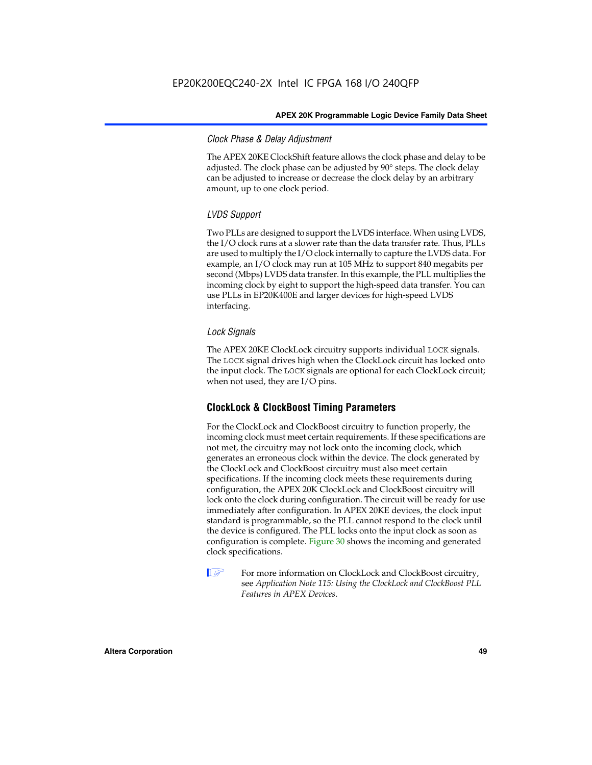# *Clock Phase & Delay Adjustment*

The APEX 20KE ClockShift feature allows the clock phase and delay to be adjusted. The clock phase can be adjusted by 90° steps. The clock delay can be adjusted to increase or decrease the clock delay by an arbitrary amount, up to one clock period.

# *LVDS Support*

Two PLLs are designed to support the LVDS interface. When using LVDS, the I/O clock runs at a slower rate than the data transfer rate. Thus, PLLs are used to multiply the I/O clock internally to capture the LVDS data. For example, an I/O clock may run at 105 MHz to support 840 megabits per second (Mbps) LVDS data transfer. In this example, the PLL multiplies the incoming clock by eight to support the high-speed data transfer. You can use PLLs in EP20K400E and larger devices for high-speed LVDS interfacing.

# *Lock Signals*

The APEX 20KE ClockLock circuitry supports individual LOCK signals. The LOCK signal drives high when the ClockLock circuit has locked onto the input clock. The LOCK signals are optional for each ClockLock circuit; when not used, they are I/O pins.

# **ClockLock & ClockBoost Timing Parameters**

For the ClockLock and ClockBoost circuitry to function properly, the incoming clock must meet certain requirements. If these specifications are not met, the circuitry may not lock onto the incoming clock, which generates an erroneous clock within the device. The clock generated by the ClockLock and ClockBoost circuitry must also meet certain specifications. If the incoming clock meets these requirements during configuration, the APEX 20K ClockLock and ClockBoost circuitry will lock onto the clock during configuration. The circuit will be ready for use immediately after configuration. In APEX 20KE devices, the clock input standard is programmable, so the PLL cannot respond to the clock until the device is configured. The PLL locks onto the input clock as soon as configuration is complete. Figure 30 shows the incoming and generated clock specifications.

 $\mathbb{I} \mathcal{F}$  For more information on ClockLock and ClockBoost circuitry, see *Application Note 115: Using the ClockLock and ClockBoost PLL Features in APEX Devices*.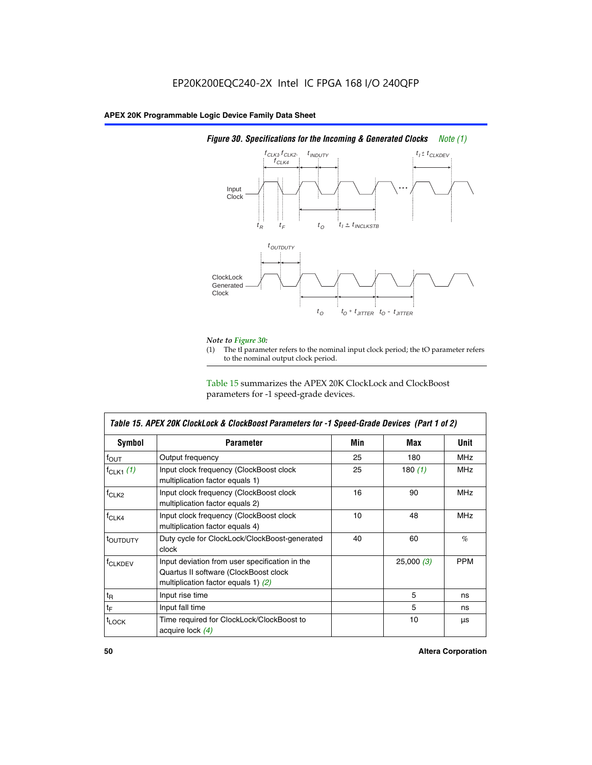

# *Figure 30. Specifications for the Incoming & Generated Clocks Note (1)*

# *Note to Figure 30:*

The tI parameter refers to the nominal input clock period; the tO parameter refers to the nominal output clock period.

Table 15 summarizes the APEX 20K ClockLock and ClockBoost parameters for -1 speed-grade devices.

| Table 15. APEX 20K ClockLock & ClockBoost Parameters for -1 Speed-Grade Devices (Part 1 of 2)                                                       |                                                                                        |     |            |             |
|-----------------------------------------------------------------------------------------------------------------------------------------------------|----------------------------------------------------------------------------------------|-----|------------|-------------|
| Symbol                                                                                                                                              | <b>Parameter</b>                                                                       | Min | Max        | <b>Unit</b> |
| $f_{OUT}$                                                                                                                                           | Output frequency                                                                       | 25  | 180        | <b>MHz</b>  |
| $f_{CLK1}$ $(1)$                                                                                                                                    | Input clock frequency (ClockBoost clock<br>multiplication factor equals 1)             | 25  | 180 $(1)$  | <b>MHz</b>  |
| $f_{CLK2}$                                                                                                                                          | 16<br>Input clock frequency (ClockBoost clock<br>90<br>multiplication factor equals 2) |     | <b>MHz</b> |             |
| $f_{CLK4}$                                                                                                                                          | Input clock frequency (ClockBoost clock<br>multiplication factor equals 4)             | 10  | 48         | <b>MHz</b>  |
| toutputy                                                                                                                                            | Duty cycle for ClockLock/ClockBoost-generated<br>40<br>clock                           |     | 60         | $\%$        |
| Input deviation from user specification in the<br><b>f</b> CLKDEV<br>Quartus II software (ClockBoost clock<br>multiplication factor equals 1) $(2)$ |                                                                                        |     | 25,000(3)  | <b>PPM</b>  |
| $t_{\mathsf{R}}$                                                                                                                                    | Input rise time                                                                        |     | 5          | ns          |
| $t_{\mathsf{F}}$                                                                                                                                    | Input fall time                                                                        |     | 5          | ns          |
| <sup>t</sup> LOCK                                                                                                                                   | Time required for ClockLock/ClockBoost to<br>acquire lock $(4)$                        |     | 10         | μs          |

 $\mathsf I$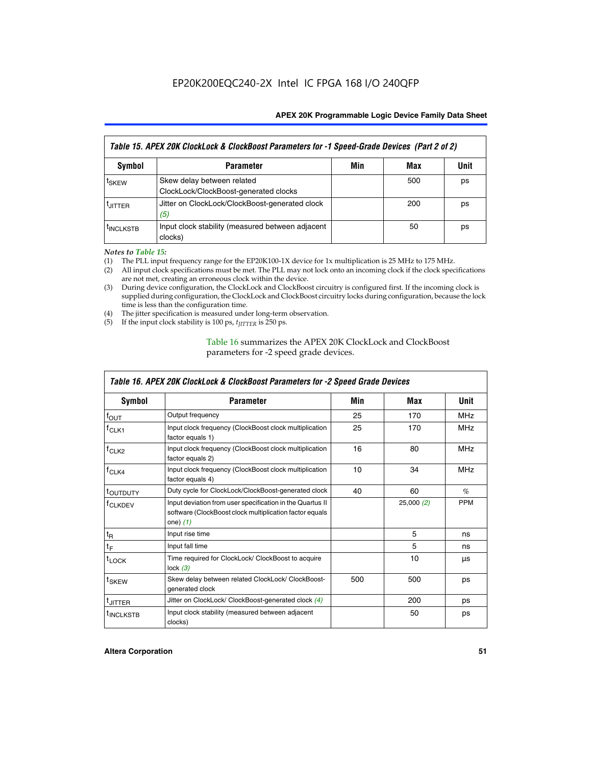| Table 15. APEX 20K ClockLock & ClockBoost Parameters for -1 Speed-Grade Devices (Part 2 of 2) |                                                                     |     |     |      |
|-----------------------------------------------------------------------------------------------|---------------------------------------------------------------------|-----|-----|------|
| <b>Symbol</b>                                                                                 | <b>Parameter</b>                                                    | Min | Max | Unit |
| t <sub>SKEW</sub>                                                                             | Skew delay between related<br>ClockLock/ClockBoost-generated clocks |     | 500 | ps   |
| <b>UITTER</b>                                                                                 | Jitter on ClockLock/ClockBoost-generated clock<br>(5)               |     | 200 | ps   |
| <b>INCLKSTB</b>                                                                               | Input clock stability (measured between adjacent<br>clocks)         |     | 50  | ps   |

*Notes to Table 15:*

- (1) The PLL input frequency range for the EP20K100-1X device for 1x multiplication is 25 MHz to 175 MHz.
- (2) All input clock specifications must be met. The PLL may not lock onto an incoming clock if the clock specifications are not met, creating an erroneous clock within the device.
- (3) During device configuration, the ClockLock and ClockBoost circuitry is configured first. If the incoming clock is supplied during configuration, the ClockLock and ClockBoost circuitry locks during configuration, because the lock time is less than the configuration time.
- (4) The jitter specification is measured under long-term observation.
- (5) If the input clock stability is 100 ps,  $t_{\text{JITTER}}$  is 250 ps.

# Table 16 summarizes the APEX 20K ClockLock and ClockBoost parameters for -2 speed grade devices.

| Symbol                | <b>Parameter</b>                                                                                                                   | Min | Max       | Unit       |
|-----------------------|------------------------------------------------------------------------------------------------------------------------------------|-----|-----------|------------|
| $f_{\text{OUT}}$      | Output frequency                                                                                                                   | 25  | 170       | <b>MHz</b> |
| <sup>T</sup> CLK1     | Input clock frequency (ClockBoost clock multiplication<br>factor equals 1)                                                         | 25  | 170       | <b>MHz</b> |
| $f_{CLK2}$            | Input clock frequency (ClockBoost clock multiplication<br>factor equals 2)                                                         | 16  | 80        | <b>MHz</b> |
| $tCLK4$               | Input clock frequency (ClockBoost clock multiplication<br>factor equals 4)                                                         | 10  | 34        | <b>MHz</b> |
| <sup>t</sup> OUTDUTY  | Duty cycle for ClockLock/ClockBoost-generated clock                                                                                | 40  | 60        | $\%$       |
| <sup>T</sup> CLKDEV   | Input deviation from user specification in the Quartus II<br>software (ClockBoost clock multiplication factor equals<br>one) $(1)$ |     | 25,000(2) | <b>PPM</b> |
| $t_{R}$               | Input rise time                                                                                                                    |     | 5         | ns         |
| $t_F$                 | Input fall time                                                                                                                    |     | 5         | ns         |
| $t_{\text{LOCK}}$     | Time required for ClockLock/ ClockBoost to acquire<br>lock $(3)$                                                                   |     | 10        | μs         |
| t <sub>SKEW</sub>     | Skew delay between related ClockLock/ ClockBoost-<br>generated clock                                                               | 500 | 500       | ps         |
| t <sub>JITTER</sub>   | Jitter on ClockLock/ ClockBoost-generated clock (4)                                                                                |     | 200       | ps         |
| <sup>I</sup> INCLKSTB | Input clock stability (measured between adjacent<br>clocks)                                                                        |     | 50        | ps         |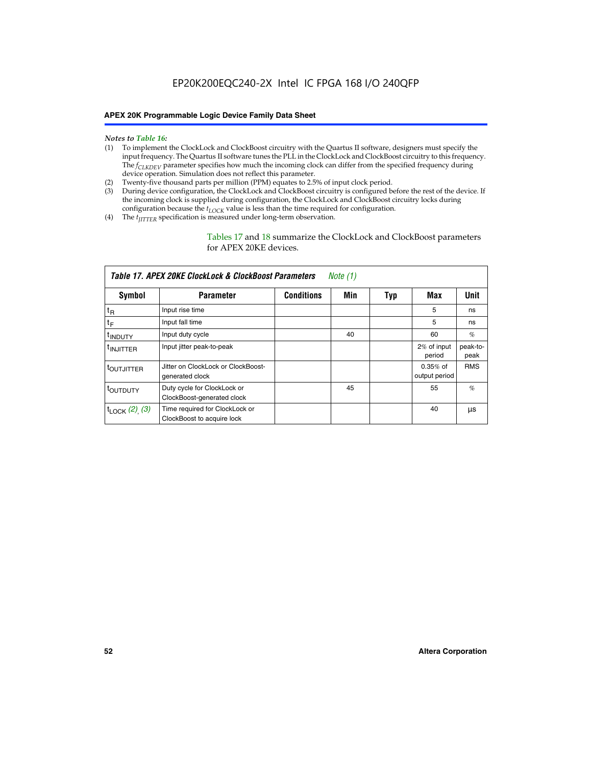### *Notes to Table 16:*

- (1) To implement the ClockLock and ClockBoost circuitry with the Quartus II software, designers must specify the input frequency. The Quartus II software tunes the PLL in the ClockLock and ClockBoost circuitry to this frequency. The *f<sub>CLKDEV</sub>* parameter specifies how much the incoming clock can differ from the specified frequency during device operation. Simulation does not reflect this parameter.
- (2) Twenty-five thousand parts per million (PPM) equates to 2.5% of input clock period.
- (3) During device configuration, the ClockLock and ClockBoost circuitry is configured before the rest of the device. If the incoming clock is supplied during configuration, the ClockLock and ClockBoost circuitry locks during configuration because the  $t_{LOCK}$  value is less than the time required for configuration.
- (4) The  $t_{\text{ITTTER}}$  specification is measured under long-term observation.

Tables 17 and 18 summarize the ClockLock and ClockBoost parameters for APEX 20KE devices.

| Table 17. APEX 20KE ClockLock & ClockBoost Parameters<br>Note (1) |                                                              |                   |     |     |                             |                  |
|-------------------------------------------------------------------|--------------------------------------------------------------|-------------------|-----|-----|-----------------------------|------------------|
| Symbol                                                            | <b>Parameter</b>                                             | <b>Conditions</b> | Min | Typ | Max                         | <b>Unit</b>      |
| $t_{R}$                                                           | Input rise time                                              |                   |     |     | 5                           | ns               |
| tF                                                                | Input fall time                                              |                   |     |     | 5                           | ns               |
| <sup>t</sup> INDUTY                                               | Input duty cycle                                             |                   | 40  |     | 60                          | %                |
| <sup>t</sup> INJITTER                                             | Input jitter peak-to-peak                                    |                   |     |     | 2% of input<br>period       | peak-to-<br>peak |
| <sup>t</sup> OUTJITTER                                            | Jitter on ClockLock or ClockBoost-<br>generated clock        |                   |     |     | $0.35%$ of<br>output period | <b>RMS</b>       |
| t <sub>outputy</sub>                                              | Duty cycle for ClockLock or<br>ClockBoost-generated clock    |                   | 45  |     | 55                          | $\%$             |
| $t_{\text{LOCK}}$ (2), (3)                                        | Time required for ClockLock or<br>ClockBoost to acquire lock |                   |     |     | 40                          | μs               |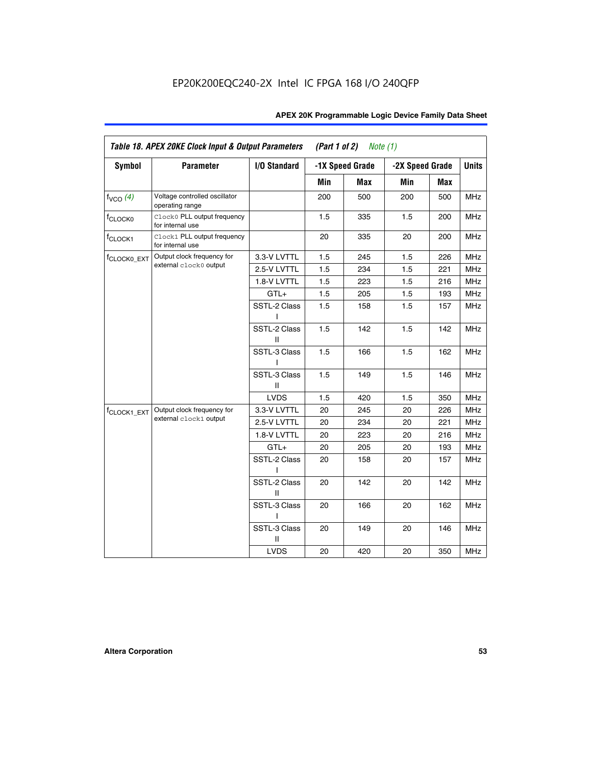| <b>Symbol</b>           | <b>Parameter</b>                                 | I/O Standard      |     | -1X Speed Grade | -2X Speed Grade |     | <b>Units</b> |
|-------------------------|--------------------------------------------------|-------------------|-----|-----------------|-----------------|-----|--------------|
|                         |                                                  |                   |     |                 |                 |     |              |
|                         |                                                  |                   | Min | Max             | Min             | Max |              |
| $f_{VCO}$ $(4)$         | Voltage controlled oscillator<br>operating range |                   | 200 | 500             | 200             | 500 | <b>MHz</b>   |
| f <sub>CLOCK0</sub>     | Clock0 PLL output frequency<br>for internal use  |                   | 1.5 | 335             | 1.5             | 200 | MHz          |
| f <sub>CLOCK1</sub>     | Clock1 PLL output frequency<br>for internal use  |                   | 20  | 335             | 20              | 200 | MHz          |
| f <sub>CLOCK0_EXT</sub> | Output clock frequency for                       | 3.3-V LVTTL       | 1.5 | 245             | 1.5             | 226 | <b>MHz</b>   |
|                         | external clock0 output                           | 2.5-V LVTTL       | 1.5 | 234             | 1.5             | 221 | <b>MHz</b>   |
|                         |                                                  | 1.8-V LVTTL       | 1.5 | 223             | 1.5             | 216 | <b>MHz</b>   |
|                         |                                                  | $GTL+$            | 1.5 | 205             | 1.5             | 193 | <b>MHz</b>   |
|                         |                                                  | SSTL-2 Class<br>L | 1.5 | 158             | 1.5             | 157 | <b>MHz</b>   |
|                         |                                                  | SSTL-2 Class<br>Ш | 1.5 | 142             | 1.5             | 142 | <b>MHz</b>   |
|                         |                                                  | SSTL-3 Class<br>I | 1.5 | 166             | 1.5             | 162 | <b>MHz</b>   |
|                         |                                                  | SSTL-3 Class<br>Ш | 1.5 | 149             | 1.5             | 146 | <b>MHz</b>   |
|                         |                                                  | <b>LVDS</b>       | 1.5 | 420             | 1.5             | 350 | <b>MHz</b>   |
| f <sub>CLOCK1_EXT</sub> | Output clock frequency for                       | 3.3-V LVTTL       | 20  | 245             | 20              | 226 | <b>MHz</b>   |
|                         | external clock1 output                           | 2.5-V LVTTL       | 20  | 234             | 20              | 221 | <b>MHz</b>   |
|                         |                                                  | 1.8-V LVTTL       | 20  | 223             | 20              | 216 | <b>MHz</b>   |
|                         |                                                  | $GTL+$            | 20  | 205             | 20              | 193 | MHz          |
|                         |                                                  | SSTL-2 Class      | 20  | 158             | 20              | 157 | <b>MHz</b>   |
|                         |                                                  | SSTL-2 Class<br>Ш | 20  | 142             | 20              | 142 | <b>MHz</b>   |
|                         |                                                  | SSTL-3 Class      | 20  | 166             | 20              | 162 | <b>MHz</b>   |
|                         |                                                  | SSTL-3 Class<br>Ш | 20  | 149             | 20              | 146 | <b>MHz</b>   |
|                         |                                                  | <b>LVDS</b>       | 20  | 420             | 20              | 350 | MHz          |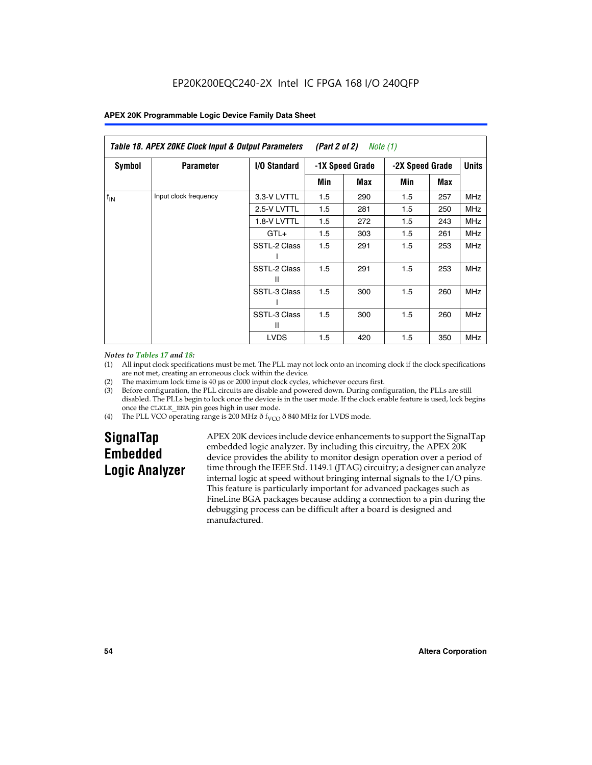| Table 18. APEX 20KE Clock Input & Output Parameters<br>(Part 2 of 2)<br>Note (1) |                       |                   |                 |     |              |     |            |
|----------------------------------------------------------------------------------|-----------------------|-------------------|-----------------|-----|--------------|-----|------------|
| <b>Symbol</b><br>I/O Standard<br><b>Parameter</b><br>-1X Speed Grade             |                       |                   | -2X Speed Grade |     | <b>Units</b> |     |            |
|                                                                                  |                       |                   | Min             | Max | Min          | Max |            |
| $f_{IN}$                                                                         | Input clock frequency | 3.3-V LVTTL       | 1.5             | 290 | 1.5          | 257 | <b>MHz</b> |
|                                                                                  |                       | 2.5-V LVTTL       | 1.5             | 281 | 1.5          | 250 | <b>MHz</b> |
|                                                                                  |                       | 1.8-V LVTTL       | 1.5             | 272 | 1.5          | 243 | <b>MHz</b> |
|                                                                                  |                       | $GTL+$            | 1.5             | 303 | 1.5          | 261 | <b>MHz</b> |
|                                                                                  |                       | SSTL-2 Class      | 1.5             | 291 | 1.5          | 253 | <b>MHz</b> |
|                                                                                  |                       | SSTL-2 Class<br>Ш | 1.5             | 291 | 1.5          | 253 | <b>MHz</b> |
|                                                                                  |                       | SSTL-3 Class      | 1.5             | 300 | 1.5          | 260 | <b>MHz</b> |
|                                                                                  |                       | SSTL-3 Class<br>Ш | 1.5             | 300 | 1.5          | 260 | <b>MHz</b> |
|                                                                                  |                       | <b>LVDS</b>       | 1.5             | 420 | 1.5          | 350 | <b>MHz</b> |

### *Notes to Tables 17 and 18:*

(1) All input clock specifications must be met. The PLL may not lock onto an incoming clock if the clock specifications are not met, creating an erroneous clock within the device.

- (2) The maximum lock time is 40 µs or 2000 input clock cycles, whichever occurs first.
- (3) Before configuration, the PLL circuits are disable and powered down. During configuration, the PLLs are still disabled. The PLLs begin to lock once the device is in the user mode. If the clock enable feature is used, lock begins once the CLKLK\_ENA pin goes high in user mode.
- (4) The PLL VCO operating range is 200 MHz  $\eth$  f<sub>VCO</sub>  $\eth$  840 MHz for LVDS mode.

# **SignalTap Embedded Logic Analyzer**

APEX 20K devices include device enhancements to support the SignalTap embedded logic analyzer. By including this circuitry, the APEX 20K device provides the ability to monitor design operation over a period of time through the IEEE Std. 1149.1 (JTAG) circuitry; a designer can analyze internal logic at speed without bringing internal signals to the I/O pins. This feature is particularly important for advanced packages such as FineLine BGA packages because adding a connection to a pin during the debugging process can be difficult after a board is designed and manufactured.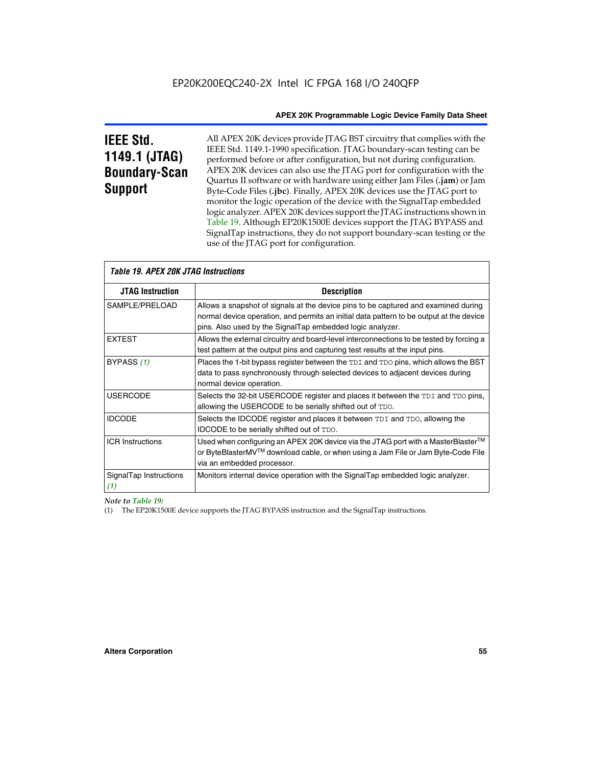# **IEEE Std. 1149.1 (JTAG) Boundary-Scan Support**

All APEX 20K devices provide JTAG BST circuitry that complies with the IEEE Std. 1149.1-1990 specification. JTAG boundary-scan testing can be performed before or after configuration, but not during configuration. APEX 20K devices can also use the JTAG port for configuration with the Quartus II software or with hardware using either Jam Files (**.jam**) or Jam Byte-Code Files (**.jbc**). Finally, APEX 20K devices use the JTAG port to monitor the logic operation of the device with the SignalTap embedded logic analyzer. APEX 20K devices support the JTAG instructions shown in Table 19. Although EP20K1500E devices support the JTAG BYPASS and SignalTap instructions, they do not support boundary-scan testing or the use of the JTAG port for configuration.

| <i><b>Table 19. APEX 20K JTAG Instructions</b></i> |                                                                                                                                                                                                                                            |  |  |
|----------------------------------------------------|--------------------------------------------------------------------------------------------------------------------------------------------------------------------------------------------------------------------------------------------|--|--|
| <b>JTAG Instruction</b>                            | <b>Description</b>                                                                                                                                                                                                                         |  |  |
| SAMPLE/PRELOAD                                     | Allows a snapshot of signals at the device pins to be captured and examined during<br>normal device operation, and permits an initial data pattern to be output at the device<br>pins. Also used by the SignalTap embedded logic analyzer. |  |  |
| <b>EXTEST</b>                                      | Allows the external circuitry and board-level interconnections to be tested by forcing a<br>test pattern at the output pins and capturing test results at the input pins.                                                                  |  |  |
| BYPASS (1)                                         | Places the 1-bit bypass register between the TDI and TDO pins, which allows the BST<br>data to pass synchronously through selected devices to adjacent devices during<br>normal device operation.                                          |  |  |
| <b>USERCODE</b>                                    | Selects the 32-bit USERCODE register and places it between the TDI and TDO pins,<br>allowing the USERCODE to be serially shifted out of TDO.                                                                                               |  |  |
| <b>IDCODE</b>                                      | Selects the IDCODE register and places it between TDI and TDO, allowing the<br><b>IDCODE</b> to be serially shifted out of TDO.                                                                                                            |  |  |
| <b>ICR Instructions</b>                            | Used when configuring an APEX 20K device via the JTAG port with a MasterBlaster™<br>or ByteBlasterMV™ download cable, or when using a Jam File or Jam Byte-Code File<br>via an embedded processor.                                         |  |  |
| SignalTap Instructions<br>(1)                      | Monitors internal device operation with the SignalTap embedded logic analyzer.                                                                                                                                                             |  |  |

# *Note to Table 19:*

(1) The EP20K1500E device supports the JTAG BYPASS instruction and the SignalTap instructions.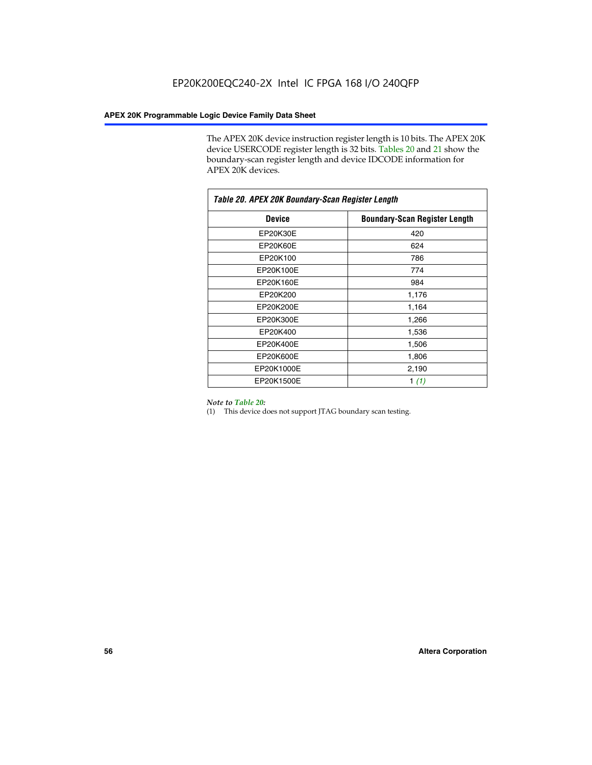The APEX 20K device instruction register length is 10 bits. The APEX 20K device USERCODE register length is 32 bits. Tables 20 and 21 show the boundary-scan register length and device IDCODE information for APEX 20K devices.

| Table 20. APEX 20K Boundary-Scan Register Length |                                      |  |  |  |
|--------------------------------------------------|--------------------------------------|--|--|--|
| <b>Device</b>                                    | <b>Boundary-Scan Register Length</b> |  |  |  |
| EP20K30E                                         | 420                                  |  |  |  |
| EP20K60E                                         | 624                                  |  |  |  |
| EP20K100                                         | 786                                  |  |  |  |
| EP20K100E                                        | 774                                  |  |  |  |
| EP20K160E                                        | 984                                  |  |  |  |
| EP20K200                                         | 1,176                                |  |  |  |
| EP20K200E                                        | 1,164                                |  |  |  |
| EP20K300E                                        | 1,266                                |  |  |  |
| EP20K400                                         | 1,536                                |  |  |  |
| EP20K400E                                        | 1,506                                |  |  |  |
| EP20K600E                                        | 1,806                                |  |  |  |
| EP20K1000E                                       | 2,190                                |  |  |  |
| EP20K1500E                                       | 1 $(1)$                              |  |  |  |

### *Note to Table 20:*

(1) This device does not support JTAG boundary scan testing.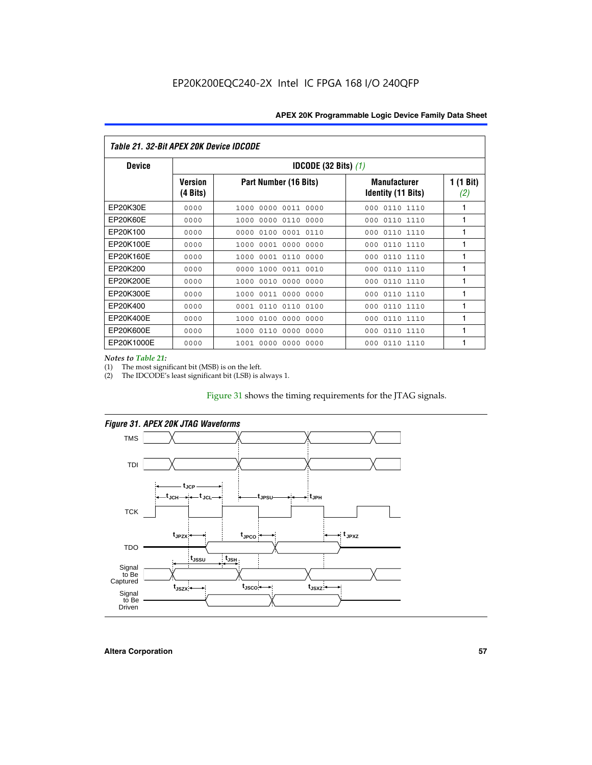| Table 21. 32-Bit APEX 20K Device IDCODE |                                          |                              |                                                  |                  |  |
|-----------------------------------------|------------------------------------------|------------------------------|--------------------------------------------------|------------------|--|
| <b>Device</b>                           | <b>IDCODE (32 Bits) <math>(1)</math></b> |                              |                                                  |                  |  |
|                                         | <b>Version</b><br>(4 Bits)               | Part Number (16 Bits)        | <b>Manufacturer</b><br><b>Identity (11 Bits)</b> | 1 (1 Bit)<br>(2) |  |
| EP20K30E                                | 0000                                     | 0000 0011 0000<br>1000       | 0110 1110<br>000                                 | 1                |  |
| EP20K60E                                | 0000                                     | 1000<br>0000 0110<br>0000    | 0110 1110<br>000                                 | 1                |  |
| EP20K100                                | 0000                                     | 0000<br>0100<br>0001 0110    | 000<br>0110 1110                                 | 1                |  |
| EP20K100E                               | 0000                                     | 1000<br>0001 0000<br>0000    | 0110 1110<br>000                                 | 1                |  |
| EP20K160E                               | 0000                                     | 0001 0110<br>0000<br>1000    | 000<br>0110 1110                                 | 1                |  |
| EP20K200                                | 0000                                     | 1000<br>0011 0010<br>0000    | 0110 1110<br>000                                 | 1                |  |
| EP20K200E                               | 0000                                     | 0010<br>0000<br>0000<br>1000 | 0110 1110<br>000                                 | 1                |  |
| EP20K300E                               | 0000                                     | 0011 0000<br>0000<br>1000    | 0110 1110<br>000                                 | 1                |  |
| EP20K400                                | 0000                                     | 0001<br>0110<br>0110<br>0100 | 0110 1110<br>000                                 | 1                |  |
| EP20K400E                               | 0000                                     | 0100<br>0000<br>0000<br>1000 | 0110 1110<br>000                                 | 1                |  |
| EP20K600E                               | 0000                                     | 1000<br>0110<br>0000<br>0000 | 0110 1110<br>000                                 | 1                |  |
| EP20K1000E                              | 0000                                     | 0000<br>0000<br>0000<br>1001 | 000<br>0110 1110                                 | 1                |  |

*Notes to Table 21:*

The most significant bit (MSB) is on the left.

(2) The IDCODE's least significant bit (LSB) is always 1.

# Figure 31 shows the timing requirements for the JTAG signals.



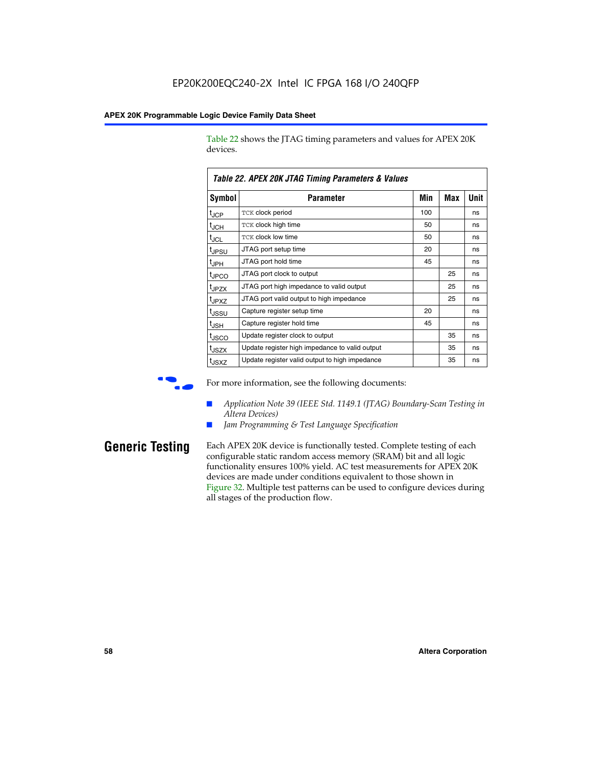Table 22 shows the JTAG timing parameters and values for APEX 20K devices.

|                               | TADIG LL. AF LA LUN JTAU TIMMIY FAIAMGIGIS & VAIUGS |     |     |      |
|-------------------------------|-----------------------------------------------------|-----|-----|------|
| <b>Symbol</b>                 | Parameter                                           | Min | Max | Unit |
| $t_{\text{JCP}}$              | <b>TCK clock period</b>                             | 100 |     | ns   |
| $t_{\sf JCH}$                 | TCK clock high time                                 | 50  |     | ns   |
| $\mathfrak{t}_{\mathsf{JCL}}$ | <b>TCK clock low time</b>                           | 50  |     | ns   |
| tjpsu                         | JTAG port setup time                                | 20  |     | ns   |
| t <sub>JPH</sub>              | JTAG port hold time                                 | 45  |     | ns   |
| tjpco                         | JTAG port clock to output                           |     | 25  | ns   |
| t <sub>JPZX</sub>             | JTAG port high impedance to valid output            |     | 25  | ns   |
| t <sub>JPXZ</sub>             | JTAG port valid output to high impedance            |     | 25  | ns   |
| tjssu                         | Capture register setup time                         | 20  |     | ns   |
| t <sub>JSH</sub>              | Capture register hold time                          | 45  |     | ns   |
| t <sub>JSCO</sub>             | Update register clock to output                     |     | 35  | ns   |
| t <sub>JSZX</sub>             | Update register high impedance to valid output      |     | 35  | ns   |
| t <sub>JSXZ</sub>             | Update register valid output to high impedance      |     | 35  | ns   |

*Table 22. APEX 20K JTAG Timing Parameters & Values*

For more information, see the following documents:

- *Application Note 39 (IEEE Std. 1149.1 (JTAG) Boundary-Scan Testing in Altera Devices)*
- Jam Programming & Test Language Specification

**Generic Testing** Each APEX 20K device is functionally tested. Complete testing of each configurable static random access memory (SRAM) bit and all logic functionality ensures 100% yield. AC test measurements for APEX 20K devices are made under conditions equivalent to those shown in Figure 32. Multiple test patterns can be used to configure devices during all stages of the production flow.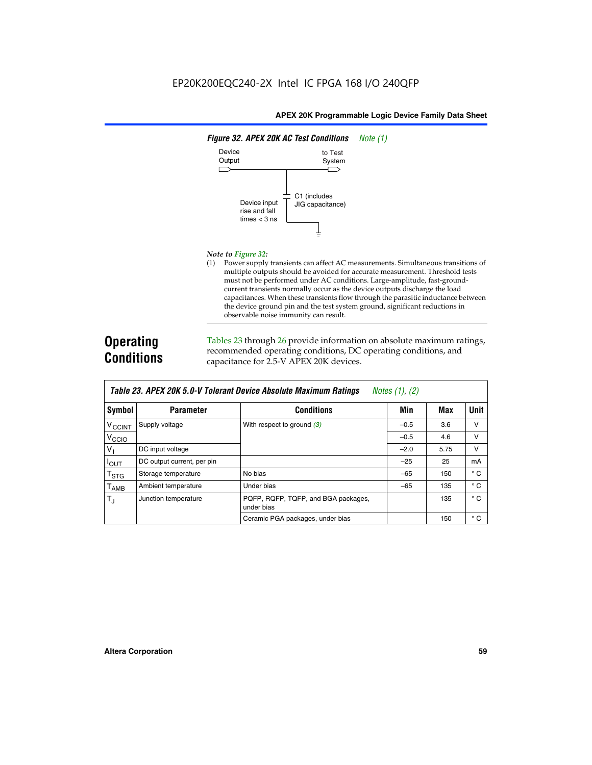

### *Note to Figure 32:*

(1) Power supply transients can affect AC measurements. Simultaneous transitions of multiple outputs should be avoided for accurate measurement. Threshold tests must not be performed under AC conditions. Large-amplitude, fast-groundcurrent transients normally occur as the device outputs discharge the load capacitances. When these transients flow through the parasitic inductance between the device ground pin and the test system ground, significant reductions in observable noise immunity can result.

# **Operating Conditions**

Tables 23 through 26 provide information on absolute maximum ratings, recommended operating conditions, DC operating conditions, and capacitance for 2.5-V APEX 20K devices.

|                           |                            | TUDIO LO: TH LA LOR 0.0 T TUIUIUM DUTIUU HUUUMIU MUAMMUM HUUMIYU | $110100 + 11, 141$ |      |              |
|---------------------------|----------------------------|------------------------------------------------------------------|--------------------|------|--------------|
| Symbol                    | <b>Parameter</b>           | <b>Conditions</b>                                                | Min                | Max  | <b>Unit</b>  |
| <b>V<sub>CCINT</sub></b>  | Supply voltage             | With respect to ground $(3)$                                     | $-0.5$             | 3.6  | v            |
| V <sub>CCIO</sub>         |                            |                                                                  | $-0.5$             | 4.6  | $\vee$       |
| $V_{1}$                   | DC input voltage           |                                                                  | $-2.0$             | 5.75 | v            |
| $I_{\text{OUT}}$          | DC output current, per pin |                                                                  | $-25$              | 25   | mA           |
| $\mathsf{T}_{\text{STG}}$ | Storage temperature        | No bias                                                          | $-65$              | 150  | $^{\circ}$ C |
| Т <sub>АМВ</sub>          | Ambient temperature        | Under bias                                                       | $-65$              | 135  | $^{\circ}$ C |
| $T_{\rm J}$               | Junction temperature       | PQFP, RQFP, TQFP, and BGA packages,<br>under bias                |                    | 135  | $^{\circ}$ C |
|                           |                            | Ceramic PGA packages, under bias                                 |                    | 150  | $^{\circ}$ C |

| <b>Table 23. APEX 20K 5.0-V Tolerant Device Absolute Maximum Ratings</b> Notes (1), (2) |  |
|-----------------------------------------------------------------------------------------|--|
|-----------------------------------------------------------------------------------------|--|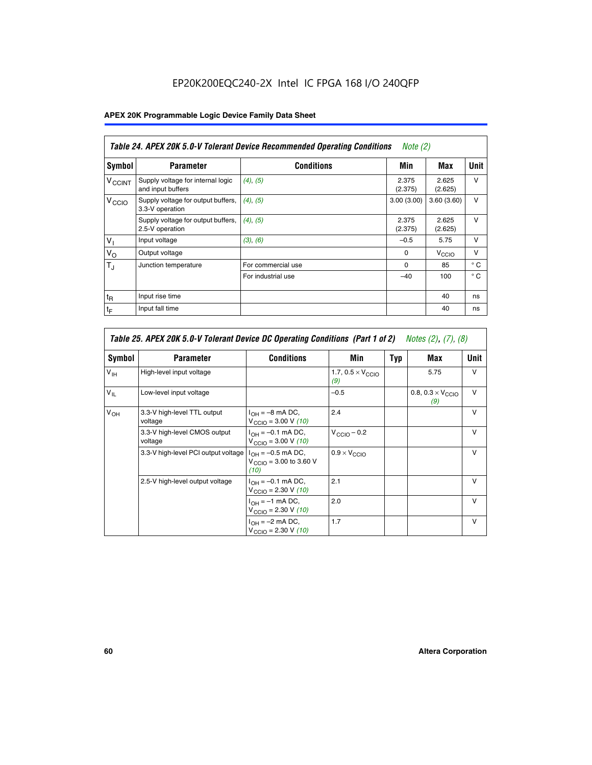# EP20K200EQC240-2X Intel IC FPGA 168 I/O 240QFP

# **APEX 20K Programmable Logic Device Family Data Sheet**

|                          | Table 24. APEX 20K 5.0-V Tolerant Device Recommended Operating Conditions<br>Note (2) |                    |                  |                   |              |
|--------------------------|---------------------------------------------------------------------------------------|--------------------|------------------|-------------------|--------------|
| Symbol                   | <b>Parameter</b>                                                                      | <b>Conditions</b>  | Min              | Max               | <b>Unit</b>  |
| <b>V<sub>CCINT</sub></b> | Supply voltage for internal logic<br>and input buffers                                | (4), (5)           | 2.375<br>(2.375) | 2.625<br>(2.625)  | $\vee$       |
| V <sub>CCIO</sub>        | Supply voltage for output buffers,<br>3.3-V operation                                 | (4), (5)           | 3.00(3.00)       | 3.60(3.60)        | $\vee$       |
|                          | Supply voltage for output buffers,<br>2.5-V operation                                 | (4), (5)           | 2.375<br>(2.375) | 2.625<br>(2.625)  | $\vee$       |
| V <sub>1</sub>           | Input voltage                                                                         | (3), (6)           | $-0.5$           | 5.75              | v            |
| $V_{\rm O}$              | Output voltage                                                                        |                    | $\Omega$         | V <sub>CCIO</sub> | $\vee$       |
| $T_{\rm J}$              | Junction temperature                                                                  | For commercial use | 0                | 85                | $^{\circ}$ C |
|                          |                                                                                       | For industrial use | $-40$            | 100               | $^{\circ}$ C |
| $t_{R}$                  | Input rise time                                                                       |                    |                  | 40                | ns           |
| $t_{\mathsf{F}}$         | Input fall time                                                                       |                    |                  | 40                | ns           |

|                 | Table 25. APEX 20K 5.0-V Tolerant Device DC Operating Conditions (Part 1 of 2) Notes (2), (7), (8) |                                                                        |                                          |     |                                          |              |  |  |
|-----------------|----------------------------------------------------------------------------------------------------|------------------------------------------------------------------------|------------------------------------------|-----|------------------------------------------|--------------|--|--|
| Symbol          | <b>Parameter</b>                                                                                   | <b>Conditions</b>                                                      | Min                                      | Typ | Max                                      | Unit         |  |  |
| $V_{\text{IH}}$ | High-level input voltage                                                                           |                                                                        | 1.7, $0.5 \times V_{\text{CCIO}}$<br>(9) |     | 5.75                                     | v            |  |  |
| $V_{\parallel}$ | Low-level input voltage                                                                            |                                                                        | $-0.5$                                   |     | 0.8, $0.3 \times V_{\text{CCIO}}$<br>(9) | $\vee$       |  |  |
| $V_{OH}$        | 3.3-V high-level TTL output<br>voltage                                                             | $I_{OH} = -8$ mA DC,<br>$V_{\text{CCIO}} = 3.00 V (10)$                | 2.4                                      |     |                                          | $\vee$       |  |  |
|                 | 3.3-V high-level CMOS output<br>voltage                                                            | $I_{OH} = -0.1$ mA DC,<br>$V_{\text{CCIO}} = 3.00 \text{ V} (10)$      | $V_{\text{CCIO}} - 0.2$                  |     |                                          | $\vee$       |  |  |
|                 | 3.3-V high-level PCI output voltage $ I_{OH} = -0.5$ mA DC,                                        | $V_{\text{CCIO}} = 3.00$ to 3.60 V<br>(10)                             | $0.9 \times V_{\text{CCIO}}$             |     |                                          | v            |  |  |
|                 | 2.5-V high-level output voltage                                                                    | $I_{OH} = -0.1$ mA DC,<br>$V_{\text{CCIO}} = 2.30 V (10)$              | 2.1                                      |     |                                          | $\mathsf{v}$ |  |  |
|                 |                                                                                                    | $I_{\text{OH}} = -1 \text{ mA DC},$<br>$V_{\text{CCIO}} = 2.30 V (10)$ | 2.0                                      |     |                                          | $\vee$       |  |  |
|                 |                                                                                                    | $I_{OH} = -2$ mA DC,<br>$V_{\text{CCIO}} = 2.30 V (10)$                | 1.7                                      |     |                                          | v            |  |  |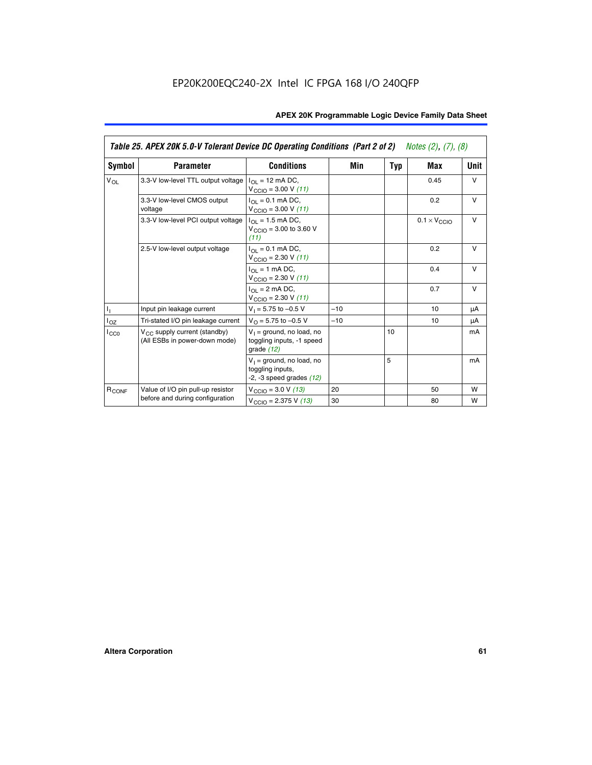|                   | Table 25. APEX 20K 5.0-V Tolerant Device DC Operating Conditions (Part 2 of 2) Notes (2), (7), (8) |                                                                                    |       |     |                              |        |  |
|-------------------|----------------------------------------------------------------------------------------------------|------------------------------------------------------------------------------------|-------|-----|------------------------------|--------|--|
| Symbol            | <b>Parameter</b>                                                                                   | <b>Conditions</b>                                                                  | Min   | Typ | Max                          | Unit   |  |
| $V_{OL}$          | 3.3-V low-level TTL output voltage                                                                 | $I_{\Omega}$ = 12 mA DC,<br>$V_{\text{CCIO}} = 3.00 V (11)$                        |       |     | 0.45                         | $\vee$ |  |
|                   | 3.3-V low-level CMOS output<br>voltage                                                             | $I_{\Omega I} = 0.1$ mA DC,<br>$V_{\text{CCIO}} = 3.00 V (11)$                     |       |     | 0.2                          | $\vee$ |  |
|                   | 3.3-V low-level PCI output voltage                                                                 | $I_{\Omega}$ = 1.5 mA DC,<br>$V_{CClO}$ = 3.00 to 3.60 V<br>(11)                   |       |     | $0.1 \times V_{\text{CCLO}}$ | $\vee$ |  |
|                   | 2.5-V low-level output voltage                                                                     | $I_{\Omega I} = 0.1$ mA DC,<br>$V_{\text{CCIO}} = 2.30 V (11)$                     |       |     | 0.2                          | $\vee$ |  |
|                   |                                                                                                    | $I_{\Omega}$ = 1 mA DC,<br>$V_{\text{CCIO}} = 2.30 V (11)$                         |       |     | 0.4                          | $\vee$ |  |
|                   |                                                                                                    | $I_{\Omega}$ = 2 mA DC,<br>$V_{\text{CCIO}} = 2.30 V (11)$                         |       |     | 0.7                          | $\vee$ |  |
| Τ,                | Input pin leakage current                                                                          | $V_1 = 5.75$ to $-0.5$ V                                                           | $-10$ |     | 10                           | μA     |  |
| $I_{OZ}$          | Tri-stated I/O pin leakage current                                                                 | $V_{\Omega}$ = 5.75 to -0.5 V                                                      | $-10$ |     | 10                           | μA     |  |
| $I_{CC0}$         | $V_{CC}$ supply current (standby)<br>(All ESBs in power-down mode)                                 | $V_1$ = ground, no load, no<br>toggling inputs, -1 speed<br>grade $(12)$           |       | 10  |                              | mA     |  |
|                   |                                                                                                    | $V_1$ = ground, no load, no<br>toggling inputs,<br>$-2$ , $-3$ speed grades $(12)$ |       | 5   |                              | mA     |  |
| R <sub>CONF</sub> | Value of I/O pin pull-up resistor                                                                  | $V_{\text{CCIO}} = 3.0 V (13)$                                                     | 20    |     | 50                           | W      |  |
|                   | before and during configuration                                                                    | $V_{\text{CCIO}} = 2.375 \text{ V} (13)$                                           | 30    |     | 80                           | W      |  |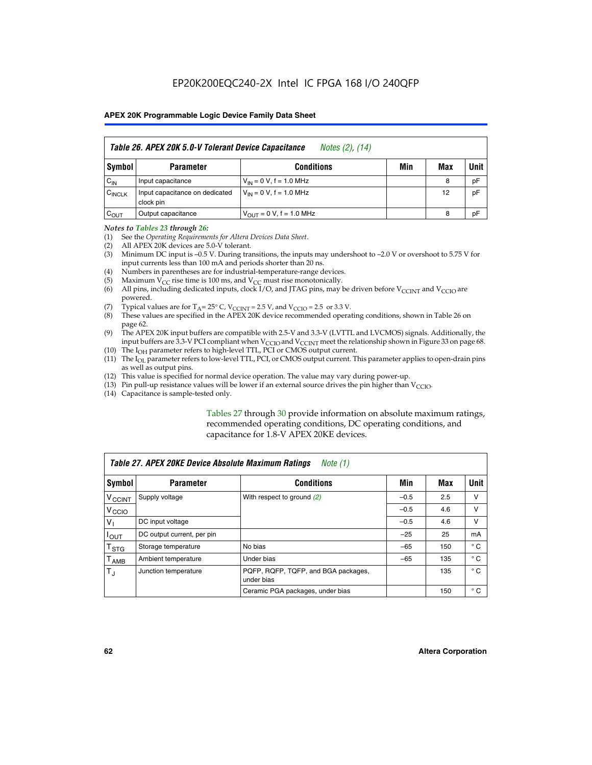| Table 26. APEX 20K 5.0-V Tolerant Device Capacitance<br>Notes (2), (14) |                                             |                                     |     |     |      |
|-------------------------------------------------------------------------|---------------------------------------------|-------------------------------------|-----|-----|------|
| Symbol                                                                  | <b>Parameter</b>                            | <b>Conditions</b>                   | Min | Max | Unit |
| $C_{IN}$                                                                | Input capacitance                           | $V_{1N} = 0 V$ , f = 1.0 MHz        |     | 8   | pF   |
| $C_{\text{INCLK}}$                                                      | Input capacitance on dedicated<br>clock pin | $V_{IN} = 0 V$ , f = 1.0 MHz        |     | 12  | pF   |
| $C_{OUT}$                                                               | Output capacitance                          | $V_{\text{OUT}} = 0 V, f = 1.0 MHz$ |     | 8   | pF   |

### *Notes to Tables 23 through 26:*

- (1) See the *Operating Requirements for Altera Devices Data Sheet*.
- (2) All APEX 20K devices are 5.0-V tolerant.
- (3) Minimum DC input is –0.5 V. During transitions, the inputs may undershoot to –2.0 V or overshoot to 5.75 V for input currents less than 100 mA and periods shorter than 20 ns.
- (4) Numbers in parentheses are for industrial-temperature-range devices.
- (5) Maximum  $V_{CC}$  rise time is 100 ms, and  $V_{CC}$  must rise monotonically.<br>(6) All pins, including dedicated inputs, clock I/O, and JTAG pins, may b
- All pins, including dedicated inputs, clock I/O, and JTAG pins, may be driven before  $V_{\text{CCINT}}$  and  $V_{\text{CCIO}}$  are powered.
- (7) Typical values are for  $T_A = 25^\circ$  C, V<sub>CCINT</sub> = 2.5 V, and V<sub>CCIO</sub> = 2.5 or 3.3 V.<br>(8) These values are specified in the APEX 20K device recommended operat
- These values are specified in the APEX 20K device recommended operating conditions, shown in Table 26 on page 62.
- (9) The APEX 20K input buffers are compatible with 2.5-V and 3.3-V (LVTTL and LVCMOS) signals. Additionally, the input buffers are 3.3-V PCI compliant when  $V_{\text{CCIO}}$  and  $V_{\text{CCINI}}$  meet the relationship shown in Figure 33 on page 68.
- (10) The  $I<sub>OH</sub>$  parameter refers to high-level TTL, PCI or CMOS output current.
- (11) The I<sub>OL</sub> parameter refers to low-level TTL, PCI, or CMOS output current. This parameter applies to open-drain pins as well as output pins.
- (12) This value is specified for normal device operation. The value may vary during power-up.
- (13) Pin pull-up resistance values will be lower if an external source drives the pin higher than  $V_{\text{CCIO}}$ .
- (14) Capacitance is sample-tested only.

Tables 27 through 30 provide information on absolute maximum ratings, recommended operating conditions, DC operating conditions, and capacitance for 1.8-V APEX 20KE devices.

|                             | Table 27. APEX 20KE Device Absolute Maximum Ratings<br>Note (1) |                                                   |        |     |              |  |  |
|-----------------------------|-----------------------------------------------------------------|---------------------------------------------------|--------|-----|--------------|--|--|
| Symbol                      | <b>Parameter</b>                                                | <b>Conditions</b>                                 | Min    | Max | Unit         |  |  |
| $V_{\text{CCINT}}$          | Supply voltage                                                  | With respect to ground (2)                        | $-0.5$ | 2.5 | v            |  |  |
| V <sub>CCIO</sub>           |                                                                 |                                                   | $-0.5$ | 4.6 | v            |  |  |
| $V_{1}$                     | DC input voltage                                                |                                                   | $-0.5$ | 4.6 | $\vee$       |  |  |
| $I_{OUT}$                   | DC output current, per pin                                      |                                                   | $-25$  | 25  | mA           |  |  |
| $\mathsf{T}_{\texttt{STG}}$ | Storage temperature                                             | No bias                                           | $-65$  | 150 | $^{\circ}$ C |  |  |
| Т <sub>АМВ</sub>            | Ambient temperature                                             | Under bias                                        | $-65$  | 135 | $^{\circ}$ C |  |  |
| $\mathsf{T}_{\text{d}}$     | Junction temperature                                            | PQFP, RQFP, TQFP, and BGA packages,<br>under bias |        | 135 | $^{\circ}$ C |  |  |
|                             |                                                                 | Ceramic PGA packages, under bias                  |        | 150 | $^{\circ}$ C |  |  |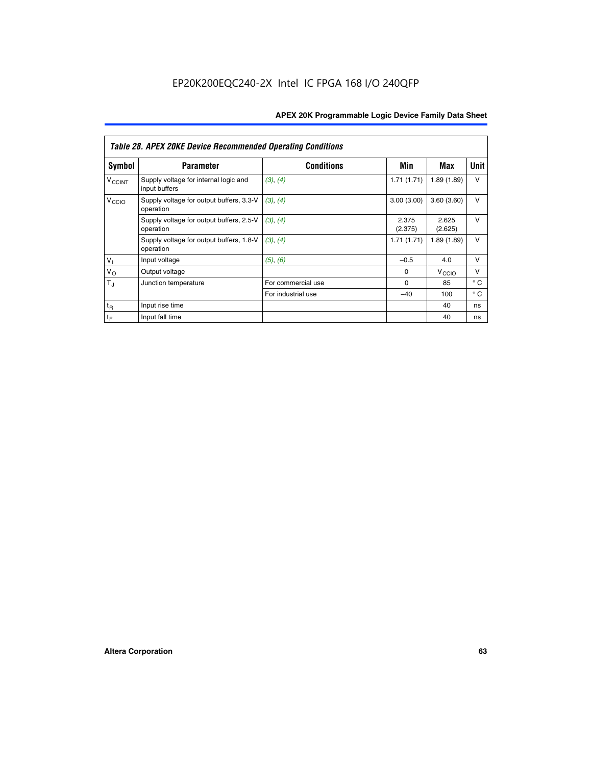|                          | <b>Table 28. APEX 20KE Device Recommended Operating Conditions</b> |                    |                  |                   |              |
|--------------------------|--------------------------------------------------------------------|--------------------|------------------|-------------------|--------------|
| <b>Symbol</b>            | <b>Parameter</b>                                                   | <b>Conditions</b>  | Min              | Max               | <b>Unit</b>  |
| <b>V<sub>CCINT</sub></b> | Supply voltage for internal logic and<br>input buffers             | (3), (4)           | 1.71(1.71)       | 1.89(1.89)        | $\vee$       |
| V <sub>CCIO</sub>        | Supply voltage for output buffers, 3.3-V<br>operation              | (3), (4)           | 3.00(3.00)       | 3.60(3.60)        | V            |
|                          | Supply voltage for output buffers, 2.5-V<br>operation              | (3), (4)           | 2.375<br>(2.375) | 2.625<br>(2.625)  | $\vee$       |
|                          | Supply voltage for output buffers, 1.8-V<br>operation              | (3), (4)           | 1.71(1.71)       | 1.89(1.89)        | V            |
| $V_1$                    | Input voltage                                                      | (5), (6)           | $-0.5$           | 4.0               | $\vee$       |
| $V_{\rm O}$              | Output voltage                                                     |                    | $\Omega$         | V <sub>CCIO</sub> | v            |
| $T_{\rm J}$              | Junction temperature                                               | For commercial use | $\Omega$         | 85                | $^{\circ}$ C |
|                          |                                                                    | For industrial use | $-40$            | 100               | $^{\circ}$ C |
| $t_{R}$                  | Input rise time                                                    |                    |                  | 40                | ns           |
| $t_{\mathsf{F}}$         | Input fall time                                                    |                    |                  | 40                | ns           |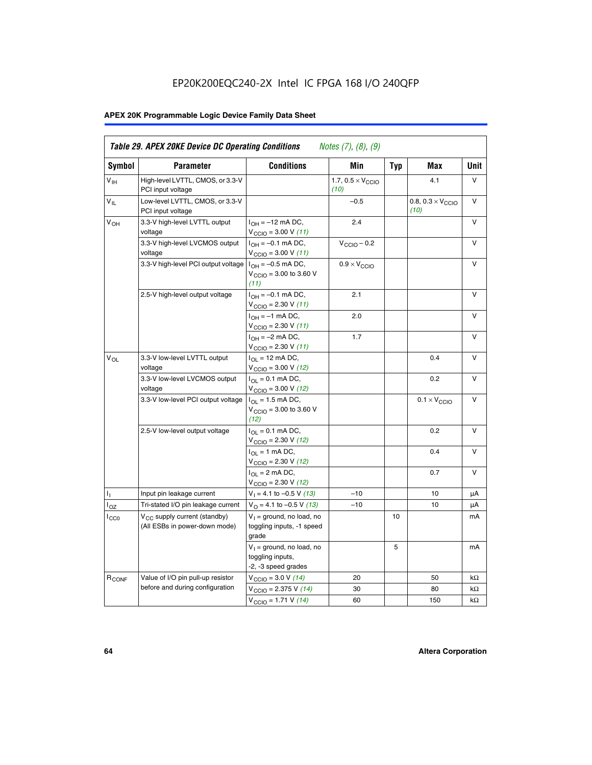# EP20K200EQC240-2X Intel IC FPGA 168 I/O 240QFP

# **APEX 20K Programmable Logic Device Family Data Sheet**

| Symbol                     | <b>Parameter</b>                                                   | <b>Conditions</b>                                                                        | Min                                       | <b>Typ</b> | Max                                       | Unit      |
|----------------------------|--------------------------------------------------------------------|------------------------------------------------------------------------------------------|-------------------------------------------|------------|-------------------------------------------|-----------|
| $V_{\text{IH}}$            | High-level LVTTL, CMOS, or 3.3-V<br>PCI input voltage              |                                                                                          | 1.7, $0.5 \times V_{\text{CCIO}}$<br>(10) |            | 4.1                                       | V         |
| $\mathsf{V}_{\mathsf{IL}}$ | Low-level LVTTL, CMOS, or 3.3-V<br>PCI input voltage               |                                                                                          | $-0.5$                                    |            | 0.8, $0.3 \times V_{\text{CCIO}}$<br>(10) | $\vee$    |
| $V_{OH}$                   | 3.3-V high-level LVTTL output<br>voltage                           | $I_{OH} = -12$ mA DC,<br>$V_{\text{CCIO}} = 3.00 V (11)$                                 | 2.4                                       |            |                                           | v         |
|                            | 3.3-V high-level LVCMOS output<br>voltage                          | $I_{OH} = -0.1$ mA DC,<br>$V_{\text{CCIO}} = 3.00 V (11)$                                | $V_{\text{CCIO}} - 0.2$                   |            |                                           | V         |
|                            | 3.3-V high-level PCI output voltage $ I_{OH} = -0.5$ mA DC,        | $V_{\text{CCIO}} = 3.00$ to 3.60 V<br>(11)                                               | $0.9 \times V_{\text{CCIO}}$              |            |                                           | $\vee$    |
|                            | 2.5-V high-level output voltage                                    | $I_{OH} = -0.1$ mA DC,<br>$V_{\text{CCIO}} = 2.30 V (11)$                                | 2.1                                       |            |                                           | v         |
|                            |                                                                    | $I_{OH} = -1$ mA DC,<br>$V_{\text{CCIO}} = 2.30 V (11)$                                  | 2.0                                       |            |                                           | v         |
|                            |                                                                    | $I_{OH} = -2$ mA DC,<br>$V_{\text{CCIO}}$ = 2.30 V (11)                                  | 1.7                                       |            |                                           | V         |
| $V_{OL}$                   | 3.3-V low-level LVTTL output<br>voltage                            | $I_{\Omega}$ = 12 mA DC,<br>$V_{\text{CCIO}}$ = 3.00 V (12)                              |                                           |            | 0.4                                       | ν         |
|                            | 3.3-V low-level LVCMOS output<br>voltage                           | $I_{\Omega} = 0.1$ mA DC,<br>$V_{\text{CCIO}} = 3.00 V (12)$                             |                                           |            | 0.2                                       | $\vee$    |
|                            | 3.3-V low-level PCI output voltage                                 | $I_{\Omega}$ = 1.5 mA DC,<br>$V_{\text{CGIQ}} = 3.00 \text{ to } 3.60 \text{ V}$<br>(12) |                                           |            | $0.1 \times V_{\text{CCIO}}$              | v         |
|                            | 2.5-V low-level output voltage                                     | $I_{OL} = 0.1$ mA DC,<br>$V_{\text{CCIO}}$ = 2.30 V (12)                                 |                                           |            | 0.2                                       | v         |
|                            |                                                                    | $I_{\Omega}$ = 1 mA DC,<br>$V_{\text{CCIO}} = 2.30 V (12)$                               |                                           |            | 0.4                                       | ν         |
|                            |                                                                    | $I_{OL}$ = 2 mA DC,<br>$V_{\text{CCIO}} = 2.30 V (12)$                                   |                                           |            | 0.7                                       | v         |
| т,                         | Input pin leakage current                                          | $V_1 = 4.1$ to -0.5 V (13)                                                               | $-10$                                     |            | 10                                        | μA        |
| $I_{OZ}$                   | Tri-stated I/O pin leakage current                                 | $V_{\Omega}$ = 4.1 to -0.5 V (13)                                                        | $-10$                                     |            | 10                                        | μA        |
| $I_{CC0}$                  | $V_{CC}$ supply current (standby)<br>(All ESBs in power-down mode) | $V_1$ = ground, no load, no<br>toggling inputs, -1 speed<br>grade                        |                                           | 10         |                                           | mA        |
|                            |                                                                    | $V_1$ = ground, no load, no<br>toggling inputs,<br>-2, -3 speed grades                   |                                           | 5          |                                           | mA        |
| R <sub>CONF</sub>          | Value of I/O pin pull-up resistor                                  | $V_{\text{CCIO}} = 3.0 V (14)$                                                           | 20                                        |            | 50                                        | $k\Omega$ |
|                            | before and during configuration                                    | $V_{\text{CCIO}} = 2.375 V (14)$                                                         | 30                                        |            | 80                                        | kΩ        |
|                            |                                                                    | $V_{\text{CCIO}} = 1.71 V (14)$                                                          | 60                                        |            | 150                                       | kΩ        |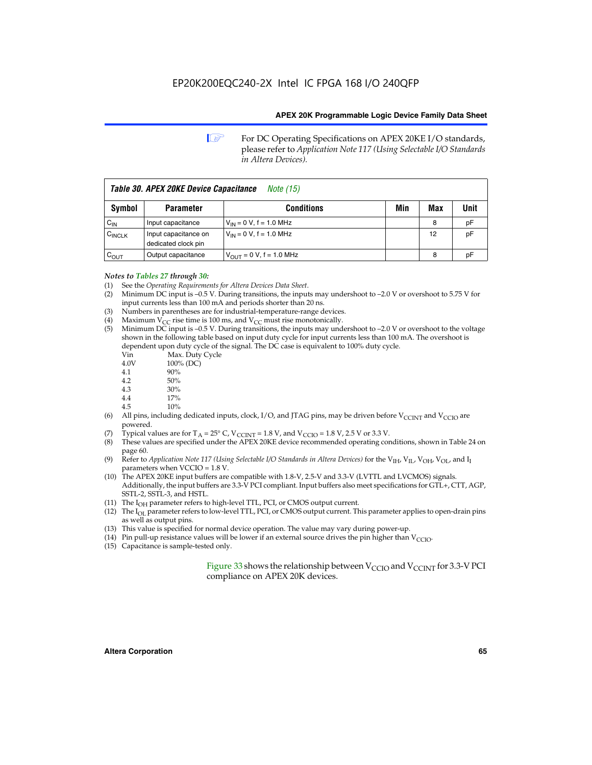**1 For DC Operating Specifications on APEX 20KE I/O standards,** please refer to *Application Note 117 (Using Selectable I/O Standards in Altera Devices).*

| Table 30. APEX 20KE Device Capacitance<br><i>Note</i> (15) |                                             |                                |     |     |      |  |
|------------------------------------------------------------|---------------------------------------------|--------------------------------|-----|-----|------|--|
| Symbol                                                     | <b>Parameter</b>                            | <b>Conditions</b>              | Min | Max | Unit |  |
| $C_{IN}$                                                   | Input capacitance                           | $V_{IN} = 0 V$ , f = 1.0 MHz   |     | 8   | рF   |  |
| $C_{\text{INCLK}}$                                         | Input capacitance on<br>dedicated clock pin | $V_{IN} = 0 V$ , f = 1.0 MHz   |     | 12  | pF   |  |
| $C_{OUT}$                                                  | Output capacitance                          | $V_{OUIT} = 0 V$ , f = 1.0 MHz |     | 8   | рF   |  |

- *Notes to Tables 27 through 30:* (1) See the *Operating Requirements for Altera Devices Data Sheet*.
- (2) Minimum DC input is –0.5 V. During transitions, the inputs may undershoot to –2.0 V or overshoot to 5.75 V for input currents less than 100 mA and periods shorter than 20 ns.
- (3) Numbers in parentheses are for industrial-temperature-range devices.
- (4) Maximum  $V_{CC}$  rise time is 100 ms, and  $V_{CC}$  must rise monotonically.<br>(5) Minimum DC input is -0.5 V. During transitions, the inputs may und
- Minimum DC input is  $-0.5$  V. During transitions, the inputs may undershoot to  $-2.0$  V or overshoot to the voltage shown in the following table based on input duty cycle for input currents less than 100 mA. The overshoot is dependent upon duty cycle of the signal. The DC case is equivalent to 100% duty cycle.

| Vin  | Max. Duty Cycle |
|------|-----------------|
| 4.0V | 100% (DC)       |
| 4.1  | 90%             |
| 4.2  | 50%             |
| 4.3  | 30%             |
| . .  |                 |

- 4.4 17%
- 4.5 10%
- (6) All pins, including dedicated inputs, clock, I/O, and JTAG pins, may be driven before  $V_{\text{CCINT}}$  and  $V_{\text{CCIO}}$  are powered.
- (7) Typical values are for  $T_A = 25^\circ$  C, V<sub>CCINT</sub> = 1.8 V, and V<sub>CCIO</sub> = 1.8 V, 2.5 V or 3.3 V.
- (8) These values are specified under the APEX 20KE device recommended operating conditions, shown in Table 24 on page 60.
- (9) Refer to *Application Note 117 (Using Selectable I/O Standards in Altera Devices)* for the V<sub>IH</sub>, V<sub>IL</sub>, V<sub>OH</sub>, V<sub>OL</sub>, and I<sub>I</sub> parameters when VCCIO = 1.8 V.
- (10) The APEX 20KE input buffers are compatible with 1.8-V, 2.5-V and 3.3-V (LVTTL and LVCMOS) signals. Additionally, the input buffers are 3.3-V PCI compliant. Input buffers also meet specifications for GTL+, CTT, AGP, SSTL-2, SSTL-3, and HSTL.
- (11) The  $I_{OH}$  parameter refers to high-level TTL, PCI, or CMOS output current.
- (12) The I<sub>OL</sub> parameter refers to low-level TTL, PCI, or CMOS output current. This parameter applies to open-drain pins as well as output pins.
- (13) This value is specified for normal device operation. The value may vary during power-up.
- (14) Pin pull-up resistance values will be lower if an external source drives the pin higher than  $V_{CCIO}$ .
- (15) Capacitance is sample-tested only.

Figure 33 shows the relationship between  $V_{\text{CCIO}}$  and  $V_{\text{CCINT}}$  for 3.3-V PCI compliance on APEX 20K devices.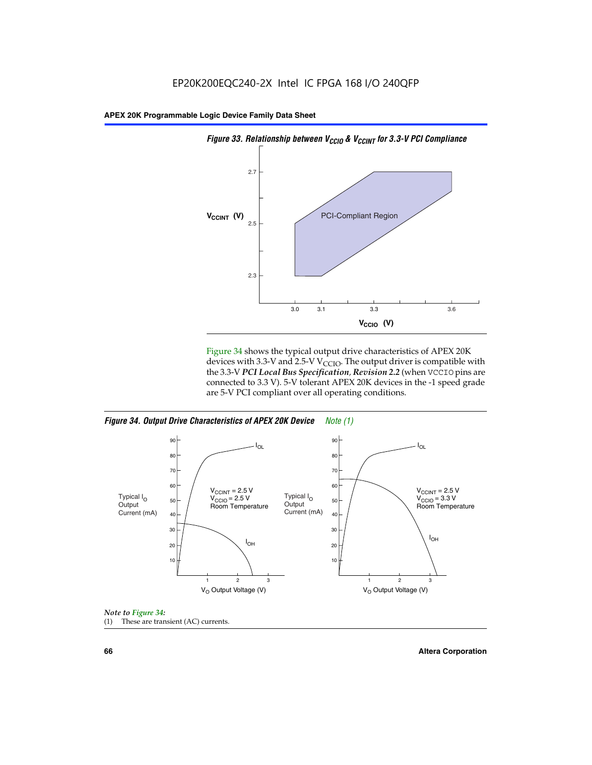

Figure 34 shows the typical output drive characteristics of APEX 20K devices with 3.3-V and 2.5-V V<sub>CCIO</sub>. The output driver is compatible with the 3.3-V *PCI Local Bus Specification, Revision 2.2* (when VCCIO pins are connected to 3.3 V). 5-V tolerant APEX 20K devices in the -1 speed grade are 5-V PCI compliant over all operating conditions.

*Figure 34. Output Drive Characteristics of APEX 20K Device Note (1)*





**66 Altera Corporation**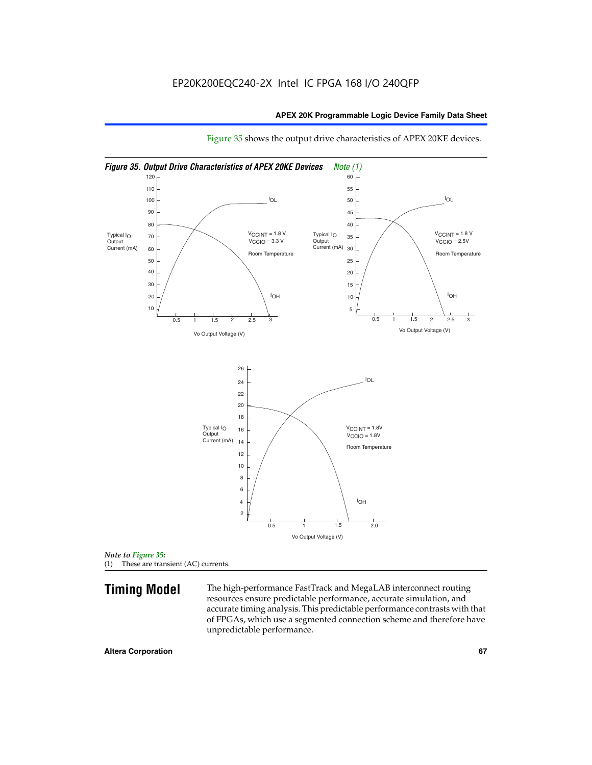

Figure 35 shows the output drive characteristics of APEX 20KE devices.

*Note to Figure 35:* (1) These are transient (AC) currents.

**Timing Model** The high-performance FastTrack and MegaLAB interconnect routing resources ensure predictable performance, accurate simulation, and accurate timing analysis. This predictable performance contrasts with that of FPGAs, which use a segmented connection scheme and therefore have unpredictable performance.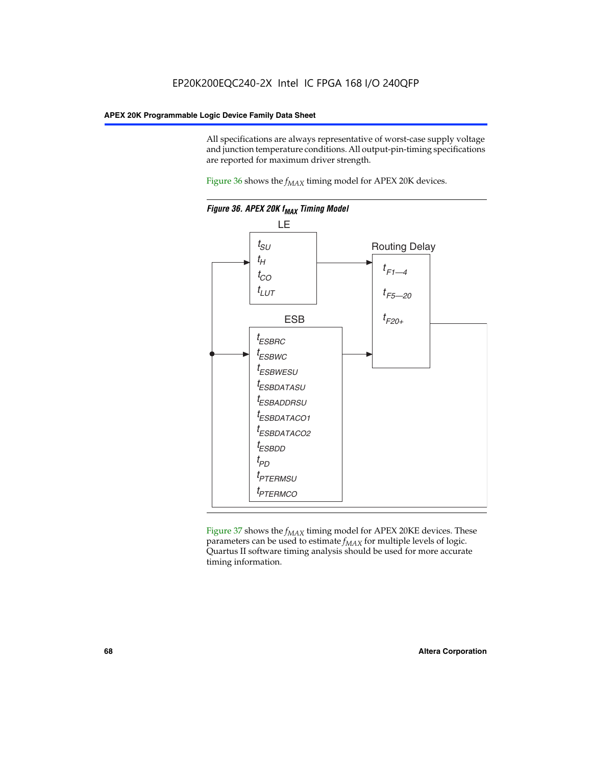All specifications are always representative of worst-case supply voltage and junction temperature conditions. All output-pin-timing specifications are reported for maximum driver strength.

Figure  $36$  shows the  $f_{MAX}$  timing model for APEX 20K devices.



Figure 37 shows the  $f_{MAX}$  timing model for APEX 20KE devices. These parameters can be used to estimate  $f_{MAX}$  for multiple levels of logic. Quartus II software timing analysis should be used for more accurate timing information.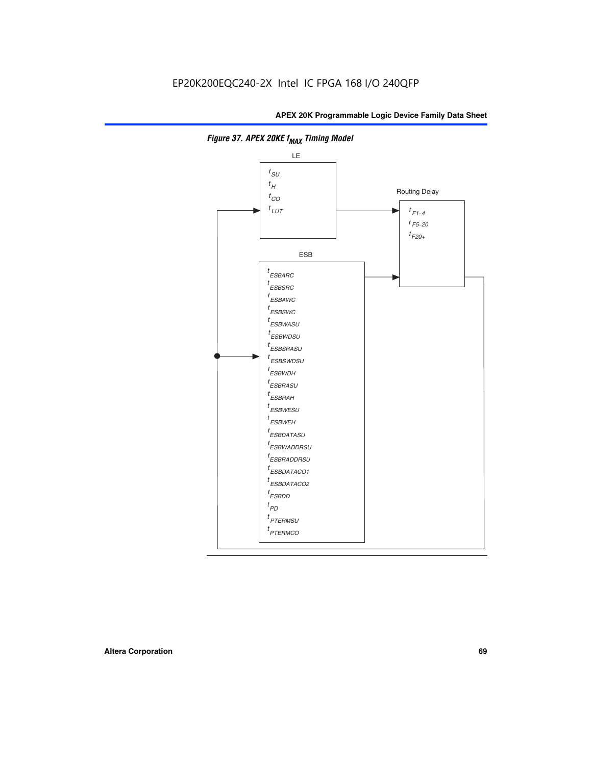

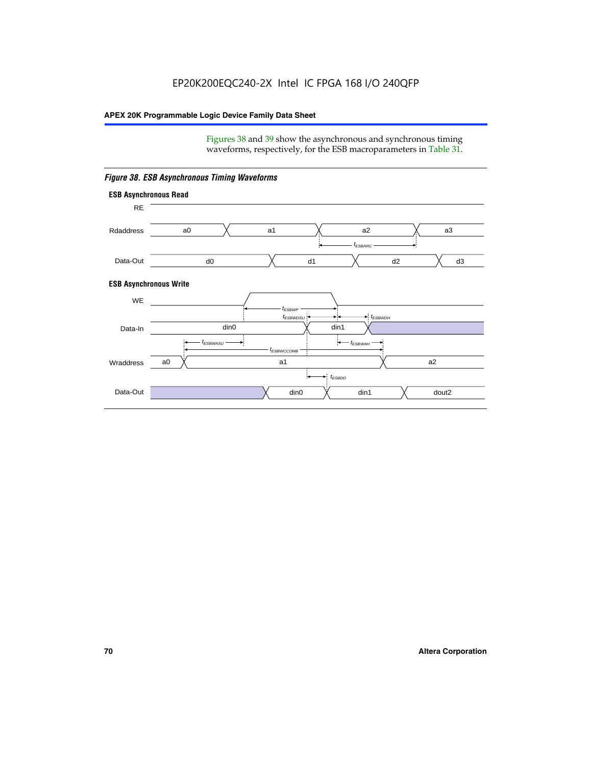Figures 38 and 39 show the asynchronous and synchronous timing waveforms, respectively, for the ESB macroparameters in Table 31.



*Figure 38. ESB Asynchronous Timing Waveforms*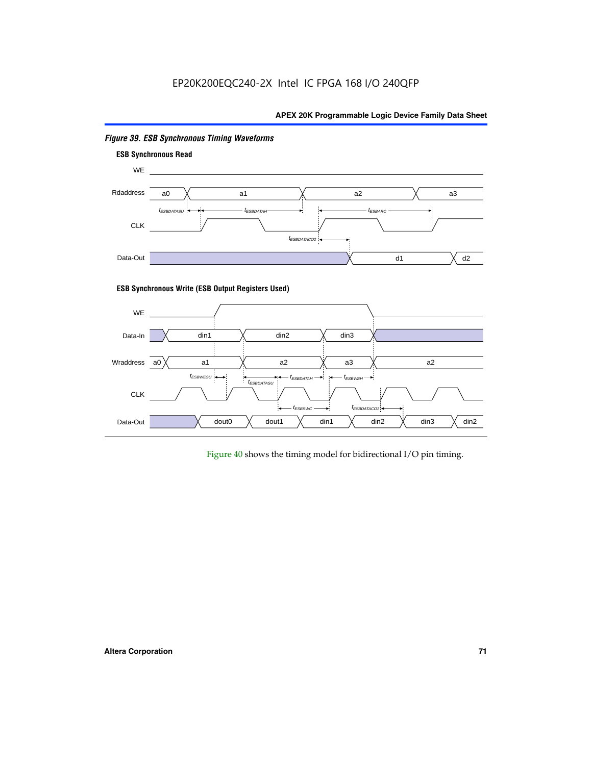# EP20K200EQC240-2X Intel IC FPGA 168 I/O 240QFP

# **APEX 20K Programmable Logic Device Family Data Sheet**



# *Figure 39. ESB Synchronous Timing Waveforms*

# **ESB Synchronous Write (ESB Output Registers Used)**



Figure 40 shows the timing model for bidirectional I/O pin timing.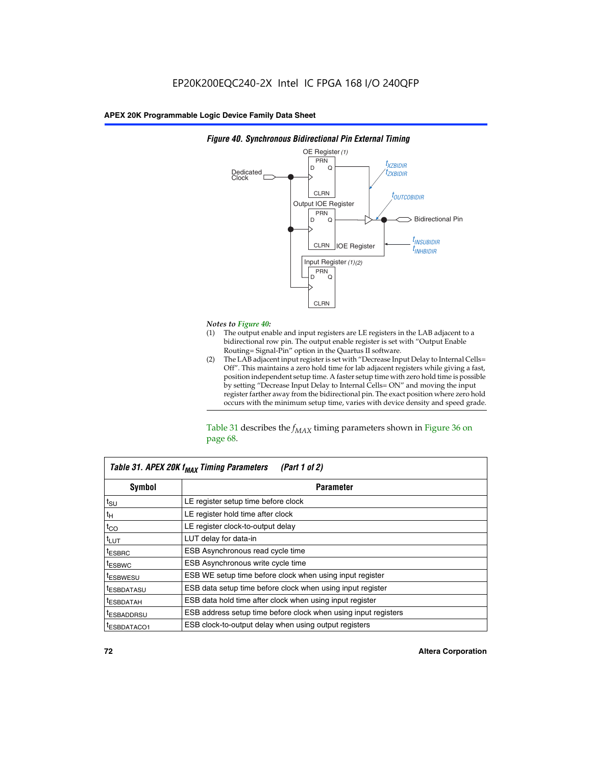

### *Figure 40. Synchronous Bidirectional Pin External Timing*

# *Notes to Figure 40:*

- The output enable and input registers are LE registers in the LAB adjacent to a bidirectional row pin. The output enable register is set with "Output Enable Routing= Signal-Pin" option in the Quartus II software.
- (2) The LAB adjacent input register is set with "Decrease Input Delay to Internal Cells= Off". This maintains a zero hold time for lab adjacent registers while giving a fast, position independent setup time. A faster setup time with zero hold time is possible by setting "Decrease Input Delay to Internal Cells= ON" and moving the input register farther away from the bidirectional pin. The exact position where zero hold occurs with the minimum setup time, varies with device density and speed grade.

Table 31 describes the  $f_{MAX}$  timing parameters shown in Figure 36 on page 68.

| Table 31. APEX 20K f <sub>MAX</sub> Timing Parameters<br>(Part 1 of 2) |                                                                |  |  |  |  |
|------------------------------------------------------------------------|----------------------------------------------------------------|--|--|--|--|
| Symbol                                                                 | <b>Parameter</b><br>LE register setup time before clock        |  |  |  |  |
| $t_{\text{SU}}$                                                        |                                                                |  |  |  |  |
| $t_H$                                                                  | LE register hold time after clock                              |  |  |  |  |
| $t_{CO}$                                                               | LE register clock-to-output delay                              |  |  |  |  |
| t <sub>LUT</sub>                                                       | LUT delay for data-in                                          |  |  |  |  |
| <sup>t</sup> ESBRC                                                     | ESB Asynchronous read cycle time                               |  |  |  |  |
| <sup>t</sup> ESBWC                                                     | ESB Asynchronous write cycle time                              |  |  |  |  |
| <sup>t</sup> ESBWESU                                                   | ESB WE setup time before clock when using input register       |  |  |  |  |
| <sup>t</sup> ESBDATASU                                                 | ESB data setup time before clock when using input register     |  |  |  |  |
| <sup>t</sup> ESBDATAH                                                  | ESB data hold time after clock when using input register       |  |  |  |  |
| <sup>t</sup> ESBADDRSU                                                 | ESB address setup time before clock when using input registers |  |  |  |  |
| ESBDATACO1                                                             | ESB clock-to-output delay when using output registers          |  |  |  |  |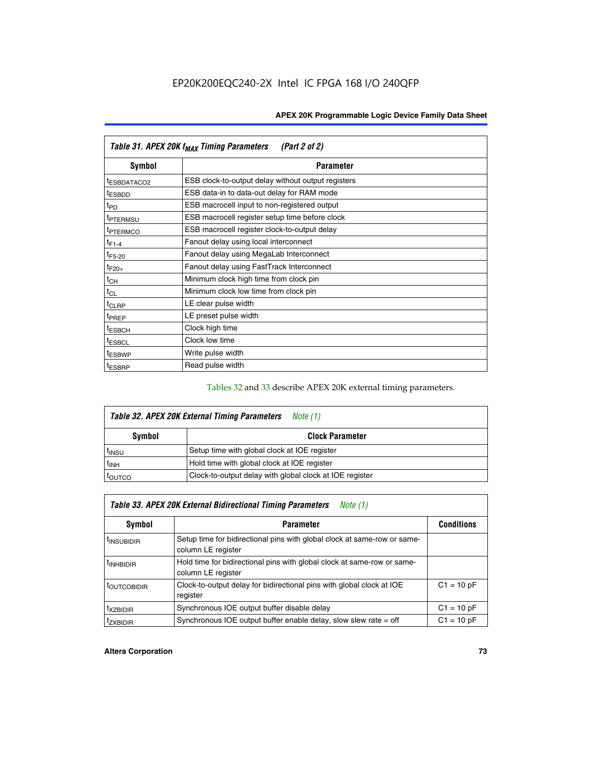| Table 31. APEX 20K f <sub>MAX</sub> Timing Parameters<br>(Part 2 of 2) |                                                    |  |  |  |  |
|------------------------------------------------------------------------|----------------------------------------------------|--|--|--|--|
| Symbol                                                                 | <b>Parameter</b>                                   |  |  |  |  |
| t <sub>ESBDATACO2</sub>                                                | ESB clock-to-output delay without output registers |  |  |  |  |
| <sup>t</sup> ESBDD                                                     | ESB data-in to data-out delay for RAM mode         |  |  |  |  |
| t <sub>PD</sub>                                                        | ESB macrocell input to non-registered output       |  |  |  |  |
| <sup>t</sup> PTERMSU                                                   | ESB macrocell register setup time before clock     |  |  |  |  |
| <sup>t</sup> PTERMCO                                                   | ESB macrocell register clock-to-output delay       |  |  |  |  |
| $t_{F1-4}$                                                             | Fanout delay using local interconnect              |  |  |  |  |
| $t_{F5-20}$                                                            | Fanout delay using MegaLab Interconnect            |  |  |  |  |
| $t_{F20+}$                                                             | Fanout delay using FastTrack Interconnect          |  |  |  |  |
| $t_{CH}$                                                               | Minimum clock high time from clock pin             |  |  |  |  |
| $t_{CL}$                                                               | Minimum clock low time from clock pin              |  |  |  |  |
| $t_{CLRP}$                                                             | LE clear pulse width                               |  |  |  |  |
| t <sub>PREP</sub>                                                      | LE preset pulse width                              |  |  |  |  |
| <sup>t</sup> ESBCH                                                     | Clock high time                                    |  |  |  |  |
| <sup>t</sup> ESBCL                                                     | Clock low time                                     |  |  |  |  |
| <sup>t</sup> ESBWP                                                     | Write pulse width                                  |  |  |  |  |
| <sup>t</sup> ESBRP                                                     | Read pulse width                                   |  |  |  |  |

## Tables 32 and 33 describe APEX 20K external timing parameters.

| Table 32. APEX 20K External Timing Parameters<br>Note (1) |                                                         |  |  |  |  |
|-----------------------------------------------------------|---------------------------------------------------------|--|--|--|--|
| Symbol                                                    | <b>Clock Parameter</b>                                  |  |  |  |  |
| <sup>t</sup> insu                                         | Setup time with global clock at IOE register            |  |  |  |  |
| $t_{\mathsf{INH}}$                                        | Hold time with global clock at IOE register             |  |  |  |  |
| toutco                                                    | Clock-to-output delay with global clock at IOE register |  |  |  |  |

| Table 33. APEX 20K External Bidirectional Timing Parameters<br>Note (1) |                                                                                                |              |  |  |  |  |
|-------------------------------------------------------------------------|------------------------------------------------------------------------------------------------|--------------|--|--|--|--|
| Symbol                                                                  | <b>Parameter</b>                                                                               |              |  |  |  |  |
| <sup>I</sup> INSUBIDIR                                                  | Setup time for bidirectional pins with global clock at same-row or same-<br>column LE register |              |  |  |  |  |
| <sup>t</sup> INHBIDIR                                                   | Hold time for bidirectional pins with global clock at same-row or same-<br>column LE register  |              |  |  |  |  |
| <sup>t</sup> OUTCOBIDIR                                                 | Clock-to-output delay for bidirectional pins with global clock at IOE<br>register              | $C1 = 10 pF$ |  |  |  |  |
| <sup>T</sup> XZBIDIR                                                    | Synchronous IOE output buffer disable delay                                                    | $C1 = 10 pF$ |  |  |  |  |
| <sup>I</sup> ZXBIDIR                                                    | Synchronous IOE output buffer enable delay, slow slew rate $=$ off                             | $C1 = 10 pF$ |  |  |  |  |

#### **Altera Corporation 73**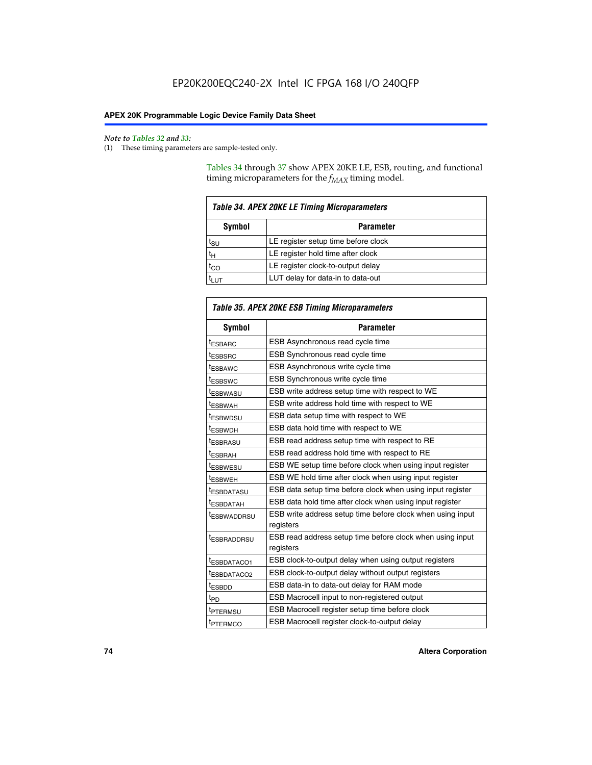$\mathbf{r}$ 

#### *Note to Tables 32 and 33:*

(1) These timing parameters are sample-tested only.

Tables 34 through 37 show APEX 20KE LE, ESB, routing, and functional timing microparameters for the  $f_{MAX}$  timing model.

| <b>Table 34. APEX 20KE LE Timing Microparameters</b> |                                     |  |  |  |  |
|------------------------------------------------------|-------------------------------------|--|--|--|--|
| Symbol<br><b>Parameter</b>                           |                                     |  |  |  |  |
| t <sub>SU</sub>                                      | LE register setup time before clock |  |  |  |  |
| $t_H$                                                | LE register hold time after clock   |  |  |  |  |
| $t_{CO}$                                             | LE register clock-to-output delay   |  |  |  |  |
| <b>LUT</b>                                           | LUT delay for data-in to data-out   |  |  |  |  |

| Table 35. APEX 20KE ESB Timing Microparameters |                                                                        |  |  |  |
|------------------------------------------------|------------------------------------------------------------------------|--|--|--|
| Symbol                                         | <b>Parameter</b>                                                       |  |  |  |
| t <sub>ESBARC</sub>                            | ESB Asynchronous read cycle time                                       |  |  |  |
| <sup>t</sup> ESBSRC                            | <b>ESB Synchronous read cycle time</b>                                 |  |  |  |
| t <sub>ESBAWC</sub>                            | ESB Asynchronous write cycle time                                      |  |  |  |
| t <sub>ESBSWC</sub>                            | ESB Synchronous write cycle time                                       |  |  |  |
| tESBWASU                                       | ESB write address setup time with respect to WE                        |  |  |  |
| <sup>t</sup> ESBWAH                            | ESB write address hold time with respect to WE                         |  |  |  |
| t <sub>ESBWDSU</sub>                           | ESB data setup time with respect to WE                                 |  |  |  |
| <sup>t</sup> ESBWDH                            | ESB data hold time with respect to WE                                  |  |  |  |
| tESBRASU                                       | ESB read address setup time with respect to RE                         |  |  |  |
| t <sub>ESBRAH</sub>                            | ESB read address hold time with respect to RE                          |  |  |  |
| <sup>t</sup> ESBWESU                           | ESB WE setup time before clock when using input register               |  |  |  |
| <sup>t</sup> ESBWEH                            | ESB WE hold time after clock when using input register                 |  |  |  |
| <sup>t</sup> ESBDATASU                         | ESB data setup time before clock when using input register             |  |  |  |
| t <sub>ESBDATAH</sub>                          | ESB data hold time after clock when using input register               |  |  |  |
| <sup>t</sup> ESBWADDRSU                        | ESB write address setup time before clock when using input             |  |  |  |
|                                                | registers                                                              |  |  |  |
| tESBRADDRSU                                    | ESB read address setup time before clock when using input<br>registers |  |  |  |
| t <sub>ESBDATACO1</sub>                        | ESB clock-to-output delay when using output registers                  |  |  |  |
| t <sub>ESBDATACO2</sub>                        | ESB clock-to-output delay without output registers                     |  |  |  |
| $t_{ESBDD}$                                    | ESB data-in to data-out delay for RAM mode                             |  |  |  |
| $t_{PD}$                                       | ESB Macrocell input to non-registered output                           |  |  |  |
| t <sub>PTERMSU</sub>                           | ESB Macrocell register setup time before clock                         |  |  |  |
| t <sub>PTERMCO</sub>                           | ESB Macrocell register clock-to-output delay                           |  |  |  |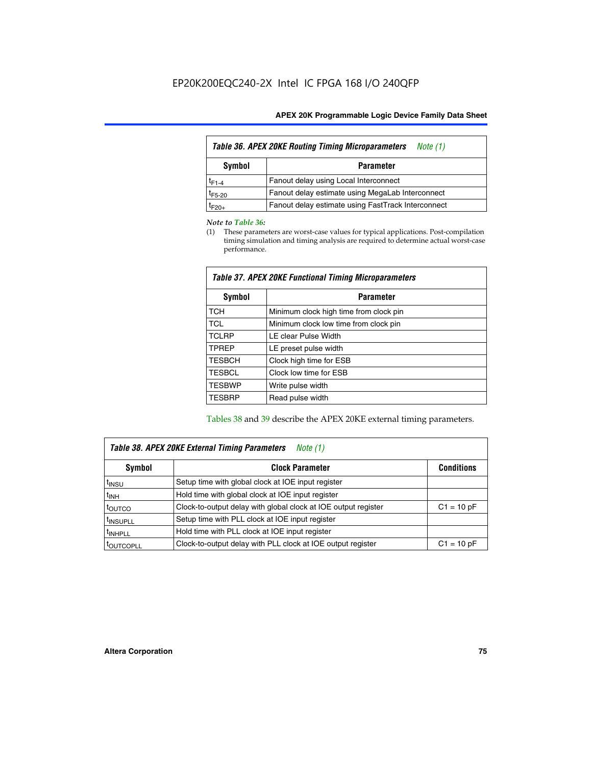| Table 36. APEX 20KE Routing Timing Microparameters<br>Note (1) |                                                    |  |  |  |  |
|----------------------------------------------------------------|----------------------------------------------------|--|--|--|--|
| Symbol<br><b>Parameter</b>                                     |                                                    |  |  |  |  |
| $t_{F1-4}$                                                     | Fanout delay using Local Interconnect              |  |  |  |  |
| $t_{F5-20}$                                                    | Fanout delay estimate using MegaLab Interconnect   |  |  |  |  |
| t <sub>F20+</sub>                                              | Fanout delay estimate using FastTrack Interconnect |  |  |  |  |

#### *Note to Table 36:*

(1) These parameters are worst-case values for typical applications. Post-compilation timing simulation and timing analysis are required to determine actual worst-case performance.

| Symbol        | <b>Parameter</b>                       |
|---------------|----------------------------------------|
| <b>TCH</b>    | Minimum clock high time from clock pin |
| <b>TCL</b>    | Minimum clock low time from clock pin  |
| <b>TCLRP</b>  | LE clear Pulse Width                   |
| <b>TPREP</b>  | LE preset pulse width                  |
| <b>TESBCH</b> | Clock high time for ESB                |
| <b>TESBCL</b> | Clock low time for ESB                 |
| <b>TESBWP</b> | Write pulse width                      |
| <b>TESBRP</b> | Read pulse width                       |

### *Table 37. APEX 20KE Functional Timing Microparameters*

Tables 38 and 39 describe the APEX 20KE external timing parameters.

| Table 38. APEX 20KE External Timing Parameters<br><i>Note</i> $(1)$ |                                                                                |              |  |  |  |  |
|---------------------------------------------------------------------|--------------------------------------------------------------------------------|--------------|--|--|--|--|
| <b>Clock Parameter</b><br><b>Conditions</b><br>Symbol               |                                                                                |              |  |  |  |  |
| <sup>t</sup> insu                                                   | Setup time with global clock at IOE input register                             |              |  |  |  |  |
| $t_{\text{INH}}$                                                    | Hold time with global clock at IOE input register                              |              |  |  |  |  |
| t <sub>outco</sub>                                                  | Clock-to-output delay with global clock at IOE output register<br>$C1 = 10 pF$ |              |  |  |  |  |
| <sup>t</sup> INSUPLL                                                | Setup time with PLL clock at IOE input register                                |              |  |  |  |  |
| <sup>t</sup> INHPLL                                                 | Hold time with PLL clock at IOE input register                                 |              |  |  |  |  |
| <b><i>LOUTCOPLL</i></b>                                             | Clock-to-output delay with PLL clock at IOE output register                    | $C1 = 10 pF$ |  |  |  |  |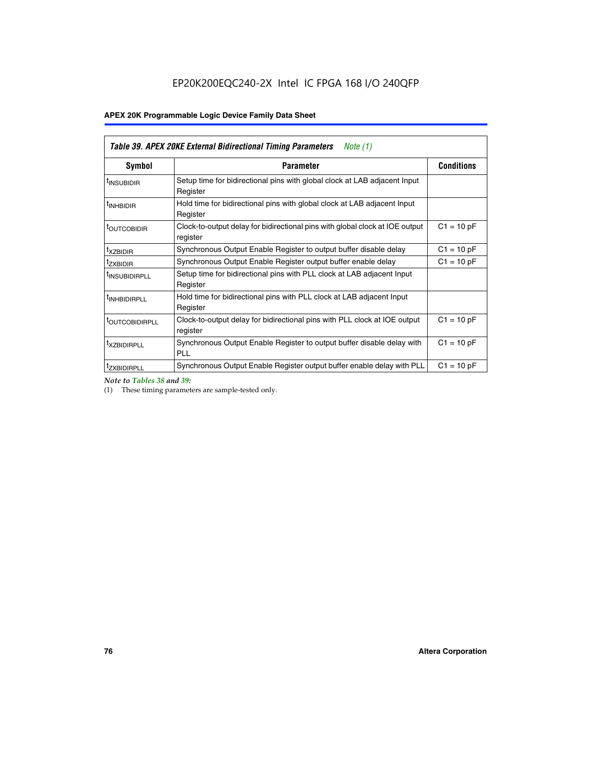| <b>Table 39. APEX 20KE External Bidirectional Timing Parameters</b><br>Note (1) |                                                                                                          |                   |  |  |  |  |
|---------------------------------------------------------------------------------|----------------------------------------------------------------------------------------------------------|-------------------|--|--|--|--|
| Symbol                                                                          | <b>Parameter</b>                                                                                         | <b>Conditions</b> |  |  |  |  |
| <sup>t</sup> INSUBIDIR                                                          | Setup time for bidirectional pins with global clock at LAB adjacent Input<br>Register                    |                   |  |  |  |  |
| <sup>t</sup> INHBIDIR                                                           | Hold time for bidirectional pins with global clock at LAB adjacent Input<br>Register                     |                   |  |  |  |  |
| <sup>t</sup> OUTCOBIDIR                                                         | $C1 = 10 pF$<br>Clock-to-output delay for bidirectional pins with global clock at IOE output<br>register |                   |  |  |  |  |
| <sup>t</sup> xzbidir                                                            | $C1 = 10 pF$<br>Synchronous Output Enable Register to output buffer disable delay                        |                   |  |  |  |  |
| <sup>t</sup> zxbidir                                                            | Synchronous Output Enable Register output buffer enable delay                                            | $C1 = 10 pF$      |  |  |  |  |
| <sup>I</sup> INSUBIDIRPLL                                                       | Setup time for bidirectional pins with PLL clock at LAB adjacent Input<br>Register                       |                   |  |  |  |  |
| <sup>t</sup> INHBIDIRPLL                                                        | Hold time for bidirectional pins with PLL clock at LAB adjacent Input<br>Register                        |                   |  |  |  |  |
| <sup>t</sup> OUTCOBIDIRPLL                                                      | Clock-to-output delay for bidirectional pins with PLL clock at IOE output<br>register                    | $C1 = 10 pF$      |  |  |  |  |
| <sup>t</sup> XZBIDIRPLL                                                         | Synchronous Output Enable Register to output buffer disable delay with<br><b>PLL</b>                     | $C1 = 10 pF$      |  |  |  |  |
| <sup>I</sup> ZXBIDIRPLL                                                         | Synchronous Output Enable Register output buffer enable delay with PLL                                   | $C1 = 10 pF$      |  |  |  |  |

*Note to Tables 38 and 39:*

(1) These timing parameters are sample-tested only.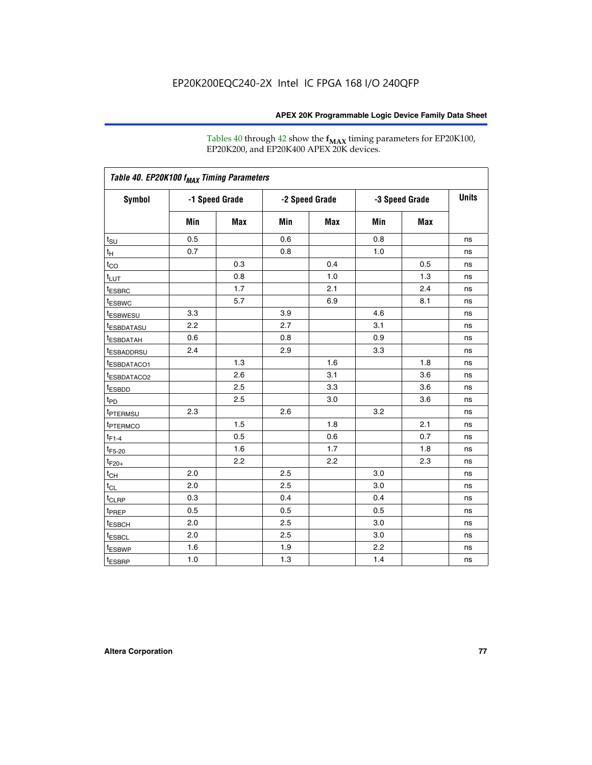Tables 40 through 42 show the **f<sub>MAX</sub>** timing parameters for EP20K100, EP20K200, and EP20K400 APEX 20K devices.

| Table 40. EP20K100 f <sub>MAX</sub> Timing Parameters |                |     |                |            |                |     |              |
|-------------------------------------------------------|----------------|-----|----------------|------------|----------------|-----|--------------|
| <b>Symbol</b>                                         | -1 Speed Grade |     | -2 Speed Grade |            | -3 Speed Grade |     | <b>Units</b> |
|                                                       | Min            | Max | Min            | <b>Max</b> | Min            | Max |              |
| $t_{\text{SU}}$                                       | 0.5            |     | 0.6            |            | 0.8            |     | ns           |
| $t_H$                                                 | 0.7            |     | 0.8            |            | 1.0            |     | ns           |
| $t_{CO}$                                              |                | 0.3 |                | 0.4        |                | 0.5 | ns           |
| $t_{LUT}$                                             |                | 0.8 |                | 1.0        |                | 1.3 | ns           |
| <sup>t</sup> ESBRC                                    |                | 1.7 |                | 2.1        |                | 2.4 | ns           |
| t <sub>ESBWC</sub>                                    |                | 5.7 |                | 6.9        |                | 8.1 | ns           |
| t <sub>ESBWESU</sub>                                  | 3.3            |     | 3.9            |            | 4.6            |     | ns           |
| <sup>t</sup> ESBDATASU                                | 2.2            |     | 2.7            |            | 3.1            |     | ns           |
| t <sub>ESBDATAH</sub>                                 | 0.6            |     | 0.8            |            | 0.9            |     | ns           |
| <sup>t</sup> ESBADDRSU                                | 2.4            |     | 2.9            |            | 3.3            |     | ns           |
| t <sub>ESBDATACO1</sub>                               |                | 1.3 |                | 1.6        |                | 1.8 | ns           |
| <sup>t</sup> ESBDATACO2                               |                | 2.6 |                | 3.1        |                | 3.6 | ns           |
| t <sub>ESBDD</sub>                                    |                | 2.5 |                | 3.3        |                | 3.6 | ns           |
| t <sub>PD</sub>                                       |                | 2.5 |                | 3.0        |                | 3.6 | ns           |
| <sup>t</sup> PTERMSU                                  | 2.3            |     | 2.6            |            | 3.2            |     | ns           |
| t <sub>PTERMCO</sub>                                  |                | 1.5 |                | 1.8        |                | 2.1 | ns           |
| $t_{F1-4}$                                            |                | 0.5 |                | 0.6        |                | 0.7 | ns           |
| $t_{F5-20}$                                           |                | 1.6 |                | 1.7        |                | 1.8 | ns           |
| $t_{F20+}$                                            |                | 2.2 |                | 2.2        |                | 2.3 | ns           |
| $t_{\mathsf{CH}}$                                     | 2.0            |     | 2.5            |            | 3.0            |     | ns           |
| $t_{CL}$                                              | 2.0            |     | 2.5            |            | 3.0            |     | ns           |
| t <sub>CLRP</sub>                                     | 0.3            |     | 0.4            |            | 0.4            |     | ns           |
| t <sub>PREP</sub>                                     | 0.5            |     | 0.5            |            | 0.5            |     | ns           |
| t <sub>ESBCH</sub>                                    | 2.0            |     | 2.5            |            | 3.0            |     | ns           |
| t <sub>ESBCL</sub>                                    | 2.0            |     | 2.5            |            | 3.0            |     | ns           |
| t <sub>ESBWP</sub>                                    | 1.6            |     | 1.9            |            | 2.2            |     | ns           |
| $t_{ESBRP}$                                           | 1.0            |     | 1.3            |            | 1.4            |     | ns           |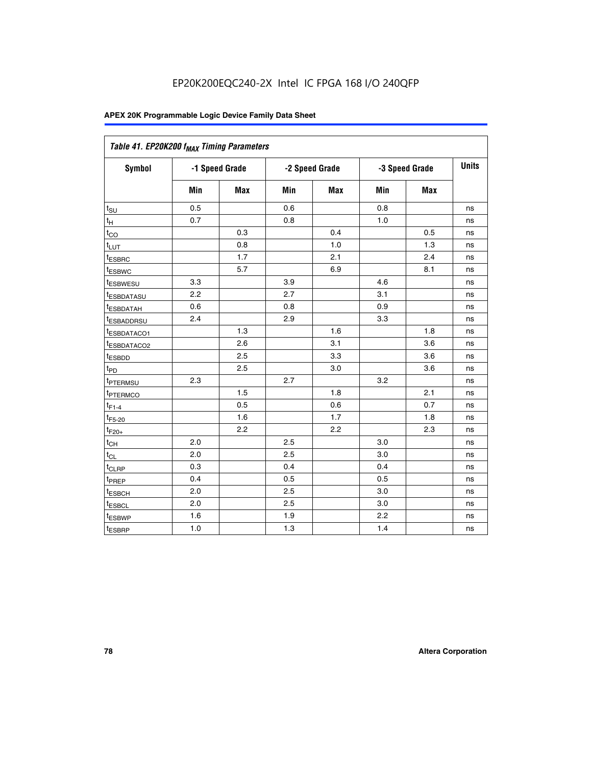| Table 41. EP20K200 f <sub>MAX</sub> Timing Parameters |                |     |     |                |     |                |    |
|-------------------------------------------------------|----------------|-----|-----|----------------|-----|----------------|----|
| <b>Symbol</b>                                         | -1 Speed Grade |     |     | -2 Speed Grade |     | -3 Speed Grade |    |
|                                                       | Min            | Max | Min | <b>Max</b>     | Min | Max            |    |
| $t_{\text{SU}}$                                       | 0.5            |     | 0.6 |                | 0.8 |                | ns |
| $t_H$                                                 | 0.7            |     | 0.8 |                | 1.0 |                | ns |
| $t_{CO}$                                              |                | 0.3 |     | 0.4            |     | 0.5            | ns |
| $t_{LUT}$                                             |                | 0.8 |     | 1.0            |     | 1.3            | ns |
| t <sub>ESBRC</sub>                                    |                | 1.7 |     | 2.1            |     | 2.4            | ns |
| t <sub>ESBWC</sub>                                    |                | 5.7 |     | 6.9            |     | 8.1            | ns |
| t <sub>ESBWESU</sub>                                  | 3.3            |     | 3.9 |                | 4.6 |                | ns |
| t <sub>esbdatasu</sub>                                | 2.2            |     | 2.7 |                | 3.1 |                | ns |
| t <sub>ESBDATAH</sub>                                 | 0.6            |     | 0.8 |                | 0.9 |                | ns |
| t <sub>ESBADDRSU</sub>                                | 2.4            |     | 2.9 |                | 3.3 |                | ns |
| <u>t<sub>ESBDATACO1</sub></u>                         |                | 1.3 |     | 1.6            |     | 1.8            | ns |
| <sup>t</sup> ESBDATACO2                               |                | 2.6 |     | 3.1            |     | 3.6            | ns |
| t <sub>ESBDD</sub>                                    |                | 2.5 |     | 3.3            |     | 3.6            | ns |
| t <sub>PD</sub>                                       |                | 2.5 |     | 3.0            |     | 3.6            | ns |
| t <sub>PTERMSU</sub>                                  | 2.3            |     | 2.7 |                | 3.2 |                | ns |
| t <sub>PTERMCO</sub>                                  |                | 1.5 |     | 1.8            |     | 2.1            | ns |
| $t_{F1-4}$                                            |                | 0.5 |     | 0.6            |     | 0.7            | ns |
| $t_{F5-20}$                                           |                | 1.6 |     | 1.7            |     | 1.8            | ns |
| $t_{F20+}$                                            |                | 2.2 |     | 2.2            |     | 2.3            | ns |
| $\textnormal{t}_{\textnormal{CH}}$                    | 2.0            |     | 2.5 |                | 3.0 |                | ns |
| $t_{CL}$                                              | 2.0            |     | 2.5 |                | 3.0 |                | ns |
| t <sub>CLRP</sub>                                     | 0.3            |     | 0.4 |                | 0.4 |                | ns |
| t <sub>PREP</sub>                                     | 0.4            |     | 0.5 |                | 0.5 |                | ns |
| t <sub>ESBCH</sub>                                    | 2.0            |     | 2.5 |                | 3.0 |                | ns |
| t <sub>ESBCL</sub>                                    | 2.0            |     | 2.5 |                | 3.0 |                | ns |
| t <sub>ESBWP</sub>                                    | 1.6            |     | 1.9 |                | 2.2 |                | ns |
| t <sub>ESBRP</sub>                                    | 1.0            |     | 1.3 |                | 1.4 |                | ns |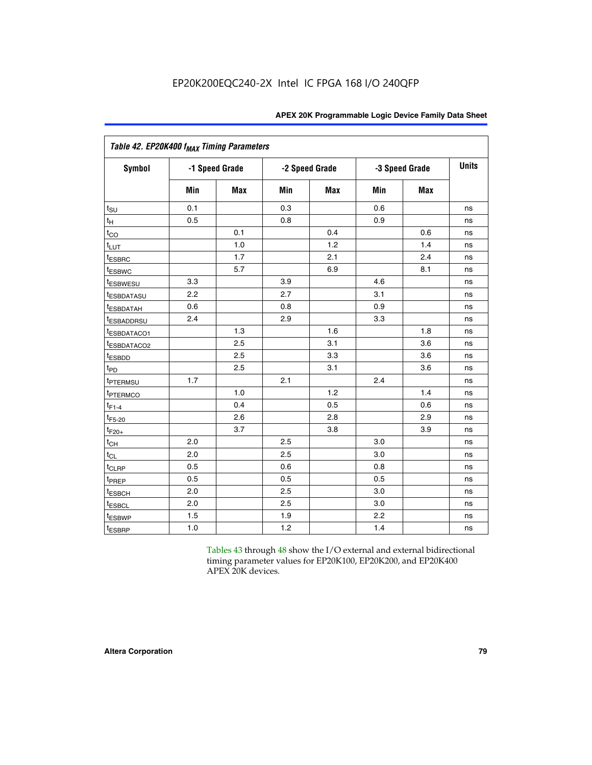|                             | Table 42. EP20K400 f <sub>MAX</sub> Timing Parameters |                |     |                |     |                |              |  |  |  |  |
|-----------------------------|-------------------------------------------------------|----------------|-----|----------------|-----|----------------|--------------|--|--|--|--|
| <b>Symbol</b>               |                                                       | -1 Speed Grade |     | -2 Speed Grade |     | -3 Speed Grade | <b>Units</b> |  |  |  |  |
|                             | Min                                                   | Max            | Min | <b>Max</b>     | Min | <b>Max</b>     |              |  |  |  |  |
| $t_{\text{SU}}$             | 0.1                                                   |                | 0.3 |                | 0.6 |                | ns           |  |  |  |  |
| $t_H$                       | 0.5                                                   |                | 0.8 |                | 0.9 |                | ns           |  |  |  |  |
| $t_{CO}$                    |                                                       | 0.1            |     | 0.4            |     | 0.6            | ns           |  |  |  |  |
| t <sub>LUT</sub>            |                                                       | 1.0            |     | 1.2            |     | 1.4            | ns           |  |  |  |  |
| t <sub>ESBRC</sub>          |                                                       | 1.7            |     | 2.1            |     | 2.4            | ns           |  |  |  |  |
| <sup>t</sup> ESBWC          |                                                       | 5.7            |     | 6.9            |     | 8.1            | ns           |  |  |  |  |
| <i>t</i> ESBWESU            | 3.3                                                   |                | 3.9 |                | 4.6 |                | ns           |  |  |  |  |
| <sup>t</sup> ESBDATASU      | 2.2                                                   |                | 2.7 |                | 3.1 |                | ns           |  |  |  |  |
| <sup>t</sup> ESBDATAH       | 0.6                                                   |                | 0.8 |                | 0.9 |                | ns           |  |  |  |  |
| <sup>t</sup> ESBADDRSU      | 2.4                                                   |                | 2.9 |                | 3.3 |                | ns           |  |  |  |  |
| t <sub>ESBDATACO1</sub>     |                                                       | 1.3            |     | 1.6            |     | 1.8            | ns           |  |  |  |  |
| <sup>t</sup> ESBDATACO2     |                                                       | 2.5            |     | 3.1            |     | 3.6            | ns           |  |  |  |  |
| t <sub>ESBDD</sub>          |                                                       | 2.5            |     | 3.3            |     | 3.6            | ns           |  |  |  |  |
| $t_{PD}$                    |                                                       | 2.5            |     | 3.1            |     | 3.6            | ns           |  |  |  |  |
| t <sub>PTERMSU</sub>        | 1.7                                                   |                | 2.1 |                | 2.4 |                | ns           |  |  |  |  |
| t <sub>PTERMCO</sub>        |                                                       | 1.0            |     | 1.2            |     | 1.4            | ns           |  |  |  |  |
| $t_{F1-4}$                  |                                                       | 0.4            |     | 0.5            |     | 0.6            | ns           |  |  |  |  |
| $t_{F5-20}$                 |                                                       | 2.6            |     | 2.8            |     | 2.9            | ns           |  |  |  |  |
| $t_{F20+}$                  |                                                       | 3.7            |     | 3.8            |     | 3.9            | ns           |  |  |  |  |
| $t_{CH}$                    | 2.0                                                   |                | 2.5 |                | 3.0 |                | ns           |  |  |  |  |
| $t_{CL}$                    | 2.0                                                   |                | 2.5 |                | 3.0 |                | ns           |  |  |  |  |
| t <sub>CLRP</sub>           | 0.5                                                   |                | 0.6 |                | 0.8 |                | ns           |  |  |  |  |
| t <sub>PREP</sub>           | 0.5                                                   |                | 0.5 |                | 0.5 |                | ns           |  |  |  |  |
| t <sub>ESBCH</sub>          | 2.0                                                   |                | 2.5 |                | 3.0 |                | ns           |  |  |  |  |
| <b><i><u>LESBCL</u></i></b> | 2.0                                                   |                | 2.5 |                | 3.0 |                | ns           |  |  |  |  |
| t <sub>ESBWP</sub>          | 1.5                                                   |                | 1.9 |                | 2.2 |                | ns           |  |  |  |  |
| t <sub>ESBRP</sub>          | 1.0                                                   |                | 1.2 |                | 1.4 |                | ns           |  |  |  |  |

Tables 43 through 48 show the I/O external and external bidirectional timing parameter values for EP20K100, EP20K200, and EP20K400 APEX 20K devices.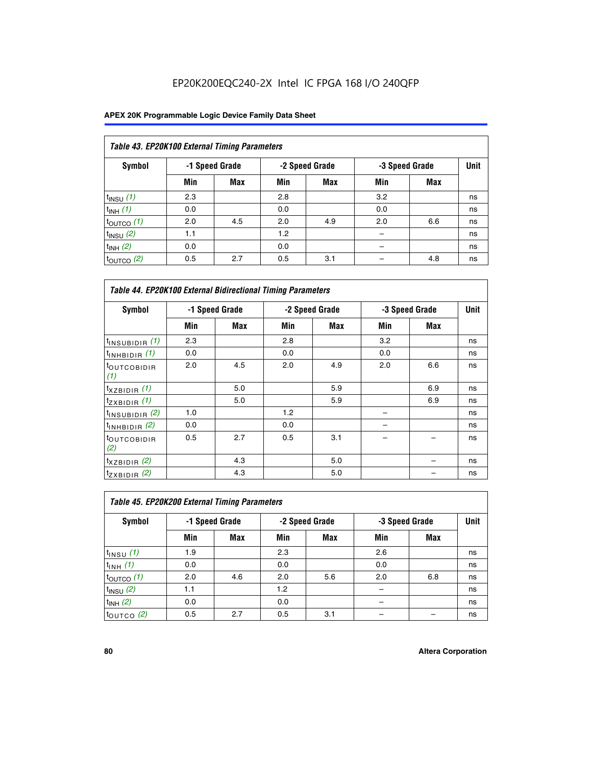| Table 43. EP20K100 External Timing Parameters |     |                |     |                |     |                |             |  |  |  |
|-----------------------------------------------|-----|----------------|-----|----------------|-----|----------------|-------------|--|--|--|
| Symbol                                        |     | -1 Speed Grade |     | -2 Speed Grade |     | -3 Speed Grade | <b>Unit</b> |  |  |  |
|                                               | Min | Max            | Min | <b>Max</b>     | Min | <b>Max</b>     |             |  |  |  |
| $t_{INSU}$ (1)                                | 2.3 |                | 2.8 |                | 3.2 |                | ns          |  |  |  |
| $t_{INH}$ (1)                                 | 0.0 |                | 0.0 |                | 0.0 |                | ns          |  |  |  |
| $t_{\text{OUTCO}}(1)$                         | 2.0 | 4.5            | 2.0 | 4.9            | 2.0 | 6.6            | ns          |  |  |  |
| $t_{INSU}(2)$                                 | 1.1 |                | 1.2 |                |     |                | ns          |  |  |  |
| $t_{INH}$ (2)                                 | 0.0 |                | 0.0 |                |     |                | ns          |  |  |  |
| $t_{\text{OUTCO}}$ (2)                        | 0.5 | 2.7            | 0.5 | 3.1            |     | 4.8            | ns          |  |  |  |

| <b>Table 44. EP20K100 External Bidirectional Timing Parameters</b> |     |                |     |                |     |                |    |
|--------------------------------------------------------------------|-----|----------------|-----|----------------|-----|----------------|----|
| Symbol                                                             |     | -1 Speed Grade |     | -2 Speed Grade |     | -3 Speed Grade |    |
|                                                                    | Min | Max            | Min | Max            | Min | Max            |    |
| $t_{\text{INSUBIDIR}}(1)$                                          | 2.3 |                | 2.8 |                | 3.2 |                | ns |
| $t_{INHBIDIR}$ (1)                                                 | 0.0 |                | 0.0 |                | 0.0 |                | ns |
| <sup>t</sup> OUTCOBIDIR<br>(1)                                     | 2.0 | 4.5            | 2.0 | 4.9            | 2.0 | 6.6            | ns |
| $t_{XZBIDIR}$ (1)                                                  |     | 5.0            |     | 5.9            |     | 6.9            | ns |
| $t_{ZXBIDIR}$ (1)                                                  |     | 5.0            |     | 5.9            |     | 6.9            | ns |
| $t_{INSUBIDIR}$ (2)                                                | 1.0 |                | 1.2 |                |     |                | ns |
| $t_{INHBIDIR}$ (2)                                                 | 0.0 |                | 0.0 |                |     |                | ns |
| <sup>t</sup> OUTCOBIDIR<br>(2)                                     | 0.5 | 2.7            | 0.5 | 3.1            |     |                | ns |
| $t_{XZBIDIR}$ (2)                                                  |     | 4.3            |     | 5.0            |     |                | ns |
| $t_{ZXBIDIR}$ (2)                                                  |     | 4.3            |     | 5.0            |     |                | ns |

| Table 45. EP20K200 External Timing Parameters |     |                |     |                |     |                |             |  |  |  |  |
|-----------------------------------------------|-----|----------------|-----|----------------|-----|----------------|-------------|--|--|--|--|
| Symbol                                        |     | -1 Speed Grade |     | -2 Speed Grade |     | -3 Speed Grade | <b>Unit</b> |  |  |  |  |
|                                               | Min | Max            | Min | <b>Max</b>     | Min | <b>Max</b>     |             |  |  |  |  |
| $t$ <sub>INSU</sub> $(1)$                     | 1.9 |                | 2.3 |                | 2.6 |                | ns          |  |  |  |  |
| $t_{INH}$ (1)                                 | 0.0 |                | 0.0 |                | 0.0 |                | ns          |  |  |  |  |
| $t_{\text{OUTCO}}(1)$                         | 2.0 | 4.6            | 2.0 | 5.6            | 2.0 | 6.8            | ns          |  |  |  |  |
| $t_{INSU}$ (2)                                | 1.1 |                | 1.2 |                |     |                | ns          |  |  |  |  |
| $t_{INH}$ (2)                                 | 0.0 |                | 0.0 |                |     |                | ns          |  |  |  |  |
| $t_{OUTCO}$ (2)                               | 0.5 | 2.7            | 0.5 | 3.1            |     |                | ns          |  |  |  |  |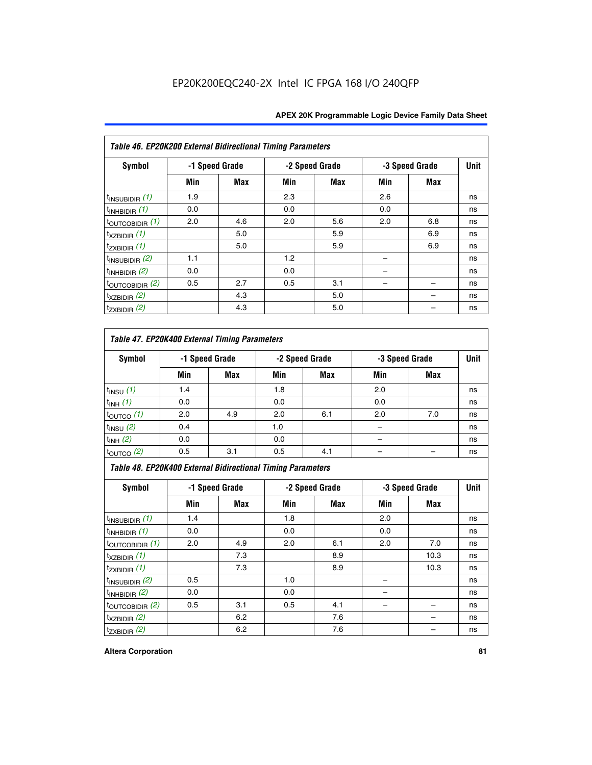| Table 46. EP20K200 External Bidirectional Timing Parameters |     |                |     |                |     |                |             |
|-------------------------------------------------------------|-----|----------------|-----|----------------|-----|----------------|-------------|
| Symbol                                                      |     | -1 Speed Grade |     | -2 Speed Grade |     | -3 Speed Grade | <b>Unit</b> |
|                                                             | Min | Max            | Min | Max            | Min | <b>Max</b>     |             |
| $t_{INSUBIDIR}$ (1)                                         | 1.9 |                | 2.3 |                | 2.6 |                | ns          |
| $t_{INHBIDIR}$ (1)                                          | 0.0 |                | 0.0 |                | 0.0 |                | ns          |
| $t_{\text{OUTCOBIDIR}}(1)$                                  | 2.0 | 4.6            | 2.0 | 5.6            | 2.0 | 6.8            | ns          |
| $t_{XZBIDIR}$ (1)                                           |     | 5.0            |     | 5.9            |     | 6.9            | ns          |
| $t_{ZXBIDIR}$ (1)                                           |     | 5.0            |     | 5.9            |     | 6.9            | ns          |
| $t_{INSUBIDIR}$ (2)                                         | 1.1 |                | 1.2 |                |     |                | ns          |
| $t_{INHBIDIR}$ (2)                                          | 0.0 |                | 0.0 |                |     |                | ns          |
| $t_{\text{OUTCOBIDIR}}(2)$                                  | 0.5 | 2.7            | 0.5 | 3.1            |     |                | ns          |
| $t_{XZBIDIR}$ (2)                                           |     | 4.3            |     | 5.0            |     |                | ns          |
| $t_{ZXBIDIR}$ (2)                                           |     | 4.3            |     | 5.0            |     |                | ns          |

## *Table 47. EP20K400 External Timing Parameters*

| Symbol                |     | -1 Speed Grade |     | -2 Speed Grade |     | -3 Speed Grade |    |
|-----------------------|-----|----------------|-----|----------------|-----|----------------|----|
|                       | Min | <b>Max</b>     | Min | <b>Max</b>     | Min | <b>Max</b>     |    |
| $t_{INSU}$ (1)        | 1.4 |                | 1.8 |                | 2.0 |                | ns |
| $t_{INH}$ (1)         | 0.0 |                | 0.0 |                | 0.0 |                | ns |
| $t_{\text{OUTCO}}(1)$ | 2.0 | 4.9            | 2.0 | 6.1            | 2.0 | 7.0            | ns |
| $t_{INSU}$ (2)        | 0.4 |                | 1.0 |                |     |                | ns |
| $t_{INH}$ (2)         | 0.0 |                | 0.0 |                |     |                | ns |
| $t_{\text{OUTCO}}(2)$ | 0.5 | 3.1            | 0.5 | 4.1            |     |                | ns |

*Table 48. EP20K400 External Bidirectional Timing Parameters*

| Symbol                      | -1 Speed Grade |     | -2 Speed Grade |     |     | -3 Speed Grade | <b>Unit</b> |
|-----------------------------|----------------|-----|----------------|-----|-----|----------------|-------------|
|                             | Min            | Max | Min            | Max | Min | <b>Max</b>     |             |
| $t_{\text{INSUBIDIR}}(1)$   | 1.4            |     | 1.8            |     | 2.0 |                | ns          |
| $t_{INHBIDIR}$ (1)          | 0.0            |     | 0.0            |     | 0.0 |                | ns          |
| $t_{\text{OUTCOBIDIR}}(1)$  | 2.0            | 4.9 | 2.0            | 6.1 | 2.0 | 7.0            | ns          |
| $t_{XZBIDIR}$ (1)           |                | 7.3 |                | 8.9 |     | 10.3           | ns          |
| $t_{ZXBIDIR}$ (1)           |                | 7.3 |                | 8.9 |     | 10.3           | ns          |
| $t_{\text{INSUBIDIR}}(2)$   | 0.5            |     | 1.0            |     |     |                | ns          |
| $t_{INHBIDIR}$ (2)          | 0.0            |     | 0.0            |     |     |                | ns          |
| $t_{\text{OUTCOBIDIR}}$ (2) | 0.5            | 3.1 | 0.5            | 4.1 |     |                | ns          |
| $t_{XZBIDIR}$ (2)           |                | 6.2 |                | 7.6 |     |                | ns          |
| $t_{ZXBIDIR}$ (2)           |                | 6.2 |                | 7.6 |     |                | ns          |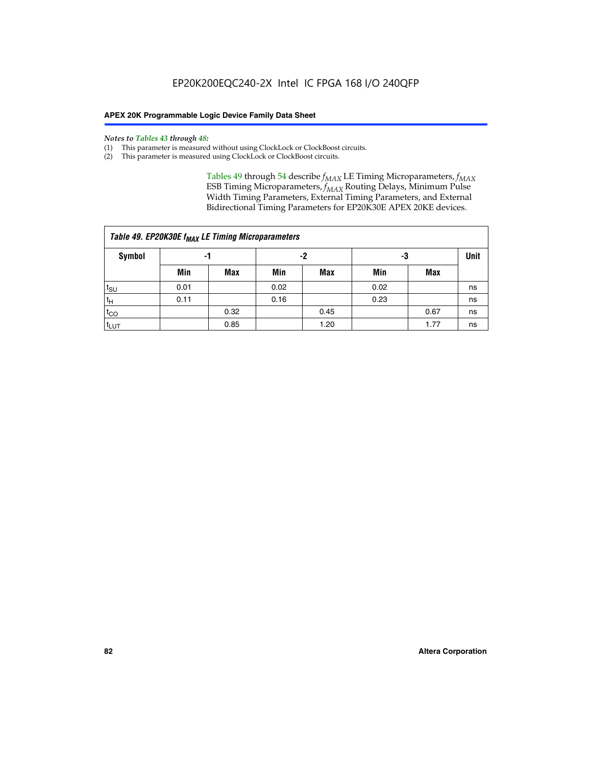#### *Notes to Tables 43 through 48:*

- (1) This parameter is measured without using ClockLock or ClockBoost circuits.
- (2) This parameter is measured using ClockLock or ClockBoost circuits.

Tables 49 through 54 describe  $f_{MAX}$  LE Timing Microparameters,  $f_{MAX}$ ESB Timing Microparameters, *f<sub>MAX</sub>* Routing Delays, Minimum Pulse Width Timing Parameters, External Timing Parameters, and External Bidirectional Timing Parameters for EP20K30E APEX 20KE devices.

| Table 49. EP20K30E f <sub>MAX</sub> LE Timing Microparameters |      |      |      |            |      |      |    |  |  |  |  |
|---------------------------------------------------------------|------|------|------|------------|------|------|----|--|--|--|--|
| <b>Symbol</b>                                                 |      | -1   |      | -2         |      | -3   |    |  |  |  |  |
|                                                               | Min  | Max  | Min  | <b>Max</b> | Min  | Max  |    |  |  |  |  |
| t <sub>SU</sub>                                               | 0.01 |      | 0.02 |            | 0.02 |      | ns |  |  |  |  |
| $t_H$                                                         | 0.11 |      | 0.16 |            | 0.23 |      | ns |  |  |  |  |
| $t_{CO}$                                                      |      | 0.32 |      | 0.45       |      | 0.67 | ns |  |  |  |  |
| t <sub>LUT</sub>                                              |      | 0.85 |      | 1.20       |      | 1.77 | ns |  |  |  |  |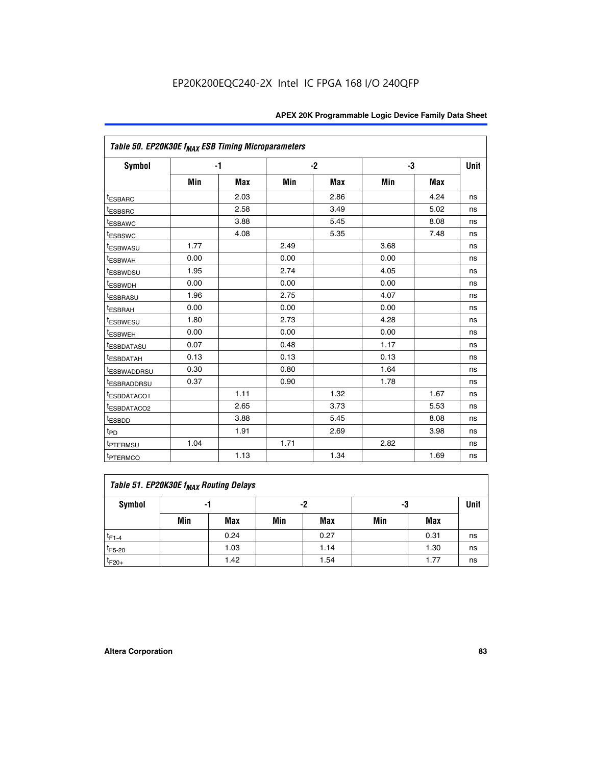| Table 50. EP20K30E f <sub>MAX</sub> ESB Timing Microparameters |      |            |      |            |      |            |             |
|----------------------------------------------------------------|------|------------|------|------------|------|------------|-------------|
| Symbol                                                         |      | $-1$       |      | $-2$       |      | -3         | <b>Unit</b> |
|                                                                | Min  | <b>Max</b> | Min  | <b>Max</b> | Min  | <b>Max</b> |             |
| <sup>t</sup> ESBARC                                            |      | 2.03       |      | 2.86       |      | 4.24       | ns          |
| <sup>t</sup> ESBSRC                                            |      | 2.58       |      | 3.49       |      | 5.02       | ns          |
| <sup>t</sup> ESBAWC                                            |      | 3.88       |      | 5.45       |      | 8.08       | ns          |
| t <sub>ESBSWC</sub>                                            |      | 4.08       |      | 5.35       |      | 7.48       | ns          |
| <sup>t</sup> ESBWASU                                           | 1.77 |            | 2.49 |            | 3.68 |            | ns          |
| <sup>t</sup> ESBWAH                                            | 0.00 |            | 0.00 |            | 0.00 |            | ns          |
| <sup>t</sup> ESBWDSU                                           | 1.95 |            | 2.74 |            | 4.05 |            | ns          |
| <sup>t</sup> ESBWDH                                            | 0.00 |            | 0.00 |            | 0.00 |            | ns          |
| <sup>t</sup> ESBRASU                                           | 1.96 |            | 2.75 |            | 4.07 |            | ns          |
| <sup>t</sup> ESBRAH                                            | 0.00 |            | 0.00 |            | 0.00 |            | ns          |
| <i>t</i> <sub>ESBWESU</sub>                                    | 1.80 |            | 2.73 |            | 4.28 |            | ns          |
| <sup>I</sup> ESBWEH                                            | 0.00 |            | 0.00 |            | 0.00 |            | ns          |
| t <sub>ESBDATASU</sub>                                         | 0.07 |            | 0.48 |            | 1.17 |            | ns          |
| <sup>t</sup> ESBDATAH                                          | 0.13 |            | 0.13 |            | 0.13 |            | ns          |
| <sup>t</sup> ESBWADDRSU                                        | 0.30 |            | 0.80 |            | 1.64 |            | ns          |
| <sup>I</sup> ESBRADDRSU                                        | 0.37 |            | 0.90 |            | 1.78 |            | ns          |
| ESBDATACO1                                                     |      | 1.11       |      | 1.32       |      | 1.67       | ns          |
| <sup>t</sup> ESBDATACO2                                        |      | 2.65       |      | 3.73       |      | 5.53       | ns          |
| <sup>t</sup> ESBDD                                             |      | 3.88       |      | 5.45       |      | 8.08       | ns          |
| t <sub>PD</sub>                                                |      | 1.91       |      | 2.69       |      | 3.98       | ns          |
| <sup>t</sup> PTERMSU                                           | 1.04 |            | 1.71 |            | 2.82 |            | ns          |
| t <sub>PTERMCO</sub>                                           |      | 1.13       |      | 1.34       |      | 1.69       | ns          |

## **Table 51. EP20K30E f<sub>MAX</sub> Routing Delays**

| Symbol      | - 1 |            | -2  |            | -3  |      | Unit |
|-------------|-----|------------|-----|------------|-----|------|------|
|             | Min | <b>Max</b> | Min | <b>Max</b> | Min | Max  |      |
| $t_{F1-4}$  |     | 0.24       |     | 0.27       |     | 0.31 | ns   |
| $t_{F5-20}$ |     | 1.03       |     | 1.14       |     | 1.30 | ns   |
| $t_{F20+}$  |     | 1.42       |     | 1.54       |     | 1.77 | ns   |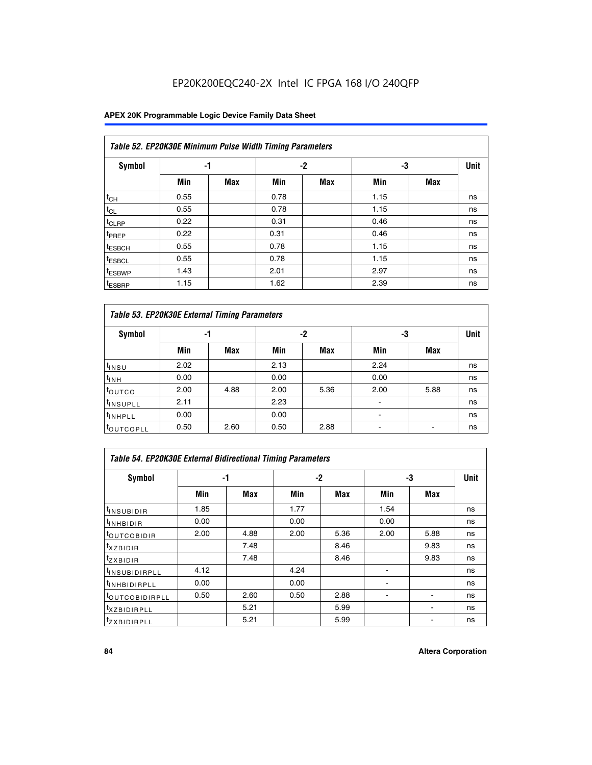### **APEX 20K Programmable Logic Device Family Data Sheet**

|                    | Table 52. EP20K30E Minimum Pulse Width Timing Parameters |            |      |            |      |     |    |  |  |  |  |  |
|--------------------|----------------------------------------------------------|------------|------|------------|------|-----|----|--|--|--|--|--|
| <b>Symbol</b>      | -1                                                       |            |      | -2         | -3   |     |    |  |  |  |  |  |
|                    | Min                                                      | <b>Max</b> | Min  | <b>Max</b> | Min  | Max |    |  |  |  |  |  |
| $t_{CH}$           | 0.55                                                     |            | 0.78 |            | 1.15 |     | ns |  |  |  |  |  |
| $t_{CL}$           | 0.55                                                     |            | 0.78 |            | 1.15 |     | ns |  |  |  |  |  |
| t <sub>CLRP</sub>  | 0.22                                                     |            | 0.31 |            | 0.46 |     | ns |  |  |  |  |  |
| <sup>t</sup> PREP  | 0.22                                                     |            | 0.31 |            | 0.46 |     | ns |  |  |  |  |  |
| <sup>t</sup> ESBCH | 0.55                                                     |            | 0.78 |            | 1.15 |     | ns |  |  |  |  |  |
| <sup>t</sup> ESBCL | 0.55                                                     |            | 0.78 |            | 1.15 |     | ns |  |  |  |  |  |
| <sup>t</sup> ESBWP | 1.43                                                     |            | 2.01 |            | 2.97 |     | ns |  |  |  |  |  |
| <sup>t</sup> ESBRP | 1.15                                                     |            | 1.62 |            | 2.39 |     | ns |  |  |  |  |  |

| Table 53. EP20K30E External Timing Parameters |      |            |      |            |                |            |             |  |  |  |  |
|-----------------------------------------------|------|------------|------|------------|----------------|------------|-------------|--|--|--|--|
| <b>Symbol</b>                                 | -1   |            |      | -2         |                | -3         | <b>Unit</b> |  |  |  |  |
|                                               | Min  | <b>Max</b> | Min  | <b>Max</b> | Min            | <b>Max</b> |             |  |  |  |  |
| t <sub>INSU</sub>                             | 2.02 |            | 2.13 |            | 2.24           |            | ns          |  |  |  |  |
| $t_{\text{INH}}$                              | 0.00 |            | 0.00 |            | 0.00           |            | ns          |  |  |  |  |
| toutco                                        | 2.00 | 4.88       | 2.00 | 5.36       | 2.00           | 5.88       | ns          |  |  |  |  |
| <sup>t</sup> INSUPLL                          | 2.11 |            | 2.23 |            |                |            | ns          |  |  |  |  |
| <sup>t</sup> INHPLL                           | 0.00 |            | 0.00 |            | $\blacksquare$ |            | ns          |  |  |  |  |
| <b>LOUTCOPLL</b>                              | 0.50 | 2.60       | 0.50 | 2.88       |                |            | ns          |  |  |  |  |

| Table 54. EP20K30E External Bidirectional Timing Parameters |      |      |      |      |                          |      |             |  |  |  |  |
|-------------------------------------------------------------|------|------|------|------|--------------------------|------|-------------|--|--|--|--|
| Symbol                                                      |      | -1   |      | $-2$ |                          | -3   | <b>Unit</b> |  |  |  |  |
|                                                             | Min  | Max  | Min  | Max  | Min                      | Max  |             |  |  |  |  |
| <sup>t</sup> INSUBIDIR                                      | 1.85 |      | 1.77 |      | 1.54                     |      | ns          |  |  |  |  |
| <b>INHBIDIR</b>                                             | 0.00 |      | 0.00 |      | 0.00                     |      | ns          |  |  |  |  |
| <b>LOUTCOBIDIR</b>                                          | 2.00 | 4.88 | 2.00 | 5.36 | 2.00                     | 5.88 | ns          |  |  |  |  |
| <sup>T</sup> XZBIDIR                                        |      | 7.48 |      | 8.46 |                          | 9.83 | ns          |  |  |  |  |
| <sup>t</sup> zxbidir                                        |      | 7.48 |      | 8.46 |                          | 9.83 | ns          |  |  |  |  |
| <sup>I</sup> INSUBIDIRPLL                                   | 4.12 |      | 4.24 |      | $\overline{\phantom{0}}$ |      | ns          |  |  |  |  |
| <b>INHBIDIRPLL</b>                                          | 0.00 |      | 0.00 |      |                          |      | ns          |  |  |  |  |
| <b><i>COUTCOBIDIRPLL</i></b>                                | 0.50 | 2.60 | 0.50 | 2.88 |                          |      | ns          |  |  |  |  |
| <sup>I</sup> XZBIDIRPLL                                     |      | 5.21 |      | 5.99 |                          |      | ns          |  |  |  |  |
| <sup>I</sup> ZXBIDIRPLL                                     |      | 5.21 |      | 5.99 |                          |      | ns          |  |  |  |  |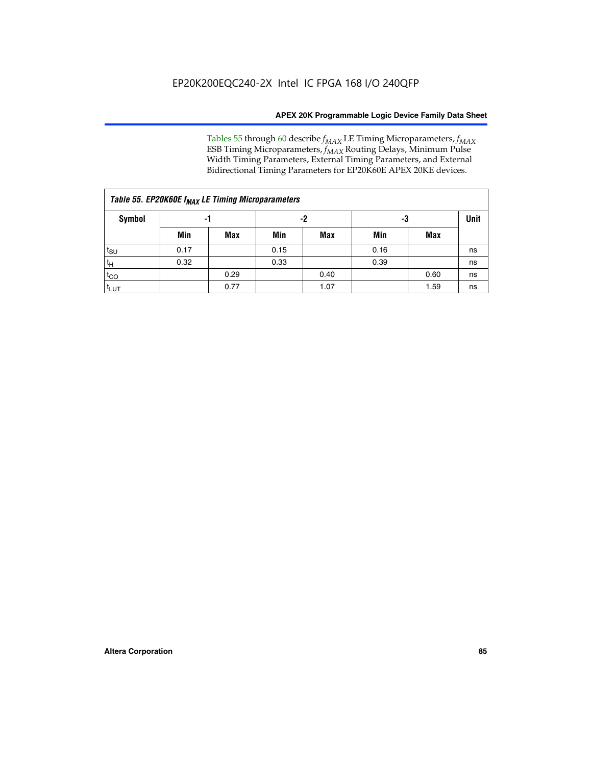Tables 55 through 60 describe *f<sub>MAX</sub>* LE Timing Microparameters, *f<sub>MAX</sub>* ESB Timing Microparameters, *f<sub>MAX</sub>* Routing Delays, Minimum Pulse Width Timing Parameters, External Timing Parameters, and External Bidirectional Timing Parameters for EP20K60E APEX 20KE devices.

| Table 55. EP20K60E f <sub>MAX</sub> LE Timing Microparameters |      |      |      |      |      |             |    |  |  |  |  |
|---------------------------------------------------------------|------|------|------|------|------|-------------|----|--|--|--|--|
| <b>Symbol</b>                                                 |      | -1   |      | -2   | -3   | <b>Unit</b> |    |  |  |  |  |
|                                                               | Min  | Max  | Min  | Max  | Min  | Max         |    |  |  |  |  |
| $t_{\text{SU}}$                                               | 0.17 |      | 0.15 |      | 0.16 |             | ns |  |  |  |  |
| $t_H$                                                         | 0.32 |      | 0.33 |      | 0.39 |             | ns |  |  |  |  |
| $t_{CO}$                                                      |      | 0.29 |      | 0.40 |      | 0.60        | ns |  |  |  |  |
| t <sub>lut</sub>                                              |      | 0.77 |      | 1.07 |      | 1.59        | ns |  |  |  |  |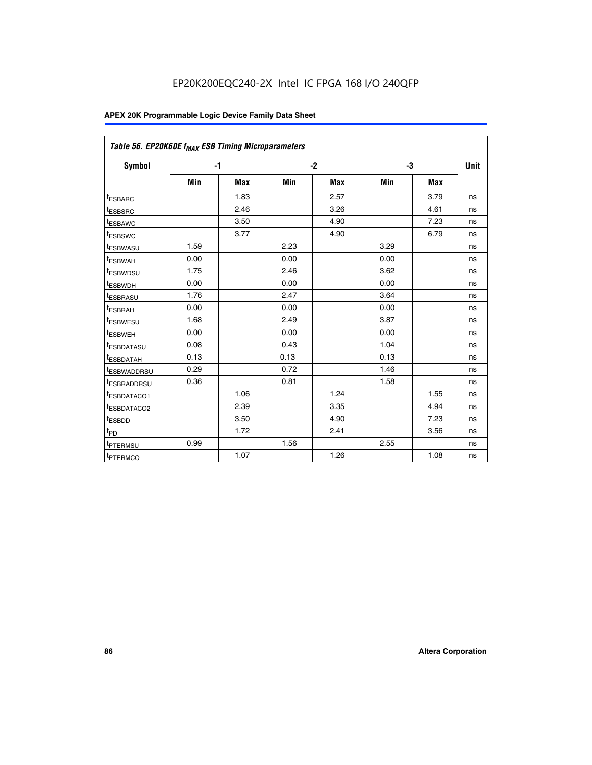| Table 56. EP20K60E f <sub>MAX</sub> ESB Timing Microparameters |      |            |      |            |      |            |             |
|----------------------------------------------------------------|------|------------|------|------------|------|------------|-------------|
| <b>Symbol</b>                                                  |      | $-1$       |      | $-2$       |      | -3         | <b>Unit</b> |
|                                                                | Min  | <b>Max</b> | Min  | <b>Max</b> | Min  | <b>Max</b> |             |
| <sup>t</sup> ESBARC                                            |      | 1.83       |      | 2.57       |      | 3.79       | ns          |
| t <sub>ESBSRC</sub>                                            |      | 2.46       |      | 3.26       |      | 4.61       | ns          |
| t <sub>ESBAWC</sub>                                            |      | 3.50       |      | 4.90       |      | 7.23       | ns          |
| <sup>t</sup> ESBSWC                                            |      | 3.77       |      | 4.90       |      | 6.79       | ns          |
| t <sub>ESBWASU</sub>                                           | 1.59 |            | 2.23 |            | 3.29 |            | ns          |
| <sup>t</sup> ESBWAH                                            | 0.00 |            | 0.00 |            | 0.00 |            | ns          |
| t <sub>ESBWDSU</sub>                                           | 1.75 |            | 2.46 |            | 3.62 |            | ns          |
| t <sub>ESBWDH</sub>                                            | 0.00 |            | 0.00 |            | 0.00 |            | ns          |
| t <sub>ESBRASU</sub>                                           | 1.76 |            | 2.47 |            | 3.64 |            | ns          |
| <sup>t</sup> ESBRAH                                            | 0.00 |            | 0.00 |            | 0.00 |            | ns          |
| t <sub>ESBWESU</sub>                                           | 1.68 |            | 2.49 |            | 3.87 |            | ns          |
| <sup>t</sup> ESBWEH                                            | 0.00 |            | 0.00 |            | 0.00 |            | ns          |
| <sup>t</sup> ESBDATASU                                         | 0.08 |            | 0.43 |            | 1.04 |            | ns          |
| <sup>t</sup> ESBDATAH                                          | 0.13 |            | 0.13 |            | 0.13 |            | ns          |
| <sup>t</sup> ESBWADDRSU                                        | 0.29 |            | 0.72 |            | 1.46 |            | ns          |
| <sup>t</sup> ESBRADDRSU                                        | 0.36 |            | 0.81 |            | 1.58 |            | ns          |
| t <sub>ESBDATACO1</sub>                                        |      | 1.06       |      | 1.24       |      | 1.55       | ns          |
| <sup>t</sup> ESBDATACO2                                        |      | 2.39       |      | 3.35       |      | 4.94       | ns          |
| <sup>t</sup> ESBDD                                             |      | 3.50       |      | 4.90       |      | 7.23       | ns          |
| t <sub>PD</sub>                                                |      | 1.72       |      | 2.41       |      | 3.56       | ns          |
| <sup>t</sup> PTERMSU                                           | 0.99 |            | 1.56 |            | 2.55 |            | ns          |
| t <sub>PTERMCO</sub>                                           |      | 1.07       |      | 1.26       |      | 1.08       | ns          |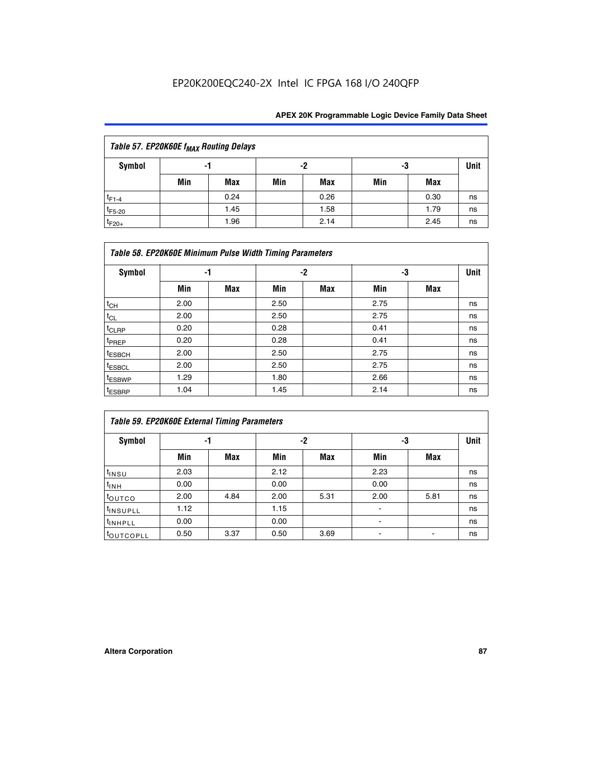| Table 57. EP20K60E f <sub>MAX</sub> Routing Delays |     |      |     |      |     |      |             |  |  |  |
|----------------------------------------------------|-----|------|-----|------|-----|------|-------------|--|--|--|
| Symbol                                             |     | -1   |     | -2   |     | -3   | <b>Unit</b> |  |  |  |
|                                                    | Min | Max  | Min | Max  | Min | Max  |             |  |  |  |
| $t_{F1-4}$                                         |     | 0.24 |     | 0.26 |     | 0.30 | ns          |  |  |  |
| $t_{F5-20}$                                        |     | 1.45 |     | 1.58 |     | 1.79 | ns          |  |  |  |
| $t_{F20+}$                                         |     | 1.96 |     | 2.14 |     | 2.45 | ns          |  |  |  |

|                    | Table 58. EP20K60E Minimum Pulse Width Timing Parameters |            |      |     |      |     |             |  |  |  |  |  |
|--------------------|----------------------------------------------------------|------------|------|-----|------|-----|-------------|--|--|--|--|--|
| Symbol             | -1                                                       |            |      | -2  |      | -3  | <b>Unit</b> |  |  |  |  |  |
|                    | Min                                                      | <b>Max</b> | Min  | Max | Min  | Max |             |  |  |  |  |  |
| $t_{CH}$           | 2.00                                                     |            | 2.50 |     | 2.75 |     | ns          |  |  |  |  |  |
| $t_{CL}$           | 2.00                                                     |            | 2.50 |     | 2.75 |     | ns          |  |  |  |  |  |
| $t_{CLRP}$         | 0.20                                                     |            | 0.28 |     | 0.41 |     | ns          |  |  |  |  |  |
| t <sub>PREP</sub>  | 0.20                                                     |            | 0.28 |     | 0.41 |     | ns          |  |  |  |  |  |
| <sup>t</sup> ESBCH | 2.00                                                     |            | 2.50 |     | 2.75 |     | ns          |  |  |  |  |  |
| <sup>t</sup> ESBCL | 2.00                                                     |            | 2.50 |     | 2.75 |     | ns          |  |  |  |  |  |
| <sup>t</sup> ESBWP | 1.29                                                     |            | 1.80 |     | 2.66 |     | ns          |  |  |  |  |  |
| <sup>t</sup> ESBRP | 1.04                                                     |            | 1.45 |     | 2.14 |     | ns          |  |  |  |  |  |

|                      | <b>Table 59. EP20K60E External Timing Parameters</b> |      |      |      |      |      |      |  |  |  |  |  |
|----------------------|------------------------------------------------------|------|------|------|------|------|------|--|--|--|--|--|
| Symbol               | -1                                                   |      |      | -2   | -3   |      | Unit |  |  |  |  |  |
|                      | Min                                                  | Max  | Min  | Max  | Min  | Max  |      |  |  |  |  |  |
| $t_{INSU}$           | 2.03                                                 |      | 2.12 |      | 2.23 |      | ns   |  |  |  |  |  |
| $t_{INH}$            | 0.00                                                 |      | 0.00 |      | 0.00 |      | ns   |  |  |  |  |  |
| toutco               | 2.00                                                 | 4.84 | 2.00 | 5.31 | 2.00 | 5.81 | ns   |  |  |  |  |  |
| <sup>t</sup> INSUPLL | 1.12                                                 |      | 1.15 |      | ۰    |      | ns   |  |  |  |  |  |
| <sup>t</sup> INHPLL  | 0.00                                                 |      | 0.00 |      | ۰    |      | ns   |  |  |  |  |  |
| <b>COUTCOPLL</b>     | 0.50                                                 | 3.37 | 0.50 | 3.69 |      |      | ns   |  |  |  |  |  |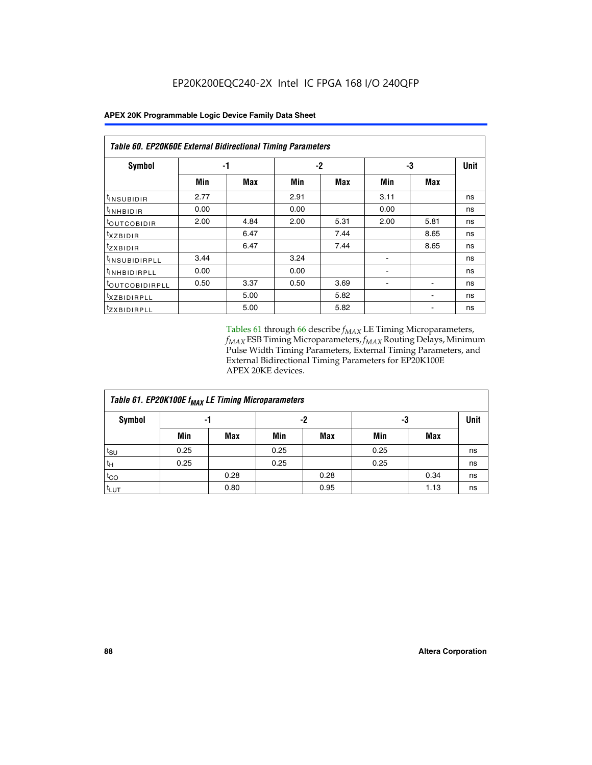| <b>Table 60. EP20K60E External Bidirectional Timing Parameters</b> |      |      |      |            |      |            |             |  |  |  |  |
|--------------------------------------------------------------------|------|------|------|------------|------|------------|-------------|--|--|--|--|
| Symbol                                                             |      | -1   |      | $-2$       |      | -3         | <b>Unit</b> |  |  |  |  |
|                                                                    | Min  | Max  | Min  | <b>Max</b> | Min  | <b>Max</b> |             |  |  |  |  |
| t <sub>INSUBIDIR</sub>                                             | 2.77 |      | 2.91 |            | 3.11 |            | ns          |  |  |  |  |
| <sup>t</sup> inhbidir                                              | 0.00 |      | 0.00 |            | 0.00 |            | ns          |  |  |  |  |
| <sup>t</sup> OUTCOBIDIR                                            | 2.00 | 4.84 | 2.00 | 5.31       | 2.00 | 5.81       | ns          |  |  |  |  |
| $t_{XZBIDIR}$                                                      |      | 6.47 |      | 7.44       |      | 8.65       | ns          |  |  |  |  |
| tzxbidir                                                           |      | 6.47 |      | 7.44       |      | 8.65       | ns          |  |  |  |  |
| <sup>t</sup> INSUBIDIRPLL                                          | 3.44 |      | 3.24 |            |      |            | ns          |  |  |  |  |
| <sup>t</sup> INHBIDIRPLL                                           | 0.00 |      | 0.00 |            |      |            | ns          |  |  |  |  |
| <b>COUTCOBIDIRPLL</b>                                              | 0.50 | 3.37 | 0.50 | 3.69       |      |            | ns          |  |  |  |  |
| <sup>t</sup> xzbidirpll                                            |      | 5.00 |      | 5.82       |      |            | ns          |  |  |  |  |
| <sup>t</sup> zxbidirpll                                            |      | 5.00 |      | 5.82       |      |            | ns          |  |  |  |  |

Tables 61 through 66 describe  $f_{MAX}$  LE Timing Microparameters, *fMAX* ESB Timing Microparameters, *fMAX* Routing Delays, Minimum Pulse Width Timing Parameters, External Timing Parameters, and External Bidirectional Timing Parameters for EP20K100E APEX 20KE devices.

| Table 61. EP20K100E f <sub>MAX</sub> LE Timing Microparameters |      |      |      |            |      |            |             |  |  |  |  |
|----------------------------------------------------------------|------|------|------|------------|------|------------|-------------|--|--|--|--|
| <b>Symbol</b>                                                  |      | -1   |      | -2         |      | -3         | <b>Unit</b> |  |  |  |  |
|                                                                | Min  | Max  | Min  | <b>Max</b> | Min  | <b>Max</b> |             |  |  |  |  |
| t <sub>SU</sub>                                                | 0.25 |      | 0.25 |            | 0.25 |            | ns          |  |  |  |  |
| tμ                                                             | 0.25 |      | 0.25 |            | 0.25 |            | ns          |  |  |  |  |
| $t_{CO}$                                                       |      | 0.28 |      | 0.28       |      | 0.34       | ns          |  |  |  |  |
| t <sub>LUT</sub>                                               |      | 0.80 |      | 0.95       |      | 1.13       | ns          |  |  |  |  |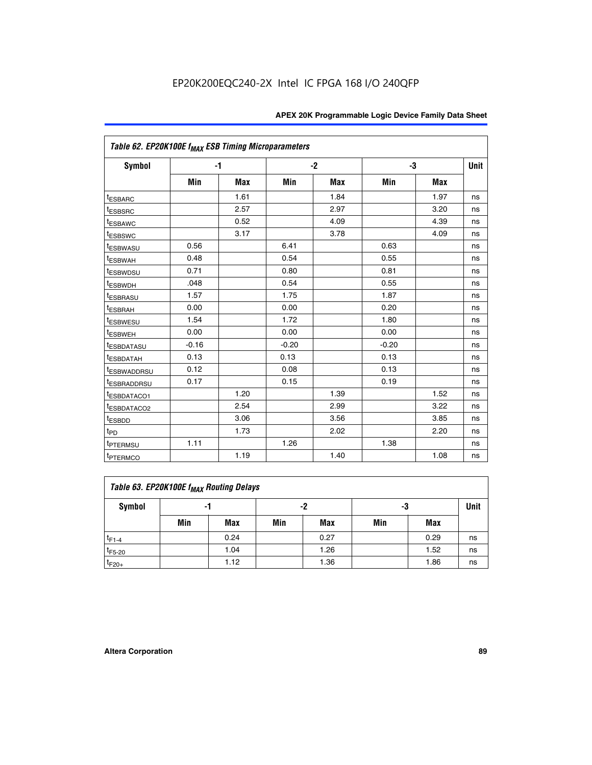|                         | Table 62. EP20K100E f <sub>MAX</sub> ESB Timing Microparameters |            |         |      |         |            |             |  |  |  |  |
|-------------------------|-----------------------------------------------------------------|------------|---------|------|---------|------------|-------------|--|--|--|--|
| <b>Symbol</b>           | $-1$                                                            |            |         | $-2$ |         | -3         | <b>Unit</b> |  |  |  |  |
|                         | Min                                                             | <b>Max</b> | Min     | Max  | Min     | <b>Max</b> |             |  |  |  |  |
| <sup>t</sup> ESBARC     |                                                                 | 1.61       |         | 1.84 |         | 1.97       | ns          |  |  |  |  |
| <sup>t</sup> ESBSRC     |                                                                 | 2.57       |         | 2.97 |         | 3.20       | ns          |  |  |  |  |
| <sup>t</sup> ESBAWC     |                                                                 | 0.52       |         | 4.09 |         | 4.39       | ns          |  |  |  |  |
| <sup>t</sup> ESBSWC     |                                                                 | 3.17       |         | 3.78 |         | 4.09       | ns          |  |  |  |  |
| <sup>t</sup> ESBWASU    | 0.56                                                            |            | 6.41    |      | 0.63    |            | ns          |  |  |  |  |
| <sup>t</sup> ESBWAH     | 0.48                                                            |            | 0.54    |      | 0.55    |            | ns          |  |  |  |  |
| <sup>t</sup> ESBWDSU    | 0.71                                                            |            | 0.80    |      | 0.81    |            | ns          |  |  |  |  |
| t <sub>ESBWDH</sub>     | .048                                                            |            | 0.54    |      | 0.55    |            | ns          |  |  |  |  |
| <sup>t</sup> ESBRASU    | 1.57                                                            |            | 1.75    |      | 1.87    |            | ns          |  |  |  |  |
| t <sub>ESBRAH</sub>     | 0.00                                                            |            | 0.00    |      | 0.20    |            | ns          |  |  |  |  |
| <b>ESBWESU</b>          | 1.54                                                            |            | 1.72    |      | 1.80    |            | ns          |  |  |  |  |
| t <sub>ESBWEH</sub>     | 0.00                                                            |            | 0.00    |      | 0.00    |            | ns          |  |  |  |  |
| <sup>t</sup> ESBDATASU  | $-0.16$                                                         |            | $-0.20$ |      | $-0.20$ |            | ns          |  |  |  |  |
| <sup>t</sup> ESBDATAH   | 0.13                                                            |            | 0.13    |      | 0.13    |            | ns          |  |  |  |  |
| <sup>t</sup> ESBWADDRSU | 0.12                                                            |            | 0.08    |      | 0.13    |            | ns          |  |  |  |  |
| <sup>t</sup> ESBRADDRSU | 0.17                                                            |            | 0.15    |      | 0.19    |            | ns          |  |  |  |  |
| ESBDATACO1              |                                                                 | 1.20       |         | 1.39 |         | 1.52       | ns          |  |  |  |  |
| <sup>t</sup> ESBDATACO2 |                                                                 | 2.54       |         | 2.99 |         | 3.22       | ns          |  |  |  |  |
| <sup>t</sup> ESBDD      |                                                                 | 3.06       |         | 3.56 |         | 3.85       | ns          |  |  |  |  |
| t <sub>PD</sub>         |                                                                 | 1.73       |         | 2.02 |         | 2.20       | ns          |  |  |  |  |
| t <sub>PTERMSU</sub>    | 1.11                                                            |            | 1.26    |      | 1.38    |            | ns          |  |  |  |  |
| <sup>t</sup> PTERMCO    |                                                                 | 1.19       |         | 1.40 |         | 1.08       | ns          |  |  |  |  |

| Table 63. EP20K100E f <sub>MAX</sub> Routing Delays |                |      |     |            |     |      |             |  |  |  |
|-----------------------------------------------------|----------------|------|-----|------------|-----|------|-------------|--|--|--|
| Symbol                                              | -2<br>-3<br>-1 |      |     |            |     |      | <b>Unit</b> |  |  |  |
|                                                     | Min            | Max  | Min | <b>Max</b> | Min | Max  |             |  |  |  |
| $t_{F1-4}$                                          |                | 0.24 |     | 0.27       |     | 0.29 | ns          |  |  |  |
| $t_{F5-20}$                                         |                | 1.04 |     | 1.26       |     | 1.52 | ns          |  |  |  |
| $t_{F20+}$                                          |                | 1.12 |     | 1.36       |     | 1.86 | ns          |  |  |  |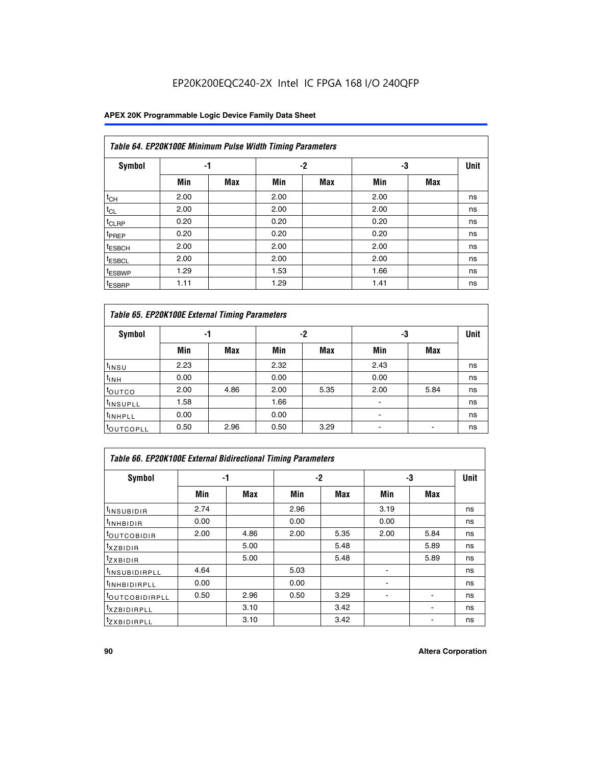|                    | Table 64. EP20K100E Minimum Pulse Width Timing Parameters |            |      |            |      |            |             |  |  |  |  |  |
|--------------------|-----------------------------------------------------------|------------|------|------------|------|------------|-------------|--|--|--|--|--|
| <b>Symbol</b>      | -1                                                        |            |      | $-2$       | -3   |            | <b>Unit</b> |  |  |  |  |  |
|                    | Min                                                       | <b>Max</b> | Min  | <b>Max</b> | Min  | <b>Max</b> |             |  |  |  |  |  |
| $t_{CH}$           | 2.00                                                      |            | 2.00 |            | 2.00 |            | ns          |  |  |  |  |  |
| $t_{CL}$           | 2.00                                                      |            | 2.00 |            | 2.00 |            | ns          |  |  |  |  |  |
| t <sub>CLRP</sub>  | 0.20                                                      |            | 0.20 |            | 0.20 |            | ns          |  |  |  |  |  |
| t <sub>PREP</sub>  | 0.20                                                      |            | 0.20 |            | 0.20 |            | ns          |  |  |  |  |  |
| <sup>t</sup> ESBCH | 2.00                                                      |            | 2.00 |            | 2.00 |            | ns          |  |  |  |  |  |
| <sup>t</sup> ESBCL | 2.00                                                      |            | 2.00 |            | 2.00 |            | ns          |  |  |  |  |  |
| <sup>t</sup> ESBWP | 1.29                                                      |            | 1.53 |            | 1.66 |            | ns          |  |  |  |  |  |
| <sup>t</sup> ESBRP | 1.11                                                      |            | 1.29 |            | 1.41 |            | ns          |  |  |  |  |  |

|                      | Table 65. EP20K100E External Timing Parameters |            |      |            |                |            |    |  |  |  |  |  |
|----------------------|------------------------------------------------|------------|------|------------|----------------|------------|----|--|--|--|--|--|
| <b>Symbol</b>        | -1                                             |            |      | -2         |                | -3         |    |  |  |  |  |  |
|                      | Min                                            | <b>Max</b> | Min  | <b>Max</b> | Min            | <b>Max</b> |    |  |  |  |  |  |
| $t_{INSU}$           | 2.23                                           |            | 2.32 |            | 2.43           |            | ns |  |  |  |  |  |
| $t_{\rm INH}$        | 0.00                                           |            | 0.00 |            | 0.00           |            | ns |  |  |  |  |  |
| toutco               | 2.00                                           | 4.86       | 2.00 | 5.35       | 2.00           | 5.84       | ns |  |  |  |  |  |
| <sup>t</sup> INSUPLL | 1.58                                           |            | 1.66 |            |                |            | ns |  |  |  |  |  |
| <sup>t</sup> INHPLL  | 0.00                                           |            | 0.00 |            | $\blacksquare$ |            | ns |  |  |  |  |  |
| <b>LOUTCOPLL</b>     | 0.50                                           | 2.96       | 0.50 | 3.29       | -              |            | ns |  |  |  |  |  |

| <b>Table 66. EP20K100E External Bidirectional Timing Parameters</b> |      |      |      |      |      |      |             |  |  |  |
|---------------------------------------------------------------------|------|------|------|------|------|------|-------------|--|--|--|
| Symbol                                                              | -1   |      | -2   |      | -3   |      | <b>Unit</b> |  |  |  |
|                                                                     | Min  | Max  | Min  | Max  | Min  | Max  |             |  |  |  |
| <sup>t</sup> INSUBIDIR                                              | 2.74 |      | 2.96 |      | 3.19 |      | ns          |  |  |  |
| <sup>t</sup> INHBIDIR                                               | 0.00 |      | 0.00 |      | 0.00 |      | ns          |  |  |  |
| <b>LOUTCOBIDIR</b>                                                  | 2.00 | 4.86 | 2.00 | 5.35 | 2.00 | 5.84 | ns          |  |  |  |
| $txz$ BIDIR                                                         |      | 5.00 |      | 5.48 |      | 5.89 | ns          |  |  |  |
| <sup>t</sup> zxbidir                                                |      | 5.00 |      | 5.48 |      | 5.89 | ns          |  |  |  |
| <sup>t</sup> INSUBIDIRPLL                                           | 4.64 |      | 5.03 |      |      |      | ns          |  |  |  |
| <sup>t</sup> INHBIDIRPLL                                            | 0.00 |      | 0.00 |      |      |      | ns          |  |  |  |
| <sup>t</sup> OUTCOBIDIRPLL                                          | 0.50 | 2.96 | 0.50 | 3.29 |      |      | ns          |  |  |  |
| <sup>T</sup> XZBIDIRPLL                                             |      | 3.10 |      | 3.42 |      |      | ns          |  |  |  |
| <sup>T</sup> ZXBIDIRPLL                                             |      | 3.10 |      | 3.42 |      |      | ns          |  |  |  |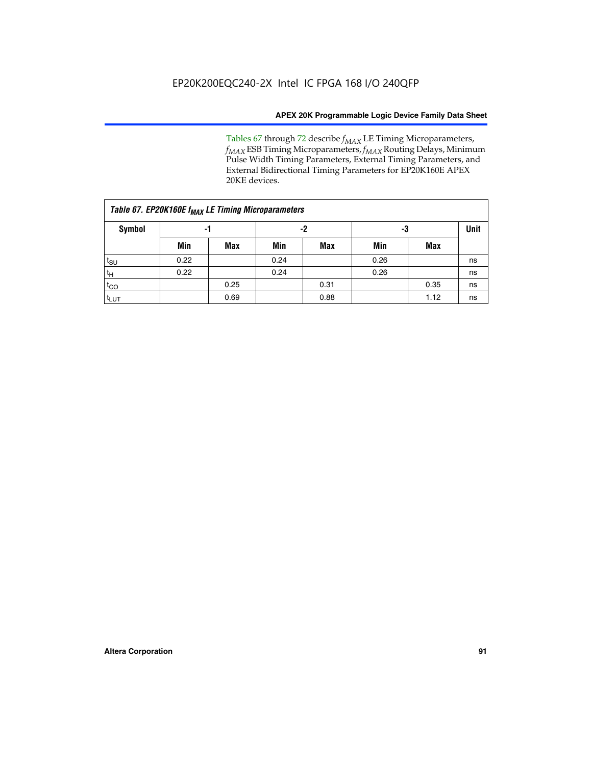Tables 67 through 72 describe *f<sub>MAX</sub>* LE Timing Microparameters, *f<sub>MAX</sub>* ESB Timing Microparameters, *f<sub>MAX</sub>* Routing Delays, Minimum Pulse Width Timing Parameters, External Timing Parameters, and External Bidirectional Timing Parameters for EP20K160E APEX 20KE devices.

| Table 67. EP20K160E f <sub>MAX</sub> LE Timing Microparameters |      |            |      |            |      |      |    |  |  |  |  |
|----------------------------------------------------------------|------|------------|------|------------|------|------|----|--|--|--|--|
| <b>Symbol</b>                                                  |      | -1         |      | -2         |      | -3   |    |  |  |  |  |
|                                                                | Min  | <b>Max</b> | Min  | <b>Max</b> | Min  | Max  |    |  |  |  |  |
| $t_{\text{SU}}$                                                | 0.22 |            | 0.24 |            | 0.26 |      | ns |  |  |  |  |
| $t_H$                                                          | 0.22 |            | 0.24 |            | 0.26 |      | ns |  |  |  |  |
| $t_{CO}$                                                       |      | 0.25       |      | 0.31       |      | 0.35 | ns |  |  |  |  |
| t <sub>LUT</sub>                                               |      | 0.69       |      | 0.88       |      | 1.12 | ns |  |  |  |  |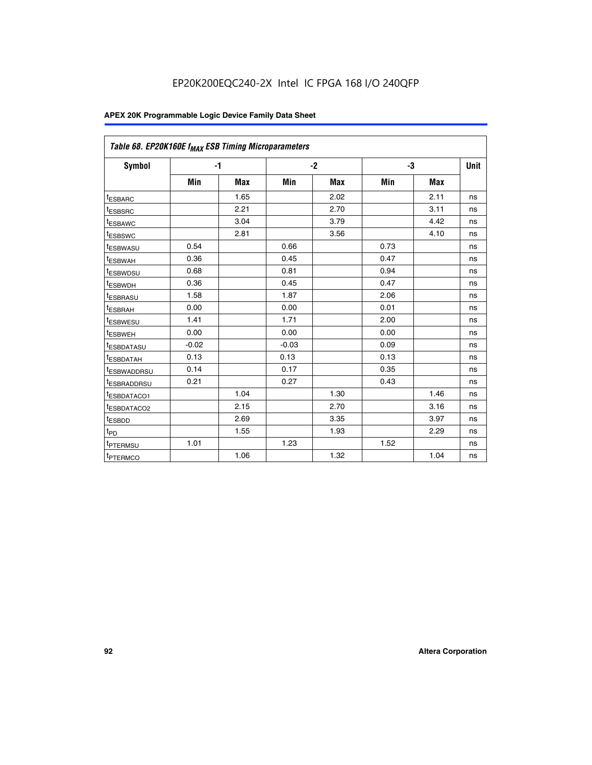| Table 68. EP20K160E f <sub>MAX</sub> ESB Timing Microparameters |         |            |         |            |      |      |      |
|-----------------------------------------------------------------|---------|------------|---------|------------|------|------|------|
| <b>Symbol</b>                                                   | $-1$    |            |         | $-2$       |      | -3   | Unit |
|                                                                 | Min     | <b>Max</b> | Min     | <b>Max</b> | Min  | Max  |      |
| <sup>t</sup> ESBARC                                             |         | 1.65       |         | 2.02       |      | 2.11 | ns   |
| t <sub>ESBSRC</sub>                                             |         | 2.21       |         | 2.70       |      | 3.11 | ns   |
| <sup>t</sup> ESBAWC                                             |         | 3.04       |         | 3.79       |      | 4.42 | ns   |
| t <sub>ESBSWC</sub>                                             |         | 2.81       |         | 3.56       |      | 4.10 | ns   |
| <sup>t</sup> ESBWASU                                            | 0.54    |            | 0.66    |            | 0.73 |      | ns   |
| <sup>t</sup> ESBWAH                                             | 0.36    |            | 0.45    |            | 0.47 |      | ns   |
| t <sub>ESBWDSU</sub>                                            | 0.68    |            | 0.81    |            | 0.94 |      | ns   |
| <sup>t</sup> ESBWDH                                             | 0.36    |            | 0.45    |            | 0.47 |      | ns   |
| t <sub>ESBRASU</sub>                                            | 1.58    |            | 1.87    |            | 2.06 |      | ns   |
| <sup>t</sup> ESBRAH                                             | 0.00    |            | 0.00    |            | 0.01 |      | ns   |
| <sup>t</sup> ESBWESU                                            | 1.41    |            | 1.71    |            | 2.00 |      | ns   |
| t <sub>ESBWEH</sub>                                             | 0.00    |            | 0.00    |            | 0.00 |      | ns   |
| t <sub>ESBDATASU</sub>                                          | $-0.02$ |            | $-0.03$ |            | 0.09 |      | ns   |
| t <sub>ESBDATAH</sub>                                           | 0.13    |            | 0.13    |            | 0.13 |      | ns   |
| t <sub>ESBWADDRSU</sub>                                         | 0.14    |            | 0.17    |            | 0.35 |      | ns   |
| <sup>t</sup> ESBRADDRSU                                         | 0.21    |            | 0.27    |            | 0.43 |      | ns   |
| <sup>I</sup> ESBDATACO1                                         |         | 1.04       |         | 1.30       |      | 1.46 | ns   |
| t <sub>ESBDATACO2</sub>                                         |         | 2.15       |         | 2.70       |      | 3.16 | ns   |
| <sup>t</sup> ESBDD                                              |         | 2.69       |         | 3.35       |      | 3.97 | ns   |
| $t_{\mathsf{PD}}$                                               |         | 1.55       |         | 1.93       |      | 2.29 | ns   |
| t <sub>PTERMSU</sub>                                            | 1.01    |            | 1.23    |            | 1.52 |      | ns   |
| t <sub>PTERMCO</sub>                                            |         | 1.06       |         | 1.32       |      | 1.04 | ns   |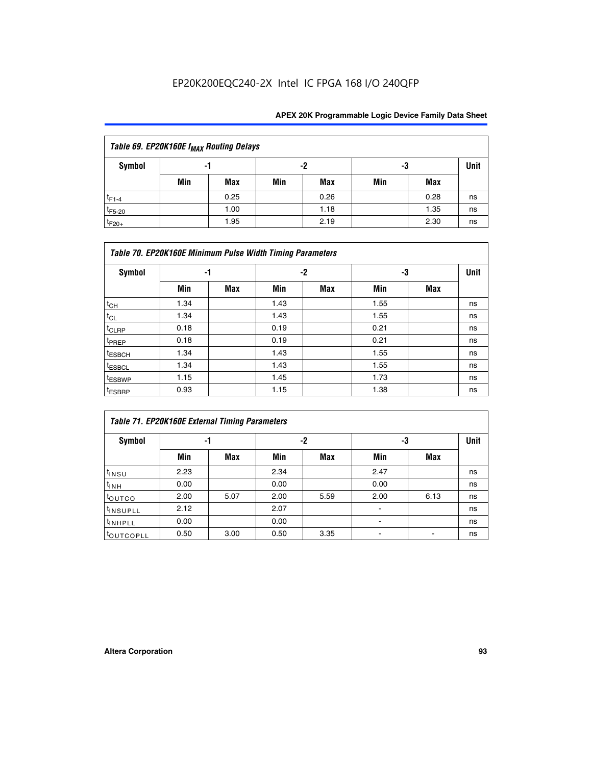| Table 69. EP20K160E f <sub>MAX</sub> Routing Delays |     |             |     |      |     |      |    |  |  |  |  |
|-----------------------------------------------------|-----|-------------|-----|------|-----|------|----|--|--|--|--|
| Symbol                                              | -3  | <b>Unit</b> |     |      |     |      |    |  |  |  |  |
|                                                     | Min | Max         | Min | Max  | Min | Max  |    |  |  |  |  |
| $t_{F1-4}$                                          |     | 0.25        |     | 0.26 |     | 0.28 | ns |  |  |  |  |
| $t_{F5-20}$                                         |     | 1.00        |     | 1.18 |     | 1.35 | ns |  |  |  |  |
| $t_{F20+}$                                          |     | 1.95        |     | 2.19 |     | 2.30 | ns |  |  |  |  |

| Table 70. EP20K160E Minimum Pulse Width Timing Parameters |      |     |      |     |      |     |             |  |  |  |  |
|-----------------------------------------------------------|------|-----|------|-----|------|-----|-------------|--|--|--|--|
| <b>Symbol</b>                                             | -1   |     |      | -2  | -3   |     | <b>Unit</b> |  |  |  |  |
|                                                           | Min  | Max | Min  | Max | Min  | Max |             |  |  |  |  |
| $t_{CH}$                                                  | 1.34 |     | 1.43 |     | 1.55 |     | ns          |  |  |  |  |
| $t_{CL}$                                                  | 1.34 |     | 1.43 |     | 1.55 |     | ns          |  |  |  |  |
| $t_{CLRP}$                                                | 0.18 |     | 0.19 |     | 0.21 |     | ns          |  |  |  |  |
| t <sub>PREP</sub>                                         | 0.18 |     | 0.19 |     | 0.21 |     | ns          |  |  |  |  |
| <sup>t</sup> ESBCH                                        | 1.34 |     | 1.43 |     | 1.55 |     | ns          |  |  |  |  |
| <sup>t</sup> ESBCL                                        | 1.34 |     | 1.43 |     | 1.55 |     | ns          |  |  |  |  |
| <sup>t</sup> ESBWP                                        | 1.15 |     | 1.45 |     | 1.73 |     | ns          |  |  |  |  |
| <sup>t</sup> ESBRP                                        | 0.93 |     | 1.15 |     | 1.38 |     | ns          |  |  |  |  |

| Table 71. EP20K160E External Timing Parameters |      |      |      |      |                |      |      |  |  |  |  |
|------------------------------------------------|------|------|------|------|----------------|------|------|--|--|--|--|
| Symbol                                         | -1   |      |      | -2   | -3             |      | Unit |  |  |  |  |
|                                                | Min  | Max  | Min  | Max  | Min            | Max  |      |  |  |  |  |
| $t_{INSU}$                                     | 2.23 |      | 2.34 |      | 2.47           |      | ns   |  |  |  |  |
| $t_{INH}$                                      | 0.00 |      | 0.00 |      | 0.00           |      | ns   |  |  |  |  |
| toutco                                         | 2.00 | 5.07 | 2.00 | 5.59 | 2.00           | 6.13 | ns   |  |  |  |  |
| <sup>t</sup> INSUPLL                           | 2.12 |      | 2.07 |      | $\blacksquare$ |      | ns   |  |  |  |  |
| <sup>t</sup> INHPLL                            | 0.00 |      | 0.00 |      | ۰              |      | ns   |  |  |  |  |
| toutcopll                                      | 0.50 | 3.00 | 0.50 | 3.35 |                |      | ns   |  |  |  |  |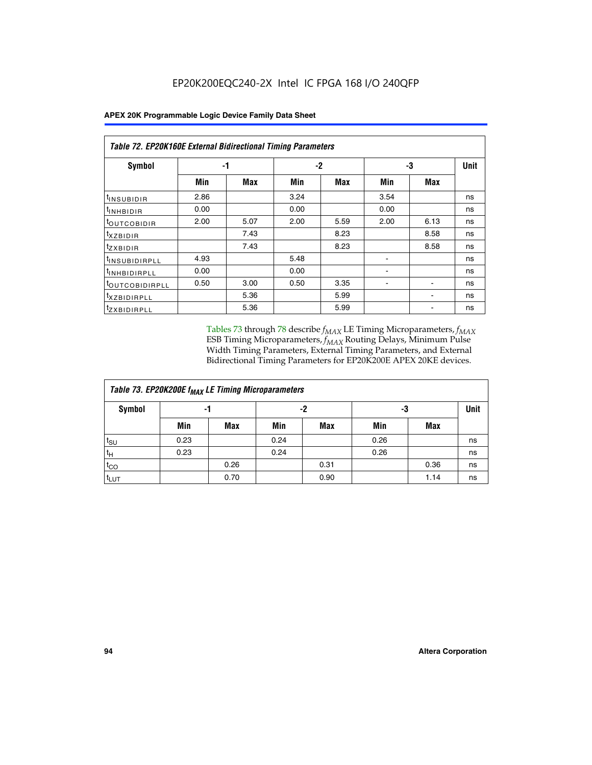|                              | Table 72. EP20K160E External Bidirectional Timing Parameters |      |      |      |      |      |    |  |  |  |  |  |
|------------------------------|--------------------------------------------------------------|------|------|------|------|------|----|--|--|--|--|--|
| Symbol                       | -1                                                           |      |      | $-2$ | -3   | Unit |    |  |  |  |  |  |
|                              | Min                                                          | Max  | Min  | Max  | Min  | Max  |    |  |  |  |  |  |
| <sup>t</sup> INSUBIDIR       | 2.86                                                         |      | 3.24 |      | 3.54 |      | ns |  |  |  |  |  |
| <sup>t</sup> INHBIDIR        | 0.00                                                         |      | 0.00 |      | 0.00 |      | ns |  |  |  |  |  |
| <sup>t</sup> OUTCOBIDIR      | 2.00                                                         | 5.07 | 2.00 | 5.59 | 2.00 | 6.13 | ns |  |  |  |  |  |
| $t_{XZBIDIR}$                |                                                              | 7.43 |      | 8.23 |      | 8.58 | ns |  |  |  |  |  |
| $t_{ZXBIDIR}$                |                                                              | 7.43 |      | 8.23 |      | 8.58 | ns |  |  |  |  |  |
| <sup>t</sup> INSUBIDIRPLL    | 4.93                                                         |      | 5.48 |      |      |      | ns |  |  |  |  |  |
| <sup>t</sup> INHBIDIRPLL     | 0.00                                                         |      | 0.00 |      |      |      | ns |  |  |  |  |  |
| <b><i>LOUTCOBIDIRPLL</i></b> | 0.50                                                         | 3.00 | 0.50 | 3.35 |      |      | ns |  |  |  |  |  |
| <sup>t</sup> XZBIDIRPLL      |                                                              | 5.36 |      | 5.99 |      |      | ns |  |  |  |  |  |
| <sup>t</sup> ZXBIDIRPLL      |                                                              | 5.36 |      | 5.99 |      |      | ns |  |  |  |  |  |

Tables 73 through 78 describe  $f_{MAX}$  LE Timing Microparameters,  $f_{MAX}$ ESB Timing Microparameters, *f<sub>MAX</sub>* Routing Delays, Minimum Pulse Width Timing Parameters, External Timing Parameters, and External Bidirectional Timing Parameters for EP20K200E APEX 20KE devices.

| Table 73. EP20K200E f <sub>MAX</sub> LE Timing Microparameters |      |      |      |            |      |            |    |  |  |  |  |
|----------------------------------------------------------------|------|------|------|------------|------|------------|----|--|--|--|--|
| <b>Symbol</b>                                                  |      | -1   | -2   |            | -3   |            |    |  |  |  |  |
|                                                                | Min  | Max  | Min  | <b>Max</b> | Min  | <b>Max</b> |    |  |  |  |  |
| $t_{\text{SU}}$                                                | 0.23 |      | 0.24 |            | 0.26 |            | ns |  |  |  |  |
| $t_H$                                                          | 0.23 |      | 0.24 |            | 0.26 |            | ns |  |  |  |  |
| $t_{CO}$                                                       |      | 0.26 |      | 0.31       |      | 0.36       | ns |  |  |  |  |
| t <sub>LUT</sub>                                               |      | 0.70 |      | 0.90       |      | 1.14       | ns |  |  |  |  |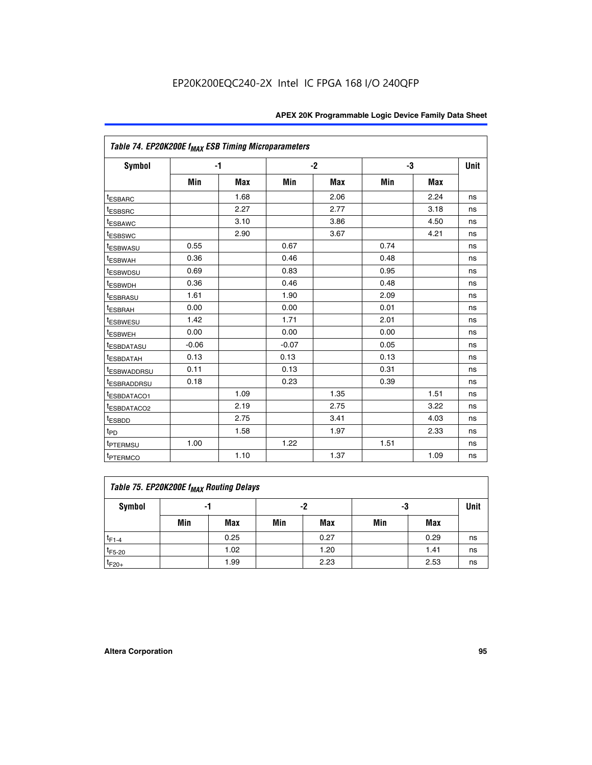| Table 74. EP20K200E f <sub>MAX</sub> ESB Timing Microparameters |         |      |         |            |      |            |             |
|-----------------------------------------------------------------|---------|------|---------|------------|------|------------|-------------|
| Symbol                                                          | $-1$    |      |         | $-2$       |      | -3         | <b>Unit</b> |
|                                                                 | Min     | Max  | Min     | <b>Max</b> | Min  | <b>Max</b> |             |
| <sup>t</sup> ESBARC                                             |         | 1.68 |         | 2.06       |      | 2.24       | ns          |
| <sup>t</sup> ESBSRC                                             |         | 2.27 |         | 2.77       |      | 3.18       | ns          |
| <sup>t</sup> ESBAWC                                             |         | 3.10 |         | 3.86       |      | 4.50       | ns          |
| <sup>t</sup> ESBSWC                                             |         | 2.90 |         | 3.67       |      | 4.21       | ns          |
| <sup>t</sup> ESBWASU                                            | 0.55    |      | 0.67    |            | 0.74 |            | ns          |
| <b><i>LESBWAH</i></b>                                           | 0.36    |      | 0.46    |            | 0.48 |            | ns          |
| <sup>t</sup> ESBWDSU                                            | 0.69    |      | 0.83    |            | 0.95 |            | ns          |
| t <sub>ESBWDH</sub>                                             | 0.36    |      | 0.46    |            | 0.48 |            | ns          |
| <sup>t</sup> ESBRASU                                            | 1.61    |      | 1.90    |            | 2.09 |            | ns          |
| <sup>t</sup> ESBRAH                                             | 0.00    |      | 0.00    |            | 0.01 |            | ns          |
| t <sub>ESBWESU</sub>                                            | 1.42    |      | 1.71    |            | 2.01 |            | ns          |
| <sup>I</sup> ESBWEH                                             | 0.00    |      | 0.00    |            | 0.00 |            | ns          |
| <sup>t</sup> ESBDATASU                                          | $-0.06$ |      | $-0.07$ |            | 0.05 |            | ns          |
| <sup>I</sup> ESBDATAH                                           | 0.13    |      | 0.13    |            | 0.13 |            | ns          |
| <sup>t</sup> ESBWADDRSU                                         | 0.11    |      | 0.13    |            | 0.31 |            | ns          |
| <sup>I</sup> ESBRADDRSU                                         | 0.18    |      | 0.23    |            | 0.39 |            | ns          |
| ESBDATACO1                                                      |         | 1.09 |         | 1.35       |      | 1.51       | ns          |
| <sup>t</sup> ESBDATACO2                                         |         | 2.19 |         | 2.75       |      | 3.22       | ns          |
| t <sub>ESBDD</sub>                                              |         | 2.75 |         | 3.41       |      | 4.03       | ns          |
| t <sub>PD</sub>                                                 |         | 1.58 |         | 1.97       |      | 2.33       | ns          |
| t <sub>PTERMSU</sub>                                            | 1.00    |      | 1.22    |            | 1.51 |            | ns          |
| t <sub>PTERMCO</sub>                                            |         | 1.10 |         | 1.37       |      | 1.09       | ns          |

| Table 75. EP20K200E f <sub>MAX</sub> Routing Delays |                |      |     |      |     |      |    |  |  |  |
|-----------------------------------------------------|----------------|------|-----|------|-----|------|----|--|--|--|
| Symbol                                              | -2<br>-3<br>-1 |      |     |      |     |      |    |  |  |  |
|                                                     | Min            | Max  | Min | Max  | Min | Max  |    |  |  |  |
| $t_{F1-4}$                                          |                | 0.25 |     | 0.27 |     | 0.29 | ns |  |  |  |
| $t_{F5-20}$                                         |                | 1.02 |     | 1.20 |     | 1.41 | ns |  |  |  |
| $t_{F20+}$                                          |                | 1.99 |     | 2.23 |     | 2.53 | ns |  |  |  |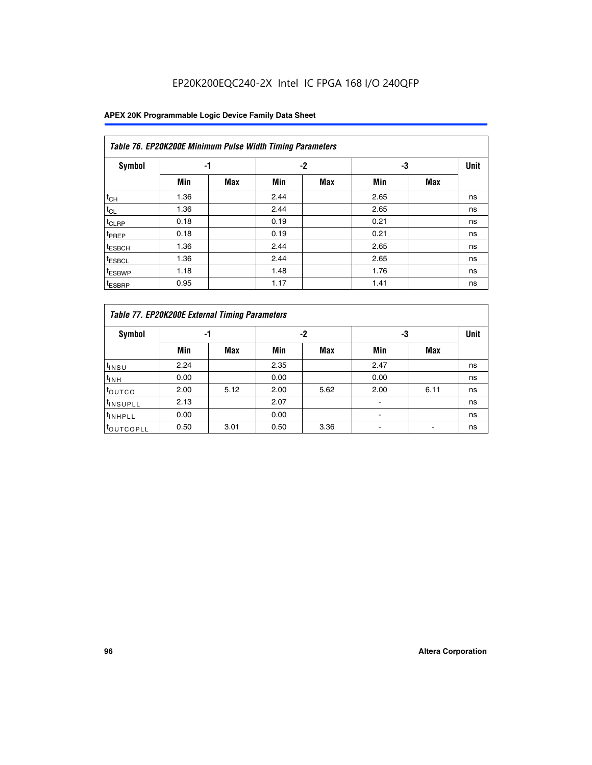|                    | Table 76. EP20K200E Minimum Pulse Width Timing Parameters |            |      |            |      |            |             |  |  |  |  |  |
|--------------------|-----------------------------------------------------------|------------|------|------------|------|------------|-------------|--|--|--|--|--|
| <b>Symbol</b>      | -1                                                        |            |      | $-2$       | -3   |            | <b>Unit</b> |  |  |  |  |  |
|                    | Min                                                       | <b>Max</b> | Min  | <b>Max</b> | Min  | <b>Max</b> |             |  |  |  |  |  |
| $t_{CH}$           | 1.36                                                      |            | 2.44 |            | 2.65 |            | ns          |  |  |  |  |  |
| $t_{CL}$           | 1.36                                                      |            | 2.44 |            | 2.65 |            | ns          |  |  |  |  |  |
| $t_{CLRP}$         | 0.18                                                      |            | 0.19 |            | 0.21 |            | ns          |  |  |  |  |  |
| t <sub>PREP</sub>  | 0.18                                                      |            | 0.19 |            | 0.21 |            | ns          |  |  |  |  |  |
| <sup>t</sup> ESBCH | 1.36                                                      |            | 2.44 |            | 2.65 |            | ns          |  |  |  |  |  |
| <sup>t</sup> ESBCL | 1.36                                                      |            | 2.44 |            | 2.65 |            | ns          |  |  |  |  |  |
| <sup>t</sup> ESBWP | 1.18                                                      |            | 1.48 |            | 1.76 |            | ns          |  |  |  |  |  |
| <sup>t</sup> ESBRP | 0.95                                                      |            | 1.17 |            | 1.41 |            | ns          |  |  |  |  |  |

|                       | Table 77. EP20K200E External Timing Parameters |            |      |            |      |      |             |  |  |  |  |  |
|-----------------------|------------------------------------------------|------------|------|------------|------|------|-------------|--|--|--|--|--|
| <b>Symbol</b>         |                                                | -1         |      | -2         | -3   |      | <b>Unit</b> |  |  |  |  |  |
|                       | Min                                            | <b>Max</b> | Min  | <b>Max</b> | Min  | Max  |             |  |  |  |  |  |
| t <sub>INSU</sub>     | 2.24                                           |            | 2.35 |            | 2.47 |      | ns          |  |  |  |  |  |
| $t_{\text{INH}}$      | 0.00                                           |            | 0.00 |            | 0.00 |      | ns          |  |  |  |  |  |
| toutco                | 2.00                                           | 5.12       | 2.00 | 5.62       | 2.00 | 6.11 | ns          |  |  |  |  |  |
| <sup>t</sup> INSUPLL  | 2.13                                           |            | 2.07 |            |      |      | ns          |  |  |  |  |  |
| <sup>t</sup> INHPLL   | 0.00                                           |            | 0.00 |            |      |      | ns          |  |  |  |  |  |
| <sup>I</sup> OUTCOPLL | 0.50                                           | 3.01       | 0.50 | 3.36       |      |      | ns          |  |  |  |  |  |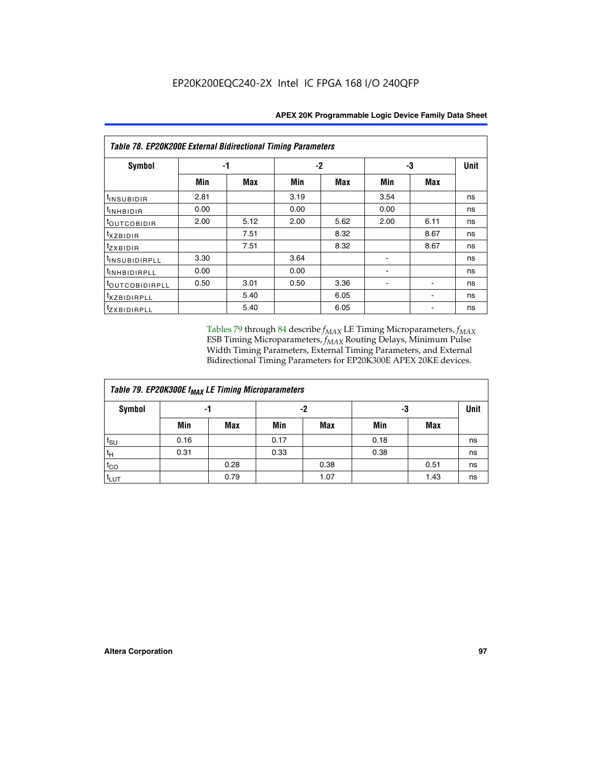| <b>Table 78. EP20K200E External Bidirectional Timing Parameters</b> |      |      |      |            |      |      |             |  |  |  |  |
|---------------------------------------------------------------------|------|------|------|------------|------|------|-------------|--|--|--|--|
| Symbol                                                              | -1   |      |      | $-2$<br>-3 |      |      | <b>Unit</b> |  |  |  |  |
|                                                                     | Min  | Max  | Min  | Max        | Min  | Max  |             |  |  |  |  |
| <sup>t</sup> INSUBIDIR                                              | 2.81 |      | 3.19 |            | 3.54 |      | ns          |  |  |  |  |
| <sup>t</sup> INHBIDIR                                               | 0.00 |      | 0.00 |            | 0.00 |      | ns          |  |  |  |  |
| <sup>t</sup> OUTCOBIDIR                                             | 2.00 | 5.12 | 2.00 | 5.62       | 2.00 | 6.11 | ns          |  |  |  |  |
| $t_{XZBIDIR}$                                                       |      | 7.51 |      | 8.32       |      | 8.67 | ns          |  |  |  |  |
| $t_{ZXBIDIR}$                                                       |      | 7.51 |      | 8.32       |      | 8.67 | ns          |  |  |  |  |
| <sup>t</sup> INSUBIDIRPLL                                           | 3.30 |      | 3.64 |            |      |      | ns          |  |  |  |  |
| <sup>t</sup> INHBIDIRPLL                                            | 0.00 |      | 0.00 |            |      |      | ns          |  |  |  |  |
| <sup>t</sup> OUTCOBIDIRPLL                                          | 0.50 | 3.01 | 0.50 | 3.36       |      |      | ns          |  |  |  |  |
| <sup>t</sup> xzbidirpll                                             |      | 5.40 |      | 6.05       |      |      | ns          |  |  |  |  |
| <sup>t</sup> zxbidirpll                                             |      | 5.40 |      | 6.05       |      |      | ns          |  |  |  |  |

Tables 79 through 84 describe  $f_{MAX}$  LE Timing Microparameters,  $f_{MAX}$ ESB Timing Microparameters, *f<sub>MAX</sub>* Routing Delays, Minimum Pulse Width Timing Parameters, External Timing Parameters, and External Bidirectional Timing Parameters for EP20K300E APEX 20KE devices.

| Table 79. EP20K300E f <sub>MAX</sub> LE Timing Microparameters |                |            |      |            |      |            |    |  |  |  |  |
|----------------------------------------------------------------|----------------|------------|------|------------|------|------------|----|--|--|--|--|
| <b>Symbol</b>                                                  | -2<br>-3<br>-1 |            |      |            | Unit |            |    |  |  |  |  |
|                                                                | Min            | <b>Max</b> | Min  | <b>Max</b> | Min  | <b>Max</b> |    |  |  |  |  |
| $t_{\text{SU}}$                                                | 0.16           |            | 0.17 |            | 0.18 |            | ns |  |  |  |  |
| $t_H$                                                          | 0.31           |            | 0.33 |            | 0.38 |            | ns |  |  |  |  |
| $t_{CO}$                                                       |                | 0.28       |      | 0.38       |      | 0.51       | ns |  |  |  |  |
| $t_{LUT}$                                                      |                | 0.79       |      | 1.07       |      | 1.43       | ns |  |  |  |  |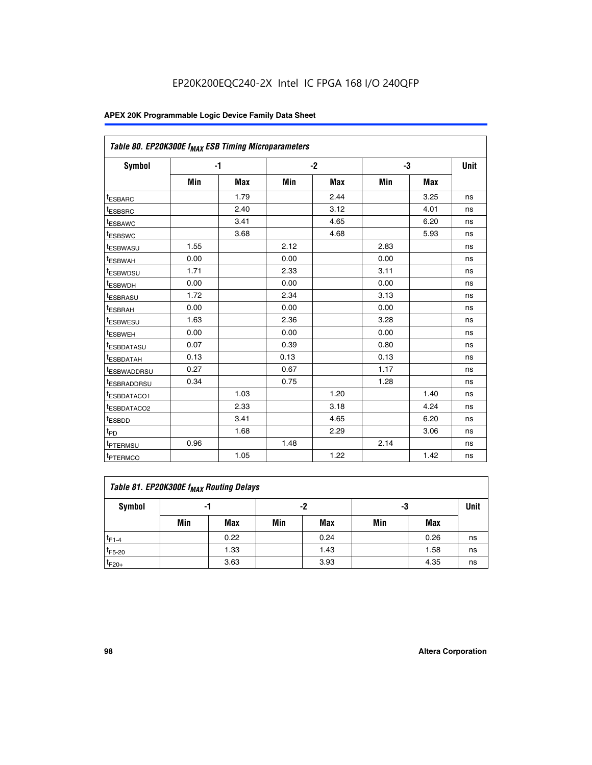| Table 80. EP20K300E f <sub>MAX</sub> ESB Timing Microparameters |      |            |      |            |      |            |      |
|-----------------------------------------------------------------|------|------------|------|------------|------|------------|------|
| Symbol                                                          |      | -1         |      | $-2$       |      | -3         | Unit |
|                                                                 | Min  | <b>Max</b> | Min  | <b>Max</b> | Min  | <b>Max</b> |      |
| t <sub>ESBARC</sub>                                             |      | 1.79       |      | 2.44       |      | 3.25       | ns   |
| t <sub>ESBSRC</sub>                                             |      | 2.40       |      | 3.12       |      | 4.01       | ns   |
| t <sub>ESBAWC</sub>                                             |      | 3.41       |      | 4.65       |      | 6.20       | ns   |
| t <sub>ESBSWC</sub>                                             |      | 3.68       |      | 4.68       |      | 5.93       | ns   |
| <sup>I</sup> ESBWASU                                            | 1.55 |            | 2.12 |            | 2.83 |            | ns   |
| <sup>t</sup> ESBWAH                                             | 0.00 |            | 0.00 |            | 0.00 |            | ns   |
| <sup>I</sup> ESBWDSU                                            | 1.71 |            | 2.33 |            | 3.11 |            | ns   |
| <sup>t</sup> ESBWDH                                             | 0.00 |            | 0.00 |            | 0.00 |            | ns   |
| <sup>t</sup> ESBRASU                                            | 1.72 |            | 2.34 |            | 3.13 |            | ns   |
| t <sub>ESBRAH</sub>                                             | 0.00 |            | 0.00 |            | 0.00 |            | ns   |
| <sup>t</sup> ESBWESU                                            | 1.63 |            | 2.36 |            | 3.28 |            | ns   |
| <sup>t</sup> ESBWEH                                             | 0.00 |            | 0.00 |            | 0.00 |            | ns   |
| t <sub>ESBDATASU</sub>                                          | 0.07 |            | 0.39 |            | 0.80 |            | ns   |
| <sup>t</sup> ESBDATAH                                           | 0.13 |            | 0.13 |            | 0.13 |            | ns   |
| <sup>t</sup> ESBWADDRSU                                         | 0.27 |            | 0.67 |            | 1.17 |            | ns   |
| <sup>t</sup> ESBRADDRSU                                         | 0.34 |            | 0.75 |            | 1.28 |            | ns   |
| <sup>I</sup> ESBDATACO1                                         |      | 1.03       |      | 1.20       |      | 1.40       | ns   |
| <sup>t</sup> ESBDATACO2                                         |      | 2.33       |      | 3.18       |      | 4.24       | ns   |
| <sup>t</sup> ESBDD                                              |      | 3.41       |      | 4.65       |      | 6.20       | ns   |
| t <sub>PD</sub>                                                 |      | 1.68       |      | 2.29       |      | 3.06       | ns   |
| t <sub>PTERMSU</sub>                                            | 0.96 |            | 1.48 |            | 2.14 |            | ns   |
| t <sub>PTERMCO</sub>                                            |      | 1.05       |      | 1.22       |      | 1.42       | ns   |

| Table 81. EP20K300E f <sub>MAX</sub> Routing Delays |     |      |     |            |     |      |    |  |  |  |  |
|-----------------------------------------------------|-----|------|-----|------------|-----|------|----|--|--|--|--|
| Symbol                                              |     | -1   |     | -2         | -3  | Unit |    |  |  |  |  |
|                                                     | Min | Max  | Min | <b>Max</b> | Min | Max  |    |  |  |  |  |
| $t_{F1-4}$                                          |     | 0.22 |     | 0.24       |     | 0.26 | ns |  |  |  |  |
| $t_{F5-20}$                                         |     | 1.33 |     | 1.43       |     | 1.58 | ns |  |  |  |  |
| $t_{F20+}$                                          |     | 3.63 |     | 3.93       |     | 4.35 | ns |  |  |  |  |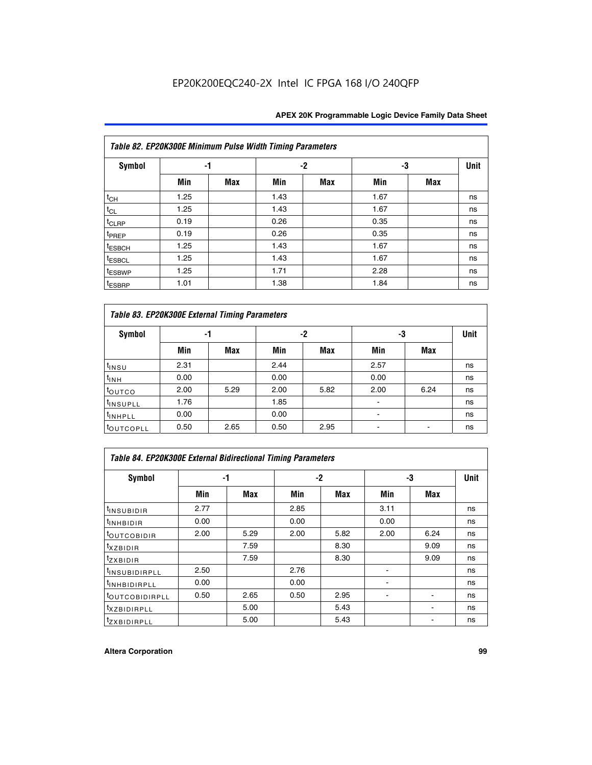| Table 82. EP20K300E Minimum Pulse Width Timing Parameters |      |            |      |      |      |     |             |  |  |  |  |
|-----------------------------------------------------------|------|------------|------|------|------|-----|-------------|--|--|--|--|
| <b>Symbol</b>                                             | -1   |            |      | $-2$ | -3   |     | <b>Unit</b> |  |  |  |  |
|                                                           | Min  | <b>Max</b> | Min  | Max  | Min  | Max |             |  |  |  |  |
| $t_{CH}$                                                  | 1.25 |            | 1.43 |      | 1.67 |     | ns          |  |  |  |  |
| $t_{CL}$                                                  | 1.25 |            | 1.43 |      | 1.67 |     | ns          |  |  |  |  |
| t <sub>CLRP</sub>                                         | 0.19 |            | 0.26 |      | 0.35 |     | ns          |  |  |  |  |
| t <sub>PREP</sub>                                         | 0.19 |            | 0.26 |      | 0.35 |     | ns          |  |  |  |  |
| t <sub>ESBCH</sub>                                        | 1.25 |            | 1.43 |      | 1.67 |     | ns          |  |  |  |  |
| <sup>t</sup> ESBCL                                        | 1.25 |            | 1.43 |      | 1.67 |     | ns          |  |  |  |  |
| <sup>t</sup> ESBWP                                        | 1.25 |            | 1.71 |      | 2.28 |     | ns          |  |  |  |  |
| <sup>t</sup> ESBRP                                        | 1.01 |            | 1.38 |      | 1.84 |     | ns          |  |  |  |  |

| Table 83. EP20K300E External Timing Parameters |      |      |      |      |      |            |             |  |  |  |  |
|------------------------------------------------|------|------|------|------|------|------------|-------------|--|--|--|--|
| Symbol                                         |      | -1   |      | -2   | -3   |            | <b>Unit</b> |  |  |  |  |
|                                                | Min  | Max  | Min  | Max  | Min  | <b>Max</b> |             |  |  |  |  |
| t <sub>INSU</sub>                              | 2.31 |      | 2.44 |      | 2.57 |            | ns          |  |  |  |  |
| $t_{INH}$                                      | 0.00 |      | 0.00 |      | 0.00 |            | ns          |  |  |  |  |
| toutco                                         | 2.00 | 5.29 | 2.00 | 5.82 | 2.00 | 6.24       | ns          |  |  |  |  |
| <sup>t</sup> INSUPLL                           | 1.76 |      | 1.85 |      |      |            | ns          |  |  |  |  |
| <sup>t</sup> INHPLL                            | 0.00 |      | 0.00 |      | -    |            | ns          |  |  |  |  |
| <sup>t</sup> OUTCOPLL                          | 0.50 | 2.65 | 0.50 | 2.95 |      |            | ns          |  |  |  |  |

| Table 84. EP20K300E External Bidirectional Timing Parameters |      |      |      |      |      |            |             |  |  |  |
|--------------------------------------------------------------|------|------|------|------|------|------------|-------------|--|--|--|
| Symbol                                                       |      | -1   |      | $-2$ |      | -3         | <b>Unit</b> |  |  |  |
|                                                              | Min  | Max  | Min  | Max  | Min  | <b>Max</b> |             |  |  |  |
| <sup>t</sup> INSUBIDIR                                       | 2.77 |      | 2.85 |      | 3.11 |            | ns          |  |  |  |
| <b>TINHBIDIR</b>                                             | 0.00 |      | 0.00 |      | 0.00 |            | ns          |  |  |  |
| <sup>t</sup> OUTCOBIDIR                                      | 2.00 | 5.29 | 2.00 | 5.82 | 2.00 | 6.24       | ns          |  |  |  |
| KZBIDIR                                                      |      | 7.59 |      | 8.30 |      | 9.09       | ns          |  |  |  |
| $t_{Z}$ <i>x</i> BIDIR                                       |      | 7.59 |      | 8.30 |      | 9.09       | ns          |  |  |  |
| <b>INSUBIDIRPLL</b>                                          | 2.50 |      | 2.76 |      |      |            | ns          |  |  |  |
| <sup>t</sup> INHBIDIRPLL                                     | 0.00 |      | 0.00 |      |      |            | ns          |  |  |  |
| <sup>t</sup> OUTCOBIDIRPLL                                   | 0.50 | 2.65 | 0.50 | 2.95 |      |            | ns          |  |  |  |
| <sup>t</sup> XZBIDIRPLL                                      |      | 5.00 |      | 5.43 |      |            | ns          |  |  |  |
| <sup>t</sup> ZXBIDIRPLL                                      |      | 5.00 |      | 5.43 |      |            | ns          |  |  |  |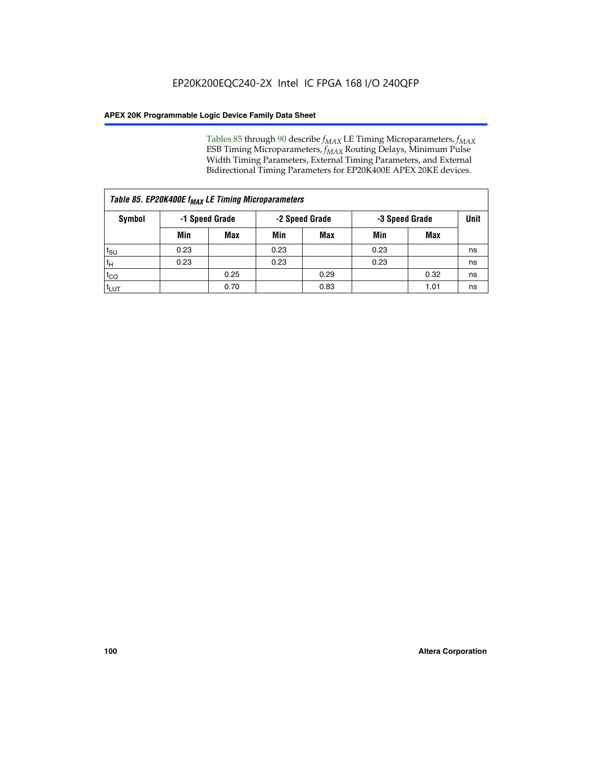Tables 85 through 90 describe  $f_{MAX}$  LE Timing Microparameters,  $f_{MAX}$ ESB Timing Microparameters, *f<sub>MAX</sub>* Routing Delays, Minimum Pulse Width Timing Parameters, External Timing Parameters, and External Bidirectional Timing Parameters for EP20K400E APEX 20KE devices.

|                  | Table 85. EP20K400E f <sub>MAX</sub> LE Timing Microparameters |                |      |                |      |                |    |  |  |  |  |  |
|------------------|----------------------------------------------------------------|----------------|------|----------------|------|----------------|----|--|--|--|--|--|
| <b>Symbol</b>    |                                                                | -1 Speed Grade |      | -2 Speed Grade |      | -3 Speed Grade |    |  |  |  |  |  |
|                  | Min                                                            | <b>Max</b>     | Min  | Max            | Min  | Max            |    |  |  |  |  |  |
| t <sub>SU</sub>  | 0.23                                                           |                | 0.23 |                | 0.23 |                | ns |  |  |  |  |  |
| tн               | 0.23                                                           |                | 0.23 |                | 0.23 |                | ns |  |  |  |  |  |
| $t_{CO}$         |                                                                | 0.25           |      | 0.29           |      | 0.32           | ns |  |  |  |  |  |
| <sup>t</sup> LUT |                                                                | 0.70           |      | 0.83           |      | 1.01           | ns |  |  |  |  |  |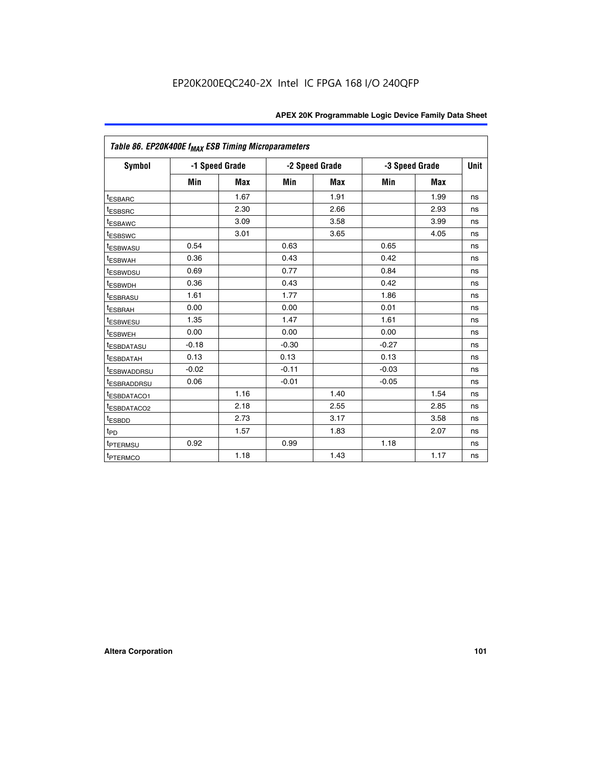|                         | Table 86. EP20K400E f <sub>MAX</sub> ESB Timing Microparameters |            |         |                |         |                |             |  |  |  |  |
|-------------------------|-----------------------------------------------------------------|------------|---------|----------------|---------|----------------|-------------|--|--|--|--|
| Symbol                  | -1 Speed Grade                                                  |            |         | -2 Speed Grade |         | -3 Speed Grade | <b>Unit</b> |  |  |  |  |
|                         | Min                                                             | <b>Max</b> | Min     | Max            | Min     | <b>Max</b>     |             |  |  |  |  |
| <b>tESBARC</b>          |                                                                 | 1.67       |         | 1.91           |         | 1.99           | ns          |  |  |  |  |
| <sup>t</sup> ESBSRC     |                                                                 | 2.30       |         | 2.66           |         | 2.93           | ns          |  |  |  |  |
| <sup>t</sup> ESBAWC     |                                                                 | 3.09       |         | 3.58           |         | 3.99           | ns          |  |  |  |  |
| <sup>t</sup> ESBSWC     |                                                                 | 3.01       |         | 3.65           |         | 4.05           | ns          |  |  |  |  |
| <sup>t</sup> ESBWASU    | 0.54                                                            |            | 0.63    |                | 0.65    |                | ns          |  |  |  |  |
| t <sub>ESBWAH</sub>     | 0.36                                                            |            | 0.43    |                | 0.42    |                | ns          |  |  |  |  |
| <sup>t</sup> ESBWDSU    | 0.69                                                            |            | 0.77    |                | 0.84    |                | ns          |  |  |  |  |
| <sup>I</sup> ESBWDH     | 0.36                                                            |            | 0.43    |                | 0.42    |                | ns          |  |  |  |  |
| t <sub>ESBRASU</sub>    | 1.61                                                            |            | 1.77    |                | 1.86    |                | ns          |  |  |  |  |
| t <sub>ESBRAH</sub>     | 0.00                                                            |            | 0.00    |                | 0.01    |                | ns          |  |  |  |  |
| <sup>t</sup> ESBWESU    | 1.35                                                            |            | 1.47    |                | 1.61    |                | ns          |  |  |  |  |
| t <sub>ESBWEH</sub>     | 0.00                                                            |            | 0.00    |                | 0.00    |                | ns          |  |  |  |  |
| <sup>I</sup> ESBDATASU  | $-0.18$                                                         |            | $-0.30$ |                | $-0.27$ |                | ns          |  |  |  |  |
| <b>ESBDATAH</b>         | 0.13                                                            |            | 0.13    |                | 0.13    |                | ns          |  |  |  |  |
| <sup>T</sup> ESBWADDRSU | $-0.02$                                                         |            | $-0.11$ |                | $-0.03$ |                | ns          |  |  |  |  |
| <sup>T</sup> ESBRADDRSU | 0.06                                                            |            | $-0.01$ |                | $-0.05$ |                | ns          |  |  |  |  |
| <sup>t</sup> ESBDATACO1 |                                                                 | 1.16       |         | 1.40           |         | 1.54           | ns          |  |  |  |  |
| <sup>t</sup> ESBDATACO2 |                                                                 | 2.18       |         | 2.55           |         | 2.85           | ns          |  |  |  |  |
| <sup>t</sup> ESBDD      |                                                                 | 2.73       |         | 3.17           |         | 3.58           | ns          |  |  |  |  |
| $t_{P\underline{D}}$    |                                                                 | 1.57       |         | 1.83           |         | 2.07           | ns          |  |  |  |  |
| t <sub>PTERMSU</sub>    | 0.92                                                            |            | 0.99    |                | 1.18    |                | ns          |  |  |  |  |
| <sup>t</sup> PTERMCO    |                                                                 | 1.18       |         | 1.43           |         | 1.17           | ns          |  |  |  |  |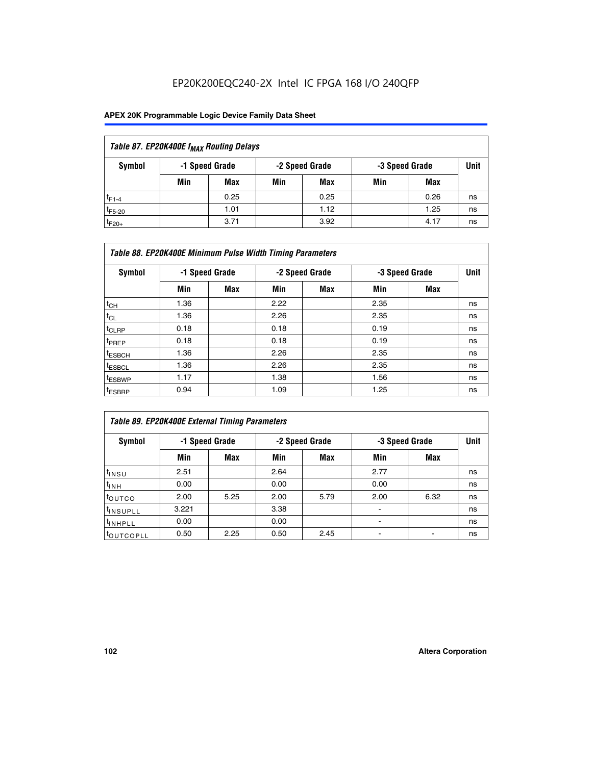| Table 87. EP20K400E f <sub>MAX</sub> Routing Delays |                                                    |      |     |      |     |      |             |  |  |  |
|-----------------------------------------------------|----------------------------------------------------|------|-----|------|-----|------|-------------|--|--|--|
| Symbol                                              | -1 Speed Grade<br>-2 Speed Grade<br>-3 Speed Grade |      |     |      |     |      | <b>Unit</b> |  |  |  |
|                                                     | Min                                                | Max  | Min | Max  | Min | Max  |             |  |  |  |
| $t_{F1-4}$                                          |                                                    | 0.25 |     | 0.25 |     | 0.26 | ns          |  |  |  |
| $t_{F5-20}$                                         |                                                    | 1.01 |     | 1.12 |     | 1.25 | ns          |  |  |  |
| $t_{F20+}$                                          |                                                    | 3.71 |     | 3.92 |     | 4.17 | ns          |  |  |  |

| Table 88. EP20K400E Minimum Pulse Width Timing Parameters |                |            |      |                |      |                |      |  |  |  |
|-----------------------------------------------------------|----------------|------------|------|----------------|------|----------------|------|--|--|--|
| Symbol                                                    | -1 Speed Grade |            |      | -2 Speed Grade |      | -3 Speed Grade | Unit |  |  |  |
|                                                           | Min            | <b>Max</b> | Min  | <b>Max</b>     | Min  | Max            |      |  |  |  |
| $t_{CH}$                                                  | 1.36           |            | 2.22 |                | 2.35 |                | ns   |  |  |  |
| $t_{\rm CL}$                                              | 1.36           |            | 2.26 |                | 2.35 |                | ns   |  |  |  |
| $t_{CLRP}$                                                | 0.18           |            | 0.18 |                | 0.19 |                | ns   |  |  |  |
| <sup>t</sup> PREP                                         | 0.18           |            | 0.18 |                | 0.19 |                | ns   |  |  |  |
| t <sub>ESBCH</sub>                                        | 1.36           |            | 2.26 |                | 2.35 |                | ns   |  |  |  |
| <sup>t</sup> ESBCL                                        | 1.36           |            | 2.26 |                | 2.35 |                | ns   |  |  |  |
| <sup>t</sup> ESBWP                                        | 1.17           |            | 1.38 |                | 1.56 |                | ns   |  |  |  |
| <sup>t</sup> ESBRP                                        | 0.94           |            | 1.09 |                | 1.25 |                | ns   |  |  |  |

| Table 89. EP20K400E External Timing Parameters |       |                |      |                |                          |                |             |  |  |  |  |
|------------------------------------------------|-------|----------------|------|----------------|--------------------------|----------------|-------------|--|--|--|--|
| Symbol                                         |       | -1 Speed Grade |      | -2 Speed Grade |                          | -3 Speed Grade | <b>Unit</b> |  |  |  |  |
|                                                | Min   | Max            | Min  | <b>Max</b>     | Min                      | Max            |             |  |  |  |  |
| $t_{INSU}$                                     | 2.51  |                | 2.64 |                | 2.77                     |                | ns          |  |  |  |  |
| $t_{INH}$                                      | 0.00  |                | 0.00 |                | 0.00                     |                | ns          |  |  |  |  |
| toutco                                         | 2.00  | 5.25           | 2.00 | 5.79           | 2.00                     | 6.32           | ns          |  |  |  |  |
| <sup>t</sup> INSUPLL                           | 3.221 |                | 3.38 |                | ٠                        |                | ns          |  |  |  |  |
| I <sup>t</sup> INHPLL                          | 0.00  |                | 0.00 |                | $\overline{\phantom{0}}$ |                | ns          |  |  |  |  |
| toutcopll                                      | 0.50  | 2.25           | 0.50 | 2.45           |                          |                | ns          |  |  |  |  |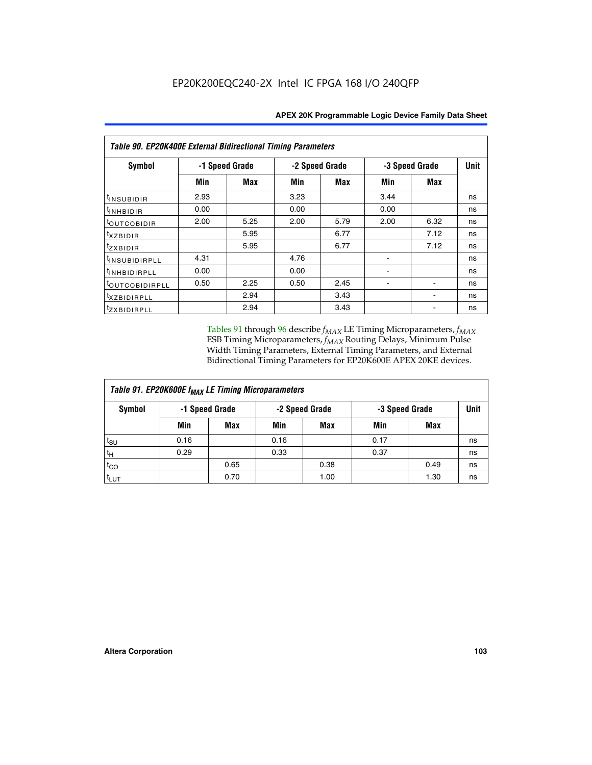| Table 90. EP20K400E External Bidirectional Timing Parameters |                |      |                |            |      |                |             |  |  |  |  |
|--------------------------------------------------------------|----------------|------|----------------|------------|------|----------------|-------------|--|--|--|--|
| Symbol                                                       | -1 Speed Grade |      | -2 Speed Grade |            |      | -3 Speed Grade | <b>Unit</b> |  |  |  |  |
|                                                              | Min            | Max  | Min            | <b>Max</b> | Min  | <b>Max</b>     |             |  |  |  |  |
| <sup>t</sup> INSUBIDIR                                       | 2.93           |      | 3.23           |            | 3.44 |                | ns          |  |  |  |  |
| <sup>t</sup> INHBIDIR                                        | 0.00           |      | 0.00           |            | 0.00 |                | ns          |  |  |  |  |
| <sup>t</sup> OUTCOBIDIR                                      | 2.00           | 5.25 | 2.00           | 5.79       | 2.00 | 6.32           | ns          |  |  |  |  |
| txzBIDIR                                                     |                | 5.95 |                | 6.77       |      | 7.12           | ns          |  |  |  |  |
| $t_{ZXBIDIR}$                                                |                | 5.95 |                | 6.77       |      | 7.12           | ns          |  |  |  |  |
| <sup>t</sup> INSUBIDIRPLL                                    | 4.31           |      | 4.76           |            |      |                | ns          |  |  |  |  |
| <sup>t</sup> INHBIDIRPLL                                     | 0.00           |      | 0.00           |            |      |                | ns          |  |  |  |  |
| <sup>t</sup> OUTCOBIDIRPLL                                   | 0.50           | 2.25 | 0.50           | 2.45       |      |                | ns          |  |  |  |  |
| <sup>t</sup> xzbidirpll                                      |                | 2.94 |                | 3.43       |      |                | ns          |  |  |  |  |
| <sup>t</sup> zxbidirpll                                      |                | 2.94 |                | 3.43       |      |                | ns          |  |  |  |  |

Tables 91 through 96 describe  $f_{MAX}$  LE Timing Microparameters,  $f_{MAX}$ ESB Timing Microparameters, *f<sub>MAX</sub>* Routing Delays, Minimum Pulse Width Timing Parameters, External Timing Parameters, and External Bidirectional Timing Parameters for EP20K600E APEX 20KE devices.

| Table 91. EP20K600E f <sub>MAX</sub> LE Timing Microparameters |                |            |                |            |                |      |             |  |  |  |  |  |
|----------------------------------------------------------------|----------------|------------|----------------|------------|----------------|------|-------------|--|--|--|--|--|
| Symbol                                                         | -1 Speed Grade |            | -2 Speed Grade |            | -3 Speed Grade |      | <b>Unit</b> |  |  |  |  |  |
|                                                                | Min            | <b>Max</b> | Min            | <b>Max</b> | Min            | Max  |             |  |  |  |  |  |
| $t_{\sf SU}$                                                   | 0.16           |            | 0.16           |            | 0.17           |      | ns          |  |  |  |  |  |
| $t_H$                                                          | 0.29           |            | 0.33           |            | 0.37           |      | ns          |  |  |  |  |  |
| $t_{CO}$                                                       |                | 0.65       |                | 0.38       |                | 0.49 | ns          |  |  |  |  |  |
| <sup>t</sup> LUT                                               |                | 0.70       |                | 1.00       |                | 1.30 | ns          |  |  |  |  |  |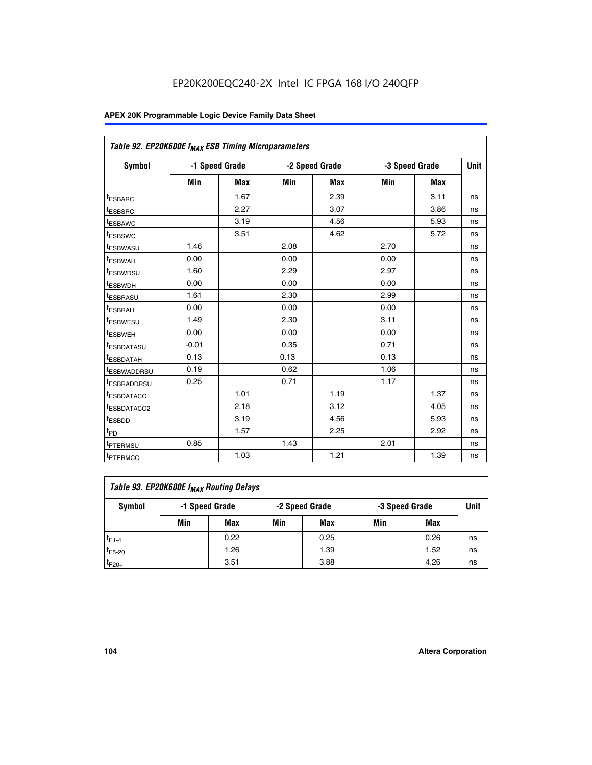| Table 92. EP20K600E f <sub>MAX</sub> ESB Timing Microparameters |         |                |      |                |      |                |      |
|-----------------------------------------------------------------|---------|----------------|------|----------------|------|----------------|------|
| <b>Symbol</b>                                                   |         | -1 Speed Grade |      | -2 Speed Grade |      | -3 Speed Grade | Unit |
|                                                                 | Min     | <b>Max</b>     | Min  | <b>Max</b>     | Min  | <b>Max</b>     |      |
| t <sub>ESBARC</sub>                                             |         | 1.67           |      | 2.39           |      | 3.11           | ns   |
| t <sub>ESBSRC</sub>                                             |         | 2.27           |      | 3.07           |      | 3.86           | ns   |
| <sup>t</sup> ESBAWC                                             |         | 3.19           |      | 4.56           |      | 5.93           | ns   |
| t <sub>ESBSWC</sub>                                             |         | 3.51           |      | 4.62           |      | 5.72           | ns   |
| <sup>t</sup> ESBWASU                                            | 1.46    |                | 2.08 |                | 2.70 |                | ns   |
| t <sub>ESBWAH</sub>                                             | 0.00    |                | 0.00 |                | 0.00 |                | ns   |
| t <sub>ESBWDSU</sub>                                            | 1.60    |                | 2.29 |                | 2.97 |                | ns   |
| <sup>t</sup> ESBWDH                                             | 0.00    |                | 0.00 |                | 0.00 |                | ns   |
| <sup>t</sup> ESBRASU                                            | 1.61    |                | 2.30 |                | 2.99 |                | ns   |
| t <sub>ESBRAH</sub>                                             | 0.00    |                | 0.00 |                | 0.00 |                | ns   |
| t <sub>ESBWESU</sub>                                            | 1.49    |                | 2.30 |                | 3.11 |                | ns   |
| <sup>t</sup> ESBWEH                                             | 0.00    |                | 0.00 |                | 0.00 |                | ns   |
| <sup>t</sup> ESBDATASU                                          | $-0.01$ |                | 0.35 |                | 0.71 |                | ns   |
| <sup>t</sup> ESBDATAH                                           | 0.13    |                | 0.13 |                | 0.13 |                | ns   |
| <sup>t</sup> ESBWADDRSU                                         | 0.19    |                | 0.62 |                | 1.06 |                | ns   |
| <sup>t</sup> ESBRADDRSU                                         | 0.25    |                | 0.71 |                | 1.17 |                | ns   |
| <sup>I</sup> ESBDATACO1                                         |         | 1.01           |      | 1.19           |      | 1.37           | ns   |
| <sup>t</sup> ESBDATACO2                                         |         | 2.18           |      | 3.12           |      | 4.05           | ns   |
| <sup>t</sup> ESBDD                                              |         | 3.19           |      | 4.56           |      | 5.93           | ns   |
| t <sub>PD</sub>                                                 |         | 1.57           |      | 2.25           |      | 2.92           | ns   |
| <b>TPTERMSU</b>                                                 | 0.85    |                | 1.43 |                | 2.01 |                | ns   |
| t <sub>PTERMCO</sub>                                            |         | 1.03           |      | 1.21           |      | 1.39           | ns   |

| Table 93. EP20K600E f <sub>MAX</sub> Routing Delays |     |                |     |                |     |                |             |  |  |  |  |  |
|-----------------------------------------------------|-----|----------------|-----|----------------|-----|----------------|-------------|--|--|--|--|--|
| Symbol                                              |     | -1 Speed Grade |     | -2 Speed Grade |     | -3 Speed Grade | <b>Unit</b> |  |  |  |  |  |
|                                                     | Min | Max            | Min | Max            | Min | Max            |             |  |  |  |  |  |
| $t_{F1-4}$                                          |     | 0.22           |     | 0.25           |     | 0.26           | ns          |  |  |  |  |  |
| $t_{F5-20}$                                         |     | 1.26           |     | 1.39           |     | 1.52           | ns          |  |  |  |  |  |
| $t_{F20+}$                                          |     | 3.51           |     | 3.88           |     | 4.26           | ns          |  |  |  |  |  |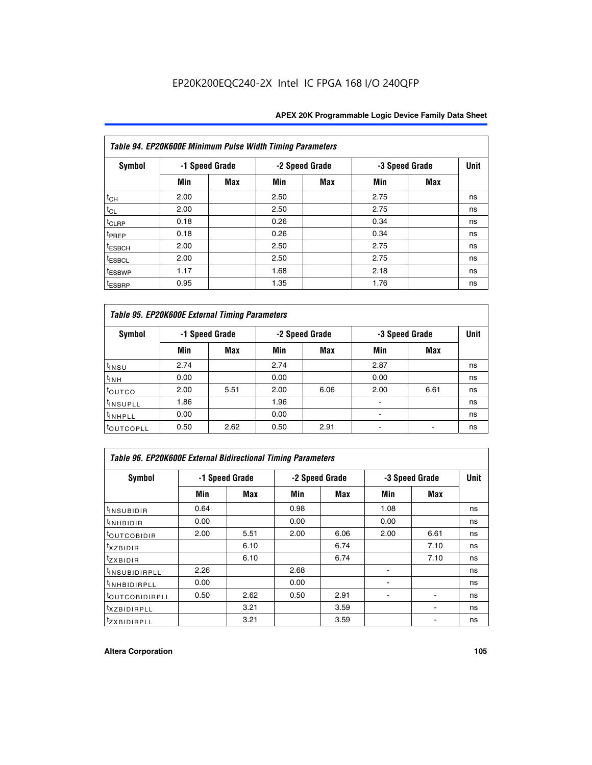| Table 94. EP20K600E Minimum Pulse Width Timing Parameters |      |                |      |                |      |                |             |  |  |  |  |
|-----------------------------------------------------------|------|----------------|------|----------------|------|----------------|-------------|--|--|--|--|
| <b>Symbol</b>                                             |      | -1 Speed Grade |      | -2 Speed Grade |      | -3 Speed Grade | <b>Unit</b> |  |  |  |  |
|                                                           | Min  | Max            | Min  | Max            | Min  | <b>Max</b>     |             |  |  |  |  |
| $t_{CH}$                                                  | 2.00 |                | 2.50 |                | 2.75 |                | ns          |  |  |  |  |
| $t_{CL}$                                                  | 2.00 |                | 2.50 |                | 2.75 |                | ns          |  |  |  |  |
| $t_{CLRP}$                                                | 0.18 |                | 0.26 |                | 0.34 |                | ns          |  |  |  |  |
| t <sub>PREP</sub>                                         | 0.18 |                | 0.26 |                | 0.34 |                | ns          |  |  |  |  |
| <sup>t</sup> ESBCH                                        | 2.00 |                | 2.50 |                | 2.75 |                | ns          |  |  |  |  |
| <sup>t</sup> ESBCL                                        | 2.00 |                | 2.50 |                | 2.75 |                | ns          |  |  |  |  |
| <sup>t</sup> ESBWP                                        | 1.17 |                | 1.68 |                | 2.18 |                | ns          |  |  |  |  |
| <sup>t</sup> ESBRP                                        | 0.95 |                | 1.35 |                | 1.76 |                | ns          |  |  |  |  |

| Table 95. EP20K600E External Timing Parameters |      |                |      |                |                          |                |    |  |  |  |  |  |
|------------------------------------------------|------|----------------|------|----------------|--------------------------|----------------|----|--|--|--|--|--|
| Symbol                                         |      | -1 Speed Grade |      | -2 Speed Grade |                          | -3 Speed Grade |    |  |  |  |  |  |
|                                                | Min  | Max            | Min  | Max            | Min                      | Max            |    |  |  |  |  |  |
| t <sub>insu</sub>                              | 2.74 |                | 2.74 |                | 2.87                     |                | ns |  |  |  |  |  |
| $t_{INH}$                                      | 0.00 |                | 0.00 |                | 0.00                     |                | ns |  |  |  |  |  |
| toutco                                         | 2.00 | 5.51           | 2.00 | 6.06           | 2.00                     | 6.61           | ns |  |  |  |  |  |
| <sup>t</sup> INSUPLL                           | 1.86 |                | 1.96 |                |                          |                | ns |  |  |  |  |  |
| <sup>t</sup> INHPLL                            | 0.00 |                | 0.00 |                | $\overline{\phantom{a}}$ |                | ns |  |  |  |  |  |
| <b>LOUTCOPLL</b>                               | 0.50 | 2.62           | 0.50 | 2.91           |                          |                | ns |  |  |  |  |  |

| <b>Table 96. EP20K600E External Bidirectional Timing Parameters</b> |                |      |      |                |                |             |    |  |  |  |  |
|---------------------------------------------------------------------|----------------|------|------|----------------|----------------|-------------|----|--|--|--|--|
| Symbol                                                              | -1 Speed Grade |      |      | -2 Speed Grade | -3 Speed Grade | <b>Unit</b> |    |  |  |  |  |
|                                                                     | Min            | Max  | Min  | Max            | Min            | Max         |    |  |  |  |  |
| <sup>t</sup> INSUBIDIR                                              | 0.64           |      | 0.98 |                | 1.08           |             | ns |  |  |  |  |
| $t_{\rm INHBIDIR}$                                                  | 0.00           |      | 0.00 |                | 0.00           |             | ns |  |  |  |  |
| <sup>t</sup> OUTCOBIDIR                                             | 2.00           | 5.51 | 2.00 | 6.06           | 2.00           | 6.61        | ns |  |  |  |  |
| $t_{XZBIDIR}$                                                       |                | 6.10 |      | 6.74           |                | 7.10        | ns |  |  |  |  |
| $t_{ZXBIDIR}$                                                       |                | 6.10 |      | 6.74           |                | 7.10        | ns |  |  |  |  |
| <sup>t</sup> INSUBIDIRPLL                                           | 2.26           |      | 2.68 |                |                |             | ns |  |  |  |  |
| <sup>t</sup> INHBIDIRPLL                                            | 0.00           |      | 0.00 |                |                |             | ns |  |  |  |  |
| <b><i>LOUTCOBIDIRPLL</i></b>                                        | 0.50           | 2.62 | 0.50 | 2.91           |                |             | ns |  |  |  |  |
| <sup>t</sup> XZBIDIRPLL                                             |                | 3.21 |      | 3.59           |                |             | ns |  |  |  |  |
| <sup>t</sup> zxbidirpll                                             |                | 3.21 |      | 3.59           |                |             | ns |  |  |  |  |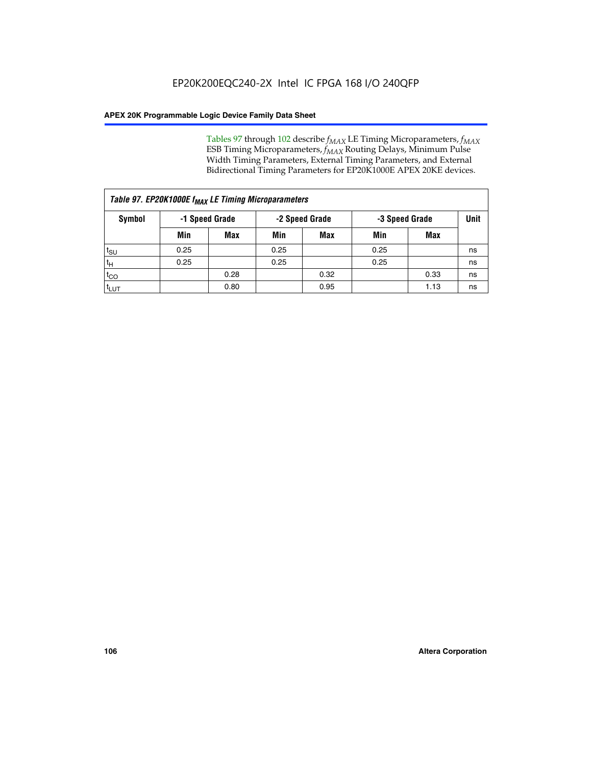Tables 97 through 102 describe  $f_{MAX}$  LE Timing Microparameters,  $f_{MAX}$ ESB Timing Microparameters, *f<sub>MAX</sub>* Routing Delays, Minimum Pulse Width Timing Parameters, External Timing Parameters, and External Bidirectional Timing Parameters for EP20K1000E APEX 20KE devices.

| Table 97. EP20K1000E f <sub>MAX</sub> LE Timing Microparameters |                |            |                |            |                |      |      |  |  |  |  |
|-----------------------------------------------------------------|----------------|------------|----------------|------------|----------------|------|------|--|--|--|--|
| Symbol                                                          | -1 Speed Grade |            | -2 Speed Grade |            | -3 Speed Grade |      | Unit |  |  |  |  |
|                                                                 | Min            | <b>Max</b> | Min            | <b>Max</b> | Min            | Max  |      |  |  |  |  |
| $t_{\text{SU}}$                                                 | 0.25           |            | 0.25           |            | 0.25           |      | ns   |  |  |  |  |
| $t_H$                                                           | 0.25           |            | 0.25           |            | 0.25           |      | ns   |  |  |  |  |
| $t_{CO}$                                                        |                | 0.28       |                | 0.32       |                | 0.33 | ns   |  |  |  |  |
| t <sub>LUT</sub>                                                |                | 0.80       |                | 0.95       |                | 1.13 | ns   |  |  |  |  |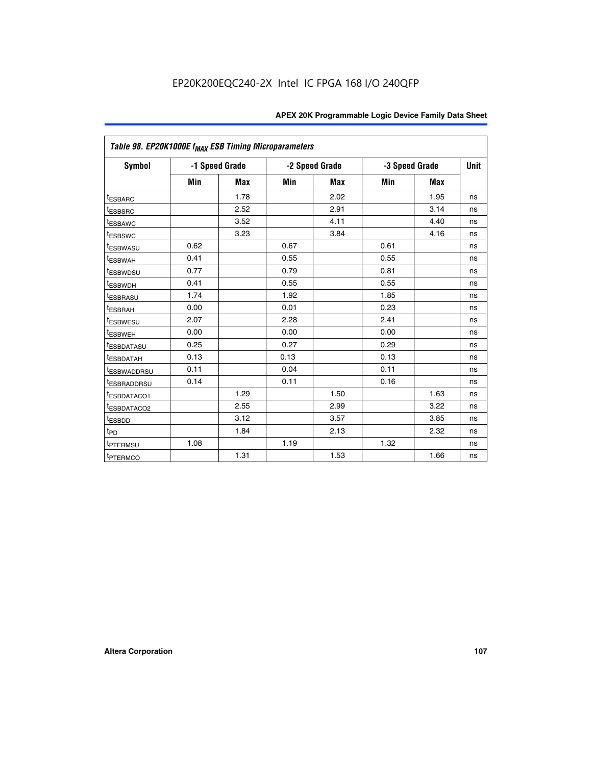| Table 98. EP20K1000E f <sub>MAX</sub> ESB Timing Microparameters |      |                |      |                |      |                |    |
|------------------------------------------------------------------|------|----------------|------|----------------|------|----------------|----|
| Symbol                                                           |      | -1 Speed Grade |      | -2 Speed Grade |      | -3 Speed Grade |    |
|                                                                  | Min  | <b>Max</b>     | Min  | <b>Max</b>     | Min  | <b>Max</b>     |    |
| <sup>t</sup> ESBARC                                              |      | 1.78           |      | 2.02           |      | 1.95           | ns |
| <i><b>LESBSRC</b></i>                                            |      | 2.52           |      | 2.91           |      | 3.14           | ns |
| <sup>t</sup> ESBAWC                                              |      | 3.52           |      | 4.11           |      | 4.40           | ns |
| t <sub>ESBSWC</sub>                                              |      | 3.23           |      | 3.84           |      | 4.16           | ns |
| t <sub>ESBWASU</sub>                                             | 0.62 |                | 0.67 |                | 0.61 |                | ns |
| <sup>t</sup> ESBWAH                                              | 0.41 |                | 0.55 |                | 0.55 |                | ns |
| t <sub>ESBWDSU</sub>                                             | 0.77 |                | 0.79 |                | 0.81 |                | ns |
| <sup>t</sup> ESBWDH                                              | 0.41 |                | 0.55 |                | 0.55 |                | ns |
| t <sub>ESBRASU</sub>                                             | 1.74 |                | 1.92 |                | 1.85 |                | ns |
| t <sub>ESBRAH</sub>                                              | 0.00 |                | 0.01 |                | 0.23 |                | ns |
| <sup>t</sup> ESBWESU                                             | 2.07 |                | 2.28 |                | 2.41 |                | ns |
| t <sub>ESBWEH</sub>                                              | 0.00 |                | 0.00 |                | 0.00 |                | ns |
| <sup>t</sup> ESBDATASU                                           | 0.25 |                | 0.27 |                | 0.29 |                | ns |
| <sup>t</sup> ESBDATAH                                            | 0.13 |                | 0.13 |                | 0.13 |                | ns |
| <sup>t</sup> ESBWADDRSU                                          | 0.11 |                | 0.04 |                | 0.11 |                | ns |
| <sup>T</sup> ESBRADDRSU                                          | 0.14 |                | 0.11 |                | 0.16 |                | ns |
| <sup>t</sup> ESBDATACO1                                          |      | 1.29           |      | 1.50           |      | 1.63           | ns |
| <sup>t</sup> ESBDATACO2                                          |      | 2.55           |      | 2.99           |      | 3.22           | ns |
| <sup>t</sup> ESBDD                                               |      | 3.12           |      | 3.57           |      | 3.85           | ns |
| $t_{\text{PD}}$                                                  |      | 1.84           |      | 2.13           |      | 2.32           | ns |
| t <sub>PTERMSU</sub>                                             | 1.08 |                | 1.19 |                | 1.32 |                | ns |
| <sup>t</sup> PTERMCO                                             |      | 1.31           |      | 1.53           |      | 1.66           | ns |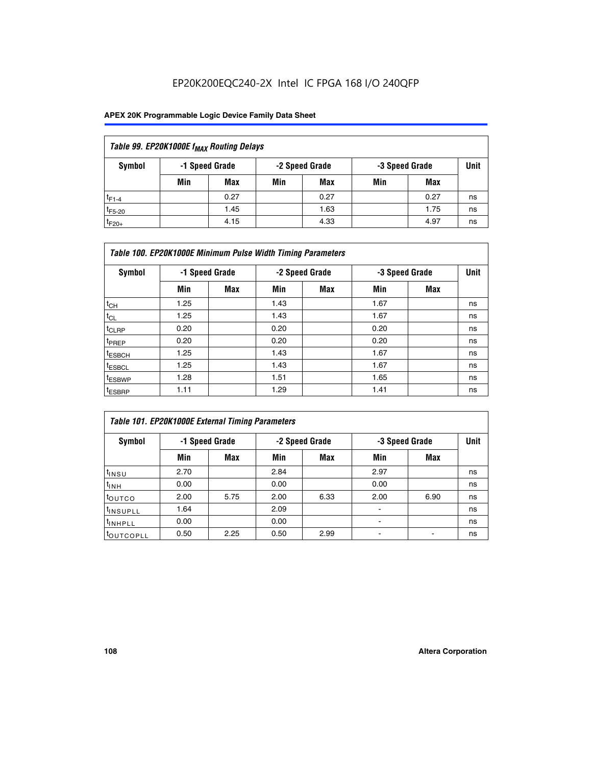## EP20K200EQC240-2X Intel IC FPGA 168 I/O 240QFP

### **APEX 20K Programmable Logic Device Family Data Sheet**

| Table 99. EP20K1000E f <sub>MAX</sub> Routing Delays |                                                    |            |     |      |     |      |    |  |  |  |  |
|------------------------------------------------------|----------------------------------------------------|------------|-----|------|-----|------|----|--|--|--|--|
| Symbol                                               | -1 Speed Grade<br>-2 Speed Grade<br>-3 Speed Grade |            |     |      |     |      |    |  |  |  |  |
|                                                      | Min                                                | <b>Max</b> | Min | Max  | Min | Max  |    |  |  |  |  |
| $t_{F1-4}$                                           |                                                    | 0.27       |     | 0.27 |     | 0.27 | ns |  |  |  |  |
| $t_{F5-20}$                                          |                                                    | 1.45       |     | 1.63 |     | 1.75 | ns |  |  |  |  |
| $t_{F20+}$                                           |                                                    | 4.15       |     | 4.33 |     | 4.97 | ns |  |  |  |  |

|                    | Table 100. EP20K1000E Minimum Pulse Width Timing Parameters |            |      |                |      |                |             |  |  |  |  |  |
|--------------------|-------------------------------------------------------------|------------|------|----------------|------|----------------|-------------|--|--|--|--|--|
| Symbol             | -1 Speed Grade                                              |            |      | -2 Speed Grade |      | -3 Speed Grade | <b>Unit</b> |  |  |  |  |  |
|                    | Min                                                         | <b>Max</b> | Min  | Max            | Min  | Max            |             |  |  |  |  |  |
| $t_{CH}$           | 1.25                                                        |            | 1.43 |                | 1.67 |                | ns          |  |  |  |  |  |
| $t_{CL}$           | 1.25                                                        |            | 1.43 |                | 1.67 |                | ns          |  |  |  |  |  |
| t <sub>CLRP</sub>  | 0.20                                                        |            | 0.20 |                | 0.20 |                | ns          |  |  |  |  |  |
| <sup>t</sup> PREP  | 0.20                                                        |            | 0.20 |                | 0.20 |                | ns          |  |  |  |  |  |
| <sup>t</sup> ESBCH | 1.25                                                        |            | 1.43 |                | 1.67 |                | ns          |  |  |  |  |  |
| <sup>t</sup> ESBCL | 1.25                                                        |            | 1.43 |                | 1.67 |                | ns          |  |  |  |  |  |
| <sup>t</sup> ESBWP | 1.28                                                        |            | 1.51 |                | 1.65 |                | ns          |  |  |  |  |  |
| <sup>t</sup> ESBRP | 1.11                                                        |            | 1.29 |                | 1.41 |                | ns          |  |  |  |  |  |

| Table 101. EP20K1000E External Timing Parameters |                                  |      |      |                |                          |      |    |  |  |  |  |  |
|--------------------------------------------------|----------------------------------|------|------|----------------|--------------------------|------|----|--|--|--|--|--|
| Symbol                                           | -1 Speed Grade<br>-2 Speed Grade |      |      | -3 Speed Grade |                          |      |    |  |  |  |  |  |
|                                                  | Min                              | Max  | Min  | <b>Max</b>     | Min                      | Max  |    |  |  |  |  |  |
| t <sub>INSU</sub>                                | 2.70                             |      | 2.84 |                | 2.97                     |      | ns |  |  |  |  |  |
| $t_{INH}$                                        | 0.00                             |      | 0.00 |                | 0.00                     |      | ns |  |  |  |  |  |
| toutco                                           | 2.00                             | 5.75 | 2.00 | 6.33           | 2.00                     | 6.90 | ns |  |  |  |  |  |
| <sup>t</sup> INSUPLL                             | 1.64                             |      | 2.09 |                | ۰                        |      | ns |  |  |  |  |  |
| I <sup>t</sup> INHPLL                            | 0.00                             |      | 0.00 |                | $\overline{\phantom{a}}$ |      | ns |  |  |  |  |  |
| toutcopll                                        | 0.50                             | 2.25 | 0.50 | 2.99           | -                        |      | ns |  |  |  |  |  |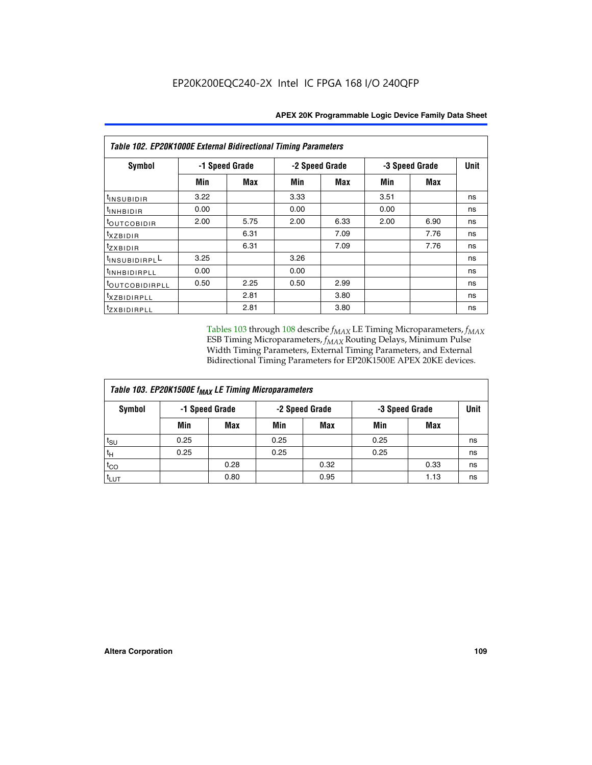| Table 102. EP20K1000E External Bidirectional Timing Parameters |      |                |                |      |      |                |             |  |  |  |
|----------------------------------------------------------------|------|----------------|----------------|------|------|----------------|-------------|--|--|--|
| Symbol                                                         |      | -1 Speed Grade | -2 Speed Grade |      |      | -3 Speed Grade | <b>Unit</b> |  |  |  |
|                                                                | Min  | Max            | Min            | Max  | Min  | Max            |             |  |  |  |
| <sup>t</sup> INSUBIDIR                                         | 3.22 |                | 3.33           |      | 3.51 |                | ns          |  |  |  |
| <sup>t</sup> INHBIDIR                                          | 0.00 |                | 0.00           |      | 0.00 |                | ns          |  |  |  |
| <sup>t</sup> OUTCOBIDIR                                        | 2.00 | 5.75           | 2.00           | 6.33 | 2.00 | 6.90           | ns          |  |  |  |
| txzBIDIR                                                       |      | 6.31           |                | 7.09 |      | 7.76           | ns          |  |  |  |
| $t_{Z}$ <i>x</i> BIDIR                                         |      | 6.31           |                | 7.09 |      | 7.76           | ns          |  |  |  |
| <sup>t</sup> INSUBIDIRPL <sup>L</sup>                          | 3.25 |                | 3.26           |      |      |                | ns          |  |  |  |
| <sup>t</sup> INHBIDIRPLL                                       | 0.00 |                | 0.00           |      |      |                | ns          |  |  |  |
| <sup>t</sup> OUTCOBIDIRPLL                                     | 0.50 | 2.25           | 0.50           | 2.99 |      |                | ns          |  |  |  |
| <sup>t</sup> xzbidirpll                                        |      | 2.81           |                | 3.80 |      |                | ns          |  |  |  |
| <sup>t</sup> zxbidirpll                                        |      | 2.81           |                | 3.80 |      |                | ns          |  |  |  |

Tables 103 through 108 describe  $f_{MAX}$  LE Timing Microparameters,  $f_{MAX}$ ESB Timing Microparameters, *f<sub>MAX</sub>* Routing Delays, Minimum Pulse Width Timing Parameters, External Timing Parameters, and External Bidirectional Timing Parameters for EP20K1500E APEX 20KE devices.

| Table 103. EP20K1500E f <sub>MAX</sub> LE Timing Microparameters |      |                |                |            |                |      |      |  |  |  |  |
|------------------------------------------------------------------|------|----------------|----------------|------------|----------------|------|------|--|--|--|--|
| Symbol                                                           |      | -1 Speed Grade | -2 Speed Grade |            | -3 Speed Grade |      | Unit |  |  |  |  |
|                                                                  | Min  | <b>Max</b>     | Min            | <b>Max</b> | Min            | Max  |      |  |  |  |  |
| $t_{\text{SU}}$                                                  | 0.25 |                | 0.25           |            | 0.25           |      | ns   |  |  |  |  |
| $t_H$                                                            | 0.25 |                | 0.25           |            | 0.25           |      | ns   |  |  |  |  |
| $t_{CO}$                                                         |      | 0.28           |                | 0.32       |                | 0.33 | ns   |  |  |  |  |
| t <sub>lut</sub>                                                 |      | 0.80           |                | 0.95       |                | 1.13 | ns   |  |  |  |  |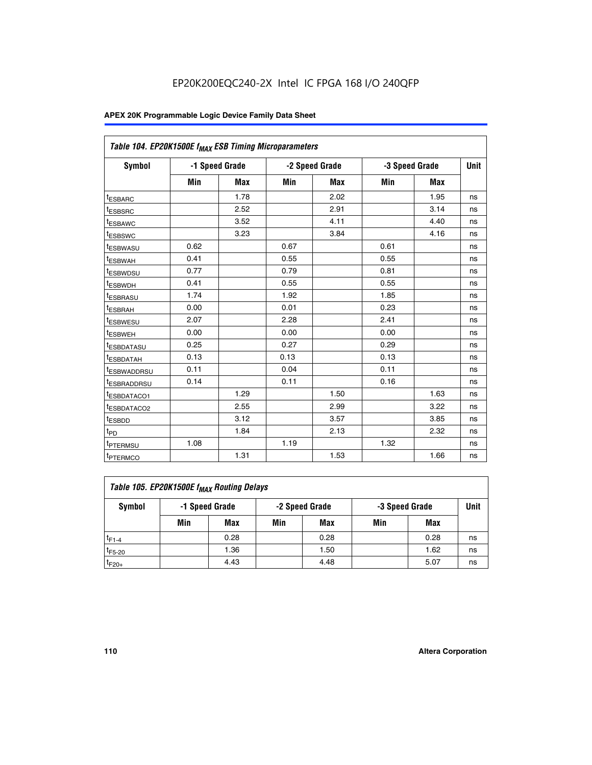|                         | Table 104. EP20K1500E f <sub>MAX</sub> ESB Timing Microparameters |            |            |                |      |                |             |  |  |  |  |
|-------------------------|-------------------------------------------------------------------|------------|------------|----------------|------|----------------|-------------|--|--|--|--|
| <b>Symbol</b>           | -1 Speed Grade                                                    |            |            | -2 Speed Grade |      | -3 Speed Grade | <b>Unit</b> |  |  |  |  |
|                         | Min                                                               | <b>Max</b> | <b>Min</b> | Max            | Min  | Max            |             |  |  |  |  |
| <sup>t</sup> ESBARC     |                                                                   | 1.78       |            | 2.02           |      | 1.95           | ns          |  |  |  |  |
| t <sub>ESBSRC</sub>     |                                                                   | 2.52       |            | 2.91           |      | 3.14           | ns          |  |  |  |  |
| <sup>t</sup> ESBAWC     |                                                                   | 3.52       |            | 4.11           |      | 4.40           | ns          |  |  |  |  |
| t <sub>ESBSWC</sub>     |                                                                   | 3.23       |            | 3.84           |      | 4.16           | ns          |  |  |  |  |
| t <sub>ESBWASU</sub>    | 0.62                                                              |            | 0.67       |                | 0.61 |                | ns          |  |  |  |  |
| t <sub>ESBWAH</sub>     | 0.41                                                              |            | 0.55       |                | 0.55 |                | ns          |  |  |  |  |
| <sup>t</sup> ESBWDSU    | 0.77                                                              |            | 0.79       |                | 0.81 |                | ns          |  |  |  |  |
| t <sub>ESBWDH</sub>     | 0.41                                                              |            | 0.55       |                | 0.55 |                | ns          |  |  |  |  |
| <sup>t</sup> ESBRASU    | 1.74                                                              |            | 1.92       |                | 1.85 |                | ns          |  |  |  |  |
| <sup>t</sup> ESBRAH     | 0.00                                                              |            | 0.01       |                | 0.23 |                | ns          |  |  |  |  |
| t <sub>ESBWESU</sub>    | 2.07                                                              |            | 2.28       |                | 2.41 |                | ns          |  |  |  |  |
| <sup>t</sup> ESBWEH     | 0.00                                                              |            | 0.00       |                | 0.00 |                | ns          |  |  |  |  |
| <sup>t</sup> ESBDATASU  | 0.25                                                              |            | 0.27       |                | 0.29 |                | ns          |  |  |  |  |
| <sup>t</sup> ESBDATAH   | 0.13                                                              |            | 0.13       |                | 0.13 |                | ns          |  |  |  |  |
| <sup>t</sup> ESBWADDRSU | 0.11                                                              |            | 0.04       |                | 0.11 |                | ns          |  |  |  |  |
| t <sub>ESBRADDRSU</sub> | 0.14                                                              |            | 0.11       |                | 0.16 |                | ns          |  |  |  |  |
| <sup>I</sup> ESBDATACO1 |                                                                   | 1.29       |            | 1.50           |      | 1.63           | ns          |  |  |  |  |
| <sup>t</sup> ESBDATACO2 |                                                                   | 2.55       |            | 2.99           |      | 3.22           | ns          |  |  |  |  |
| <sup>t</sup> ESBDD      |                                                                   | 3.12       |            | 3.57           |      | 3.85           | ns          |  |  |  |  |
| t <sub>PD</sub>         |                                                                   | 1.84       |            | 2.13           |      | 2.32           | ns          |  |  |  |  |
| t <sub>PTERMSU</sub>    | 1.08                                                              |            | 1.19       |                | 1.32 |                | ns          |  |  |  |  |
| t <sub>PTERMCO</sub>    |                                                                   | 1.31       |            | 1.53           |      | 1.66           | ns          |  |  |  |  |

| Table 105. EP20K1500E f <sub>MAX</sub> Routing Delays |                                                    |      |     |      |     |      |    |  |  |  |
|-------------------------------------------------------|----------------------------------------------------|------|-----|------|-----|------|----|--|--|--|
| Symbol                                                | -1 Speed Grade<br>-2 Speed Grade<br>-3 Speed Grade |      |     |      |     |      |    |  |  |  |
|                                                       | Min                                                | Max  | Min | Max  | Min | Max  |    |  |  |  |
| $t_{F1-4}$                                            |                                                    | 0.28 |     | 0.28 |     | 0.28 | ns |  |  |  |
| $t_{F5-20}$                                           |                                                    | 1.36 |     | 1.50 |     | 1.62 | ns |  |  |  |
| $t_{F20+}$                                            |                                                    | 4.43 |     | 4.48 |     | 5.07 | ns |  |  |  |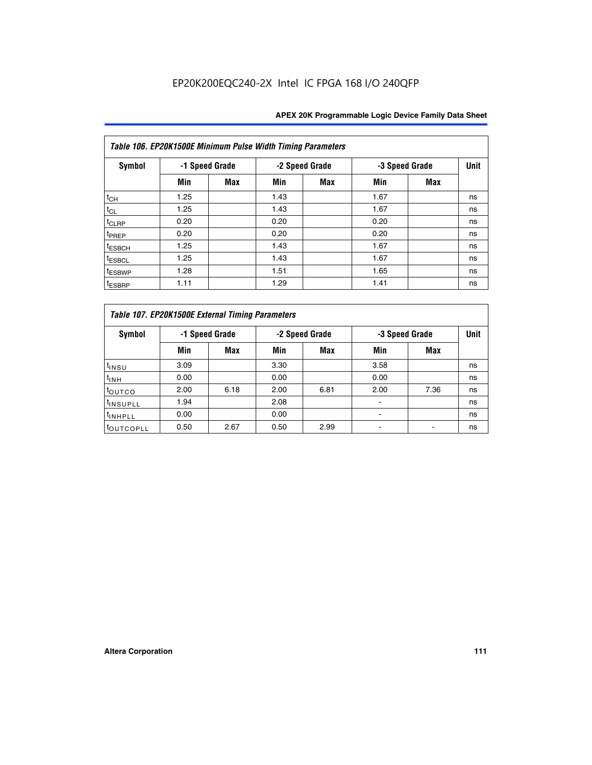|                    | Table 106. EP20K1500E Minimum Pulse Width Timing Parameters |            |      |                |                |            |             |  |  |  |  |  |
|--------------------|-------------------------------------------------------------|------------|------|----------------|----------------|------------|-------------|--|--|--|--|--|
| <b>Symbol</b>      | -1 Speed Grade                                              |            |      | -2 Speed Grade | -3 Speed Grade |            | <b>Unit</b> |  |  |  |  |  |
|                    | Min                                                         | <b>Max</b> | Min  | Max            | Min            | <b>Max</b> |             |  |  |  |  |  |
| $t_{CH}$           | 1.25                                                        |            | 1.43 |                | 1.67           |            | ns          |  |  |  |  |  |
| $t_{CL}$           | 1.25                                                        |            | 1.43 |                | 1.67           |            | ns          |  |  |  |  |  |
| $t_{CLRP}$         | 0.20                                                        |            | 0.20 |                | 0.20           |            | ns          |  |  |  |  |  |
| t <sub>PREP</sub>  | 0.20                                                        |            | 0.20 |                | 0.20           |            | ns          |  |  |  |  |  |
| <sup>t</sup> ESBCH | 1.25                                                        |            | 1.43 |                | 1.67           |            | ns          |  |  |  |  |  |
| <sup>t</sup> ESBCL | 1.25                                                        |            | 1.43 |                | 1.67           |            | ns          |  |  |  |  |  |
| <sup>t</sup> ESBWP | 1.28                                                        |            | 1.51 |                | 1.65           |            | ns          |  |  |  |  |  |
| <sup>t</sup> ESBRP | 1.11                                                        |            | 1.29 |                | 1.41           |            | ns          |  |  |  |  |  |

|                       | Table 107. EP20K1500E External Timing Parameters |            |      |                |      |                |             |  |  |  |  |  |
|-----------------------|--------------------------------------------------|------------|------|----------------|------|----------------|-------------|--|--|--|--|--|
| Symbol                | -1 Speed Grade                                   |            |      | -2 Speed Grade |      | -3 Speed Grade | <b>Unit</b> |  |  |  |  |  |
|                       | Min                                              | <b>Max</b> | Min  | <b>Max</b>     | Min  | Max            |             |  |  |  |  |  |
| t <sub>insu</sub>     | 3.09                                             |            | 3.30 |                | 3.58 |                | ns          |  |  |  |  |  |
| $t_{INH}$             | 0.00                                             |            | 0.00 |                | 0.00 |                | ns          |  |  |  |  |  |
| toutco                | 2.00                                             | 6.18       | 2.00 | 6.81           | 2.00 | 7.36           | ns          |  |  |  |  |  |
| <sup>t</sup> INSUPLL  | 1.94                                             |            | 2.08 |                |      |                | ns          |  |  |  |  |  |
| <sup>t</sup> INHPLL   | 0.00                                             |            | 0.00 |                |      |                | ns          |  |  |  |  |  |
| <sup>t</sup> OUTCOPLL | 0.50                                             | 2.67       | 0.50 | 2.99           |      |                | ns          |  |  |  |  |  |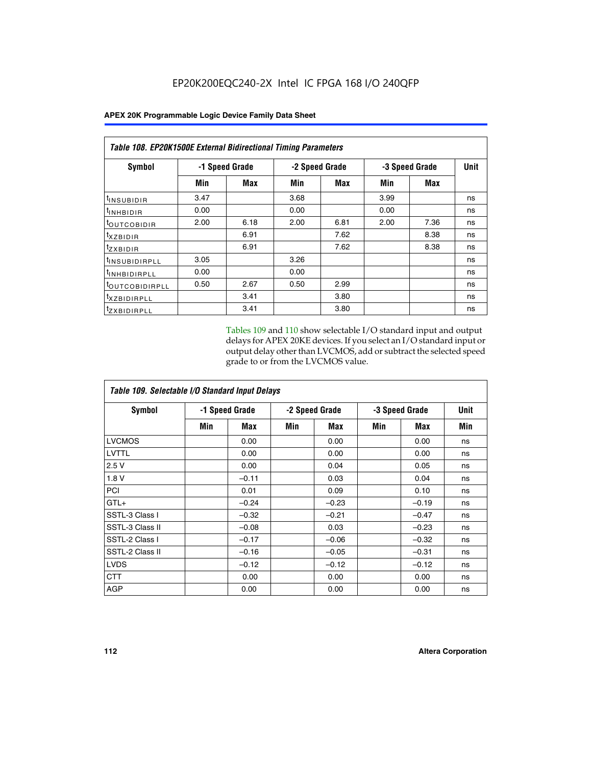|                            | Table 108. EP20K1500E External Bidirectional Timing Parameters |      |                |      |                |      |    |  |  |  |  |
|----------------------------|----------------------------------------------------------------|------|----------------|------|----------------|------|----|--|--|--|--|
| Symbol                     | -1 Speed Grade                                                 |      | -2 Speed Grade |      | -3 Speed Grade | Unit |    |  |  |  |  |
|                            | Min                                                            | Max  | Min            | Max  | Min            | Max  |    |  |  |  |  |
| <sup>t</sup> INSUBIDIR     | 3.47                                                           |      | 3.68           |      | 3.99           |      | ns |  |  |  |  |
| <sup>t</sup> INHBIDIR      | 0.00                                                           |      | 0.00           |      | 0.00           |      | ns |  |  |  |  |
| <sup>t</sup> OUTCOBIDIR    | 2.00                                                           | 6.18 | 2.00           | 6.81 | 2.00           | 7.36 | ns |  |  |  |  |
| $t_{XZBIDIR}$              |                                                                | 6.91 |                | 7.62 |                | 8.38 | ns |  |  |  |  |
| $t_{ZXBIDIR}$              |                                                                | 6.91 |                | 7.62 |                | 8.38 | ns |  |  |  |  |
| <sup>t</sup> INSUBIDIRPLL  | 3.05                                                           |      | 3.26           |      |                |      | ns |  |  |  |  |
| <sup>t</sup> INHBIDIRPLL   | 0.00                                                           |      | 0.00           |      |                |      | ns |  |  |  |  |
| <sup>t</sup> OUTCOBIDIRPLL | 0.50                                                           | 2.67 | 0.50           | 2.99 |                |      | ns |  |  |  |  |
| <sup>t</sup> XZBIDIRPLL    |                                                                | 3.41 |                | 3.80 |                |      | ns |  |  |  |  |
| <sup>t</sup> zxbidirpll    |                                                                | 3.41 |                | 3.80 |                |      | ns |  |  |  |  |

Tables 109 and 110 show selectable I/O standard input and output delays for APEX 20KE devices. If you select an I/O standard input or output delay other than LVCMOS, add or subtract the selected speed grade to or from the LVCMOS value.

| Table 109. Selectable I/O Standard Input Delays |                |         |     |                |     |                |     |  |  |  |
|-------------------------------------------------|----------------|---------|-----|----------------|-----|----------------|-----|--|--|--|
| <b>Symbol</b>                                   | -1 Speed Grade |         |     | -2 Speed Grade |     | -3 Speed Grade |     |  |  |  |
|                                                 | Min            | Max     | Min | Max            | Min | Max            | Min |  |  |  |
| <b>LVCMOS</b>                                   |                | 0.00    |     | 0.00           |     | 0.00           | ns  |  |  |  |
| <b>LVTTL</b>                                    |                | 0.00    |     | 0.00           |     | 0.00           | ns  |  |  |  |
| 2.5V                                            |                | 0.00    |     | 0.04           |     | 0.05           | ns  |  |  |  |
| 1.8V                                            |                | $-0.11$ |     | 0.03           |     | 0.04           | ns  |  |  |  |
| PCI                                             |                | 0.01    |     | 0.09           |     | 0.10           | ns  |  |  |  |
| $GTL+$                                          |                | $-0.24$ |     | $-0.23$        |     | $-0.19$        | ns  |  |  |  |
| SSTL-3 Class I                                  |                | $-0.32$ |     | $-0.21$        |     | $-0.47$        | ns  |  |  |  |
| SSTL-3 Class II                                 |                | $-0.08$ |     | 0.03           |     | $-0.23$        | ns  |  |  |  |
| SSTL-2 Class I                                  |                | $-0.17$ |     | $-0.06$        |     | $-0.32$        | ns  |  |  |  |
| SSTL-2 Class II                                 |                | $-0.16$ |     | $-0.05$        |     | $-0.31$        | ns  |  |  |  |
| <b>LVDS</b>                                     |                | $-0.12$ |     | $-0.12$        |     | $-0.12$        | ns  |  |  |  |
| <b>CTT</b>                                      |                | 0.00    |     | 0.00           |     | 0.00           | ns  |  |  |  |
| <b>AGP</b>                                      |                | 0.00    |     | 0.00           |     | 0.00           | ns  |  |  |  |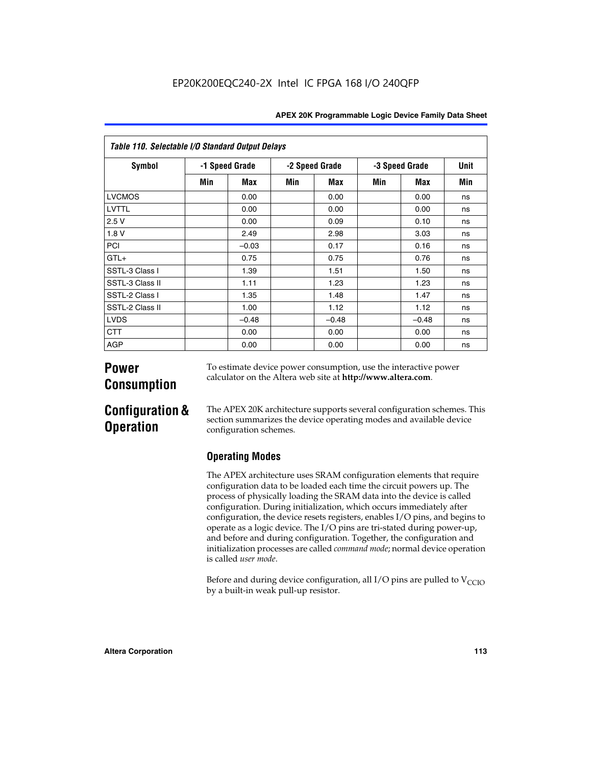| Table 110. Selectable I/O Standard Output Delays |                |         |                |         |                |         |             |  |  |  |
|--------------------------------------------------|----------------|---------|----------------|---------|----------------|---------|-------------|--|--|--|
| Symbol                                           | -1 Speed Grade |         | -2 Speed Grade |         | -3 Speed Grade |         | <b>Unit</b> |  |  |  |
|                                                  | Min            | Max     | Min            | Max     | Min            | Max     | Min         |  |  |  |
| <b>LVCMOS</b>                                    |                | 0.00    |                | 0.00    |                | 0.00    | ns          |  |  |  |
| LVTTL                                            |                | 0.00    |                | 0.00    |                | 0.00    | ns          |  |  |  |
| 2.5V                                             |                | 0.00    |                | 0.09    |                | 0.10    | ns          |  |  |  |
| 1.8V                                             |                | 2.49    |                | 2.98    |                | 3.03    | ns          |  |  |  |
| PCI                                              |                | $-0.03$ |                | 0.17    |                | 0.16    | ns          |  |  |  |
| $GTL+$                                           |                | 0.75    |                | 0.75    |                | 0.76    | ns          |  |  |  |
| SSTL-3 Class I                                   |                | 1.39    |                | 1.51    |                | 1.50    | ns          |  |  |  |
| SSTL-3 Class II                                  |                | 1.11    |                | 1.23    |                | 1.23    | ns          |  |  |  |
| SSTL-2 Class I                                   |                | 1.35    |                | 1.48    |                | 1.47    | ns          |  |  |  |
| SSTL-2 Class II                                  |                | 1.00    |                | 1.12    |                | 1.12    | ns          |  |  |  |
| <b>LVDS</b>                                      |                | $-0.48$ |                | $-0.48$ |                | $-0.48$ | ns          |  |  |  |
| <b>CTT</b>                                       |                | 0.00    |                | 0.00    |                | 0.00    | ns          |  |  |  |
| <b>AGP</b>                                       |                | 0.00    |                | 0.00    |                | 0.00    | ns          |  |  |  |

# **Power Consumption**

To estimate device power consumption, use the interactive power calculator on the Altera web site at **http://www.altera.com**.

# **Configuration & Operation**

The APEX 20K architecture supports several configuration schemes. This section summarizes the device operating modes and available device configuration schemes.

## **Operating Modes**

The APEX architecture uses SRAM configuration elements that require configuration data to be loaded each time the circuit powers up. The process of physically loading the SRAM data into the device is called configuration. During initialization, which occurs immediately after configuration, the device resets registers, enables I/O pins, and begins to operate as a logic device. The I/O pins are tri-stated during power-up, and before and during configuration. Together, the configuration and initialization processes are called *command mode*; normal device operation is called *user mode*.

Before and during device configuration, all I/O pins are pulled to  $V_{\text{CCTO}}$ by a built-in weak pull-up resistor.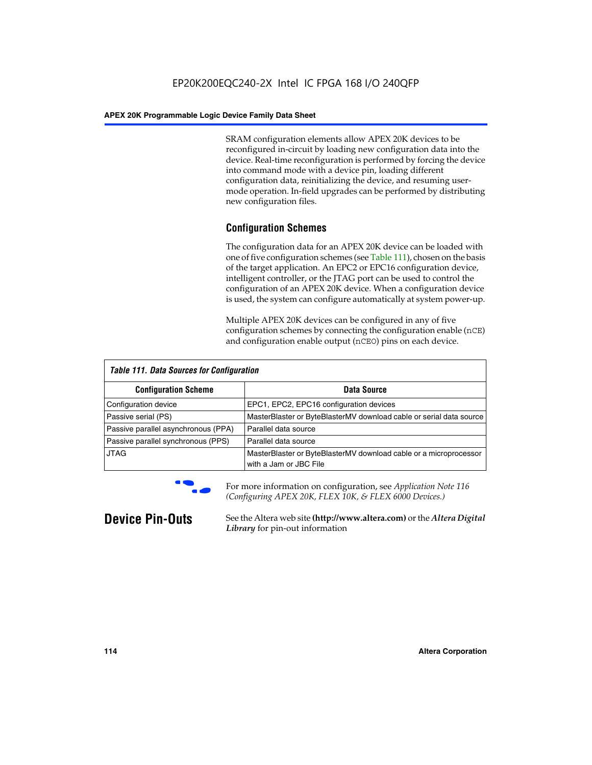SRAM configuration elements allow APEX 20K devices to be reconfigured in-circuit by loading new configuration data into the device. Real-time reconfiguration is performed by forcing the device into command mode with a device pin, loading different configuration data, reinitializing the device, and resuming usermode operation. In-field upgrades can be performed by distributing new configuration files.

## **Configuration Schemes**

The configuration data for an APEX 20K device can be loaded with one of five configuration schemes (see Table 111), chosen on the basis of the target application. An EPC2 or EPC16 configuration device, intelligent controller, or the JTAG port can be used to control the configuration of an APEX 20K device. When a configuration device is used, the system can configure automatically at system power-up.

Multiple APEX 20K devices can be configured in any of five configuration schemes by connecting the configuration enable (nCE) and configuration enable output (nCEO) pins on each device.

| <b>Table 111. Data Sources for Configuration</b> |                                                                                             |
|--------------------------------------------------|---------------------------------------------------------------------------------------------|
| <b>Configuration Scheme</b>                      | Data Source                                                                                 |
| Configuration device                             | EPC1, EPC2, EPC16 configuration devices                                                     |
| Passive serial (PS)                              | MasterBlaster or ByteBlasterMV download cable or serial data source                         |
| Passive parallel asynchronous (PPA)              | Parallel data source                                                                        |
| Passive parallel synchronous (PPS)               | Parallel data source                                                                        |
| <b>JTAG</b>                                      | MasterBlaster or ByteBlasterMV download cable or a microprocessor<br>with a Jam or JBC File |



**For more information on configuration, see Application Note 116** *(Configuring APEX 20K, FLEX 10K, & FLEX 6000 Devices.)*

**Device Pin-Outs** See the Altera web site **(http://www.altera.com)** or the *Altera Digital Library* for pin-out information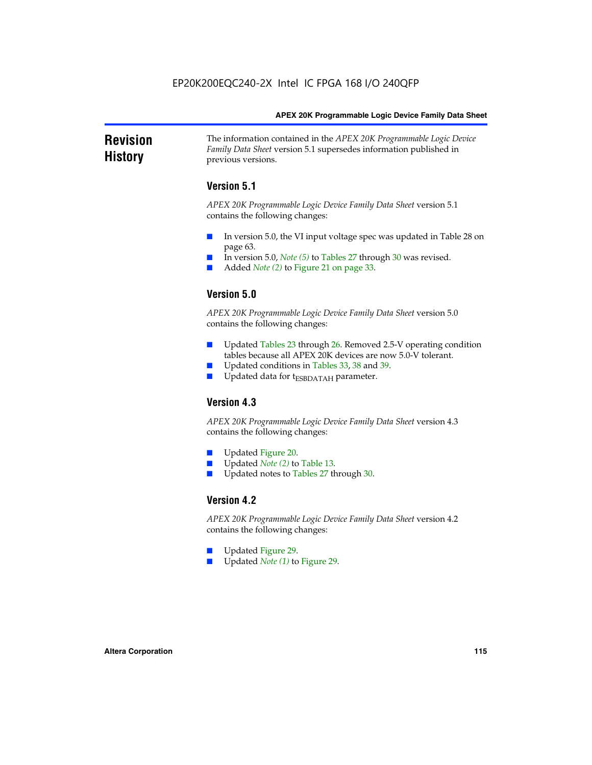### **Revision History** The information contained in the *APEX 20K Programmable Logic Device Family Data Sheet* version 5.1 supersedes information published in previous versions.

## **Version 5.1**

*APEX 20K Programmable Logic Device Family Data Sheet* version 5.1 contains the following changes:

- In version 5.0, the VI input voltage spec was updated in Table 28 on page 63.
- In version 5.0, *Note* (5) to Tables 27 through 30 was revised.
- Added *Note* (2) to Figure 21 on page 33.

## **Version 5.0**

*APEX 20K Programmable Logic Device Family Data Sheet* version 5.0 contains the following changes:

- Updated Tables 23 through 26. Removed 2.5-V operating condition tables because all APEX 20K devices are now 5.0-V tolerant.
- Updated conditions in Tables 33, 38 and 39.
- Updated data for t<sub>ESBDATAH</sub> parameter.

## **Version 4.3**

*APEX 20K Programmable Logic Device Family Data Sheet* version 4.3 contains the following changes:

- Updated Figure 20.
- Updated *Note (2)* to Table 13.
- Updated notes to Tables 27 through 30.

## **Version 4.2**

*APEX 20K Programmable Logic Device Family Data Sheet* version 4.2 contains the following changes:

- Updated Figure 29.
- Updated *Note (1)* to Figure 29.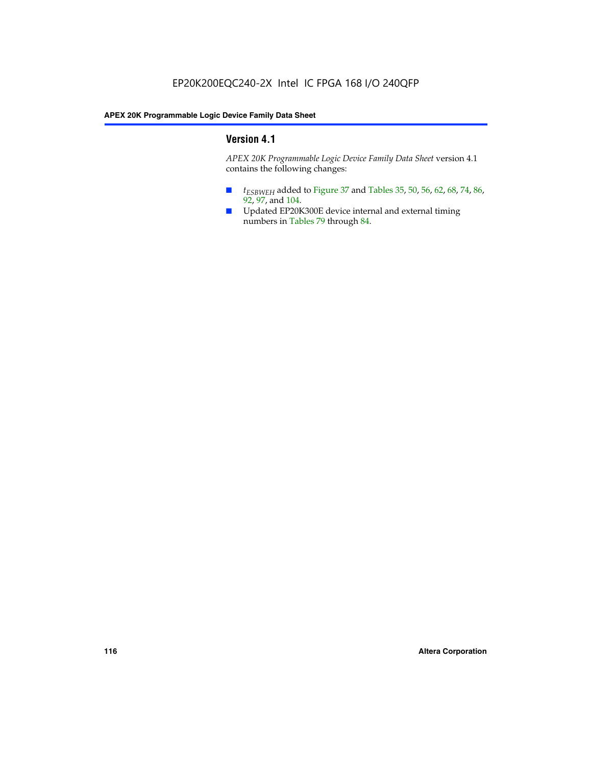## **Version 4.1**

*APEX 20K Programmable Logic Device Family Data Sheet* version 4.1 contains the following changes:

- *t<sub>ESBWEH</sub>* added to Figure 37 and Tables 35, 50, 56, 62, 68, 74, 86, 92, 97, and 104.
- Updated EP20K300E device internal and external timing numbers in Tables 79 through 84.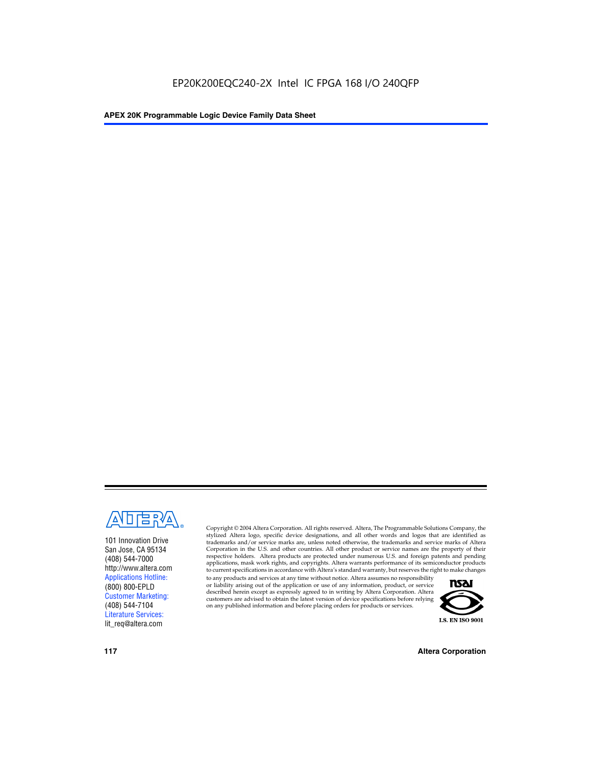

101 Innovation Drive San Jose, CA 95134 (408) 544-7000 http://www.altera.com Applications Hotline: (800) 800-EPLD Customer Marketing: (408) 544-7104 Literature Services: lit\_req@altera.com

Copyright © 2004 Altera Corporation. All rights reserved. Altera, The Programmable Solutions Company, the stylized Altera logo, specific device designations, and all other words and logos that are identified as trademarks and/or service marks are, unless noted otherwise, the trademarks and service marks of Altera Corporation in the U.S. and other countries. All other product or service names are the property of their respective holders. Altera products are protected under numerous U.S. and foreign patents and pending applications, mask work rights, and copyrights. Altera warrants performance of its semiconductor products to current specifications in accordance with Altera's standard warranty, but reserves the right to make changes

to any products and services at any time without notice. Altera assumes no responsibility or liability arising out of the application or use of any information, product, or service described herein except as expressly agreed to in writing by Altera Corporation. Altera customers are advised to obtain the latest version of device specifications before relying on any published information and before placing orders for products or services.



**117 Altera Corporation**